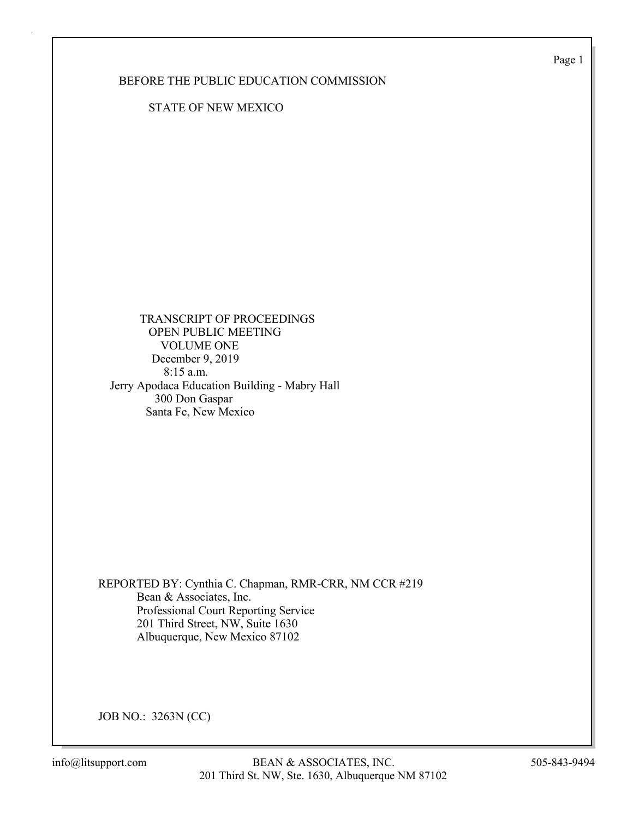Page 1

## BEFORE THE PUBLIC EDUCATION COMMISSION

STATE OF NEW MEXICO

 TRANSCRIPT OF PROCEEDINGS OPEN PUBLIC MEETING VOLUME ONE December 9, 2019 8:15 a.m. Jerry Apodaca Education Building - Mabry Hall 300 Don Gaspar Santa Fe, New Mexico

REPORTED BY: Cynthia C. Chapman, RMR-CRR, NM CCR #219 Bean & Associates, Inc. Professional Court Reporting Service 201 Third Street, NW, Suite 1630 Albuquerque, New Mexico 87102

JOB NO.: 3263N (CC)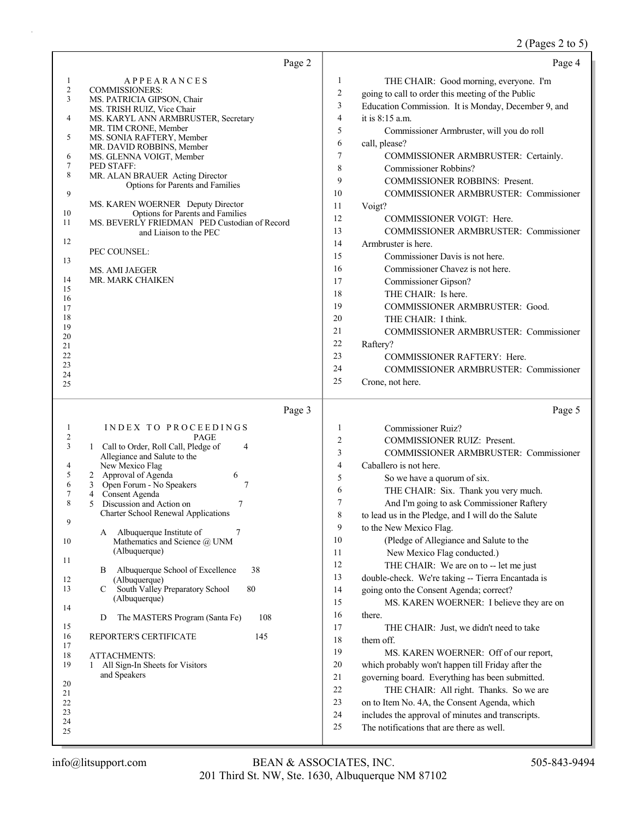# 2 (Pages 2 to 5)

|                | Page 2                                                                |                  | Page 4                                                              |
|----------------|-----------------------------------------------------------------------|------------------|---------------------------------------------------------------------|
| $\mathbf{1}$   | <b>APPEARANCES</b>                                                    | $\mathbf{1}$     | THE CHAIR: Good morning, everyone. I'm                              |
| $\overline{c}$ | <b>COMMISSIONERS:</b>                                                 | $\boldsymbol{2}$ | going to call to order this meeting of the Public                   |
| 3              | MS. PATRICIA GIPSON, Chair<br>MS. TRISH RUIZ, Vice Chair              | 3                | Education Commission. It is Monday, December 9, and                 |
| 4              | MS. KARYL ANN ARMBRUSTER, Secretary                                   | 4                | it is 8:15 a.m.                                                     |
| 5              | MR. TIM CRONE, Member                                                 | 5                | Commissioner Armbruster, will you do roll                           |
|                | MS. SONIA RAFTERY, Member<br>MR. DAVID ROBBINS, Member                | 6                | call, please?                                                       |
| 6              | MS. GLENNA VOIGT, Member                                              | 7                | COMMISSIONER ARMBRUSTER: Certainly.                                 |
| 7<br>8         | PED STAFF:<br>MR. ALAN BRAUER Acting Director                         | 8                | Commissioner Robbins?                                               |
|                | Options for Parents and Families                                      | 9                | <b>COMMISSIONER ROBBINS: Present.</b>                               |
| 9              |                                                                       | 10               | COMMISSIONER ARMBRUSTER: Commissioner                               |
| 10             | MS. KAREN WOERNER Deputy Director<br>Options for Parents and Families | 11               | Voigt?                                                              |
| 11             | MS. BEVERLY FRIEDMAN PED Custodian of Record                          | 12               | COMMISSIONER VOIGT: Here.                                           |
|                | and Liaison to the PEC                                                | 13               | COMMISSIONER ARMBRUSTER: Commissioner                               |
| 12             | PEC COUNSEL:                                                          | 14               | Armbruster is here.                                                 |
| 13             |                                                                       | 15               | Commissioner Davis is not here.                                     |
|                | MS. AMI JAEGER                                                        | 16               | Commissioner Chavez is not here.                                    |
| 14<br>15       | MR. MARK CHAIKEN                                                      | 17               | Commissioner Gipson?                                                |
| 16             |                                                                       | 18               | THE CHAIR: Is here.                                                 |
| 17             |                                                                       | 19               | COMMISSIONER ARMBRUSTER: Good.                                      |
| 18<br>19       |                                                                       | 20               | THE CHAIR: I think.                                                 |
| 20             |                                                                       | 21               | <b>COMMISSIONER ARMBRUSTER: Commissioner</b>                        |
| 21             |                                                                       | 22               | Raftery?                                                            |
| 22<br>23       |                                                                       | 23               | COMMISSIONER RAFTERY: Here.                                         |
| 24             |                                                                       | 24               | <b>COMMISSIONER ARMBRUSTER: Commissioner</b>                        |
| 25             |                                                                       | 25               | Crone, not here.                                                    |
|                |                                                                       |                  |                                                                     |
|                | Page 3                                                                |                  | Page 5                                                              |
| $\mathbf{1}$   |                                                                       | $\mathbf{1}$     |                                                                     |
| $\overline{c}$ | INDEX TO PROCEEDINGS<br><b>PAGE</b>                                   | $\overline{c}$   | <b>Commissioner Ruiz?</b><br>COMMISSIONER RUIZ: Present.            |
| 3              | 1 Call to Order, Roll Call, Pledge of<br>4                            | 3                | COMMISSIONER ARMBRUSTER: Commissioner                               |
| 4              | Allegiance and Salute to the<br>New Mexico Flag                       | 4                | Caballero is not here.                                              |
| 5              | 2 Approval of Agenda<br>6                                             | 5                |                                                                     |
| 6              | Open Forum - No Speakers<br>3<br>7                                    | 6                | So we have a quorum of six.<br>THE CHAIR: Six. Thank you very much. |
| 7<br>8         | Consent Agenda<br>4<br>Discussion and Action on<br>5<br>7             | 7                | And I'm going to ask Commissioner Raftery                           |
|                | Charter School Renewal Applications                                   | $\,$ $\,$        | to lead us in the Pledge, and I will do the Salute                  |
| 9              |                                                                       | 9                | to the New Mexico Flag.                                             |
| 10             | 7<br>Albuquerque Institute of<br>A<br>Mathematics and Science @ UNM   | 10               | (Pledge of Allegiance and Salute to the                             |
|                | (Albuquerque)                                                         | 11               | New Mexico Flag conducted.)                                         |
| 11             |                                                                       | 12               | THE CHAIR: We are on to -- let me just                              |
| 12             | Albuquerque School of Excellence<br>38<br>B<br>(Albuquerque)          | 13               | double-check. We're taking -- Tierra Encantada is                   |
| 13             | South Valley Preparatory School<br>80<br>C                            | 14               | going onto the Consent Agenda; correct?                             |
|                | (Albuquerque)                                                         | 15               | MS. KAREN WOERNER: I believe they are on                            |
| 14             | The MASTERS Program (Santa Fe)<br>108<br>D                            | 16               | there.                                                              |
| 15             |                                                                       | 17               | THE CHAIR: Just, we didn't need to take                             |
| 16<br>17       | REPORTER'S CERTIFICATE<br>145                                         | 18               | them off.                                                           |
| 18             | <b>ATTACHMENTS:</b>                                                   | 19               | MS. KAREN WOERNER: Off of our report,                               |
| 19             | All Sign-In Sheets for Visitors<br>1                                  | 20               | which probably won't happen till Friday after the                   |
| 20             | and Speakers                                                          | 21               | governing board. Everything has been submitted.                     |
| 21             |                                                                       | 22               | THE CHAIR: All right. Thanks. So we are                             |
| 22             |                                                                       | 23               | on to Item No. 4A, the Consent Agenda, which                        |
| 23<br>24       |                                                                       | 24               | includes the approval of minutes and transcripts.                   |
| 25             |                                                                       | 25               | The notifications that are there as well.                           |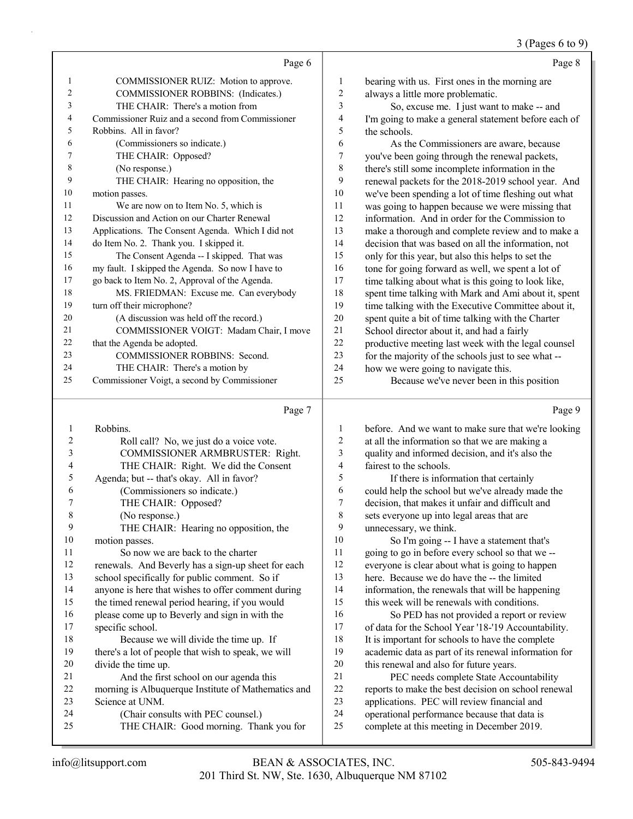### (Pages 6 to 9)

|                |                                                   |         | $3$ (F ages 0 to 7                                   |
|----------------|---------------------------------------------------|---------|------------------------------------------------------|
|                | Page 6                                            |         | Page 8                                               |
| 1              | COMMISSIONER RUIZ: Motion to approve.             | 1       | bearing with us. First ones in the morning are       |
| $\overline{2}$ | COMMISSIONER ROBBINS: (Indicates.)                | 2       | always a little more problematic.                    |
| 3              | THE CHAIR: There's a motion from                  | 3       | So, excuse me. I just want to make -- and            |
| 4              | Commissioner Ruiz and a second from Commissioner  | 4       | I'm going to make a general statement before each of |
| 5              | Robbins. All in favor?                            | 5       | the schools.                                         |
| 6              | (Commissioners so indicate.)                      | 6       | As the Commissioners are aware, because              |
| 7              | THE CHAIR: Opposed?                               | 7       | you've been going through the renewal packets,       |
| 8              | (No response.)                                    | $\,8\,$ | there's still some incomplete information in the     |
| 9              | THE CHAIR: Hearing no opposition, the             | 9       | renewal packets for the 2018-2019 school year. And   |
| 10             | motion passes.                                    | 10      | we've been spending a lot of time fleshing out what  |
| 11             | We are now on to Item No. 5, which is             | 11      | was going to happen because we were missing that     |
| 12             | Discussion and Action on our Charter Renewal      | 12      | information. And in order for the Commission to      |
| 13             | Applications. The Consent Agenda. Which I did not | 13      | make a thorough and complete review and to make a    |
| 14             | do Item No. 2. Thank you. I skipped it.           | 14      | decision that was based on all the information, not  |
| 15             | The Consent Agenda -- I skipped. That was         | 15      | only for this year, but also this helps to set the   |
| 16             | my fault. I skipped the Agenda. So now I have to  | 16      | tone for going forward as well, we spent a lot of    |
| 17             | go back to Item No. 2, Approval of the Agenda.    | 17      | time talking about what is this going to look like,  |
| 18             | MS. FRIEDMAN: Excuse me. Can everybody            | 18      | spent time talking with Mark and Ami about it, spent |
| 19             | turn off their microphone?                        | 19      | time talking with the Executive Committee about it,  |
| 20             | (A discussion was held off the record.)           | 20      | spent quite a bit of time talking with the Charter   |
| 21             | COMMISSIONER VOIGT: Madam Chair, I move           | 21      | School director about it, and had a fairly           |
| 22             | that the Agenda be adopted.                       | 22      | productive meeting last week with the legal counsel  |
| 23             | <b>COMMISSIONER ROBBINS: Second.</b>              | 23      | for the majority of the schools just to see what --  |
| 24             | THE CHAIR: There's a motion by                    | 24      | how we were going to navigate this.                  |
| 25             | Commissioner Voigt, a second by Commissioner      | 25      | Because we've never been in this position            |
|                |                                                   |         |                                                      |

# Page 7

|                | Page 7                                              |    | Page 9                                               |
|----------------|-----------------------------------------------------|----|------------------------------------------------------|
|                | Robbins.                                            | 1  | before. And we want to make sure that we're looking  |
| $\overline{2}$ | Roll call? No, we just do a voice vote.             | 2  | at all the information so that we are making a       |
| 3              | COMMISSIONER ARMBRUSTER: Right.                     | 3  | quality and informed decision, and it's also the     |
| 4              | THE CHAIR: Right. We did the Consent                | 4  | fairest to the schools.                              |
| 5              | Agenda; but -- that's okay. All in favor?           | 5  | If there is information that certainly               |
| 6              | (Commissioners so indicate.)                        | 6  | could help the school but we've already made the     |
| 7              | THE CHAIR: Opposed?                                 | 7  | decision, that makes it unfair and difficult and     |
| 8              | (No response.)                                      | 8  | sets everyone up into legal areas that are           |
| 9              | THE CHAIR: Hearing no opposition, the               | 9  | unnecessary, we think.                               |
| 10             | motion passes.                                      | 10 | So I'm going -- I have a statement that's            |
| 11             | So now we are back to the charter                   | 11 | going to go in before every school so that we --     |
| 12             | renewals. And Beverly has a sign-up sheet for each  | 12 | everyone is clear about what is going to happen      |
| 13             | school specifically for public comment. So if       | 13 | here. Because we do have the -- the limited          |
| 14             | anyone is here that wishes to offer comment during  | 14 | information, the renewals that will be happening     |
| 15             | the timed renewal period hearing, if you would      | 15 | this week will be renewals with conditions.          |
| 16             | please come up to Beverly and sign in with the      | 16 | So PED has not provided a report or review           |
| 17             | specific school.                                    | 17 | of data for the School Year '18-'19 Accountability.  |
| 18             | Because we will divide the time up. If              | 18 | It is important for schools to have the complete     |
| 19             | there's a lot of people that wish to speak, we will | 19 | academic data as part of its renewal information for |
| 20             | divide the time up.                                 | 20 | this renewal and also for future years.              |
| 21             | And the first school on our agenda this             | 21 | PEC needs complete State Accountability              |
| 22             | morning is Albuquerque Institute of Mathematics and | 22 | reports to make the best decision on school renewal  |
| 23             | Science at UNM.                                     | 23 | applications. PEC will review financial and          |
| 24             | (Chair consults with PEC counsel.)                  | 24 | operational performance because that data is         |
| 25             | THE CHAIR: Good morning. Thank you for              | 25 | complete at this meeting in December 2019.           |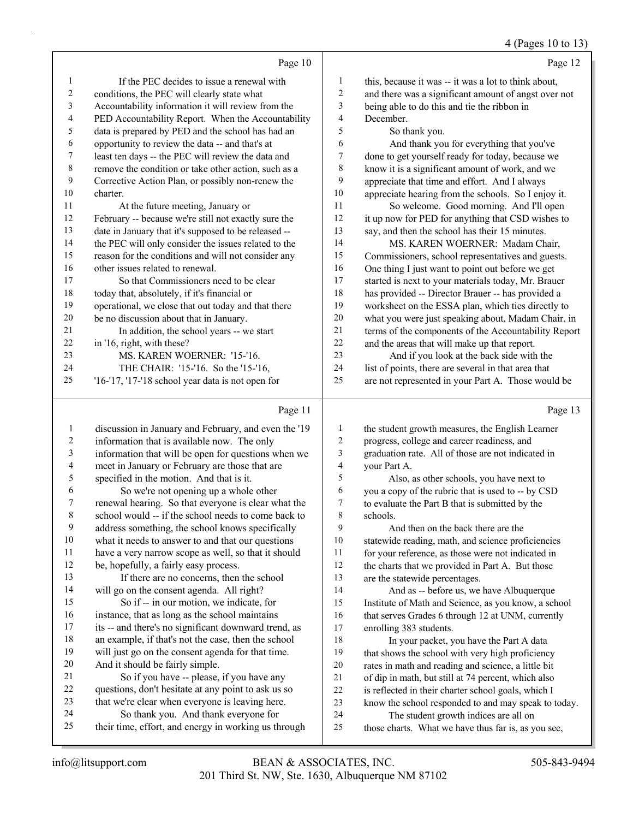#### 4 (Pages 10 to 13)

|    | Page 10                                              |                | Page 12                                              |
|----|------------------------------------------------------|----------------|------------------------------------------------------|
| 1  | If the PEC decides to issue a renewal with           | 1              | this, because it was -- it was a lot to think about, |
| 2  | conditions, the PEC will clearly state what          | $\overline{2}$ | and there was a significant amount of angst over not |
| 3  | Accountability information it will review from the   | 3              | being able to do this and tie the ribbon in          |
| 4  | PED Accountability Report. When the Accountability   | 4              | December.                                            |
| 5  | data is prepared by PED and the school has had an    | 5              | So thank you.                                        |
| 6  | opportunity to review the data -- and that's at      | 6              | And thank you for everything that you've             |
| 7  | least ten days -- the PEC will review the data and   | $\tau$         | done to get yourself ready for today, because we     |
| 8  | remove the condition or take other action, such as a | 8              | know it is a significant amount of work, and we      |
| 9  | Corrective Action Plan, or possibly non-renew the    | 9              | appreciate that time and effort. And I always        |
| 10 | charter.                                             | 10             | appreciate hearing from the schools. So I enjoy it.  |
| 11 | At the future meeting, January or                    | 11             | So welcome. Good morning. And I'll open              |
| 12 | February -- because we're still not exactly sure the | 12             | it up now for PED for anything that CSD wishes to    |
| 13 | date in January that it's supposed to be released -- | 13             | say, and then the school has their 15 minutes.       |
| 14 | the PEC will only consider the issues related to the | 14             | MS. KAREN WOERNER: Madam Chair,                      |
| 15 | reason for the conditions and will not consider any  | 15             | Commissioners, school representatives and guests.    |
| 16 | other issues related to renewal.                     | 16             | One thing I just want to point out before we get     |
| 17 | So that Commissioners need to be clear               | 17             | started is next to your materials today, Mr. Brauer  |
| 18 | today that, absolutely, if it's financial or         | 18             | has provided -- Director Brauer -- has provided a    |
| 19 | operational, we close that out today and that there  | 19             | worksheet on the ESSA plan, which ties directly to   |
| 20 | be no discussion about that in January.              | 20             | what you were just speaking about, Madam Chair, in   |
| 21 | In addition, the school years -- we start            | 21             | terms of the components of the Accountability Report |
| 22 | in '16, right, with these?                           | 22             | and the areas that will make up that report.         |
| 23 | MS. KAREN WOERNER: '15-'16.                          | 23             | And if you look at the back side with the            |
| 24 | THE CHAIR: '15-'16. So the '15-'16,                  | 24             | list of points, there are several in that area that  |
| 25 | $'16$ -'17, '17-'18 school year data is not open for | 25             | are not represented in your Part A. Those would be   |
|    |                                                      |                |                                                      |

# Page 11  $\vert$

|    | Page 11                                              |    | Page 13                                              |
|----|------------------------------------------------------|----|------------------------------------------------------|
| 1  | discussion in January and February, and even the '19 | 1  | the student growth measures, the English Learner     |
| 2  | information that is available now. The only          | 2  | progress, college and career readiness, and          |
| 3  | information that will be open for questions when we  | 3  | graduation rate. All of those are not indicated in   |
| 4  | meet in January or February are those that are       | 4  | your Part A.                                         |
| 5  | specified in the motion. And that is it.             | 5  | Also, as other schools, you have next to             |
| 6  | So we're not opening up a whole other                | 6  | you a copy of the rubric that is used to -- by CSD   |
| 7  | renewal hearing. So that everyone is clear what the  | 7  | to evaluate the Part B that is submitted by the      |
| 8  | school would -- if the school needs to come back to  | 8  | schools.                                             |
| 9  | address something, the school knows specifically     | 9  | And then on the back there are the                   |
| 10 | what it needs to answer to and that our questions    | 10 | statewide reading, math, and science proficiencies   |
| 11 | have a very narrow scope as well, so that it should  | 11 | for your reference, as those were not indicated in   |
| 12 | be, hopefully, a fairly easy process.                | 12 | the charts that we provided in Part A. But those     |
| 13 | If there are no concerns, then the school            | 13 | are the statewide percentages.                       |
| 14 | will go on the consent agenda. All right?            | 14 | And as -- before us, we have Albuquerque             |
| 15 | So if -- in our motion, we indicate, for             | 15 | Institute of Math and Science, as you know, a school |
| 16 | instance, that as long as the school maintains       | 16 | that serves Grades 6 through 12 at UNM, currently    |
| 17 | its -- and there's no significant downward trend, as | 17 | enrolling 383 students.                              |
| 18 | an example, if that's not the case, then the school  | 18 | In your packet, you have the Part A data             |
| 19 | will just go on the consent agenda for that time.    | 19 | that shows the school with very high proficiency     |
| 20 | And it should be fairly simple.                      | 20 | rates in math and reading and science, a little bit  |
| 21 | So if you have -- please, if you have any            | 21 | of dip in math, but still at 74 percent, which also  |
| 22 | questions, don't hesitate at any point to ask us so  | 22 | is reflected in their charter school goals, which I  |
| 23 | that we're clear when everyone is leaving here.      | 23 | know the school responded to and may speak to today. |
| 24 | So thank you. And thank everyone for                 | 24 | The student growth indices are all on                |
| 25 | their time, effort, and energy in working us through | 25 | those charts. What we have thus far is, as you see,  |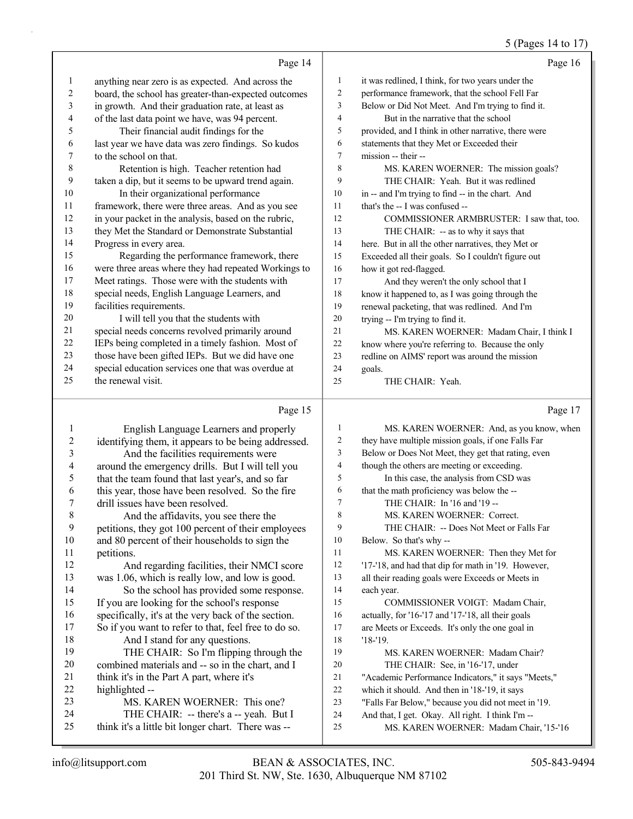#### 5 (Pages 14 to 17)

|    | Page 14                                              |    | Page 16                                              |
|----|------------------------------------------------------|----|------------------------------------------------------|
| 1  | anything near zero is as expected. And across the    | 1  | it was redlined, I think, for two years under the    |
| 2  | board, the school has greater-than-expected outcomes | 2  | performance framework, that the school Fell Far      |
| 3  | in growth. And their graduation rate, at least as    | 3  | Below or Did Not Meet. And I'm trying to find it.    |
| 4  | of the last data point we have, was 94 percent.      | 4  | But in the narrative that the school                 |
| 5  | Their financial audit findings for the               | 5  | provided, and I think in other narrative, there were |
| 6  | last year we have data was zero findings. So kudos   | 6  | statements that they Met or Exceeded their           |
|    | to the school on that.                               | 7  | mission -- their --                                  |
| 8  | Retention is high. Teacher retention had             | 8  | MS. KAREN WOERNER: The mission goals?                |
| 9  | taken a dip, but it seems to be upward trend again.  | 9  | THE CHAIR: Yeah. But it was redlined                 |
| 10 | In their organizational performance                  | 10 | in -- and I'm trying to find -- in the chart. And    |
| 11 | framework, there were three areas. And as you see    | 11 | that's the -- I was confused --                      |
| 12 | in your packet in the analysis, based on the rubric, | 12 | COMMISSIONER ARMBRUSTER: I saw that, too.            |
| 13 | they Met the Standard or Demonstrate Substantial     | 13 | THE CHAIR: -- as to why it says that                 |
| 14 | Progress in every area.                              | 14 | here. But in all the other narratives, they Met or   |
| 15 | Regarding the performance framework, there           | 15 | Exceeded all their goals. So I couldn't figure out   |
| 16 | were three areas where they had repeated Workings to | 16 | how it got red-flagged.                              |
| 17 | Meet ratings. Those were with the students with      | 17 | And they weren't the only school that I              |
| 18 | special needs, English Language Learners, and        | 18 | know it happened to, as I was going through the      |
| 19 | facilities requirements.                             | 19 | renewal packeting, that was redlined. And I'm        |
| 20 | I will tell you that the students with               | 20 | trying -- I'm trying to find it.                     |
| 21 | special needs concerns revolved primarily around     | 21 | MS. KAREN WOERNER: Madam Chair, I think I            |
| 22 | IEPs being completed in a timely fashion. Most of    | 22 | know where you're referring to. Because the only     |
| 23 | those have been gifted IEPs. But we did have one     | 23 | redline on AIMS' report was around the mission       |
| 24 | special education services one that was overdue at   | 24 | goals.                                               |
| 25 | the renewal visit.                                   | 25 | THE CHAIR: Yeah.                                     |
|    | Page 15                                              |    | Page 17                                              |

#### Page 15

1 English Language Learners and properly identifying them, it appears to be being addressed. 3 And the facilities requirements were around the emergency drills. But I will tell you that the team found that last year's, and so far this year, those have been resolved. So the fire drill issues have been resolved. 8 And the affidavits, you see there the petitions, they got 100 percent of their employees and 80 percent of their households to sign the petitions. 12 And regarding facilities, their NMCI score was 1.06, which is really low, and low is good. 14 So the school has provided some response. If you are looking for the school's response specifically, it's at the very back of the section. So if you want to refer to that, feel free to do so. 18 And I stand for any questions. 19 THE CHAIR: So I'm flipping through the combined materials and -- so in the chart, and I think it's in the Part A part, where it's highlighted -- 23 MS. KAREN WOERNER: This one? 24 THE CHAIR: -- there's a -- yeah. But I think it's a little bit longer chart. There was -- 1 MS. KAREN WOERNER: And, as you know, when they have multiple mission goals, if one Falls Far Below or Does Not Meet, they get that rating, even though the others are meeting or exceeding. 5 In this case, the analysis from CSD was that the math proficiency was below the -- 7 THE CHAIR: In '16 and '19 -- 8 MS. KAREN WOERNER: Correct. 9 THE CHAIR: -- Does Not Meet or Falls Far Below. So that's why -- 11 MS. KAREN WOERNER: Then they Met for '17-'18, and had that dip for math in '19. However, all their reading goals were Exceeds or Meets in each year. 15 COMMISSIONER VOIGT: Madam Chair, actually, for '16-'17 and '17-'18, all their goals are Meets or Exceeds. It's only the one goal in '18-'19. 19 MS. KAREN WOERNER: Madam Chair? 20 THE CHAIR: See, in '16-'17, under "Academic Performance Indicators," it says "Meets," which it should. And then in '18-'19, it says "Falls Far Below," because you did not meet in '19. And that, I get. Okay. All right. I think I'm -- 25 MS. KAREN WOERNER: Madam Chair, '15-'16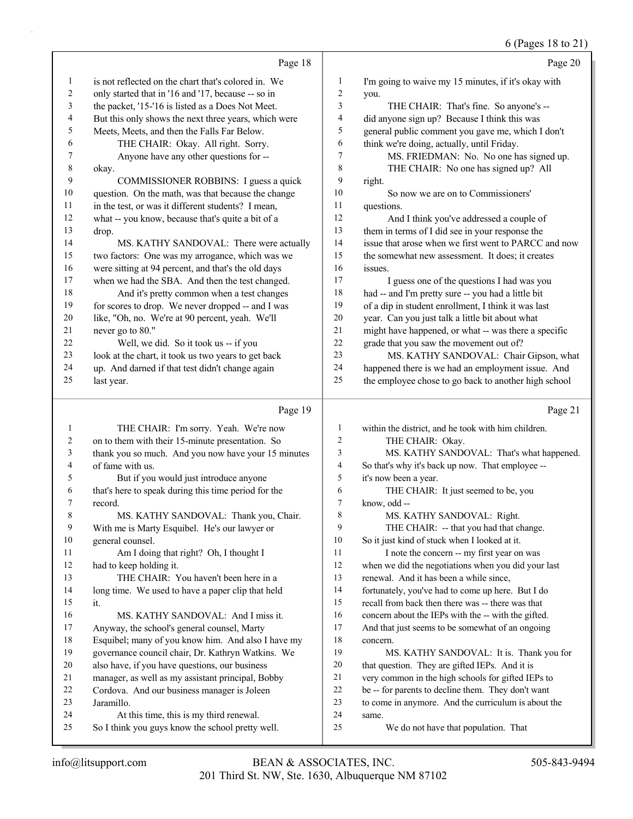|          | Page 18                                                                                     |              | Page 20                                              |
|----------|---------------------------------------------------------------------------------------------|--------------|------------------------------------------------------|
| 1        | is not reflected on the chart that's colored in. We                                         | 1            | I'm going to waive my 15 minutes, if it's okay with  |
| 2        | only started that in '16 and '17, because -- so in                                          | 2            | you.                                                 |
| 3        | the packet, '15-'16 is listed as a Does Not Meet.                                           | 3            | THE CHAIR: That's fine. So anyone's --               |
| 4        | But this only shows the next three years, which were                                        | 4            | did anyone sign up? Because I think this was         |
| 5        | Meets, Meets, and then the Falls Far Below.                                                 | 5            | general public comment you gave me, which I don't    |
| 6        | THE CHAIR: Okay. All right. Sorry.                                                          | 6            | think we're doing, actually, until Friday.           |
| 7        | Anyone have any other questions for --                                                      | 7            | MS. FRIEDMAN: No. No one has signed up.              |
| 8        | okay.                                                                                       | 8            | THE CHAIR: No one has signed up? All                 |
| 9        | COMMISSIONER ROBBINS: I guess a quick                                                       | 9            | right.                                               |
| 10       | question. On the math, was that because the change                                          | 10           | So now we are on to Commissioners'                   |
| 11       | in the test, or was it different students? I mean,                                          | 11           | questions.                                           |
| 12       | what -- you know, because that's quite a bit of a                                           | 12           | And I think you've addressed a couple of             |
| 13       | drop.                                                                                       | 13           | them in terms of I did see in your response the      |
| 14       | MS. KATHY SANDOVAL: There were actually                                                     | 14           | issue that arose when we first went to PARCC and now |
| 15       | two factors: One was my arrogance, which was we                                             | 15           | the somewhat new assessment. It does; it creates     |
| 16       | were sitting at 94 percent, and that's the old days                                         | 16           | issues.                                              |
| 17       | when we had the SBA. And then the test changed.                                             | 17           | I guess one of the questions I had was you           |
| 18       | And it's pretty common when a test changes                                                  | 18           | had -- and I'm pretty sure -- you had a little bit   |
| 19       | for scores to drop. We never dropped -- and I was                                           | 19           | of a dip in student enrollment, I think it was last  |
| 20       | like, "Oh, no. We're at 90 percent, yeah. We'll                                             | 20           | year. Can you just talk a little bit about what      |
| 21       | never go to 80."                                                                            | 21           | might have happened, or what -- was there a specific |
| 22       | Well, we did. So it took us -- if you                                                       | 22           | grade that you saw the movement out of?              |
| 23       | look at the chart, it took us two years to get back                                         | 23           | MS. KATHY SANDOVAL: Chair Gipson, what               |
| 24       | up. And darned if that test didn't change again                                             | 24           | happened there is we had an employment issue. And    |
| 25       | last year.                                                                                  | 25           | the employee chose to go back to another high school |
|          |                                                                                             |              |                                                      |
|          |                                                                                             |              |                                                      |
|          | Page 19                                                                                     |              | Page 21                                              |
| 1        | THE CHAIR: I'm sorry. Yeah. We're now                                                       | $\mathbf{1}$ | within the district, and he took with him children.  |
| 2        | on to them with their 15-minute presentation. So                                            | 2            | THE CHAIR: Okay.                                     |
| 3        | thank you so much. And you now have your 15 minutes                                         | 3            | MS. KATHY SANDOVAL: That's what happened.            |
| 4        | of fame with us.                                                                            | 4            | So that's why it's back up now. That employee --     |
| 5        | But if you would just introduce anyone                                                      | 5            | it's now been a year.                                |
| 6        | that's here to speak during this time period for the                                        | 6            | THE CHAIR: It just seemed to be, you                 |
| 7        | record.                                                                                     | 7            | know, odd --                                         |
| 8        | MS. KATHY SANDOVAL: Thank you, Chair.                                                       | 8            | MS. KATHY SANDOVAL: Right.                           |
| 9        | With me is Marty Esquibel. He's our lawyer or                                               | 9            | THE CHAIR: -- that you had that change.              |
| 10       | general counsel.                                                                            | 10           | So it just kind of stuck when I looked at it.        |
| 11       | Am I doing that right? Oh, I thought I                                                      | 11           | I note the concern -- my first year on was           |
| 12       | had to keep holding it.                                                                     | 12           | when we did the negotiations when you did your last  |
| 13       | THE CHAIR: You haven't been here in a                                                       | 13           | renewal. And it has been a while since,              |
| 14       | long time. We used to have a paper clip that held                                           | 14           | fortunately, you've had to come up here. But I do    |
| 15       | it.                                                                                         | 15           | recall from back then there was -- there was that    |
| 16       | MS. KATHY SANDOVAL: And I miss it.                                                          | 16           | concern about the IEPs with the -- with the gifted.  |
| $17$     | Anyway, the school's general counsel, Marty                                                 | 17           | And that just seems to be somewhat of an ongoing     |
| 18       | Esquibel; many of you know him. And also I have my                                          | 18           | concern.                                             |
| 19       | governance council chair, Dr. Kathryn Watkins. We                                           | 19           | MS. KATHY SANDOVAL: It is. Thank you for             |
| 20       | also have, if you have questions, our business                                              | 20           | that question. They are gifted IEPs. And it is       |
| 21       | manager, as well as my assistant principal, Bobby                                           | $21\,$       | very common in the high schools for gifted IEPs to   |
| 22       | Cordova. And our business manager is Joleen                                                 | 22           | be -- for parents to decline them. They don't want   |
| 23       | Jaramillo.                                                                                  | 23           | to come in anymore. And the curriculum is about the  |
| 24<br>25 | At this time, this is my third renewal.<br>So I think you guys know the school pretty well. | 24<br>25     | same.<br>We do not have that population. That        |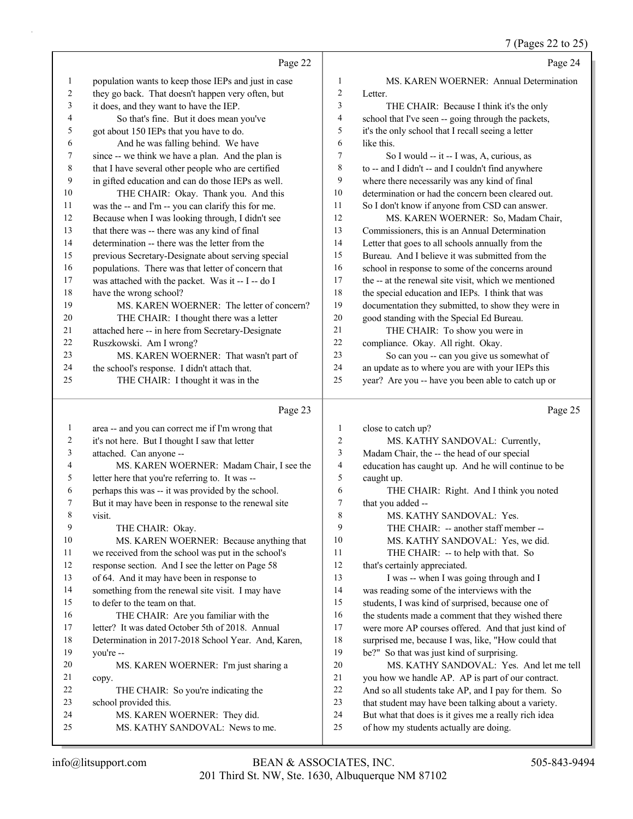7 (Pages 22 to 25)

|              |                                                                                    |                | 7 (Pages 22 to 25)                                                                                      |
|--------------|------------------------------------------------------------------------------------|----------------|---------------------------------------------------------------------------------------------------------|
|              | Page 22                                                                            |                | Page 24                                                                                                 |
| $\mathbf{1}$ | population wants to keep those IEPs and just in case                               | 1              | MS. KAREN WOERNER: Annual Determination                                                                 |
| 2            | they go back. That doesn't happen very often, but                                  | 2              | Letter.                                                                                                 |
| 3            | it does, and they want to have the IEP.                                            | 3              | THE CHAIR: Because I think it's the only                                                                |
| 4            | So that's fine. But it does mean you've                                            | 4              | school that I've seen -- going through the packets,                                                     |
| 5            | got about 150 IEPs that you have to do.                                            | 5              | it's the only school that I recall seeing a letter                                                      |
| 6            | And he was falling behind. We have                                                 | 6              | like this.                                                                                              |
| 7            | since -- we think we have a plan. And the plan is                                  | 7              | So I would -- it -- I was, A, curious, as                                                               |
| 8            | that I have several other people who are certified                                 | 8              | to -- and I didn't -- and I couldn't find anywhere                                                      |
| 9            | in gifted education and can do those IEPs as well.                                 | 9              | where there necessarily was any kind of final                                                           |
| 10           | THE CHAIR: Okay. Thank you. And this                                               | 10             | determination or had the concern been cleared out.                                                      |
| 11           | was the -- and I'm -- you can clarify this for me.                                 | 11             | So I don't know if anyone from CSD can answer.                                                          |
| 12           | Because when I was looking through, I didn't see                                   | 12             | MS. KAREN WOERNER: So, Madam Chair,                                                                     |
| 13           | that there was -- there was any kind of final                                      | 13             | Commissioners, this is an Annual Determination                                                          |
| 14           | determination -- there was the letter from the                                     | 14             | Letter that goes to all schools annually from the                                                       |
| 15           | previous Secretary-Designate about serving special                                 | 15             | Bureau. And I believe it was submitted from the                                                         |
| 16           | populations. There was that letter of concern that                                 | 16             | school in response to some of the concerns around                                                       |
| 17           | was attached with the packet. Was it -- I -- do I                                  | 17             | the -- at the renewal site visit, which we mentioned                                                    |
| 18           | have the wrong school?                                                             | 18             | the special education and IEPs. I think that was                                                        |
| 19           | MS. KAREN WOERNER: The letter of concern?                                          | 19             | documentation they submitted, to show they were in                                                      |
| 20           | THE CHAIR: I thought there was a letter                                            | 20             | good standing with the Special Ed Bureau.                                                               |
| 21           | attached here -- in here from Secretary-Designate                                  | 21             | THE CHAIR: To show you were in                                                                          |
| 22           | Ruszkowski. Am I wrong?                                                            | 22             | compliance. Okay. All right. Okay.                                                                      |
| 23           | MS. KAREN WOERNER: That wasn't part of                                             | 23             | So can you -- can you give us somewhat of                                                               |
| 24           | the school's response. I didn't attach that.                                       | 24             | an update as to where you are with your IEPs this                                                       |
| 25           | THE CHAIR: I thought it was in the                                                 | 25             | year? Are you -- have you been able to catch up or                                                      |
|              |                                                                                    |                |                                                                                                         |
|              | Page 23                                                                            |                | Page 25                                                                                                 |
|              |                                                                                    |                |                                                                                                         |
| 1            | area -- and you can correct me if I'm wrong that                                   | $\mathbf{1}$   | close to catch up?                                                                                      |
| 2            | it's not here. But I thought I saw that letter                                     | 2              | MS. KATHY SANDOVAL: Currently,                                                                          |
| 3<br>4       | attached. Can anyone --                                                            | 3              | Madam Chair, the -- the head of our special                                                             |
|              | MS. KAREN WOERNER: Madam Chair, I see the                                          | $\overline{4}$ | education has caught up. And he will continue to be                                                     |
| 5<br>6       | letter here that you're referring to. It was --                                    | 5<br>6         | caught up.                                                                                              |
|              | perhaps this was -- it was provided by the school.                                 | 7              | THE CHAIR: Right. And I think you noted                                                                 |
| 8            | But it may have been in response to the renewal site<br>visit.                     | 8              | that you added --                                                                                       |
| 9            |                                                                                    | 9              | MS. KATHY SANDOVAL: Yes.                                                                                |
| 10           | THE CHAIR: Okay.                                                                   | 10             | THE CHAIR: -- another staff member --<br>MS. KATHY SANDOVAL: Yes, we did.                               |
| 11           | MS. KAREN WOERNER: Because anything that                                           | 11             |                                                                                                         |
| 12           | we received from the school was put in the school's                                | 12             | THE CHAIR: -- to help with that. So                                                                     |
| 13           | response section. And I see the letter on Page 58                                  | 13             | that's certainly appreciated.                                                                           |
| 14           | of 64. And it may have been in response to                                         | 14             | I was -- when I was going through and I<br>was reading some of the interviews with the                  |
| 15           | something from the renewal site visit. I may have<br>to defer to the team on that. | 15             |                                                                                                         |
| 16           | THE CHAIR: Are you familiar with the                                               | 16             | students, I was kind of surprised, because one of<br>the students made a comment that they wished there |
| 17           | letter? It was dated October 5th of 2018. Annual                                   | 17             | were more AP courses offered. And that just kind of                                                     |
| 18           | Determination in 2017-2018 School Year. And, Karen,                                | 18             | surprised me, because I was, like, "How could that                                                      |
| 19           | you're --                                                                          | 19             | be?" So that was just kind of surprising.                                                               |
| 20           | MS. KAREN WOERNER: I'm just sharing a                                              | 20             | MS. KATHY SANDOVAL: Yes. And let me tell                                                                |
| 21           | copy.                                                                              | 21             | you how we handle AP. AP is part of our contract.                                                       |
| 22           | THE CHAIR: So you're indicating the                                                | 22             | And so all students take AP, and I pay for them. So                                                     |
| 23           | school provided this.                                                              | 23             | that student may have been talking about a variety.                                                     |
| 24           | MS. KAREN WOERNER: They did.<br>MS. KATHY SANDOVAL: News to me.                    | 24<br>25       | But what that does is it gives me a really rich idea<br>of how my students actually are doing.          |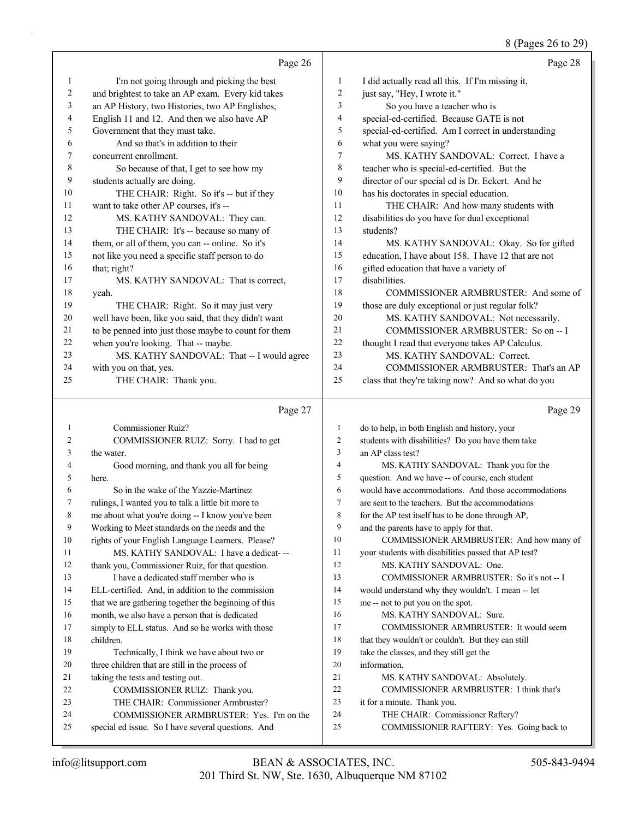## 8 (Pages 26 to 29)

|                | Page 26                                                                                            |                | Page 28                                                                                      |
|----------------|----------------------------------------------------------------------------------------------------|----------------|----------------------------------------------------------------------------------------------|
| $\mathbf{1}$   | I'm not going through and picking the best                                                         | 1              | I did actually read all this. If I'm missing it,                                             |
| $\overline{c}$ | and brightest to take an AP exam. Every kid takes                                                  | $\mathbf{2}$   | just say, "Hey, I wrote it."                                                                 |
| 3              | an AP History, two Histories, two AP Englishes,                                                    | 3              | So you have a teacher who is                                                                 |
| 4              | English 11 and 12. And then we also have AP                                                        | 4              | special-ed-certified. Because GATE is not                                                    |
| 5              | Government that they must take.                                                                    | 5              | special-ed-certified. Am I correct in understanding                                          |
| 6              | And so that's in addition to their                                                                 | 6              | what you were saying?                                                                        |
| 7              | concurrent enrollment.                                                                             | 7              | MS. KATHY SANDOVAL: Correct. I have a                                                        |
| 8              | So because of that, I get to see how my                                                            | 8              | teacher who is special-ed-certified. But the                                                 |
| 9              | students actually are doing.                                                                       | 9              | director of our special ed is Dr. Eckert. And he                                             |
| 10             | THE CHAIR: Right. So it's -- but if they                                                           | 10             | has his doctorates in special education.                                                     |
| 11             | want to take other AP courses, it's --                                                             | 11             | THE CHAIR: And how many students with                                                        |
| 12             | MS. KATHY SANDOVAL: They can.                                                                      | 12             | disabilities do you have for dual exceptional                                                |
| 13             | THE CHAIR: It's -- because so many of                                                              | 13             | students?                                                                                    |
| 14             | them, or all of them, you can -- online. So it's                                                   | 14             | MS. KATHY SANDOVAL: Okay. So for gifted                                                      |
| 15             | not like you need a specific staff person to do                                                    | 15             | education, I have about 158. I have 12 that are not                                          |
| 16             | that; right?                                                                                       | 16             | gifted education that have a variety of                                                      |
| 17             | MS. KATHY SANDOVAL: That is correct,                                                               | 17             | disabilities.                                                                                |
| 18             | yeah.                                                                                              | 18             | COMMISSIONER ARMBRUSTER: And some of                                                         |
| 19             | THE CHAIR: Right. So it may just very                                                              | 19             | those are duly exceptional or just regular folk?                                             |
| 20             | well have been, like you said, that they didn't want                                               | 20             | MS. KATHY SANDOVAL: Not necessarily.                                                         |
| 21             | to be penned into just those maybe to count for them                                               | 21             | COMMISSIONER ARMBRUSTER: So on -- I                                                          |
| 22             | when you're looking. That -- maybe.                                                                | 22             | thought I read that everyone takes AP Calculus.                                              |
| 23             | MS. KATHY SANDOVAL: That -- I would agree                                                          | 23             | MS. KATHY SANDOVAL: Correct.                                                                 |
| 24             | with you on that, yes.                                                                             | 24             | COMMISSIONER ARMBRUSTER: That's an AP                                                        |
| 25             | THE CHAIR: Thank you.                                                                              | 25             | class that they're taking now? And so what do you                                            |
|                |                                                                                                    |                |                                                                                              |
|                |                                                                                                    |                |                                                                                              |
|                | Page 27                                                                                            |                | Page 29                                                                                      |
| $\mathbf{1}$   | <b>Commissioner Ruiz?</b>                                                                          | $\mathbf{1}$   | do to help, in both English and history, your                                                |
| 2              | COMMISSIONER RUIZ: Sorry. I had to get                                                             | $\overline{2}$ | students with disabilities? Do you have them take                                            |
| 3              | the water.                                                                                         | 3              | an AP class test?                                                                            |
| 4              | Good morning, and thank you all for being                                                          | 4              | MS. KATHY SANDOVAL: Thank you for the                                                        |
| 5              | here.                                                                                              | 5              | question. And we have -- of course, each student                                             |
| 6              | So in the wake of the Yazzie-Martinez                                                              | 6              | would have accommodations. And those accommodations                                          |
| 7              | rulings, I wanted you to talk a little bit more to                                                 | 7              | are sent to the teachers. But the accommodations                                             |
|                |                                                                                                    | 8              | for the AP test itself has to be done through AP,                                            |
| 9              | me about what you're doing -- I know you've been<br>Working to Meet standards on the needs and the | 9              | and the parents have to apply for that.                                                      |
| 10             | rights of your English Language Learners. Please?                                                  | 10             | COMMISSIONER ARMBRUSTER: And how many of                                                     |
| 11             | MS. KATHY SANDOVAL: I have a dedicat---                                                            | 11             |                                                                                              |
| 12             |                                                                                                    | 12             | your students with disabilities passed that AP test?<br>MS. KATHY SANDOVAL: One.             |
| 13             | thank you, Commissioner Ruiz, for that question.                                                   | 13             | COMMISSIONER ARMBRUSTER: So it's not -- I                                                    |
| 14             | I have a dedicated staff member who is                                                             | 14             |                                                                                              |
| 15             | ELL-certified. And, in addition to the commission                                                  | 15             | would understand why they wouldn't. I mean -- let                                            |
| 16             | that we are gathering together the beginning of this                                               | 16             | me -- not to put you on the spot.                                                            |
| 17             | month, we also have a person that is dedicated                                                     | 17             | MS. KATHY SANDOVAL: Sure.                                                                    |
| 18             | simply to ELL status. And so he works with those<br>children.                                      | 18             | COMMISSIONER ARMBRUSTER: It would seem<br>that they wouldn't or couldn't. But they can still |
| 19             |                                                                                                    | 19             |                                                                                              |
| 20             | Technically, I think we have about two or                                                          | 20             | take the classes, and they still get the<br>information.                                     |
|                | three children that are still in the process of                                                    | 21             |                                                                                              |
| 21             | taking the tests and testing out.                                                                  | 22             | MS. KATHY SANDOVAL: Absolutely.                                                              |
| 22             | COMMISSIONER RUIZ: Thank you.                                                                      |                | COMMISSIONER ARMBRUSTER: I think that's                                                      |
| 23             | THE CHAIR: Commissioner Armbruster?                                                                | 23             | it for a minute. Thank you.                                                                  |
| 24<br>25       | COMMISSIONER ARMBRUSTER: Yes. I'm on the<br>special ed issue. So I have several questions. And     | 24<br>25       | THE CHAIR: Commissioner Raftery?<br>COMMISSIONER RAFTERY: Yes. Going back to                 |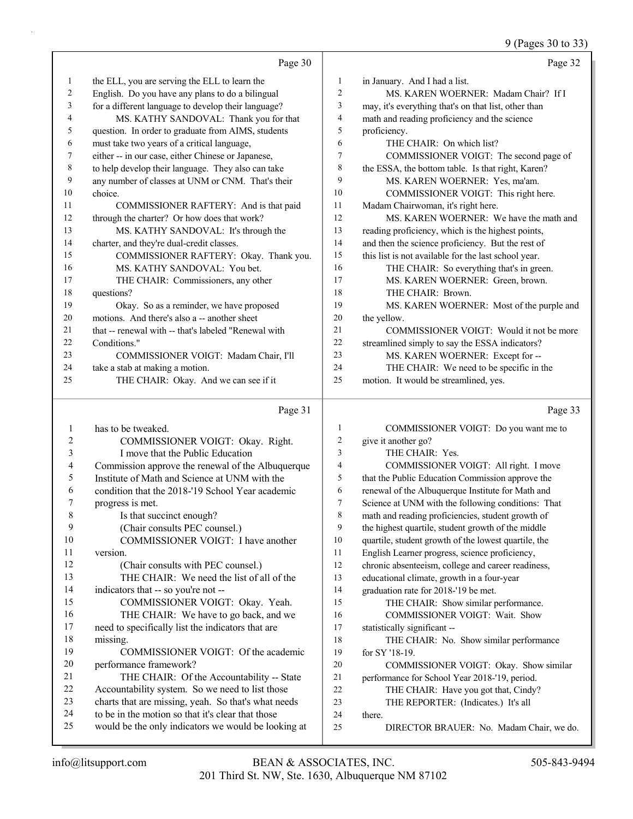9 (Pages 30 to 33)

|          | Page 30                                                                                                  |                     | Page 32                                                                                                 |
|----------|----------------------------------------------------------------------------------------------------------|---------------------|---------------------------------------------------------------------------------------------------------|
| 1        | the ELL, you are serving the ELL to learn the                                                            | 1                   | in January. And I had a list.                                                                           |
| 2        | English. Do you have any plans to do a bilingual                                                         | $\mathfrak{2}$      | MS. KAREN WOERNER: Madam Chair? If I                                                                    |
| 3        | for a different language to develop their language?                                                      | 3                   | may, it's everything that's on that list, other than                                                    |
| 4        | MS. KATHY SANDOVAL: Thank you for that                                                                   | $\overline{4}$      | math and reading proficiency and the science                                                            |
| 5        | question. In order to graduate from AIMS, students                                                       | 5                   | proficiency.                                                                                            |
| 6        | must take two years of a critical language,                                                              | 6                   | THE CHAIR: On which list?                                                                               |
| 7        | either -- in our case, either Chinese or Japanese,                                                       | $\tau$              | COMMISSIONER VOIGT: The second page of                                                                  |
| 8        | to help develop their language. They also can take                                                       | 8                   | the ESSA, the bottom table. Is that right, Karen?                                                       |
| 9        | any number of classes at UNM or CNM. That's their                                                        | 9                   | MS. KAREN WOERNER: Yes, ma'am.                                                                          |
| 10       | choice.                                                                                                  | 10                  | COMMISSIONER VOIGT: This right here.                                                                    |
| 11       | COMMISSIONER RAFTERY: And is that paid                                                                   | 11                  | Madam Chairwoman, it's right here.                                                                      |
| 12       | through the charter? Or how does that work?                                                              | 12                  | MS. KAREN WOERNER: We have the math and                                                                 |
| 13       | MS. KATHY SANDOVAL: It's through the                                                                     | 13                  | reading proficiency, which is the highest points,                                                       |
| 14       | charter, and they're dual-credit classes.                                                                | 14                  | and then the science proficiency. But the rest of                                                       |
| 15       | COMMISSIONER RAFTERY: Okay. Thank you.                                                                   | 15                  | this list is not available for the last school year.                                                    |
| 16       | MS. KATHY SANDOVAL: You bet.                                                                             | 16                  | THE CHAIR: So everything that's in green.                                                               |
| 17       | THE CHAIR: Commissioners, any other                                                                      | 17                  | MS. KAREN WOERNER: Green, brown.                                                                        |
| 18       | questions?                                                                                               | 18                  | THE CHAIR: Brown.                                                                                       |
| 19       | Okay. So as a reminder, we have proposed                                                                 | 19                  | MS. KAREN WOERNER: Most of the purple and                                                               |
| 20       | motions. And there's also a -- another sheet                                                             | 20                  | the yellow.                                                                                             |
| 21       | that -- renewal with -- that's labeled "Renewal with                                                     | 21                  | COMMISSIONER VOIGT: Would it not be more                                                                |
| 22       | Conditions."                                                                                             | 22                  | streamlined simply to say the ESSA indicators?                                                          |
| 23       | COMMISSIONER VOIGT: Madam Chair, I'll                                                                    | 23                  | MS. KAREN WOERNER: Except for --                                                                        |
| 24       | take a stab at making a motion.                                                                          | 24<br>25            | THE CHAIR: We need to be specific in the                                                                |
| 25       | THE CHAIR: Okay. And we can see if it                                                                    |                     | motion. It would be streamlined, yes.                                                                   |
|          |                                                                                                          |                     |                                                                                                         |
|          | Page 31                                                                                                  |                     | Page 33                                                                                                 |
|          |                                                                                                          |                     |                                                                                                         |
| 1<br>2   | has to be tweaked.                                                                                       | 1<br>$\overline{c}$ | COMMISSIONER VOIGT: Do you want me to                                                                   |
| 3        | COMMISSIONER VOIGT: Okay. Right.                                                                         | 3                   | give it another go?<br>THE CHAIR: Yes.                                                                  |
| 4        | I move that the Public Education                                                                         | $\overline{4}$      |                                                                                                         |
| 5        | Commission approve the renewal of the Albuquerque<br>Institute of Math and Science at UNM with the       | 5                   | COMMISSIONER VOIGT: All right. I move                                                                   |
| 6        | condition that the 2018-'19 School Year academic                                                         | 6                   | that the Public Education Commission approve the                                                        |
| 7        | progress is met.                                                                                         | $\overline{7}$      | renewal of the Albuquerque Institute for Math and<br>Science at UNM with the following conditions: That |
| 8        | Is that succinct enough?                                                                                 | 8                   | math and reading proficiencies, student growth of                                                       |
| 9        | (Chair consults PEC counsel.)                                                                            | 9                   | the highest quartile, student growth of the middle                                                      |
| $10\,$   | COMMISSIONER VOIGT: I have another                                                                       | 10                  | quartile, student growth of the lowest quartile, the                                                    |
| 11       | version.                                                                                                 | 11                  | English Learner progress, science proficiency,                                                          |
| 12       | (Chair consults with PEC counsel.)                                                                       | 12                  | chronic absenteeism, college and career readiness,                                                      |
| 13       | THE CHAIR: We need the list of all of the                                                                | 13                  | educational climate, growth in a four-year                                                              |
| 14       | indicators that -- so you're not --                                                                      | 14                  | graduation rate for 2018-'19 be met.                                                                    |
| 15       | COMMISSIONER VOIGT: Okay. Yeah.                                                                          | 15                  | THE CHAIR: Show similar performance.                                                                    |
| 16       | THE CHAIR: We have to go back, and we                                                                    | 16                  | COMMISSIONER VOIGT: Wait. Show                                                                          |
| 17       | need to specifically list the indicators that are                                                        | 17                  | statistically significant --                                                                            |
| 18       | missing.                                                                                                 | 18                  | THE CHAIR: No. Show similar performance                                                                 |
| 19       | COMMISSIONER VOIGT: Of the academic                                                                      | 19                  | for SY '18-19.                                                                                          |
| $20\,$   | performance framework?                                                                                   | 20                  | COMMISSIONER VOIGT: Okay. Show similar                                                                  |
| 21       | THE CHAIR: Of the Accountability -- State                                                                | 21                  | performance for School Year 2018-'19, period.                                                           |
| 22       | Accountability system. So we need to list those                                                          | 22                  | THE CHAIR: Have you got that, Cindy?                                                                    |
| 23       | charts that are missing, yeah. So that's what needs                                                      | 23                  | THE REPORTER: (Indicates.) It's all                                                                     |
| 24<br>25 | to be in the motion so that it's clear that those<br>would be the only indicators we would be looking at | 24<br>25            | there.<br>DIRECTOR BRAUER: No. Madam Chair, we do.                                                      |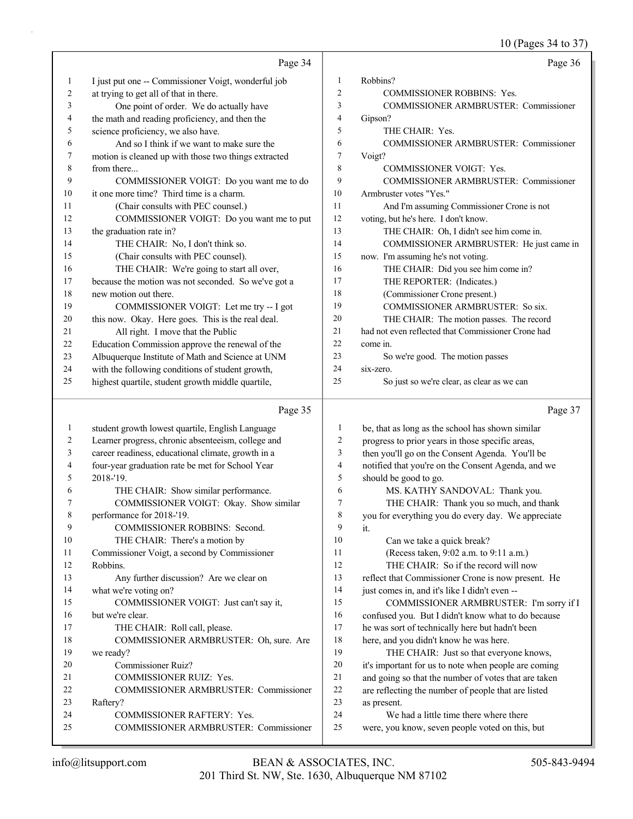$10 \text{ (Page 34 to 37)}$ 

|              |                                                      |                  | $10$ (Pages 34 to 37)                                 |
|--------------|------------------------------------------------------|------------------|-------------------------------------------------------|
|              | Page 34                                              |                  | Page 36                                               |
| $\mathbf{1}$ | I just put one -- Commissioner Voigt, wonderful job  | 1                | Robbins?                                              |
| 2            | at trying to get all of that in there.               | $\overline{2}$   | <b>COMMISSIONER ROBBINS: Yes.</b>                     |
| 3            | One point of order. We do actually have              | 3                | COMMISSIONER ARMBRUSTER: Commissioner                 |
| 4            | the math and reading proficiency, and then the       | 4                | Gipson?                                               |
| 5            | science proficiency, we also have.                   | 5                | THE CHAIR: Yes.                                       |
| 6            | And so I think if we want to make sure the           | 6                | COMMISSIONER ARMBRUSTER: Commissioner                 |
| 7            | motion is cleaned up with those two things extracted | $\boldsymbol{7}$ | Voigt?                                                |
| 8            | from there                                           | $\,$ $\,$        | COMMISSIONER VOIGT: Yes.                              |
| 9            | COMMISSIONER VOIGT: Do you want me to do             | 9                | COMMISSIONER ARMBRUSTER: Commissioner                 |
| 10           | it one more time? Third time is a charm.             | 10               | Armbruster votes "Yes."                               |
| 11           | (Chair consults with PEC counsel.)                   | 11               | And I'm assuming Commissioner Crone is not            |
| 12           | COMMISSIONER VOIGT: Do you want me to put            | 12               | voting, but he's here. I don't know.                  |
| 13           |                                                      | 13               | THE CHAIR: Oh, I didn't see him come in.              |
|              | the graduation rate in?                              | 14               |                                                       |
| 14           | THE CHAIR: No, I don't think so.                     |                  | COMMISSIONER ARMBRUSTER: He just came in              |
| 15           | (Chair consults with PEC counsel).                   | 15               | now. I'm assuming he's not voting.                    |
| 16           | THE CHAIR: We're going to start all over,            | 16               | THE CHAIR: Did you see him come in?                   |
| 17           | because the motion was not seconded. So we've got a  | 17               | THE REPORTER: (Indicates.)                            |
| 18           | new motion out there.                                | 18               | (Commissioner Crone present.)                         |
| 19           | COMMISSIONER VOIGT: Let me try -- I got              | 19               | COMMISSIONER ARMBRUSTER: So six.                      |
| 20           | this now. Okay. Here goes. This is the real deal.    | 20               | THE CHAIR: The motion passes. The record              |
| 21           | All right. I move that the Public                    | 21               | had not even reflected that Commissioner Crone had    |
| 22           | Education Commission approve the renewal of the      | 22               | come in.                                              |
| 23           | Albuquerque Institute of Math and Science at UNM     | 23               | So we're good. The motion passes                      |
| 24           | with the following conditions of student growth,     | 24               | six-zero.                                             |
| 25           | highest quartile, student growth middle quartile,    | 25               | So just so we're clear, as clear as we can            |
|              | Page 35                                              |                  | Page 37                                               |
| $\mathbf{1}$ | student growth lowest quartile, English Language     | 1                | be, that as long as the school has shown similar      |
| 2            | Learner progress, chronic absenteeism, college and   | 2                | progress to prior years in those specific areas,      |
| 3            | career readiness, educational climate, growth in a   | 3                | then you'll go on the Consent Agenda. You'll be       |
| 4            | four-year graduation rate be met for School Year     | 4                | notified that you're on the Consent Agenda, and we    |
| 5            | 2018-'19.                                            | 5                | should be good to go.                                 |
| 6            | THE CHAIR: Show similar performance.                 | 6                | MS. KATHY SANDOVAL: Thank you.                        |
| 7            | COMMISSIONER VOIGT: Okay. Show similar               | 7                | THE CHAIR: Thank you so much, and thank               |
| 8            | performance for 2018-'19.                            | 8                | you for everything you do every day. We appreciate    |
| 9            | COMMISSIONER ROBBINS: Second.                        | 9                | it.                                                   |
| 10           | THE CHAIR: There's a motion by                       | 10               | Can we take a quick break?                            |
| 11           | Commissioner Voigt, a second by Commissioner         | 11               | (Recess taken, 9:02 a.m. to 9:11 a.m.)                |
| 12           | Robbins.                                             | 12               | THE CHAIR: So if the record will now                  |
| 13           | Any further discussion? Are we clear on              | 13               | reflect that Commissioner Crone is now present. He    |
| 14           | what we're voting on?                                | 14               | just comes in, and it's like I didn't even --         |
| 15           | COMMISSIONER VOIGT: Just can't say it,               | 15               |                                                       |
| 16           | but we're clear.                                     | 16               | COMMISSIONER ARMBRUSTER: I'm sorry if I               |
| 17           |                                                      | 17               | confused you. But I didn't know what to do because    |
|              | THE CHAIR: Roll call, please.                        | 18               | he was sort of technically here but hadn't been       |
| 18           | COMMISSIONER ARMBRUSTER: Oh, sure. Are               | 19               | here, and you didn't know he was here.                |
| 19           | we ready?                                            | 20               | THE CHAIR: Just so that everyone knows,               |
| 20           | Commissioner Ruiz?                                   | 21               | it's important for us to note when people are coming  |
| 21           | COMMISSIONER RUIZ: Yes.                              | 22               | and going so that the number of votes that are taken  |
| 22           | COMMISSIONER ARMBRUSTER: Commissioner                | 23               | are reflecting the number of people that are listed   |
| 23<br>24     | Raftery?<br>COMMISSIONER RAFTERY: Yes.               | 24               | as present.<br>We had a little time there where there |
|              |                                                      |                  |                                                       |

25 COMMISSIONER ARMBRUSTER: Commissioner

25 were, you know, seven people voted on this, but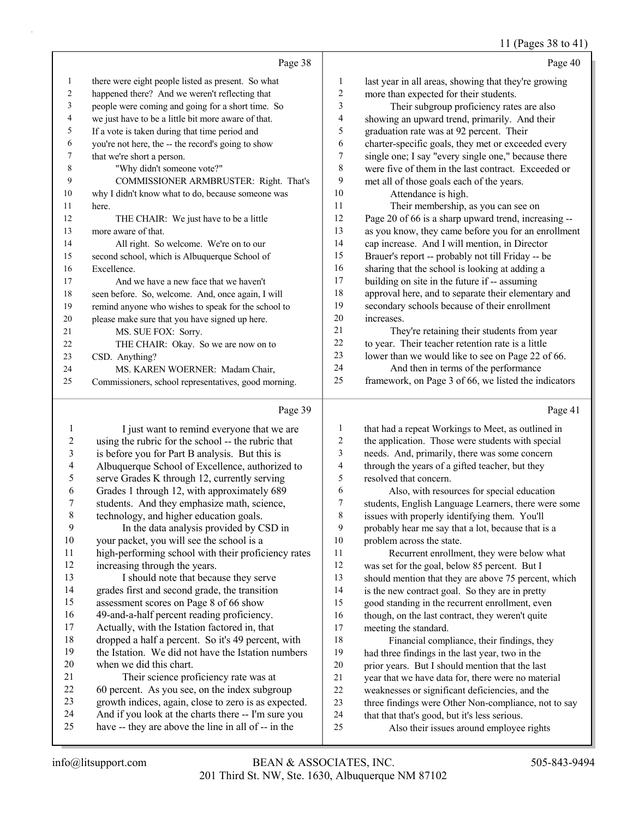11 (Pages 38 to 41)

|    | Page 38                                              |    | Page 40                                              |
|----|------------------------------------------------------|----|------------------------------------------------------|
| 1  | there were eight people listed as present. So what   | 1  | last year in all areas, showing that they're growing |
| 2  | happened there? And we weren't reflecting that       | 2  | more than expected for their students.               |
| 3  | people were coming and going for a short time. So    | 3  | Their subgroup proficiency rates are also            |
| 4  | we just have to be a little bit more aware of that.  | 4  | showing an upward trend, primarily. And their        |
| 5  | If a vote is taken during that time period and       | 5  | graduation rate was at 92 percent. Their             |
| 6  | you're not here, the -- the record's going to show   | 6  | charter-specific goals, they met or exceeded every   |
| 7  | that we're short a person.                           | 7  | single one; I say "every single one," because there  |
| 8  | "Why didn't someone vote?"                           | 8  | were five of them in the last contract. Exceeded or  |
| 9  | COMMISSIONER ARMBRUSTER: Right. That's               | 9  | met all of those goals each of the years.            |
| 10 | why I didn't know what to do, because someone was    | 10 | Attendance is high.                                  |
| 11 | here.                                                | 11 | Their membership, as you can see on                  |
| 12 | THE CHAIR: We just have to be a little               | 12 | Page 20 of 66 is a sharp upward trend, increasing -- |
| 13 | more aware of that.                                  | 13 | as you know, they came before you for an enrollment  |
| 14 | All right. So welcome. We're on to our               | 14 | cap increase. And I will mention, in Director        |
| 15 | second school, which is Albuquerque School of        | 15 | Brauer's report -- probably not till Friday -- be    |
| 16 | Excellence.                                          | 16 | sharing that the school is looking at adding a       |
| 17 | And we have a new face that we haven't               | 17 | building on site in the future if -- assuming        |
| 18 | seen before. So, welcome. And, once again, I will    | 18 | approval here, and to separate their elementary and  |
| 19 | remind anyone who wishes to speak for the school to  | 19 | secondary schools because of their enrollment        |
| 20 | please make sure that you have signed up here.       | 20 | increases.                                           |
| 21 | MS. SUE FOX: Sorry.                                  | 21 | They're retaining their students from year           |
| 22 | THE CHAIR: Okay. So we are now on to                 | 22 | to year. Their teacher retention rate is a little    |
| 23 | CSD. Anything?                                       | 23 | lower than we would like to see on Page 22 of 66.    |
| 24 | MS. KAREN WOERNER: Madam Chair,                      | 24 | And then in terms of the performance                 |
| 25 | Commissioners, school representatives, good morning. | 25 | framework, on Page 3 of 66, we listed the indicators |

# $\overline{P_{20}e 39}$

|    | Page 39                                              |    | Page 41                                              |
|----|------------------------------------------------------|----|------------------------------------------------------|
| 1  | I just want to remind everyone that we are           | 1  | that had a repeat Workings to Meet, as outlined in   |
| 2  | using the rubric for the school -- the rubric that   | 2  | the application. Those were students with special    |
| 3  | is before you for Part B analysis. But this is       | 3  | needs. And, primarily, there was some concern        |
| 4  | Albuquerque School of Excellence, authorized to      | 4  | through the years of a gifted teacher, but they      |
| 5  | serve Grades K through 12, currently serving         | 5  | resolved that concern.                               |
| 6  | Grades 1 through 12, with approximately 689          | 6  | Also, with resources for special education           |
| 7  | students. And they emphasize math, science,          | 7  | students, English Language Learners, there were some |
| 8  | technology, and higher education goals.              | 8  | issues with properly identifying them. You'll        |
| 9  | In the data analysis provided by CSD in              | 9  | probably hear me say that a lot, because that is a   |
| 10 | your packet, you will see the school is a            | 10 | problem across the state.                            |
| 11 | high-performing school with their proficiency rates  | 11 | Recurrent enrollment, they were below what           |
| 12 | increasing through the years.                        | 12 | was set for the goal, below 85 percent. But I        |
| 13 | I should note that because they serve                | 13 | should mention that they are above 75 percent, which |
| 14 | grades first and second grade, the transition        | 14 | is the new contract goal. So they are in pretty      |
| 15 | assessment scores on Page 8 of 66 show               | 15 | good standing in the recurrent enrollment, even      |
| 16 | 49-and-a-half percent reading proficiency.           | 16 | though, on the last contract, they weren't quite     |
| 17 | Actually, with the Istation factored in, that        | 17 | meeting the standard.                                |
| 18 | dropped a half a percent. So it's 49 percent, with   | 18 | Financial compliance, their findings, they           |
| 19 | the Istation. We did not have the Istation numbers   | 19 | had three findings in the last year, two in the      |
| 20 | when we did this chart.                              | 20 | prior years. But I should mention that the last      |
| 21 | Their science proficiency rate was at                | 21 | year that we have data for, there were no material   |
| 22 | 60 percent. As you see, on the index subgroup        | 22 | weaknesses or significant deficiencies, and the      |
| 23 | growth indices, again, close to zero is as expected. | 23 | three findings were Other Non-compliance, not to say |
| 24 | And if you look at the charts there -- I'm sure you  | 24 | that that that's good, but it's less serious.        |
| 25 | have -- they are above the line in all of -- in the  | 25 | Also their issues around employee rights             |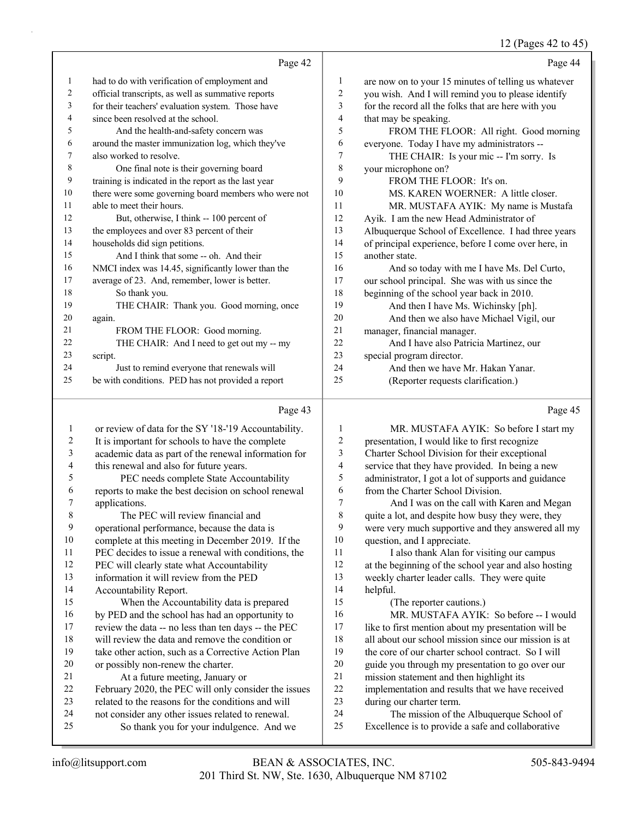12 (Pages 42 to 45)

|    | Page 42                                              |    | Page 44                                              |
|----|------------------------------------------------------|----|------------------------------------------------------|
| 1  | had to do with verification of employment and        | 1  | are now on to your 15 minutes of telling us whatever |
| 2  | official transcripts, as well as summative reports   | 2  | you wish. And I will remind you to please identify   |
| 3  | for their teachers' evaluation system. Those have    | 3  | for the record all the folks that are here with you  |
| 4  | since been resolved at the school.                   | 4  | that may be speaking.                                |
| 5  | And the health-and-safety concern was                | 5  | FROM THE FLOOR: All right. Good morning              |
| 6  | around the master immunization log, which they've    | 6  | everyone. Today I have my administrators --          |
| 7  | also worked to resolve.                              | 7  | THE CHAIR: Is your mic -- I'm sorry. Is              |
| 8  | One final note is their governing board              | 8  | your microphone on?                                  |
| 9  | training is indicated in the report as the last year | 9  | FROM THE FLOOR: It's on.                             |
| 10 | there were some governing board members who were not | 10 | MS. KAREN WOERNER: A little closer.                  |
| 11 | able to meet their hours.                            | 11 | MR. MUSTAFA AYIK: My name is Mustafa                 |
| 12 | But, otherwise, I think -- 100 percent of            | 12 | Ayik. I am the new Head Administrator of             |
| 13 | the employees and over 83 percent of their           | 13 | Albuquerque School of Excellence. I had three years  |
| 14 | households did sign petitions.                       | 14 | of principal experience, before I come over here, in |
| 15 | And I think that some -- oh. And their               | 15 | another state.                                       |
| 16 | NMCI index was 14.45, significantly lower than the   | 16 | And so today with me I have Ms. Del Curto,           |
| 17 | average of 23. And, remember, lower is better.       | 17 | our school principal. She was with us since the      |
| 18 | So thank you.                                        | 18 | beginning of the school year back in 2010.           |
| 19 | THE CHAIR: Thank you. Good morning, once             | 19 | And then I have Ms. Wichinsky [ph].                  |
| 20 | again.                                               | 20 | And then we also have Michael Vigil, our             |
| 21 | FROM THE FLOOR: Good morning.                        | 21 | manager, financial manager.                          |
| 22 | THE CHAIR: And I need to get out my -- my            | 22 | And I have also Patricia Martinez, our               |
| 23 | script.                                              | 23 | special program director.                            |
| 24 | Just to remind everyone that renewals will           | 24 | And then we have Mr. Hakan Yanar.                    |
| 25 | be with conditions. PED has not provided a report    | 25 | (Reporter requests clarification.)                   |
|    |                                                      |    |                                                      |

# Page 43

|         | Page 43                                              |    | Page 45                                              |
|---------|------------------------------------------------------|----|------------------------------------------------------|
| $\perp$ | or review of data for the SY '18-'19 Accountability. | 1  | MR. MUSTAFA AYIK: So before I start my               |
| 2       | It is important for schools to have the complete     | 2  | presentation, I would like to first recognize        |
| 3       | academic data as part of the renewal information for | 3  | Charter School Division for their exceptional        |
| 4       | this renewal and also for future years.              | 4  | service that they have provided. In being a new      |
| 5       | PEC needs complete State Accountability              | 5  | administrator, I got a lot of supports and guidance  |
| 6       | reports to make the best decision on school renewal  | 6  | from the Charter School Division.                    |
| 7       | applications.                                        | 7  | And I was on the call with Karen and Megan           |
| 8       | The PEC will review financial and                    | 8  | quite a lot, and despite how busy they were, they    |
| 9       | operational performance, because the data is         | 9  | were very much supportive and they answered all my   |
| 10      | complete at this meeting in December 2019. If the    | 10 | question, and I appreciate.                          |
| 11      | PEC decides to issue a renewal with conditions, the  | 11 | I also thank Alan for visiting our campus            |
| 12      | PEC will clearly state what Accountability           | 12 | at the beginning of the school year and also hosting |
| 13      | information it will review from the PED              | 13 | weekly charter leader calls. They were quite         |
| 14      | Accountability Report.                               | 14 | helpful.                                             |
| 15      | When the Accountability data is prepared             | 15 | (The reporter cautions.)                             |
| 16      | by PED and the school has had an opportunity to      | 16 | MR. MUSTAFA AYIK: So before -- I would               |
| 17      | review the data -- no less than ten days -- the PEC  | 17 | like to first mention about my presentation will be  |
| 18      | will review the data and remove the condition or     | 18 | all about our school mission since our mission is at |
| 19      | take other action, such as a Corrective Action Plan  | 19 | the core of our charter school contract. So I will   |
| 20      | or possibly non-renew the charter.                   | 20 | guide you through my presentation to go over our     |
| 21      | At a future meeting, January or                      | 21 | mission statement and then highlight its             |
| 22      | February 2020, the PEC will only consider the issues | 22 | implementation and results that we have received     |
| 23      | related to the reasons for the conditions and will   | 23 | during our charter term.                             |
| 24      | not consider any other issues related to renewal.    | 24 | The mission of the Albuquerque School of             |
| 25      | So thank you for your indulgence. And we             | 25 | Excellence is to provide a safe and collaborative    |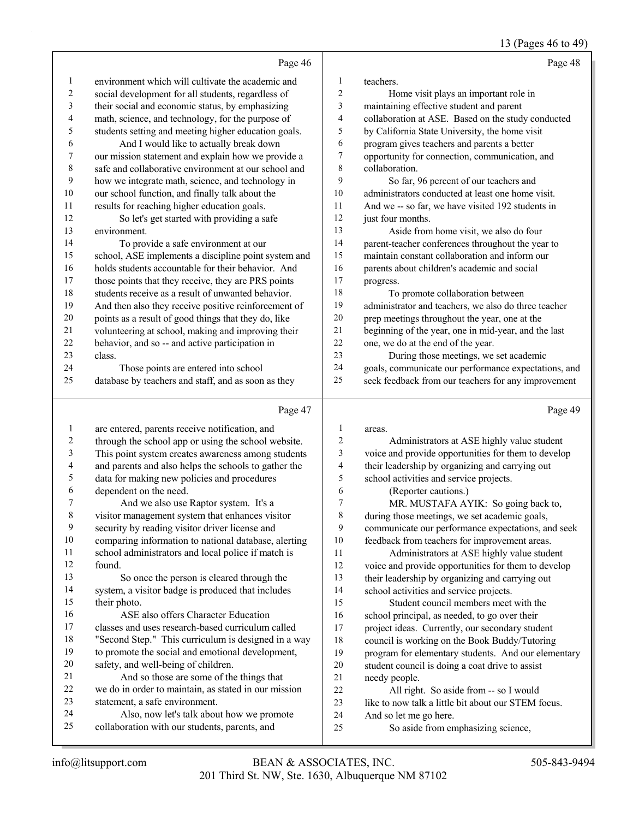13 (Pages 46 to 49)

|                          |                                                                                                  |                          | $13 \text{ (1 qgcs)}$ TO to T                           |
|--------------------------|--------------------------------------------------------------------------------------------------|--------------------------|---------------------------------------------------------|
|                          | Page 46                                                                                          |                          | Page 48                                                 |
| 1                        | environment which will cultivate the academic and                                                | $\mathbf{1}$             | teachers.                                               |
| $\overline{c}$           | social development for all students, regardless of                                               | $\sqrt{2}$               | Home visit plays an important role in                   |
| 3                        | their social and economic status, by emphasizing                                                 | 3                        | maintaining effective student and parent                |
| 4                        | math, science, and technology, for the purpose of                                                | $\overline{4}$           | collaboration at ASE. Based on the study conducted      |
| 5                        | students setting and meeting higher education goals.                                             | 5                        | by California State University, the home visit          |
| 6                        | And I would like to actually break down                                                          | 6                        | program gives teachers and parents a better             |
| $\boldsymbol{7}$         | our mission statement and explain how we provide a                                               | $\boldsymbol{7}$         | opportunity for connection, communication, and          |
| 8                        | safe and collaborative environment at our school and                                             | $\,$ $\,$                | collaboration.                                          |
| 9                        | how we integrate math, science, and technology in                                                | 9                        | So far, 96 percent of our teachers and                  |
| $10\,$                   | our school function, and finally talk about the                                                  | 10                       | administrators conducted at least one home visit.       |
| 11                       | results for reaching higher education goals.                                                     | 11                       | And we -- so far, we have visited 192 students in       |
| 12                       | So let's get started with providing a safe                                                       | 12                       | just four months.                                       |
| 13                       | environment.                                                                                     | 13                       | Aside from home visit, we also do four                  |
| 14                       | To provide a safe environment at our                                                             | 14                       | parent-teacher conferences throughout the year to       |
| 15                       | school, ASE implements a discipline point system and                                             | 15                       | maintain constant collaboration and inform our          |
| 16                       | holds students accountable for their behavior. And                                               | 16                       | parents about children's academic and social            |
| 17                       | those points that they receive, they are PRS points                                              | $17\,$                   | progress.                                               |
| 18                       | students receive as a result of unwanted behavior.                                               | 18                       | To promote collaboration between                        |
| 19                       | And then also they receive positive reinforcement of                                             | 19                       | administrator and teachers, we also do three teacher    |
| $20\,$                   | points as a result of good things that they do, like                                             | $20\,$                   | prep meetings throughout the year, one at the           |
| 21                       | volunteering at school, making and improving their                                               | $21$                     | beginning of the year, one in mid-year, and the last    |
| $22\,$                   | behavior, and so -- and active participation in                                                  | 22                       | one, we do at the end of the year.                      |
| 23                       | class.                                                                                           | 23                       | During those meetings, we set academic                  |
| 24                       | Those points are entered into school                                                             | 24                       | goals, communicate our performance expectations, and    |
| 25                       | database by teachers and staff, and as soon as they                                              | 25                       | seek feedback from our teachers for any improvement     |
|                          | Page 47                                                                                          |                          | Page 49                                                 |
| 1                        | are entered, parents receive notification, and                                                   | 1                        | areas.                                                  |
| $\overline{c}$           | through the school app or using the school website.                                              | $\sqrt{2}$               | Administrators at ASE highly value student              |
| 3                        | This point system creates awareness among students                                               | 3                        | voice and provide opportunities for them to develop     |
| $\overline{\mathcal{A}}$ | and parents and also helps the schools to gather the                                             | $\overline{\mathcal{A}}$ | their leadership by organizing and carrying out         |
| 5                        | data for making new policies and procedures                                                      | 5                        | school activities and service projects.                 |
| 6                        | dependent on the need.                                                                           | 6                        | (Reporter cautions.)                                    |
| 7                        | And we also use Raptor system. It's a                                                            | $\overline{7}$           | MR. MUSTAFA AYIK: So going back to,                     |
| 8                        | visitor management system that enhances visitor                                                  | 8                        | during those meetings, we set academic goals,           |
| 9                        | security by reading visitor driver license and                                                   | 9                        | communicate our performance expectations, and seek      |
| 10                       | comparing information to national database, alerting                                             | 10                       | feedback from teachers for improvement areas.           |
| 11                       | school administrators and local police if match is                                               | 11                       | Administrators at ASE highly value student              |
| 12                       | found.                                                                                           | $12\,$                   | voice and provide opportunities for them to develop     |
| 13                       | So once the person is cleared through the                                                        | 13                       | their leadership by organizing and carrying out         |
| 14                       | system, a visitor badge is produced that includes                                                | 14                       | school activities and service projects.                 |
| 15                       | their photo.                                                                                     | 15                       | Student council members meet with the                   |
| 16                       | ASE also offers Character Education                                                              | 16                       | school principal, as needed, to go over their           |
| 17                       | classes and uses research-based curriculum called                                                | $17$                     | project ideas. Currently, our secondary student         |
| 18                       | "Second Step." This curriculum is designed in a way                                              | 18                       | council is working on the Book Buddy/Tutoring           |
| 19                       | to promote the social and emotional development,                                                 | 19                       | program for elementary students. And our elementary     |
| 20<br>21                 | safety, and well-being of children.                                                              | $20\,$                   | student council is doing a coat drive to assist         |
| $22\,$                   | And so those are some of the things that<br>we do in order to maintain, as stated in our mission | 21<br>22                 | needy people.<br>All right. So aside from -- so I would |
|                          |                                                                                                  |                          |                                                         |

- 22 All right. So aside from -- so I would
- 23 like to now talk a little bit about our STEM focus.
- And so let me go here.
- 25 So aside from emphasizing science,

statement, a safe environment.

24 Also, now let's talk about how we promote collaboration with our students, parents, and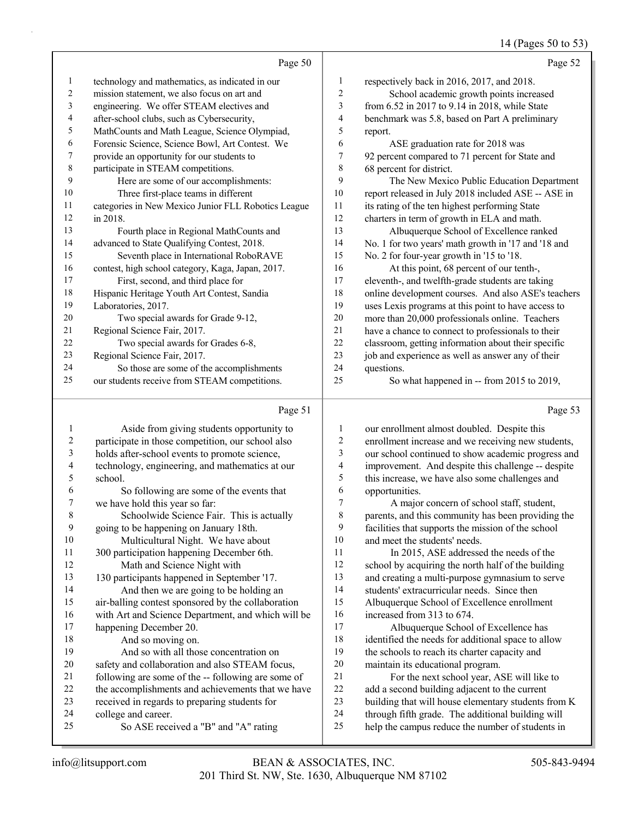# 14 (Pages 50 to 53)

|    | Page 50                                             |                | Page 52                                             |
|----|-----------------------------------------------------|----------------|-----------------------------------------------------|
| 1  | technology and mathematics, as indicated in our     | 1              | respectively back in 2016, 2017, and 2018.          |
| 2  | mission statement, we also focus on art and         | 2              | School academic growth points increased             |
| 3  | engineering. We offer STEAM electives and           | 3              | from 6.52 in 2017 to 9.14 in 2018, while State      |
| 4  | after-school clubs, such as Cybersecurity,          | $\overline{4}$ | benchmark was 5.8, based on Part A preliminary      |
| 5  | MathCounts and Math League, Science Olympiad,       | 5              | report.                                             |
| 6  | Forensic Science, Science Bowl, Art Contest. We     | 6              | ASE graduation rate for 2018 was                    |
| 7  | provide an opportunity for our students to          | 7              | 92 percent compared to 71 percent for State and     |
| 8  | participate in STEAM competitions.                  | 8              | 68 percent for district.                            |
| 9  | Here are some of our accomplishments:               | 9              | The New Mexico Public Education Department          |
| 10 | Three first-place teams in different                | 10             | report released in July 2018 included ASE -- ASE in |
| 11 | categories in New Mexico Junior FLL Robotics League | 11             | its rating of the ten highest performing State      |
| 12 | in 2018.                                            | 12             | charters in term of growth in ELA and math.         |
| 13 | Fourth place in Regional MathCounts and             | 13             | Albuquerque School of Excellence ranked             |
| 14 | advanced to State Qualifying Contest, 2018.         | 14             | No. 1 for two years' math growth in '17 and '18 and |
| 15 | Seventh place in International RoboRAVE             | 15             | No. 2 for four-year growth in '15 to '18.           |
| 16 | contest, high school category, Kaga, Japan, 2017.   | 16             | At this point, 68 percent of our tenth-,            |
| 17 | First, second, and third place for                  | 17             | eleventh-, and twelfth-grade students are taking    |
| 18 | Hispanic Heritage Youth Art Contest, Sandia         | 18             | online development courses. And also ASE's teachers |
| 19 | Laboratories, 2017.                                 | 19             | uses Lexis programs at this point to have access to |
| 20 | Two special awards for Grade 9-12,                  | 20             | more than 20,000 professionals online. Teachers     |
| 21 | Regional Science Fair, 2017.                        | 21             | have a chance to connect to professionals to their  |
| 22 | Two special awards for Grades 6-8,                  | 22             | classroom, getting information about their specific |
| 23 | Regional Science Fair, 2017.                        | 23             | job and experience as well as answer any of their   |
| 24 | So those are some of the accomplishments            | 24             | questions.                                          |
| 25 | our students receive from STEAM competitions.       | 25             | So what happened in -- from 2015 to 2019,           |

#### Page 51  $\vert$

|    | Page 51                                            |                | Page 53                                             |
|----|----------------------------------------------------|----------------|-----------------------------------------------------|
| 1  | Aside from giving students opportunity to          | 1              | our enrollment almost doubled. Despite this         |
| 2  | participate in those competition, our school also  | 2              | enrollment increase and we receiving new students,  |
| 3  | holds after-school events to promote science,      | 3              | our school continued to show academic progress and  |
| 4  | technology, engineering, and mathematics at our    | 4              | improvement. And despite this challenge -- despite  |
| 5  | school.                                            | 5              | this increase, we have also some challenges and     |
| 6  | So following are some of the events that           | 6              | opportunities.                                      |
| 7  | we have hold this year so far:                     | $\overline{7}$ | A major concern of school staff, student,           |
| 8  | Schoolwide Science Fair. This is actually          | 8              | parents, and this community has been providing the  |
| 9  | going to be happening on January 18th.             | 9              | facilities that supports the mission of the school  |
| 10 | Multicultural Night. We have about                 | 10             | and meet the students' needs.                       |
| 11 | 300 participation happening December 6th.          | 11             | In 2015, ASE addressed the needs of the             |
| 12 | Math and Science Night with                        | 12             | school by acquiring the north half of the building  |
| 13 | 130 participants happened in September '17.        | 13             | and creating a multi-purpose gymnasium to serve     |
| 14 | And then we are going to be holding an             | 14             | students' extracurricular needs. Since then         |
| 15 | air-balling contest sponsored by the collaboration | 15             | Albuquerque School of Excellence enrollment         |
| 16 | with Art and Science Department, and which will be | 16             | increased from 313 to 674.                          |
| 17 | happening December 20.                             | 17             | Albuquerque School of Excellence has                |
| 18 | And so moving on.                                  | 18             | identified the needs for additional space to allow  |
| 19 | And so with all those concentration on             | 19             | the schools to reach its charter capacity and       |
| 20 | safety and collaboration and also STEAM focus,     | 20             | maintain its educational program.                   |
| 21 | following are some of the -- following are some of | 21             | For the next school year, ASE will like to          |
| 22 | the accomplishments and achievements that we have  | 22             | add a second building adjacent to the current       |
| 23 | received in regards to preparing students for      | 23             | building that will house elementary students from K |
| 24 | college and career.                                | 24             | through fifth grade. The additional building will   |
| 25 | So ASE received a "B" and "A" rating               | 25             | help the campus reduce the number of students in    |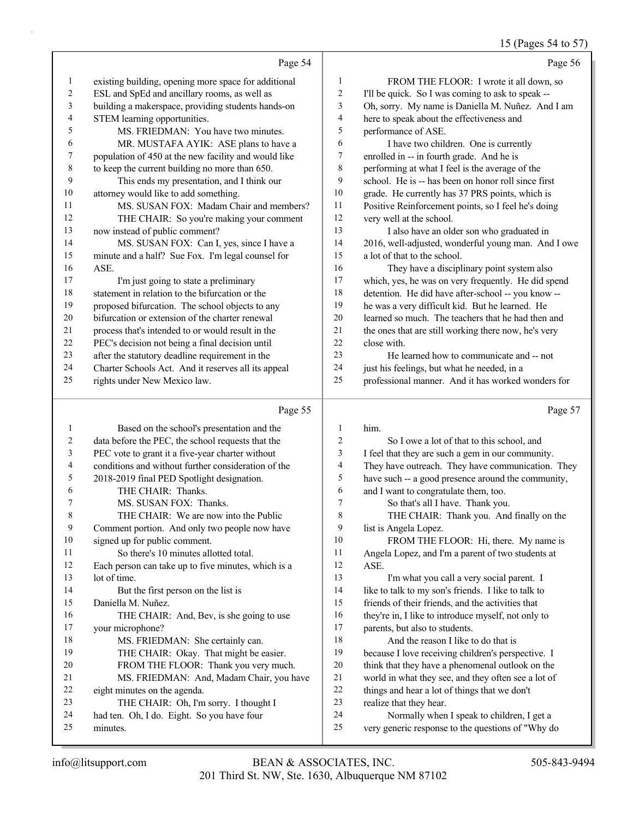15 (Pages 54 to 57)

|    | Page 54                                              |    | Page 56                                              |
|----|------------------------------------------------------|----|------------------------------------------------------|
| 1  | existing building, opening more space for additional | 1  | FROM THE FLOOR: I wrote it all down, so              |
| 2  | ESL and SpEd and ancillary rooms, as well as         | 2  | I'll be quick. So I was coming to ask to speak --    |
| 3  | building a makerspace, providing students hands-on   | 3  | Oh, sorry. My name is Daniella M. Nuñez. And I am    |
| 4  | STEM learning opportunities.                         | 4  | here to speak about the effectiveness and            |
| 5  | MS. FRIEDMAN: You have two minutes.                  | 5  | performance of ASE.                                  |
| 6  | MR. MUSTAFA AYIK: ASE plans to have a                | 6  | I have two children. One is currently                |
| 7  | population of 450 at the new facility and would like | 7  | enrolled in -- in fourth grade. And he is            |
| 8  | to keep the current building no more than 650.       | 8  | performing at what I feel is the average of the      |
| 9  | This ends my presentation, and I think our           | 9  | school. He is -- has been on honor roll since first  |
| 10 | attorney would like to add something.                | 10 | grade. He currently has 37 PRS points, which is      |
| 11 | MS. SUSAN FOX: Madam Chair and members?              | 11 | Positive Reinforcement points, so I feel he's doing  |
| 12 | THE CHAIR: So you're making your comment             | 12 | very well at the school.                             |
| 13 | now instead of public comment?                       | 13 | I also have an older son who graduated in            |
| 14 | MS. SUSAN FOX: Can I, yes, since I have a            | 14 | 2016, well-adjusted, wonderful young man. And I owe  |
| 15 | minute and a half? Sue Fox. I'm legal counsel for    | 15 | a lot of that to the school.                         |
| 16 | ASE.                                                 | 16 | They have a disciplinary point system also           |
| 17 | I'm just going to state a preliminary                | 17 | which, yes, he was on very frequently. He did spend  |
| 18 | statement in relation to the bifurcation or the      | 18 | detention. He did have after-school -- you know --   |
| 19 | proposed bifurcation. The school objects to any      | 19 | he was a very difficult kid. But he learned. He      |
| 20 | bifurcation or extension of the charter renewal      | 20 | learned so much. The teachers that he had then and   |
| 21 | process that's intended to or would result in the    | 21 | the ones that are still working there now, he's very |
| 22 | PEC's decision not being a final decision until      | 22 | close with.                                          |
| 23 | after the statutory deadline requirement in the      | 23 | He learned how to communicate and -- not             |
| 24 | Charter Schools Act. And it reserves all its appeal  | 24 | just his feelings, but what he needed, in a          |
| 25 | rights under New Mexico law.                         | 25 | professional manner. And it has worked wonders for   |
|    | Page 55                                              |    | Page 57                                              |
| 1  | Based on the school's presentation and the           | 1  | him.                                                 |
| 2  | data before the PEC, the school requests that the    | 2  | So I owe a lot of that to this school, and           |
| 3  | PEC vote to grant it a five-year charter without     | 3  | I feel that they are such a gem in our community.    |

| $\overline{4}$ | conditions and without further consideration of the | 4  | They have outr     |
|----------------|-----------------------------------------------------|----|--------------------|
| 5              | 2018-2019 final PED Spotlight designation.          | 5  | have such -- a     |
| 6              | THE CHAIR: Thanks.                                  | 6  | and I want to c    |
| 7              | MS. SUSAN FOX: Thanks.                              | 7  | So that's          |
| 8              | THE CHAIR: We are now into the Public               | 8  | <b>THE CH</b>      |
| 9              | Comment portion. And only two people now have       | 9  | list is Angela L   |
| 10             | signed up for public comment.                       | 10 | <b>FROM T</b>      |
| 11             | So there's 10 minutes allotted total.               | 11 | Angela Lopez,      |
| 12             | Each person can take up to five minutes, which is a | 12 | ASE.               |
| 13             | lot of time.                                        | 13 | I'm what           |
| 14             | But the first person on the list is                 | 14 | like to talk to n  |
| 15             | Daniella M. Nuñez.                                  | 15 | friends of their   |
| 16             | THE CHAIR: And, Bev, is she going to use            | 16 | they're in, I like |
| 17             | your microphone?                                    | 17 | parents, but als   |
| 18             | MS. FRIEDMAN: She certainly can.                    | 18 | And the i          |
| 19             | THE CHAIR: Okay. That might be easier.              | 19 | because I love:    |
| 20             | FROM THE FLOOR: Thank you very much.                | 20 | think that they    |
| 21             | MS. FRIEDMAN: And, Madam Chair, you have            | 21 | world in what t    |
| 22             | eight minutes on the agenda.                        | 22 | things and hear    |

|   | 2              | So I owe a lot of that to this school, and          |
|---|----------------|-----------------------------------------------------|
|   | 3              | I feel that they are such a gem in our community.   |
|   | $\overline{4}$ | They have outreach. They have communication. They   |
|   | 5              | have such -- a good presence around the community,  |
|   | 6              | and I want to congratulate them, too.               |
|   | 7              | So that's all I have. Thank you.                    |
|   | 8              | THE CHAIR: Thank you. And finally on the            |
|   | 9              | list is Angela Lopez.                               |
|   | 10             | FROM THE FLOOR: Hi, there. My name is               |
|   | 11             | Angela Lopez, and I'm a parent of two students at   |
|   | 12             | ASE.                                                |
|   | 13             | I'm what you call a very social parent. I           |
|   | 14             | like to talk to my son's friends. I like to talk to |
|   | 15             | friends of their friends, and the activities that   |
|   | 16             | they're in, I like to introduce myself, not only to |
|   | 17             | parents, but also to students.                      |
|   | 18             | And the reason I like to do that is                 |
|   | 19             | because I love receiving children's perspective. I  |
|   | 20             | think that they have a phenomenal outlook on the    |
| e | 21             | world in what they see, and they often see a lot of |
|   | 22             | things and hear a lot of things that we don't       |
|   | 23             | realize that they hear.                             |
|   | 24             | Normally when I speak to children, I get a          |
|   | 25             | very generic response to the questions of "Why do   |
|   |                |                                                     |

minutes.

23 THE CHAIR: Oh, I'm sorry. I thought I had ten. Oh, I do. Eight. So you have four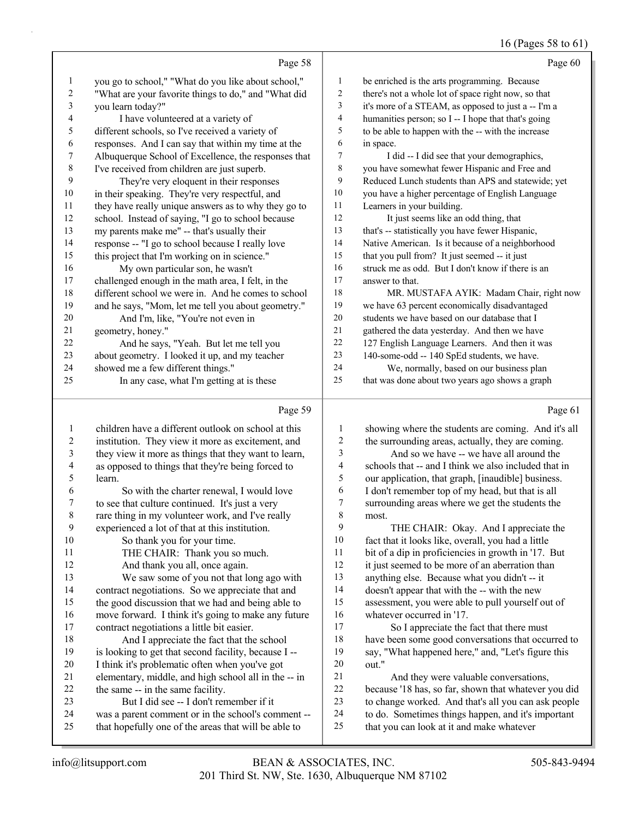# 16 (Pages 58 to 61)

|    | Page 58                                              |    | Page 60                                             |
|----|------------------------------------------------------|----|-----------------------------------------------------|
| 1  | you go to school," "What do you like about school,"  | 1  | be enriched is the arts programming. Because        |
| 2  | "What are your favorite things to do," and "What did | 2  | there's not a whole lot of space right now, so that |
| 3  | you learn today?"                                    | 3  | it's more of a STEAM, as opposed to just a -- I'm a |
| 4  | I have volunteered at a variety of                   | 4  | humanities person; so I -- I hope that that's going |
| 5  | different schools, so I've received a variety of     | 5  | to be able to happen with the -- with the increase  |
| 6  | responses. And I can say that within my time at the  | 6  | in space.                                           |
| 7  | Albuquerque School of Excellence, the responses that | 7  | I did -- I did see that your demographics,          |
| 8  | I've received from children are just superb.         | 8  | you have somewhat fewer Hispanic and Free and       |
| 9  | They're very eloquent in their responses             | 9  | Reduced Lunch students than APS and statewide; yet  |
| 10 | in their speaking. They're very respectful, and      | 10 | you have a higher percentage of English Language    |
| 11 | they have really unique answers as to why they go to | 11 | Learners in your building.                          |
| 12 | school. Instead of saying, "I go to school because   | 12 | It just seems like an odd thing, that               |
| 13 | my parents make me" -- that's usually their          | 13 | that's -- statistically you have fewer Hispanic,    |
| 14 | response -- "I go to school because I really love    | 14 | Native American. Is it because of a neighborhood    |
| 15 | this project that I'm working on in science."        | 15 | that you pull from? It just seemed -- it just       |
| 16 | My own particular son, he wasn't                     | 16 | struck me as odd. But I don't know if there is an   |
| 17 | challenged enough in the math area, I felt, in the   | 17 | answer to that.                                     |
| 18 | different school we were in. And he comes to school  | 18 | MR. MUSTAFA AYIK: Madam Chair, right now            |
| 19 | and he says, "Mom, let me tell you about geometry."  | 19 | we have 63 percent economically disadvantaged       |
| 20 | And I'm, like, "You're not even in                   | 20 | students we have based on our database that I       |
| 21 | geometry, honey."                                    | 21 | gathered the data yesterday. And then we have       |
| 22 | And he says, "Yeah. But let me tell you              | 22 | 127 English Language Learners. And then it was      |
| 23 | about geometry. I looked it up, and my teacher       | 23 | 140-some-odd -- 140 SpEd students, we have.         |
| 24 | showed me a few different things."                   | 24 | We, normally, based on our business plan            |
| 25 | In any case, what I'm getting at is these            | 25 | that was done about two years ago shows a graph     |
|    | Page 59                                              |    | Page 61                                             |

|--|--|

|                | $1 \text{ age}$                                      |    | $1$ age of                                           |
|----------------|------------------------------------------------------|----|------------------------------------------------------|
| 1              | children have a different outlook on school at this  | 1  | showing where the students are coming. And it's all  |
| $\overline{2}$ | institution. They view it more as excitement, and    | 2  | the surrounding areas, actually, they are coming.    |
| 3              | they view it more as things that they want to learn, | 3  | And so we have -- we have all around the             |
| 4              | as opposed to things that they're being forced to    | 4  | schools that -- and I think we also included that in |
| 5              | learn.                                               | 5  | our application, that graph, [inaudible] business.   |
| 6              | So with the charter renewal, I would love            | 6  | I don't remember top of my head, but that is all     |
| 7              | to see that culture continued. It's just a very      | 7  | surrounding areas where we get the students the      |
| 8              | rare thing in my volunteer work, and I've really     | 8  | most.                                                |
| 9              | experienced a lot of that at this institution.       | 9  | THE CHAIR: Okay. And I appreciate the                |
| 10             | So thank you for your time.                          | 10 | fact that it looks like, overall, you had a little   |
| 11             | THE CHAIR: Thank you so much.                        | 11 | bit of a dip in proficiencies in growth in '17. But  |
| 12             | And thank you all, once again.                       | 12 | it just seemed to be more of an aberration than      |
| 13             | We saw some of you not that long ago with            | 13 | anything else. Because what you didn't -- it         |
| 14             | contract negotiations. So we appreciate that and     | 14 | doesn't appear that with the -- with the new         |
| 15             | the good discussion that we had and being able to    | 15 | assessment, you were able to pull yourself out of    |
| 16             | move forward. I think it's going to make any future  | 16 | whatever occurred in '17.                            |
| 17             | contract negotiations a little bit easier.           | 17 | So I appreciate the fact that there must             |
| 18             | And I appreciate the fact that the school            | 18 | have been some good conversations that occurred to   |
| 19             | is looking to get that second facility, because I -- | 19 | say, "What happened here," and, "Let's figure this   |
| 20             | I think it's problematic often when you've got       | 20 | out."                                                |
| 21             | elementary, middle, and high school all in the -- in | 21 | And they were valuable conversations,                |
| 22             | the same -- in the same facility.                    | 22 | because '18 has, so far, shown that whatever you did |
| 23             | But I did see -- I don't remember if it              | 23 | to change worked. And that's all you can ask people  |
| 24             | was a parent comment or in the school's comment --   | 24 | to do. Sometimes things happen, and it's important   |
| 25             | that hopefully one of the areas that will be able to | 25 | that you can look at it and make whatever            |
|                |                                                      |    |                                                      |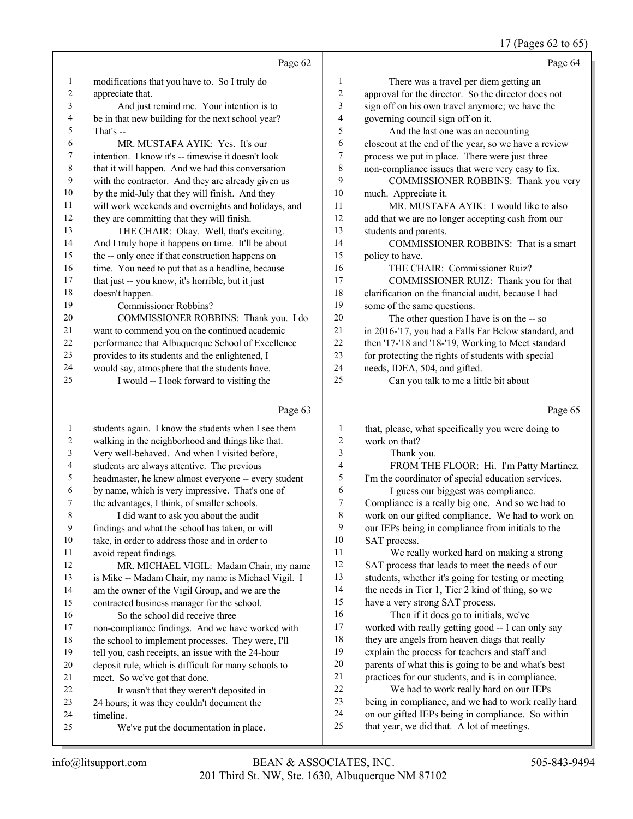## 17 (Pages 62 to 65)

|    | Page 62                                             |    | Page 64                                              |
|----|-----------------------------------------------------|----|------------------------------------------------------|
| 1  | modifications that you have to. So I truly do       | 1  | There was a travel per diem getting an               |
| 2  | appreciate that.                                    | 2  | approval for the director. So the director does not  |
| 3  | And just remind me. Your intention is to            | 3  | sign off on his own travel anymore; we have the      |
| 4  | be in that new building for the next school year?   | 4  | governing council sign off on it.                    |
| 5  | That's --                                           | 5  | And the last one was an accounting                   |
| 6  | MR. MUSTAFA AYIK: Yes. It's our                     | 6  | closeout at the end of the year, so we have a review |
| 7  | intention. I know it's -- timewise it doesn't look  | 7  | process we put in place. There were just three       |
| 8  | that it will happen. And we had this conversation   | 8  | non-compliance issues that were very easy to fix.    |
| 9  | with the contractor. And they are already given us  | 9  | COMMISSIONER ROBBINS: Thank you very                 |
| 10 | by the mid-July that they will finish. And they     | 10 | much. Appreciate it.                                 |
| 11 | will work weekends and overnights and holidays, and | 11 | MR. MUSTAFA AYIK: I would like to also               |
| 12 | they are committing that they will finish.          | 12 | add that we are no longer accepting cash from our    |
| 13 | THE CHAIR: Okay. Well, that's exciting.             | 13 | students and parents.                                |
| 14 | And I truly hope it happens on time. It'll be about | 14 | COMMISSIONER ROBBINS: That is a smart                |
| 15 | the -- only once if that construction happens on    | 15 | policy to have.                                      |
| 16 | time. You need to put that as a headline, because   | 16 | THE CHAIR: Commissioner Ruiz?                        |
| 17 | that just -- you know, it's horrible, but it just   | 17 | COMMISSIONER RUIZ: Thank you for that                |
| 18 | doesn't happen.                                     | 18 | clarification on the financial audit, because I had  |
| 19 | Commissioner Robbins?                               | 19 | some of the same questions.                          |
| 20 | COMMISSIONER ROBBINS: Thank you. I do               | 20 | The other question I have is on the -- so            |
| 21 | want to commend you on the continued academic       | 21 | in 2016-'17, you had a Falls Far Below standard, and |
| 22 | performance that Albuquerque School of Excellence   | 22 | then '17-'18 and '18-'19, Working to Meet standard   |
| 23 | provides to its students and the enlightened, I     | 23 | for protecting the rights of students with special   |
| 24 | would say, atmosphere that the students have.       | 24 | needs, IDEA, 504, and gifted.                        |
| 25 | I would -- I look forward to visiting the           | 25 | Can you talk to me a little bit about                |
|    | Page 63                                             |    | Page 65                                              |
|    | students again. I know the students when I see them |    | that please what specifically you were doing to      |

| $\mathbf{1}$ | students again. I know the students when I see them  | 1      | that, please, what specifically you were doing to   |
|--------------|------------------------------------------------------|--------|-----------------------------------------------------|
| 2            | walking in the neighborhood and things like that.    | 2      | work on that?                                       |
| 3            | Very well-behaved. And when I visited before,        | 3      | Thank you.                                          |
| 4            | students are always attentive. The previous          | 4      | FROM THE FLOOR: Hi. I'm Patty Martinez.             |
| 5            | headmaster, he knew almost everyone -- every student | 5      | I'm the coordinator of special education services.  |
| 6            | by name, which is very impressive. That's one of     | 6      | I guess our biggest was compliance.                 |
| $\tau$       | the advantages, I think, of smaller schools.         | $\tau$ | Compliance is a really big one. And so we had to    |
| 8            | I did want to ask you about the audit                | 8      | work on our gifted compliance. We had to work on    |
| 9            | findings and what the school has taken, or will      | 9      | our IEPs being in compliance from initials to the   |
| 10           | take, in order to address those and in order to      | 10     | SAT process.                                        |
| 11           | avoid repeat findings.                               | 11     | We really worked hard on making a strong            |
| 12           | MR. MICHAEL VIGIL: Madam Chair, my name              | 12     | SAT process that leads to meet the needs of our     |
| 13           | is Mike -- Madam Chair, my name is Michael Vigil. I  | 13     | students, whether it's going for testing or meeting |
| 14           | am the owner of the Vigil Group, and we are the      | 14     | the needs in Tier 1, Tier 2 kind of thing, so we    |
| 15           | contracted business manager for the school.          | 15     | have a very strong SAT process.                     |
| 16           | So the school did receive three                      | 16     | Then if it does go to initials, we've               |
| 17           | non-compliance findings. And we have worked with     | 17     | worked with really getting good -- I can only say   |
| 18           | the school to implement processes. They were, I'll   | 18     | they are angels from heaven diags that really       |
| 19           | tell you, cash receipts, an issue with the 24-hour   | 19     | explain the process for teachers and staff and      |
| 20           | deposit rule, which is difficult for many schools to | 20     | parents of what this is going to be and what's best |
| 21           | meet. So we've got that done.                        | 21     | practices for our students, and is in compliance.   |
| 22           | It wasn't that they weren't deposited in             | 22     | We had to work really hard on our IEPs              |
| 23           | 24 hours; it was they couldn't document the          | 23     | being in compliance, and we had to work really hard |
| 24           | timeline.                                            | 24     | on our gifted IEPs being in compliance. So within   |
| 25           | We've put the documentation in place.                | 25     | that year, we did that. A lot of meetings.          |
|              |                                                      |        |                                                     |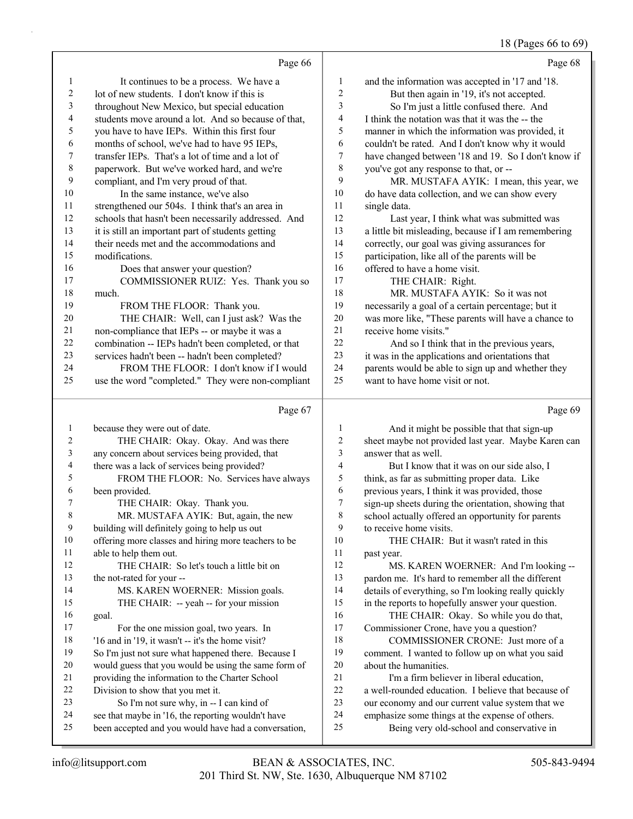#### 18 (Pages 66 to 69)

|                          |                                                      |                         | $10 \text{ (}1 \text{ gcs} \text{)}$ by to $07$      |
|--------------------------|------------------------------------------------------|-------------------------|------------------------------------------------------|
|                          | Page 66                                              |                         | Page 68                                              |
| 1                        | It continues to be a process. We have a              | 1                       | and the information was accepted in '17 and '18.     |
| $\overline{c}$           | lot of new students. I don't know if this is         | $\overline{c}$          | But then again in '19, it's not accepted.            |
| 3                        | throughout New Mexico, but special education         | 3                       | So I'm just a little confused there. And             |
| $\overline{\mathcal{L}}$ | students move around a lot. And so because of that,  | 4                       | I think the notation was that it was the -- the      |
| 5                        | you have to have IEPs. Within this first four        | 5                       | manner in which the information was provided, it     |
| 6                        | months of school, we've had to have 95 IEPs,         | 6                       | couldn't be rated. And I don't know why it would     |
| $\boldsymbol{7}$         | transfer IEPs. That's a lot of time and a lot of     | $\tau$                  | have changed between '18 and 19. So I don't know if  |
| $\,$ 8 $\,$              | paperwork. But we've worked hard, and we're          | 8                       | you've got any response to that, or --               |
| 9                        | compliant, and I'm very proud of that.               | 9                       | MR. MUSTAFA AYIK: I mean, this year, we              |
| 10                       | In the same instance, we've also                     | 10                      | do have data collection, and we can show every       |
| 11                       | strengthened our 504s. I think that's an area in     | 11                      | single data.                                         |
| 12                       | schools that hasn't been necessarily addressed. And  | 12                      | Last year, I think what was submitted was            |
| 13                       | it is still an important part of students getting    | 13                      | a little bit misleading, because if I am remembering |
| 14                       | their needs met and the accommodations and           | 14                      | correctly, our goal was giving assurances for        |
| 15                       | modifications.                                       | 15                      | participation, like all of the parents will be       |
| 16                       | Does that answer your question?                      | 16                      | offered to have a home visit.                        |
| 17                       | COMMISSIONER RUIZ: Yes. Thank you so                 | 17                      | THE CHAIR: Right.                                    |
| 18                       | much.                                                | 18                      | MR. MUSTAFA AYIK: So it was not                      |
| 19                       | FROM THE FLOOR: Thank you.                           | 19                      | necessarily a goal of a certain percentage; but it   |
| $20\,$                   | THE CHAIR: Well, can I just ask? Was the             | $20\,$                  | was more like, "These parents will have a chance to  |
| 21                       | non-compliance that IEPs -- or maybe it was a        | 21                      | receive home visits."                                |
| $22\,$                   | combination -- IEPs hadn't been completed, or that   | 22                      | And so I think that in the previous years,           |
| 23                       | services hadn't been -- hadn't been completed?       | 23                      | it was in the applications and orientations that     |
| 24                       | FROM THE FLOOR: I don't know if I would              | 24                      | parents would be able to sign up and whether they    |
| 25                       | use the word "completed." They were non-compliant    | 25                      | want to have home visit or not.                      |
|                          | Page 67                                              |                         | Page 69                                              |
| 1                        | because they were out of date.                       | 1                       | And it might be possible that that sign-up           |
| $\overline{c}$           | THE CHAIR: Okay. Okay. And was there                 | $\boldsymbol{2}$        | sheet maybe not provided last year. Maybe Karen can  |
| 3                        | any concern about services being provided, that      | 3                       | answer that as well.                                 |
| $\overline{4}$           | there was a lack of services being provided?         | $\overline{\mathbf{4}}$ | But I know that it was on our side also, I           |
| 5                        | FROM THE FLOOR: No. Services have always             | 5                       | think, as far as submitting proper data. Like        |
| 6                        | been provided.                                       | 6                       | previous years, I think it was provided, those       |
| 7                        | THE CHAIR: Okay. Thank you.                          | $\overline{7}$          | sign-up sheets during the orientation, showing that  |
| $\,$ 8 $\,$              | MR. MUSTAFA AYIK: But, again, the new                | $\,$ 8 $\,$             | school actually offered an opportunity for parents   |
| 9                        | building will definitely going to help us out        | 9                       | to receive home visits.                              |
| 10                       | offering more classes and hiring more teachers to be | 10                      | THE CHAIR: But it wasn't rated in this               |
| 11                       | able to help them out.                               | 11                      | past year.                                           |
| 12                       | THE CHAIR: So let's touch a little bit on            | 12                      | MS. KAREN WOERNER: And I'm looking --                |
| 13                       | the not-rated for your --                            | 13                      | pardon me. It's hard to remember all the different   |
| 14                       | MS. KAREN WOERNER: Mission goals.                    | 14                      | details of everything, so I'm looking really quickly |
| 15                       | THE CHAIR: -- yeah -- for your mission               | 15                      | in the reports to hopefully answer your question.    |
| 16                       | goal.                                                | 16                      | THE CHAIR: Okay. So while you do that,               |
| 17                       | For the one mission goal, two years. In              | 17                      | Commissioner Crone, have you a question?             |
| 18                       | '16 and in '19, it wasn't -- it's the home visit?    | 18                      | COMMISSIONER CRONE: Just more of a                   |
| 19                       | So I'm just not sure what happened there. Because I  | 19                      | comment. I wanted to follow up on what you said      |
| 20                       | would guess that you would be using the same form of | $20\,$                  | about the humanities.                                |

- providing the information to the Charter School
- Division to show that you met it.
- 23 So I'm not sure why, in -- I can kind of
- see that maybe in '16, the reporting wouldn't have
- been accepted and you would have had a conversation,
- 25 Being very old-school and conservative in

21 I'm a firm believer in liberal education, a well-rounded education. I believe that because of our economy and our current value system that we emphasize some things at the expense of others.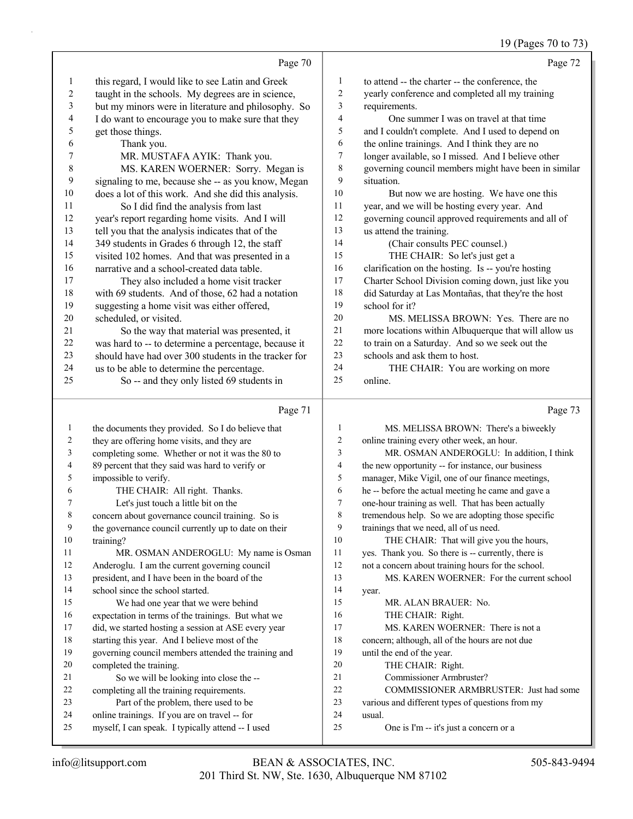## 19 (Pages 70 to 73)

|                  | Page 70                                                            |                         | Page 72                                              |
|------------------|--------------------------------------------------------------------|-------------------------|------------------------------------------------------|
| $\mathbf{1}$     | this regard, I would like to see Latin and Greek                   | $\mathbf{1}$            | to attend -- the charter -- the conference, the      |
| $\boldsymbol{2}$ | taught in the schools. My degrees are in science,                  | $\overline{c}$          | yearly conference and completed all my training      |
| 3                | but my minors were in literature and philosophy. So                | 3                       | requirements.                                        |
| 4                | I do want to encourage you to make sure that they                  | $\overline{4}$          | One summer I was on travel at that time              |
| $\mathfrak s$    | get those things.                                                  | 5                       | and I couldn't complete. And I used to depend on     |
| 6                | Thank you.                                                         | 6                       | the online trainings. And I think they are no        |
| 7                | MR. MUSTAFA AYIK: Thank you.                                       | 7                       | longer available, so I missed. And I believe other   |
| $\,$ $\,$        | MS. KAREN WOERNER: Sorry. Megan is                                 | 8                       | governing council members might have been in similar |
| 9                | signaling to me, because she -- as you know, Megan                 | 9                       | situation.                                           |
| 10               | does a lot of this work. And she did this analysis.                | 10                      | But now we are hosting. We have one this             |
| 11               | So I did find the analysis from last                               | 11                      | year, and we will be hosting every year. And         |
| 12               | year's report regarding home visits. And I will                    | 12                      | governing council approved requirements and all of   |
| 13               | tell you that the analysis indicates that of the                   | 13                      | us attend the training.                              |
| 14               | 349 students in Grades 6 through 12, the staff                     | 14                      | (Chair consults PEC counsel.)                        |
| 15               | visited 102 homes. And that was presented in a                     | 15                      | THE CHAIR: So let's just get a                       |
| 16               | narrative and a school-created data table.                         | 16                      | clarification on the hosting. Is -- you're hosting   |
| 17               | They also included a home visit tracker                            | 17                      | Charter School Division coming down, just like you   |
| $18\,$           | with 69 students. And of those, 62 had a notation                  | 18                      | did Saturday at Las Montañas, that they're the host  |
| 19               | suggesting a home visit was either offered,                        | 19                      | school for it?                                       |
| 20               | scheduled, or visited.                                             | 20                      | MS. MELISSA BROWN: Yes. There are no                 |
| 21               | So the way that material was presented, it                         | 21                      | more locations within Albuquerque that will allow us |
| $22\,$           | was hard to -- to determine a percentage, because it               | 22                      | to train on a Saturday. And so we seek out the       |
| 23               | should have had over 300 students in the tracker for               | 23                      | schools and ask them to host.                        |
| 24               | us to be able to determine the percentage.                         | 24                      | THE CHAIR: You are working on more                   |
| 25               | So -- and they only listed 69 students in                          | 25                      | online.                                              |
|                  |                                                                    |                         |                                                      |
|                  | Page 71                                                            |                         | Page 73                                              |
| 1                | the documents they provided. So I do believe that                  | $\mathbf{1}$            | MS. MELISSA BROWN: There's a biweekly                |
| $\overline{c}$   | they are offering home visits, and they are                        | 2                       | online training every other week, an hour.           |
| 3                | completing some. Whether or not it was the 80 to                   | 3                       | MR. OSMAN ANDEROGLU: In addition, I think            |
| 4                | 89 percent that they said was hard to verify or                    | $\overline{\mathbf{4}}$ | the new opportunity -- for instance, our business    |
| 5                | impossible to verify.                                              | 5                       | manager, Mike Vigil, one of our finance meetings,    |
| 6                | THE CHAIR: All right. Thanks.                                      | 6                       | he -- before the actual meeting he came and gave a   |
| 7                | Let's just touch a little bit on the                               | 7                       | one-hour training as well. That has been actually    |
| 8                | concern about governance council training. So is                   | 8                       | tremendous help. So we are adopting those specific   |
| 9                | the governance council currently up to date on their               | 9                       | trainings that we need, all of us need.              |
| 10               | training?                                                          | 10                      | THE CHAIR: That will give you the hours,             |
| 11               | MR. OSMAN ANDEROGLU: My name is Osman                              | 11                      | yes. Thank you. So there is -- currently, there is   |
| 12               | Anderoglu. I am the current governing council                      | 12                      | not a concern about training hours for the school.   |
| 13               | president, and I have been in the board of the                     | 13                      | MS. KAREN WOERNER: For the current school            |
| 14               | school since the school started.                                   | 14                      | year.                                                |
| 15               | We had one year that we were behind                                | 15                      | MR. ALAN BRAUER: No.                                 |
| 16               | expectation in terms of the trainings. But what we                 | 16                      | THE CHAIR: Right.                                    |
| 17               | did, we started hosting a session at ASE every year                | 17                      | MS. KAREN WOERNER: There is not a                    |
| 18               | starting this year. And I believe most of the                      | 18                      | concern; although, all of the hours are not due      |
| 19<br>20         | governing council members attended the training and                | 19<br>20                | until the end of the year.                           |
| 21               | completed the training.<br>So we will be looking into close the -- | 21                      | THE CHAIR: Right.<br>Commissioner Armbruster?        |
| 22               | completing all the training requirements.                          | 22                      | COMMISSIONER ARMBRUSTER: Just had some               |
| 23               | Part of the problem, there used to be                              | 23                      | various and different types of questions from my     |
| 24               | online trainings. If you are on travel -- for                      | 24                      | usual.                                               |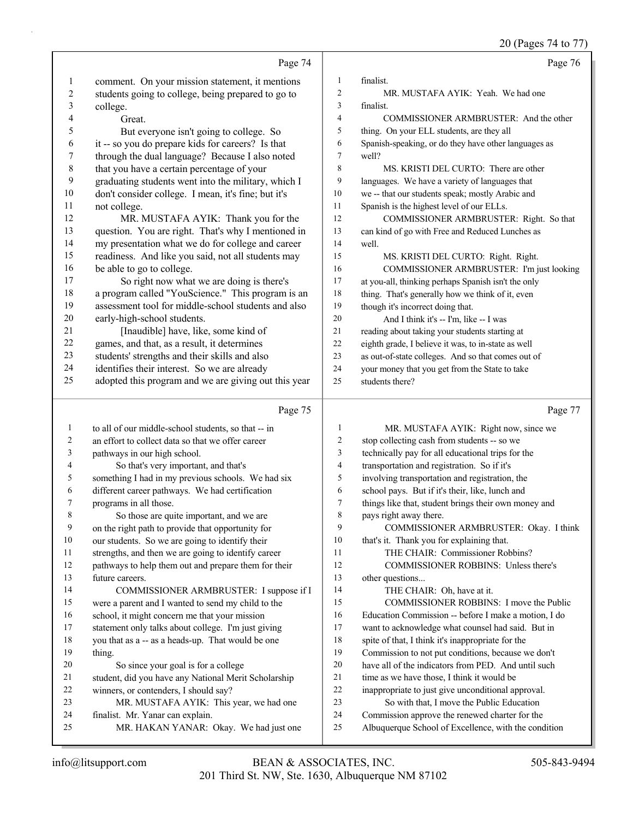20 (Pages 74 to 77)

|                   |                                                                                                          |                          | $20$ (1 ages $(70)$                                                                              |
|-------------------|----------------------------------------------------------------------------------------------------------|--------------------------|--------------------------------------------------------------------------------------------------|
|                   | Page 74                                                                                                  |                          | Page 76                                                                                          |
| 1                 | comment. On your mission statement, it mentions                                                          | 1                        | finalist.                                                                                        |
| $\boldsymbol{2}$  | students going to college, being prepared to go to                                                       | $\overline{c}$           | MR. MUSTAFA AYIK: Yeah. We had one                                                               |
| 3                 | college.                                                                                                 | 3                        | finalist.                                                                                        |
| 4                 | Great.                                                                                                   | $\overline{\mathcal{L}}$ | COMMISSIONER ARMBRUSTER: And the other                                                           |
| 5                 | But everyone isn't going to college. So                                                                  | 5                        | thing. On your ELL students, are they all                                                        |
| 6                 | it -- so you do prepare kids for careers? Is that                                                        | 6                        | Spanish-speaking, or do they have other languages as                                             |
| 7                 | through the dual language? Because I also noted                                                          | $\tau$                   | well?                                                                                            |
| $\,$ $\,$         | that you have a certain percentage of your                                                               | 8                        | MS. KRISTI DEL CURTO: There are other                                                            |
| 9                 | graduating students went into the military, which I                                                      | 9                        | languages. We have a variety of languages that                                                   |
| $10\,$            | don't consider college. I mean, it's fine; but it's                                                      | 10                       | we -- that our students speak; mostly Arabic and                                                 |
| 11                | not college.                                                                                             | 11                       | Spanish is the highest level of our ELLs.                                                        |
| 12                | MR. MUSTAFA AYIK: Thank you for the                                                                      | 12                       | COMMISSIONER ARMBRUSTER: Right. So that                                                          |
| 13                | question. You are right. That's why I mentioned in                                                       | 13                       | can kind of go with Free and Reduced Lunches as                                                  |
| 14                | my presentation what we do for college and career                                                        | 14                       | well.                                                                                            |
| 15                | readiness. And like you said, not all students may                                                       | 15                       | MS. KRISTI DEL CURTO: Right. Right.                                                              |
| 16                | be able to go to college.                                                                                | 16                       | COMMISSIONER ARMBRUSTER: I'm just looking                                                        |
| 17                | So right now what we are doing is there's                                                                | 17                       | at you-all, thinking perhaps Spanish isn't the only                                              |
| 18                | a program called "YouScience." This program is an                                                        | 18                       | thing. That's generally how we think of it, even                                                 |
| 19                | assessment tool for middle-school students and also                                                      | 19                       | though it's incorrect doing that.                                                                |
| $20\,$            | early-high-school students.                                                                              | 20                       | And I think it's -- I'm, like -- I was                                                           |
| 21                | [Inaudible] have, like, some kind of                                                                     | 21                       | reading about taking your students starting at                                                   |
| $22\,$            | games, and that, as a result, it determines                                                              | 22                       | eighth grade, I believe it was, to in-state as well                                              |
| 23                | students' strengths and their skills and also                                                            | 23                       | as out-of-state colleges. And so that comes out of                                               |
| 24                | identifies their interest. So we are already                                                             | 24                       | your money that you get from the State to take                                                   |
| 25                | adopted this program and we are giving out this year                                                     | 25                       | students there?                                                                                  |
|                   | Page 75                                                                                                  |                          | Page 77                                                                                          |
|                   |                                                                                                          |                          |                                                                                                  |
| $\mathbf{1}$<br>2 | to all of our middle-school students, so that -- in<br>an effort to collect data so that we offer career | $\mathbf{1}$<br>2        | MR. MUSTAFA AYIK: Right now, since we                                                            |
| 3                 | pathways in our high school.                                                                             | 3                        | stop collecting cash from students -- so we<br>technically pay for all educational trips for the |
| 4                 | So that's very important, and that's                                                                     | $\overline{\mathcal{L}}$ | transportation and registration. So if it's                                                      |
| 5                 | something I had in my previous schools. We had six                                                       | 5                        | involving transportation and registration, the                                                   |
| 6                 | different career pathways. We had certification                                                          | 6                        | school pays. But if it's their, like, lunch and                                                  |
| 7                 | programs in all those.                                                                                   | $\overline{7}$           | things like that, student brings their own money and                                             |
| 8                 | So those are quite important, and we are                                                                 | 8                        | pays right away there.                                                                           |
| 9                 | on the right path to provide that opportunity for                                                        | 9                        | COMMISSIONER ARMBRUSTER: Okay. I think                                                           |
| 10                | our students. So we are going to identify their                                                          | 10                       | that's it. Thank you for explaining that.                                                        |
| 11                | strengths, and then we are going to identify career                                                      | 11                       | THE CHAIR: Commissioner Robbins?                                                                 |
| 12                | pathways to help them out and prepare them for their                                                     | 12                       | COMMISSIONER ROBBINS: Unless there's                                                             |
| 13                | future careers.                                                                                          | 13                       | other questions                                                                                  |
| 14                | COMMISSIONER ARMBRUSTER: I suppose if I                                                                  | 14                       | THE CHAIR: Oh, have at it.                                                                       |
| 15                | were a parent and I wanted to send my child to the                                                       | 15                       | COMMISSIONER ROBBINS: I move the Public                                                          |
| 16                | school, it might concern me that your mission                                                            | 16                       | Education Commission -- before I make a motion, I do                                             |
| 17                | statement only talks about college. I'm just giving                                                      | 17                       | want to acknowledge what counsel had said. But in                                                |
| 18                | you that as a -- as a heads-up. That would be one                                                        | 18                       | spite of that, I think it's inappropriate for the                                                |
| 19                | thing.                                                                                                   | 19                       | Commission to not put conditions, because we don't                                               |
| 20                | So since your goal is for a college                                                                      | 20                       | have all of the indicators from PED. And until such                                              |
| 21                | student, did you have any National Merit Scholarship                                                     | 21                       | time as we have those, I think it would be                                                       |
|                   |                                                                                                          |                          |                                                                                                  |
| 22                | winners, or contenders, I should say?                                                                    | 22                       | inappropriate to just give unconditional approval.                                               |
| 23                | MR. MUSTAFA AYIK: This year, we had one                                                                  | 23                       | So with that, I move the Public Education                                                        |
| 24                | finalist. Mr. Yanar can explain.                                                                         | 24                       | Commission approve the renewed charter for the                                                   |
| 25                | MR. HAKAN YANAR: Okay. We had just one                                                                   | 25                       | Albuquerque School of Excellence, with the condition                                             |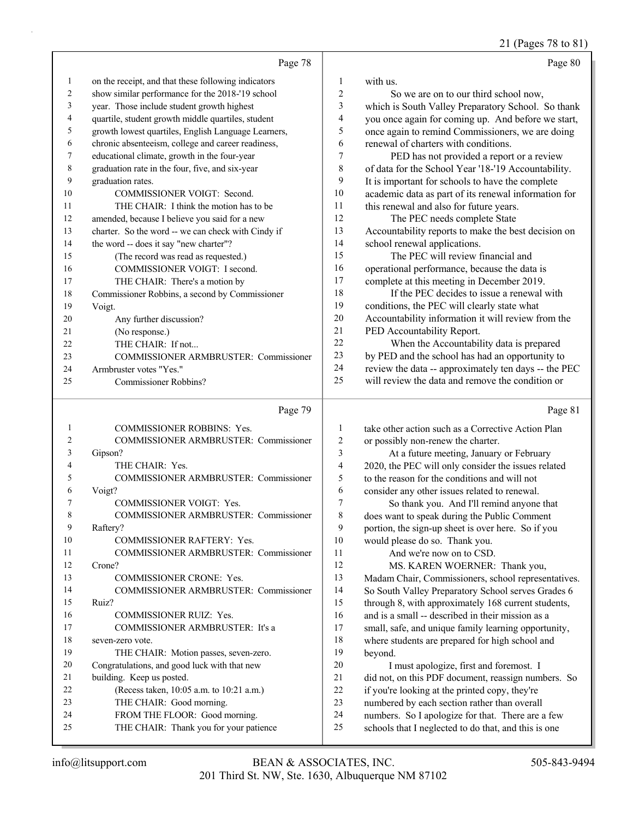21 (Pages 78 to 81)

|                |                                                     |                          | 21 (Fages 70 to 01                                                                                        |
|----------------|-----------------------------------------------------|--------------------------|-----------------------------------------------------------------------------------------------------------|
|                | Page 78                                             |                          | Page 80                                                                                                   |
| $\mathbf{1}$   | on the receipt, and that these following indicators | 1                        | with us.                                                                                                  |
| $\overline{c}$ | show similar performance for the 2018-'19 school    | $\boldsymbol{2}$         | So we are on to our third school now,                                                                     |
| 3              | year. Those include student growth highest          | 3                        | which is South Valley Preparatory School. So thank                                                        |
| 4              | quartile, student growth middle quartiles, student  | $\overline{\mathcal{L}}$ | you once again for coming up. And before we start,                                                        |
| 5              | growth lowest quartiles, English Language Learners, | 5                        | once again to remind Commissioners, we are doing                                                          |
| 6              | chronic absenteeism, college and career readiness,  | 6                        | renewal of charters with conditions.                                                                      |
| 7              | educational climate, growth in the four-year        | 7                        | PED has not provided a report or a review                                                                 |
| $\,$ $\,$      | graduation rate in the four, five, and six-year     | 8                        | of data for the School Year '18-'19 Accountability.                                                       |
| 9              | graduation rates.                                   | 9                        | It is important for schools to have the complete                                                          |
| 10             | COMMISSIONER VOIGT: Second.                         | 10                       | academic data as part of its renewal information for                                                      |
| 11             | THE CHAIR: I think the motion has to be             | 11                       | this renewal and also for future years.                                                                   |
| 12             | amended, because I believe you said for a new       | 12                       | The PEC needs complete State                                                                              |
| 13             | charter. So the word -- we can check with Cindy if  | 13                       | Accountability reports to make the best decision on                                                       |
| 14             | the word -- does it say "new charter"?              | 14                       | school renewal applications.                                                                              |
| 15             | (The record was read as requested.)                 | 15                       | The PEC will review financial and                                                                         |
| 16             | COMMISSIONER VOIGT: I second.                       | 16                       | operational performance, because the data is                                                              |
| 17             | THE CHAIR: There's a motion by                      | 17                       | complete at this meeting in December 2019.                                                                |
| 18             | Commissioner Robbins, a second by Commissioner      | 18                       | If the PEC decides to issue a renewal with                                                                |
| 19             | Voigt.                                              | 19                       | conditions, the PEC will clearly state what                                                               |
| 20             | Any further discussion?                             | 20                       | Accountability information it will review from the                                                        |
| 21             | (No response.)                                      | 21                       | PED Accountability Report.                                                                                |
| 22             | THE CHAIR: If not                                   | 22                       | When the Accountability data is prepared                                                                  |
| 23             | COMMISSIONER ARMBRUSTER: Commissioner               | 23                       | by PED and the school has had an opportunity to                                                           |
| 24             | Armbruster votes "Yes."                             | 24                       | review the data -- approximately ten days -- the PEC                                                      |
| 25             | Commissioner Robbins?                               | 25                       | will review the data and remove the condition or                                                          |
|                |                                                     |                          |                                                                                                           |
|                | Page 79                                             |                          | Page 81                                                                                                   |
|                |                                                     |                          |                                                                                                           |
| $\mathbf{1}$   | COMMISSIONER ROBBINS: Yes.                          | 1                        | take other action such as a Corrective Action Plan                                                        |
| $\overline{c}$ | COMMISSIONER ARMBRUSTER: Commissioner               | $\boldsymbol{2}$         | or possibly non-renew the charter.                                                                        |
| 3              | Gipson?                                             | $\mathfrak{Z}$           | At a future meeting, January or February                                                                  |
| 4              | THE CHAIR: Yes.                                     | 4                        | 2020, the PEC will only consider the issues related                                                       |
| 5              | COMMISSIONER ARMBRUSTER: Commissioner               | 5                        | to the reason for the conditions and will not                                                             |
| 6<br>7         | Voigt?                                              | 6                        | consider any other issues related to renewal.                                                             |
|                | <b>COMMISSIONER VOIGT: Yes.</b>                     | $\sqrt{ }$               | So thank you. And I'll remind anyone that                                                                 |
| 8<br>9         | COMMISSIONER ARMBRUSTER: Commissioner               | $8\,$                    | does want to speak during the Public Comment                                                              |
| 10             | Raftery?<br>COMMISSIONER RAFTERY: Yes.              | 9<br>$10\,$              | portion, the sign-up sheet is over here. So if you                                                        |
| 11             |                                                     | 11                       | would please do so. Thank you.                                                                            |
| 12             | COMMISSIONER ARMBRUSTER: Commissioner<br>Crone?     | 12                       | And we're now on to CSD.                                                                                  |
| 13             | COMMISSIONER CRONE: Yes.                            |                          | MS. KAREN WOERNER: Thank you,                                                                             |
| 14             | COMMISSIONER ARMBRUSTER: Commissioner               | 13<br>14                 | Madam Chair, Commissioners, school representatives.                                                       |
| 15             | Ruiz?                                               | 15                       | So South Valley Preparatory School serves Grades 6                                                        |
| 16             | COMMISSIONER RUIZ: Yes.                             | 16                       | through 8, with approximately 168 current students,                                                       |
| 17             | COMMISSIONER ARMBRUSTER: It's a                     | 17                       | and is a small -- described in their mission as a<br>small, safe, and unique family learning opportunity, |
| 18             | seven-zero vote.                                    | 18                       |                                                                                                           |
| 19             | THE CHAIR: Motion passes, seven-zero.               | 19                       | where students are prepared for high school and<br>beyond.                                                |
| 20             | Congratulations, and good luck with that new        | $20\,$                   |                                                                                                           |
| 21             | building. Keep us posted.                           | 21                       | I must apologize, first and foremost. I<br>did not, on this PDF document, reassign numbers. So            |
| 22             | (Recess taken, 10:05 a.m. to 10:21 a.m.)            | $22\,$                   | if you're looking at the printed copy, they're                                                            |
| 23             | THE CHAIR: Good morning.                            | 23                       | numbered by each section rather than overall                                                              |

- 25 THE CHAIR: Thank you for your patience
- 201 Third St. NW, Ste. 1630, Albuquerque NM 87102 info@litsupport.com BEAN & ASSOCIATES, INC. 505-843-9494

25 schools that I neglected to do that, and this is one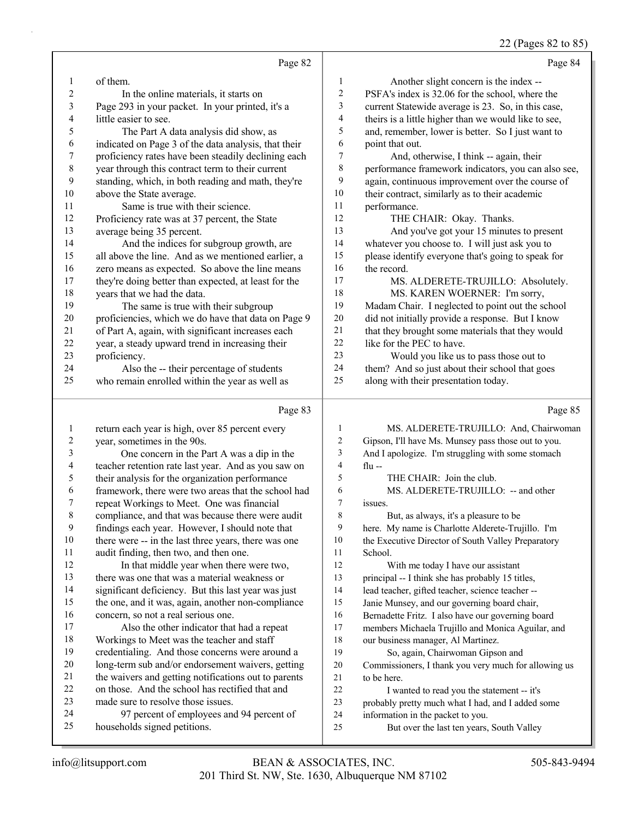#### 22 (Pages 82 to 85)

|                                |                                                                                                   |                  | $22$ (rages oz to ob                                 |
|--------------------------------|---------------------------------------------------------------------------------------------------|------------------|------------------------------------------------------|
|                                | Page 82                                                                                           |                  | Page 84                                              |
| 1                              | of them.                                                                                          | $\mathbf{1}$     | Another slight concern is the index --               |
| $\overline{c}$                 | In the online materials, it starts on                                                             | $\mathbf{2}$     | PSFA's index is 32.06 for the school, where the      |
| 3                              | Page 293 in your packet. In your printed, it's a                                                  | 3                | current Statewide average is 23. So, in this case,   |
| $\overline{\mathcal{A}}$       | little easier to see.                                                                             | 4                | theirs is a little higher than we would like to see, |
| 5                              | The Part A data analysis did show, as                                                             | 5                | and, remember, lower is better. So I just want to    |
| 6                              | indicated on Page 3 of the data analysis, that their                                              | 6                | point that out.                                      |
| 7                              | proficiency rates have been steadily declining each                                               | 7                | And, otherwise, I think -- again, their              |
| $\,$ $\,$                      | year through this contract term to their current                                                  | 8                | performance framework indicators, you can also see,  |
| 9                              | standing, which, in both reading and math, they're                                                | 9                | again, continuous improvement over the course of     |
| 10                             | above the State average.                                                                          | $10\,$           | their contract, similarly as to their academic       |
| 11                             | Same is true with their science.                                                                  | 11               | performance.                                         |
| 12                             | Proficiency rate was at 37 percent, the State                                                     | 12               | THE CHAIR: Okay. Thanks.                             |
| 13                             | average being 35 percent.                                                                         | 13               | And you've got your 15 minutes to present            |
| 14                             | And the indices for subgroup growth, are                                                          | 14               | whatever you choose to. I will just ask you to       |
| 15                             | all above the line. And as we mentioned earlier, a                                                | 15               | please identify everyone that's going to speak for   |
| 16                             | zero means as expected. So above the line means                                                   | 16               | the record.                                          |
| 17                             | they're doing better than expected, at least for the                                              | 17               | MS. ALDERETE-TRUJILLO: Absolutely.                   |
| 18                             | years that we had the data.                                                                       | 18               | MS. KAREN WOERNER: I'm sorry,                        |
| 19                             | The same is true with their subgroup                                                              | 19               | Madam Chair. I neglected to point out the school     |
| 20                             | proficiencies, which we do have that data on Page 9                                               | $20\,$           | did not initially provide a response. But I know     |
| 21                             | of Part A, again, with significant increases each                                                 | 21               | that they brought some materials that they would     |
| 22                             | year, a steady upward trend in increasing their                                                   | $22\,$           | like for the PEC to have.                            |
| 23                             | proficiency.                                                                                      | 23               | Would you like us to pass those out to               |
| 24                             | Also the -- their percentage of students                                                          | 24               | them? And so just about their school that goes       |
| 25                             | who remain enrolled within the year as well as                                                    | 25               | along with their presentation today.                 |
|                                | Page 83                                                                                           |                  | Page 85                                              |
|                                |                                                                                                   | $\mathbf{1}$     | MS. ALDERETE-TRUJILLO: And, Chairwoman               |
| $\mathbf{1}$<br>$\overline{c}$ | return each year is high, over 85 percent every                                                   | $\overline{2}$   | Gipson, I'll have Ms. Munsey pass those out to you.  |
| 3                              | year, sometimes in the 90s.                                                                       | 3                | And I apologize. I'm struggling with some stomach    |
| 4                              | One concern in the Part A was a dip in the<br>teacher retention rate last year. And as you saw on | $\overline{4}$   | flu $-$                                              |
| 5                              | their analysis for the organization performance                                                   | 5                | THE CHAIR: Join the club.                            |
| 6                              | framework, there were two areas that the school had                                               | 6                | MS. ALDERETE-TRUJILLO: -- and other                  |
| 7                              | repeat Workings to Meet. One was financial                                                        | $\boldsymbol{7}$ | issues.                                              |
| 8                              | compliance, and that was because there were audit                                                 | 8                | But, as always, it's a pleasure to be                |
| 9                              | findings each year. However, I should note that                                                   | 9                | here. My name is Charlotte Alderete-Trujillo. I'm    |
| 10                             | there were -- in the last three years, there was one                                              | 10               | the Executive Director of South Valley Preparatory   |
| 11                             | audit finding, then two, and then one.                                                            | 11               | School.                                              |
| 12                             | In that middle year when there were two,                                                          | 12               | With me today I have our assistant                   |
| 13                             | there was one that was a material weakness or                                                     | 13               | principal -- I think she has probably 15 titles,     |
| 14                             | significant deficiency. But this last year was just                                               | 14               | lead teacher, gifted teacher, science teacher --     |
| 15                             | the one, and it was, again, another non-compliance                                                | 15               | Janie Munsey, and our governing board chair,         |
| 16                             | concern, so not a real serious one.                                                               | 16               | Bernadette Fritz. I also have our governing board    |
| 17                             | Also the other indicator that had a repeat                                                        | $17\,$           | members Michaela Trujillo and Monica Aguilar, and    |
| 18                             | Workings to Meet was the teacher and staff                                                        | 18               | our business manager, Al Martinez.                   |
| 19                             | credentialing. And those concerns were around a                                                   | 19               | So, again, Chairwoman Gipson and                     |
| $20\,$                         | long-term sub and/or endorsement waivers, getting                                                 | 20               | Commissioners, I thank you very much for allowing us |
| 21                             | the waivers and getting notifications out to parents                                              | 21               | to be here.                                          |
| 22                             | on those. And the school has rectified that and                                                   | 22               | I wanted to read you the statement -- it's           |
| 23                             | made sure to resolve those issues.                                                                | 23               | probably pretty much what I had, and I added some    |
| 24                             | 97 percent of employees and 94 percent of                                                         | 24               | information in the packet to you.                    |
|                                |                                                                                                   |                  |                                                      |

- 24 97 percent of employees and 94 percent of<br>25 households signed petitions.
- households signed petitions.

25 But over the last ten years, South Valley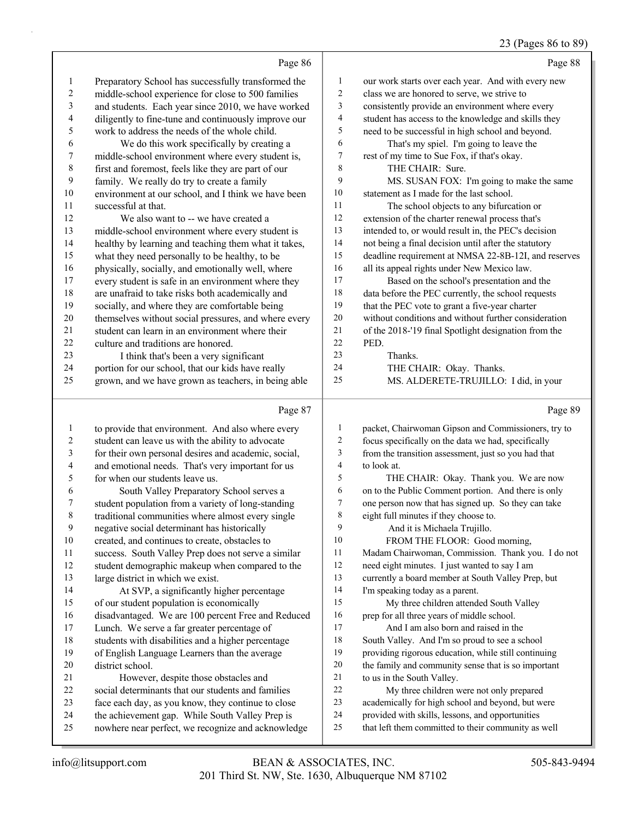## 23 (Pages 86 to 89)

|                |                                                                   |              | $23$ (Fages ou to 07                                                                                        |
|----------------|-------------------------------------------------------------------|--------------|-------------------------------------------------------------------------------------------------------------|
|                | Page 86                                                           |              | Page 88                                                                                                     |
| $\mathbf{1}$   | Preparatory School has successfully transformed the               | 1            | our work starts over each year. And with every new                                                          |
| $\overline{c}$ | middle-school experience for close to 500 families                | 2            | class we are honored to serve, we strive to                                                                 |
| $\mathfrak{Z}$ | and students. Each year since 2010, we have worked                | 3            | consistently provide an environment where every                                                             |
| $\overline{4}$ | diligently to fine-tune and continuously improve our              | 4            | student has access to the knowledge and skills they                                                         |
| $\mathfrak s$  | work to address the needs of the whole child.                     | 5            | need to be successful in high school and beyond.                                                            |
| 6              | We do this work specifically by creating a                        | 6            | That's my spiel. I'm going to leave the                                                                     |
| 7              | middle-school environment where every student is,                 | 7            | rest of my time to Sue Fox, if that's okay.                                                                 |
| 8              | first and foremost, feels like they are part of our               | $\,8\,$      | THE CHAIR: Sure.                                                                                            |
| 9              | family. We really do try to create a family                       | 9            | MS. SUSAN FOX: I'm going to make the same                                                                   |
| $10$           | environment at our school, and I think we have been               | 10           | statement as I made for the last school.                                                                    |
| 11             | successful at that.                                               | 11           | The school objects to any bifurcation or                                                                    |
| 12             | We also want to -- we have created a                              | 12           | extension of the charter renewal process that's                                                             |
| 13             | middle-school environment where every student is                  | 13           | intended to, or would result in, the PEC's decision                                                         |
| 14             | healthy by learning and teaching them what it takes,              | 14           | not being a final decision until after the statutory                                                        |
| 15             | what they need personally to be healthy, to be                    | 15           | deadline requirement at NMSA 22-8B-12I, and reserves                                                        |
| 16             | physically, socially, and emotionally well, where                 | 16           | all its appeal rights under New Mexico law.                                                                 |
| 17             | every student is safe in an environment where they                | 17           | Based on the school's presentation and the                                                                  |
| 18             | are unafraid to take risks both academically and                  | 18           | data before the PEC currently, the school requests                                                          |
| 19             | socially, and where they are comfortable being                    | 19           | that the PEC vote to grant a five-year charter                                                              |
| 20             | themselves without social pressures, and where every              | $20\,$       | without conditions and without further consideration                                                        |
| 21             | student can learn in an environment where their                   | $21\,$       | of the 2018-'19 final Spotlight designation from the                                                        |
| 22             | culture and traditions are honored.                               | 22           | PED.                                                                                                        |
| 23             | I think that's been a very significant                            | 23           | Thanks.                                                                                                     |
| 24             | portion for our school, that our kids have really                 | 24           | THE CHAIR: Okay. Thanks.                                                                                    |
| 25             | grown, and we have grown as teachers, in being able               | 25           | MS. ALDERETE-TRUJILLO: I did, in your                                                                       |
|                | Page 87                                                           |              | Page 89                                                                                                     |
| $\mathbf{1}$   | to provide that environment. And also where every                 | $\mathbf{1}$ | packet, Chairwoman Gipson and Commissioners, try to                                                         |
| $\overline{c}$ | student can leave us with the ability to advocate                 | 2            | focus specifically on the data we had, specifically                                                         |
| $\mathfrak{Z}$ | for their own personal desires and academic, social,              | 3            | from the transition assessment, just so you had that                                                        |
| $\overline{4}$ | and emotional needs. That's very important for us                 | 4            | to look at.                                                                                                 |
| 5              | for when our students leave us.                                   | 5            | THE CHAIR: Okay. Thank you. We are now                                                                      |
| 6              | South Valley Preparatory School serves a                          | 6            | on to the Public Comment portion. And there is only                                                         |
| $\tau$         | student population from a variety of long-standing                | 7            | one person now that has signed up. So they can take                                                         |
| $\,$ 8 $\,$    | traditional communities where almost every single                 | 8            | eight full minutes if they choose to.                                                                       |
| 9              | negative social determinant has historically                      | 9            | And it is Michaela Trujillo.                                                                                |
| $10\,$         | created, and continues to create, obstacles to                    | 10           | FROM THE FLOOR: Good morning,                                                                               |
| 11             | success. South Valley Prep does not serve a similar               | 11           | Madam Chairwoman, Commission. Thank you. I do not                                                           |
| 12             | student demographic makeup when compared to the                   | 12           | need eight minutes. I just wanted to say I am                                                               |
| 13             | large district in which we exist.                                 | 13           | currently a board member at South Valley Prep, but                                                          |
| 14             | At SVP, a significantly higher percentage                         | 14           | I'm speaking today as a parent.                                                                             |
| 15             | of our student population is economically                         | 15           | My three children attended South Valley                                                                     |
| 16             | disadvantaged. We are 100 percent Free and Reduced                | 16           | prep for all three years of middle school.                                                                  |
| 17             | Lunch. We serve a far greater percentage of                       | 17<br>18     | And I am also born and raised in the                                                                        |
| 18             | students with disabilities and a higher percentage                | 19           | South Valley. And I'm so proud to see a school                                                              |
| 19<br>20       | of English Language Learners than the average<br>district school. | 20           | providing rigorous education, while still continuing<br>the family and community sense that is so important |
| 21             | However, despite those obstacles and                              | $21\,$       | to us in the South Valley.                                                                                  |
| 22             | social determinants that our students and families                | $22\,$       | My three children were not only prepared                                                                    |
| 23             | face each day, as you know, they continue to close                | 23           | academically for high school and beyond, but were                                                           |
| 24             | the achievement gap. While South Valley Prep is                   | 24           | provided with skills, lessons, and opportunities                                                            |
|                | nowhere near perfect, we recognize and acknowledge                | $25\,$       | that left them committed to their community as well                                                         |
| 25             |                                                                   |              |                                                                                                             |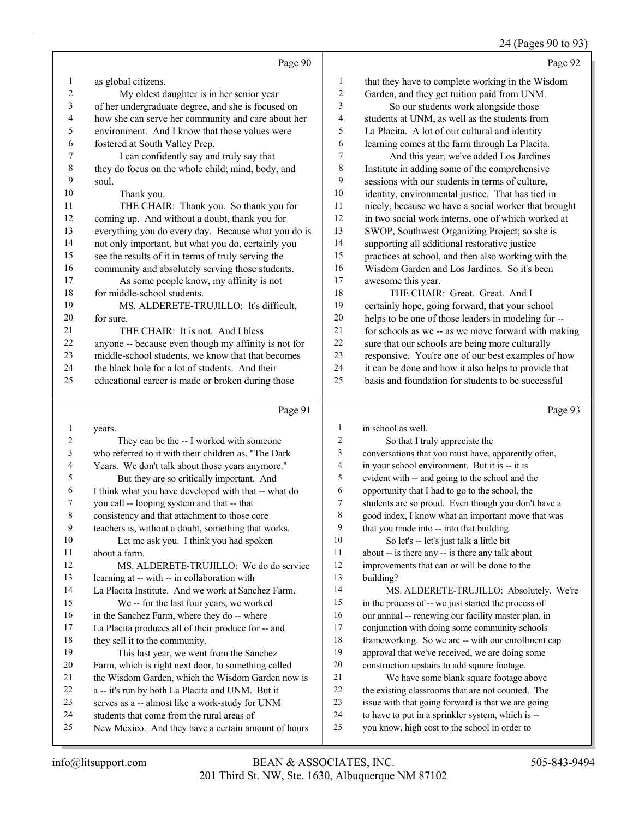#### 24 (Pages 90 to 93)

|                          | Page 90                                              |                  | Page 92                                              |
|--------------------------|------------------------------------------------------|------------------|------------------------------------------------------|
| $\mathbf{1}$             | as global citizens.                                  | $\mathbf{1}$     | that they have to complete working in the Wisdom     |
| $\boldsymbol{2}$         | My oldest daughter is in her senior year             | $\boldsymbol{2}$ | Garden, and they get tuition paid from UNM.          |
| $\mathfrak{Z}$           | of her undergraduate degree, and she is focused on   | 3                | So our students work alongside those                 |
| $\overline{\mathcal{A}}$ | how she can serve her community and care about her   | 4                | students at UNM, as well as the students from        |
| 5                        | environment. And I know that those values were       | 5                | La Placita. A lot of our cultural and identity       |
| 6                        | fostered at South Valley Prep.                       | 6                | learning comes at the farm through La Placita.       |
| $\boldsymbol{7}$         | I can confidently say and truly say that             | 7                | And this year, we've added Los Jardines              |
| $\,$ $\,$                | they do focus on the whole child; mind, body, and    | $\,$ $\,$        | Institute in adding some of the comprehensive        |
| 9                        | soul.                                                | 9                | sessions with our students in terms of culture,      |
| 10                       | Thank you.                                           | $10\,$           | identity, environmental justice. That has tied in    |
| 11                       | THE CHAIR: Thank you. So thank you for               | 11               | nicely, because we have a social worker that brought |
| 12                       | coming up. And without a doubt, thank you for        | 12               | in two social work interns, one of which worked at   |
| 13                       | everything you do every day. Because what you do is  | 13               | SWOP, Southwest Organizing Project; so she is        |
| 14                       | not only important, but what you do, certainly you   | 14               | supporting all additional restorative justice        |
| 15                       | see the results of it in terms of truly serving the  | 15               | practices at school, and then also working with the  |
| 16                       | community and absolutely serving those students.     | 16               | Wisdom Garden and Los Jardines. So it's been         |
| 17                       | As some people know, my affinity is not              | 17               | awesome this year.                                   |
| 18                       | for middle-school students.                          | 18               | THE CHAIR: Great. Great. And I                       |
| 19                       | MS. ALDERETE-TRUJILLO: It's difficult,               | 19               | certainly hope, going forward, that your school      |
| 20                       | for sure.                                            | $20\,$           | helps to be one of those leaders in modeling for --  |
| 21                       | THE CHAIR: It is not. And I bless                    | 21               | for schools as we -- as we move forward with making  |
| 22                       | anyone -- because even though my affinity is not for | 22               | sure that our schools are being more culturally      |
| 23                       | middle-school students, we know that that becomes    | 23               | responsive. You're one of our best examples of how   |
| 24                       | the black hole for a lot of students. And their      | 24               | it can be done and how it also helps to provide that |
| 25                       | educational career is made or broken during those    | 25               | basis and foundation for students to be successful   |
|                          |                                                      |                  |                                                      |
|                          | Page 91                                              |                  | Page 93                                              |
| $\mathbf{1}$             | years.                                               | $\mathbf{1}$     | in school as well.                                   |
| $\overline{c}$           | They can be the -- I worked with someone             | $\overline{c}$   | So that I truly appreciate the                       |
| 3                        | who referred to it with their children as, "The Dark | 3                | conversations that you must have, apparently often,  |
| 4                        | Years. We don't talk about those years anymore."     | $\overline{4}$   | in your school environment. But it is -- it is       |
| 5                        | But they are so critically important. And            | 5                | evident with -- and going to the school and the      |
| 6                        | I think what you have developed with that -- what do | 6                | opportunity that I had to go to the school, the      |
| 7                        | you call -- looping system and that -- that          | 7                | students are so proud. Even though you don't have a  |
| $\,$ 8 $\,$              | consistency and that attachment to those core        | $\,$ $\,$        | good index, I know what an important move that was   |
| 9                        | teachers is, without a doubt, something that works.  | 9                | that you made into -- into that building.            |
| 10                       | Let me ask you. I think you had spoken               | 10               | So let's -- let's just talk a little bit             |
| 11                       | about a farm.                                        | 11               | about -- is there any -- is there any talk about     |
| 12                       | MS. ALDERETE-TRUJILLO: We do do service              | 12               | improvements that can or will be done to the         |
| 13                       | learning at -- with -- in collaboration with         | 13               | building?                                            |
| 14                       | La Placita Institute. And we work at Sanchez Farm.   | 14               | MS. ALDERETE-TRUJILLO: Absolutely. We're             |
| 15                       | We -- for the last four years, we worked             | 15               | in the process of -- we just started the process of  |
| 16                       | in the Sanchez Farm, where they do -- where          | 16               | our annual -- renewing our facility master plan, in  |

- 16 in the Sanchez Farm, where they do -- where
- La Placita produces all of their produce for -- and 18 they sell it to the community.
- 19 This last year, we went from the Sanchez
- Farm, which is right next door, to something called
- the Wisdom Garden, which the Wisdom Garden now is
- a -- it's run by both La Placita and UNM. But it
- serves as a -- almost like a work-study for UNM
- students that come from the rural areas of
- New Mexico. And they have a certain amount of hours
- conjunction with doing some community schools frameworking. So we are -- with our enrollment cap approval that we've received, we are doing some construction upstairs to add square footage. 21 We have some blank square footage above the existing classrooms that are not counted. The issue with that going forward is that we are going
	- to have to put in a sprinkler system, which is --
	- you know, high cost to the school in order to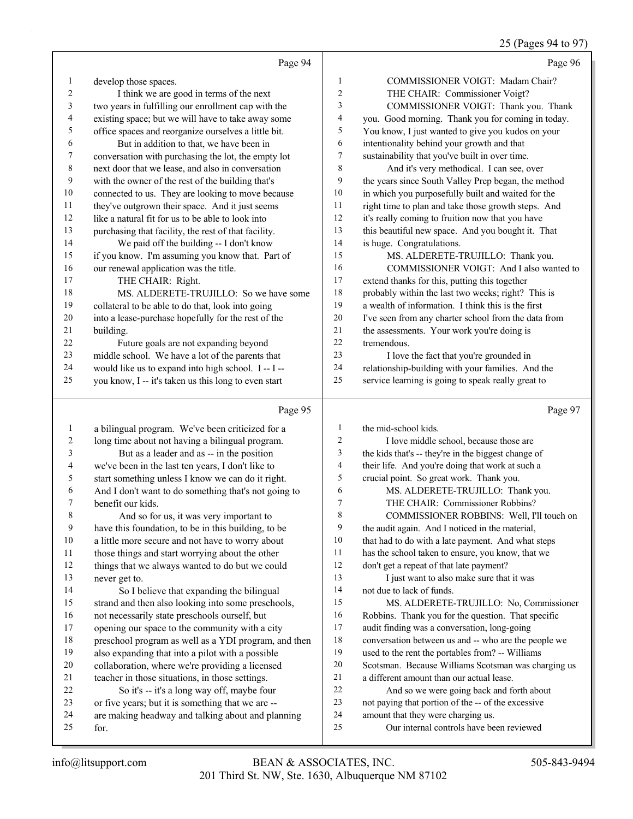# 25 (Pages 94 to 97)

|              | Page 94                                                   |          | Page 96                                                                        |
|--------------|-----------------------------------------------------------|----------|--------------------------------------------------------------------------------|
| 1            | develop those spaces.                                     | 1        | COMMISSIONER VOIGT: Madam Chair?                                               |
| 2            | I think we are good in terms of the next                  | 2        | THE CHAIR: Commissioner Voigt?                                                 |
| 3            | two years in fulfilling our enrollment cap with the       | 3        | COMMISSIONER VOIGT: Thank you. Thank                                           |
| 4            | existing space; but we will have to take away some        | 4        | you. Good morning. Thank you for coming in today.                              |
| 5            | office spaces and reorganize ourselves a little bit.      | 5        | You know, I just wanted to give you kudos on your                              |
| 6            | But in addition to that, we have been in                  | 6        | intentionality behind your growth and that                                     |
| 7            | conversation with purchasing the lot, the empty lot       | 7        | sustainability that you've built in over time.                                 |
| $\,$ 8 $\,$  | next door that we lease, and also in conversation         | 8        | And it's very methodical. I can see, over                                      |
| 9            | with the owner of the rest of the building that's         | 9        | the years since South Valley Prep began, the method                            |
| 10           | connected to us. They are looking to move because         | 10       | in which you purposefully built and waited for the                             |
| 11           | they've outgrown their space. And it just seems           | 11       | right time to plan and take those growth steps. And                            |
| 12           | like a natural fit for us to be able to look into         | 12       | it's really coming to fruition now that you have                               |
| 13           | purchasing that facility, the rest of that facility.      | 13       | this beautiful new space. And you bought it. That                              |
| 14           | We paid off the building -- I don't know                  | 14       | is huge. Congratulations.                                                      |
| 15           | if you know. I'm assuming you know that. Part of          | 15       | MS. ALDERETE-TRUJILLO: Thank you.                                              |
| 16           | our renewal application was the title.                    | 16       | COMMISSIONER VOIGT: And I also wanted to                                       |
| 17           | THE CHAIR: Right.                                         | 17       | extend thanks for this, putting this together                                  |
| 18           | MS. ALDERETE-TRUJILLO: So we have some                    | 18       | probably within the last two weeks; right? This is                             |
| 19           | collateral to be able to do that, look into going         | 19       | a wealth of information. I think this is the first                             |
| 20           | into a lease-purchase hopefully for the rest of the       | 20       | I've seen from any charter school from the data from                           |
| 21           | building.                                                 | 21       | the assessments. Your work you're doing is                                     |
| 22           | Future goals are not expanding beyond                     | 22       | tremendous.                                                                    |
| 23           | middle school. We have a lot of the parents that          | 23       | I love the fact that you're grounded in                                        |
| 24           | would like us to expand into high school. I -- I --       | 24       | relationship-building with your families. And the                              |
| 25           | you know, I -- it's taken us this long to even start      | 25       | service learning is going to speak really great to                             |
|              |                                                           |          |                                                                                |
|              |                                                           |          |                                                                                |
|              | Page 95                                                   |          | Page 97                                                                        |
| $\mathbf{1}$ | a bilingual program. We've been criticized for a          | 1        | the mid-school kids.                                                           |
| 2            | long time about not having a bilingual program.           | 2        | I love middle school, because those are                                        |
| 3            | But as a leader and as -- in the position                 | 3        | the kids that's -- they're in the biggest change of                            |
| 4            | we've been in the last ten years, I don't like to         | 4        | their life. And you're doing that work at such a                               |
| 5            | start something unless I know we can do it right.         | 5        | crucial point. So great work. Thank you.                                       |
| 6            | And I don't want to do something that's not going to      | 6        | MS. ALDERETE-TRUJILLO: Thank you.                                              |
| 7            | benefit our kids.                                         | 7        | THE CHAIR: Commissioner Robbins?                                               |
|              | And so for us, it was very important to                   | 8        | COMMISSIONER ROBBINS: Well, I'll touch on                                      |
| 9            | have this foundation, to be in this building, to be       | 9        | the audit again. And I noticed in the material,                                |
| 10           | a little more secure and not have to worry about          | 10       | that had to do with a late payment. And what steps                             |
| 11           | those things and start worrying about the other           | 11       | has the school taken to ensure, you know, that we                              |
| 12           | things that we always wanted to do but we could           | 12       | don't get a repeat of that late payment?                                       |
| 13           | never get to.                                             | 13       | I just want to also make sure that it was                                      |
| 14           | So I believe that expanding the bilingual                 | 14       | not due to lack of funds.                                                      |
| 15           | strand and then also looking into some preschools,        | 15       | MS. ALDERETE-TRUJILLO: No, Commissioner                                        |
| 16           | not necessarily state preschools ourself, but             | 16       | Robbins. Thank you for the question. That specific                             |
| 17           | opening our space to the community with a city            | 17       | audit finding was a conversation, long-going                                   |
| 18           | preschool program as well as a YDI program, and then      | 18       | conversation between us and -- who are the people we                           |
| 19           | also expanding that into a pilot with a possible          | 19       | used to the rent the portables from? -- Williams                               |
| 20           | collaboration, where we're providing a licensed           | 20       | Scotsman. Because Williams Scotsman was charging us                            |
| 21           | teacher in those situations, in those settings.           | 21       | a different amount than our actual lease.                                      |
| 22           | So it's -- it's a long way off, maybe four                | 22       | And so we were going back and forth about                                      |
| 23           | or five years; but it is something that we are --         | 23       | not paying that portion of the -- of the excessive                             |
| 24<br>25     | are making headway and talking about and planning<br>for. | 24<br>25 | amount that they were charging us.<br>Our internal controls have been reviewed |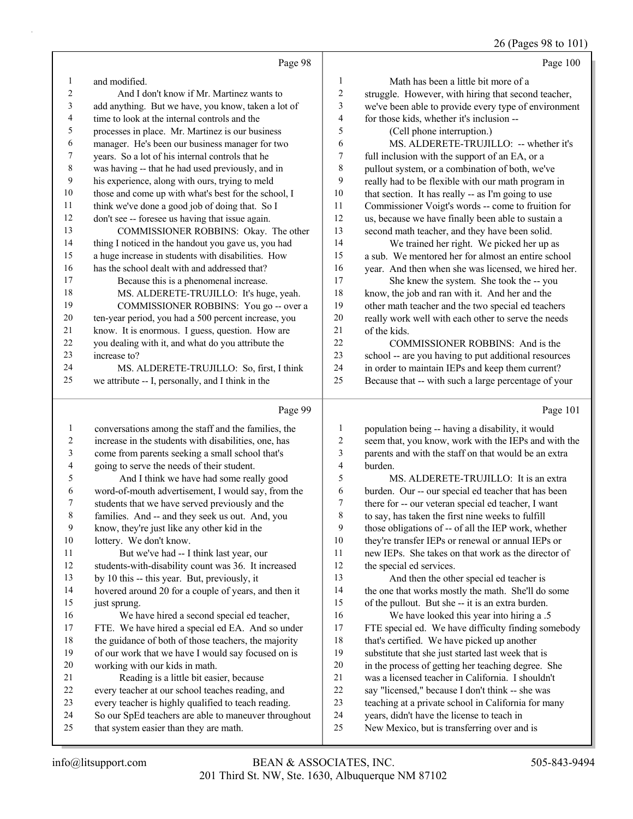## 26 (Pages 98 to 101)

|                  | Page 98                                                                                                     |                  | Page 100                                                                                                 |
|------------------|-------------------------------------------------------------------------------------------------------------|------------------|----------------------------------------------------------------------------------------------------------|
| 1                | and modified.                                                                                               | 1                | Math has been a little bit more of a                                                                     |
| 2                | And I don't know if Mr. Martinez wants to                                                                   | $\boldsymbol{2}$ | struggle. However, with hiring that second teacher,                                                      |
| 3                | add anything. But we have, you know, taken a lot of                                                         | 3                | we've been able to provide every type of environment                                                     |
| 4                | time to look at the internal controls and the                                                               | 4                | for those kids, whether it's inclusion --                                                                |
| 5                | processes in place. Mr. Martinez is our business                                                            | 5                | (Cell phone interruption.)                                                                               |
| 6                | manager. He's been our business manager for two                                                             | 6                | MS. ALDERETE-TRUJILLO: -- whether it's                                                                   |
| 7                | years. So a lot of his internal controls that he                                                            | 7                | full inclusion with the support of an EA, or a                                                           |
| 8                | was having -- that he had used previously, and in                                                           | 8                | pullout system, or a combination of both, we've                                                          |
| 9                | his experience, along with ours, trying to meld                                                             | 9                | really had to be flexible with our math program in                                                       |
| 10               | those and come up with what's best for the school, I                                                        | 10               | that section. It has really -- as I'm going to use                                                       |
| 11               | think we've done a good job of doing that. So I                                                             | 11               | Commissioner Voigt's words -- come to fruition for                                                       |
| 12               | don't see -- foresee us having that issue again.                                                            | 12               | us, because we have finally been able to sustain a                                                       |
| 13               | COMMISSIONER ROBBINS: Okay. The other                                                                       | 13               | second math teacher, and they have been solid.                                                           |
| 14               | thing I noticed in the handout you gave us, you had                                                         | 14               | We trained her right. We picked her up as                                                                |
| 15               | a huge increase in students with disabilities. How                                                          | 15               | a sub. We mentored her for almost an entire school                                                       |
| 16               | has the school dealt with and addressed that?                                                               | 16               | year. And then when she was licensed, we hired her.                                                      |
| 17               | Because this is a phenomenal increase.                                                                      | 17               | She knew the system. She took the -- you                                                                 |
| $18\,$           | MS. ALDERETE-TRUJILLO: It's huge, yeah.                                                                     | 18               | know, the job and ran with it. And her and the                                                           |
| 19               | COMMISSIONER ROBBINS: You go -- over a                                                                      | 19               | other math teacher and the two special ed teachers                                                       |
| 20               | ten-year period, you had a 500 percent increase, you                                                        | 20               | really work well with each other to serve the needs                                                      |
| 21<br>22         | know. It is enormous. I guess, question. How are                                                            | 21<br>22         | of the kids.                                                                                             |
| 23               | you dealing with it, and what do you attribute the<br>increase to?                                          | 23               | COMMISSIONER ROBBINS: And is the                                                                         |
| 24               | MS. ALDERETE-TRUJILLO: So, first, I think                                                                   | 24               | school -- are you having to put additional resources<br>in order to maintain IEPs and keep them current? |
| 25               | we attribute -- I, personally, and I think in the                                                           | 25               | Because that -- with such a large percentage of your                                                     |
|                  |                                                                                                             |                  |                                                                                                          |
|                  |                                                                                                             |                  |                                                                                                          |
|                  | Page 99                                                                                                     |                  | Page 101                                                                                                 |
| 1                | conversations among the staff and the families, the                                                         | 1                | population being -- having a disability, it would                                                        |
| $\boldsymbol{2}$ | increase in the students with disabilities, one, has                                                        | $\boldsymbol{2}$ | seem that, you know, work with the IEPs and with the                                                     |
| 3                | come from parents seeking a small school that's                                                             | 3                | parents and with the staff on that would be an extra                                                     |
| 4                | going to serve the needs of their student.                                                                  | 4                | burden.                                                                                                  |
| 5                | And I think we have had some really good                                                                    | 5                | MS. ALDERETE-TRUJILLO: It is an extra                                                                    |
| 6                | word-of-mouth advertisement, I would say, from the                                                          | 6                | burden. Our -- our special ed teacher that has been                                                      |
| 7                | students that we have served previously and the                                                             | 7                | there for -- our veteran special ed teacher, I want                                                      |
| 8                | families. And -- and they seek us out. And, you                                                             | 8                | to say, has taken the first nine weeks to fulfill                                                        |
| 9                | know, they're just like any other kid in the                                                                | 9                | those obligations of -- of all the IEP work, whether                                                     |
| 10               | lottery. We don't know.                                                                                     | 10               | they're transfer IEPs or renewal or annual IEPs or                                                       |
| 11               | But we've had -- I think last year, our                                                                     | 11               | new IEPs. She takes on that work as the director of                                                      |
| 12               | students-with-disability count was 36. It increased                                                         | 12               | the special ed services.                                                                                 |
| 13               | by 10 this -- this year. But, previously, it                                                                | 13               | And then the other special ed teacher is                                                                 |
| 14               | hovered around 20 for a couple of years, and then it                                                        | 14               | the one that works mostly the math. She'll do some                                                       |
| 15               | just sprung.                                                                                                | 15               | of the pullout. But she -- it is an extra burden.                                                        |
| 16               | We have hired a second special ed teacher,                                                                  | 16               | We have looked this year into hiring a .5                                                                |
| 17               | FTE. We have hired a special ed EA. And so under                                                            | 17               | FTE special ed. We have difficulty finding somebody                                                      |
| 18               | the guidance of both of those teachers, the majority                                                        | 18               | that's certified. We have picked up another                                                              |
| 19               | of our work that we have I would say focused on is                                                          | 19               | substitute that she just started last week that is                                                       |
| $20\,$           | working with our kids in math.                                                                              | $20\,$           | in the process of getting her teaching degree. She                                                       |
| 21               | Reading is a little bit easier, because                                                                     | $21\,$           | was a licensed teacher in California. I shouldn't                                                        |
| 22               | every teacher at our school teaches reading, and                                                            | 22               | say "licensed," because I don't think -- she was                                                         |
| 23<br>24         | every teacher is highly qualified to teach reading.<br>So our SpEd teachers are able to maneuver throughout | 23<br>24         | teaching at a private school in California for many<br>years, didn't have the license to teach in        |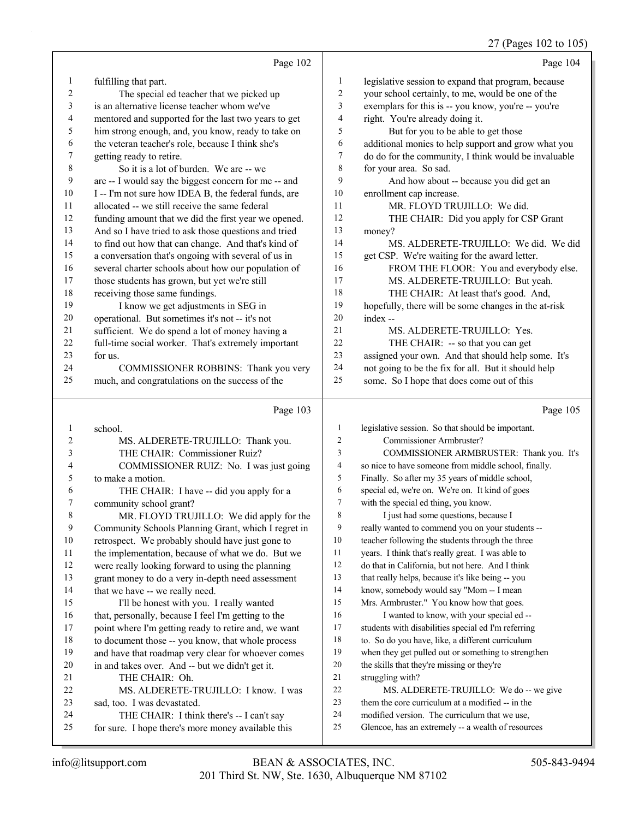## 27 (Pages 102 to 105)

|                | Page 102                                                                                        |                          | Page 104                                                                                            |
|----------------|-------------------------------------------------------------------------------------------------|--------------------------|-----------------------------------------------------------------------------------------------------|
| $\mathbf{1}$   | fulfilling that part.                                                                           | 1                        | legislative session to expand that program, because                                                 |
| $\overline{c}$ | The special ed teacher that we picked up                                                        | $\overline{c}$           | your school certainly, to me, would be one of the                                                   |
| 3              | is an alternative license teacher whom we've                                                    | 3                        | exemplars for this is -- you know, you're -- you're                                                 |
| 4              | mentored and supported for the last two years to get                                            | $\overline{\mathcal{A}}$ | right. You're already doing it.                                                                     |
| 5              | him strong enough, and, you know, ready to take on                                              | 5                        | But for you to be able to get those                                                                 |
| 6              | the veteran teacher's role, because I think she's                                               | 6                        | additional monies to help support and grow what you                                                 |
| 7              | getting ready to retire.                                                                        | 7                        | do do for the community, I think would be invaluable                                                |
| 8              | So it is a lot of burden. We are -- we                                                          | $\,8\,$                  | for your area. So sad.                                                                              |
| 9              | are -- I would say the biggest concern for me -- and                                            | 9                        | And how about -- because you did get an                                                             |
| 10             | I -- I'm not sure how IDEA B, the federal funds, are                                            | $10\,$                   | enrollment cap increase.                                                                            |
| 11             | allocated -- we still receive the same federal                                                  | 11                       | MR. FLOYD TRUJILLO: We did.                                                                         |
| 12             | funding amount that we did the first year we opened.                                            | 12                       | THE CHAIR: Did you apply for CSP Grant                                                              |
| 13             | And so I have tried to ask those questions and tried                                            | 13                       | money?                                                                                              |
| 14             | to find out how that can change. And that's kind of                                             | 14                       | MS. ALDERETE-TRUJILLO: We did. We did                                                               |
| 15             | a conversation that's ongoing with several of us in                                             | 15                       | get CSP. We're waiting for the award letter.                                                        |
| 16             | several charter schools about how our population of                                             | 16                       | FROM THE FLOOR: You and everybody else.                                                             |
| 17             | those students has grown, but yet we're still                                                   | 17                       | MS. ALDERETE-TRUJILLO: But yeah.                                                                    |
| 18             | receiving those same fundings.                                                                  | 18                       | THE CHAIR: At least that's good. And,                                                               |
| 19             | I know we get adjustments in SEG in                                                             | 19                       | hopefully, there will be some changes in the at-risk                                                |
| 20             | operational. But sometimes it's not -- it's not                                                 | 20                       | index --                                                                                            |
| 21             | sufficient. We do spend a lot of money having a                                                 | 21                       | MS. ALDERETE-TRUJILLO: Yes.                                                                         |
| 22             | full-time social worker. That's extremely important                                             | 22                       | THE CHAIR: -- so that you can get                                                                   |
| 23             | for us.                                                                                         | 23                       | assigned your own. And that should help some. It's                                                  |
| 24             | COMMISSIONER ROBBINS: Thank you very                                                            | 24                       | not going to be the fix for all. But it should help                                                 |
| 25             | much, and congratulations on the success of the                                                 | 25                       | some. So I hope that does come out of this                                                          |
|                |                                                                                                 |                          |                                                                                                     |
|                | Page 103                                                                                        |                          | Page 105                                                                                            |
| 1              | school.                                                                                         | 1                        | legislative session. So that should be important.                                                   |
| 2              | MS. ALDERETE-TRUJILLO: Thank you.                                                               | 2                        | Commissioner Armbruster?                                                                            |
| 3              | THE CHAIR: Commissioner Ruiz?                                                                   | 3                        | COMMISSIONER ARMBRUSTER: Thank you. It's                                                            |
| 4              | COMMISSIONER RUIZ: No. I was just going                                                         | 4                        | so nice to have someone from middle school, finally.                                                |
| 5              | to make a motion.                                                                               | 5                        | Finally. So after my 35 years of middle school,                                                     |
| 6              | THE CHAIR: I have -- did you apply for a                                                        | 6                        | special ed, we're on. We're on. It kind of goes                                                     |
| 7              | community school grant?                                                                         | 7                        | with the special ed thing, you know.                                                                |
| $\,$ 8 $\,$    | MR. FLOYD TRUJILLO: We did apply for the                                                        | $\,8\,$                  | I just had some questions, because I                                                                |
| $\mathbf{9}$   | Community Schools Planning Grant, which I regret in                                             | 9                        | really wanted to commend you on your students --                                                    |
| 10             | retrospect. We probably should have just gone to                                                | 10                       | teacher following the students through the three                                                    |
| 11             | the implementation, because of what we do. But we                                               | 11                       | years. I think that's really great. I was able to                                                   |
| 12             | were really looking forward to using the planning                                               | 12                       | do that in California, but not here. And I think                                                    |
| 13             | grant money to do a very in-depth need assessment                                               | 13                       | that really helps, because it's like being -- you                                                   |
| 14             | that we have -- we really need.                                                                 | 14                       | know, somebody would say "Mom -- I mean                                                             |
| 15             | I'll be honest with you. I really wanted                                                        | 15                       | Mrs. Armbruster." You know how that goes.                                                           |
| 16             | that, personally, because I feel I'm getting to the                                             | 16                       | I wanted to know, with your special ed --                                                           |
| 17             | point where I'm getting ready to retire and, we want                                            | 17                       | students with disabilities special ed I'm referring                                                 |
| 18             | to document those -- you know, that whole process                                               | $18\,$                   | to. So do you have, like, a different curriculum                                                    |
| 19             | and have that roadmap very clear for whoever comes                                              | 19                       | when they get pulled out or something to strengthen                                                 |
| 20             | in and takes over. And -- but we didn't get it.                                                 | $20\,$                   | the skills that they're missing or they're                                                          |
| 21             | THE CHAIR: Oh.                                                                                  | 21                       | struggling with?                                                                                    |
| $22\,$         | MS. ALDERETE-TRUJILLO: I know. I was                                                            | 22                       | MS. ALDERETE-TRUJILLO: We do -- we give                                                             |
| 23             | sad, too. I was devastated.                                                                     | 23                       | them the core curriculum at a modified -- in the                                                    |
| 24<br>25       | THE CHAIR: I think there's -- I can't say<br>for sure. I hope there's more money available this | 24<br>25                 | modified version. The curriculum that we use,<br>Glencoe, has an extremely -- a wealth of resources |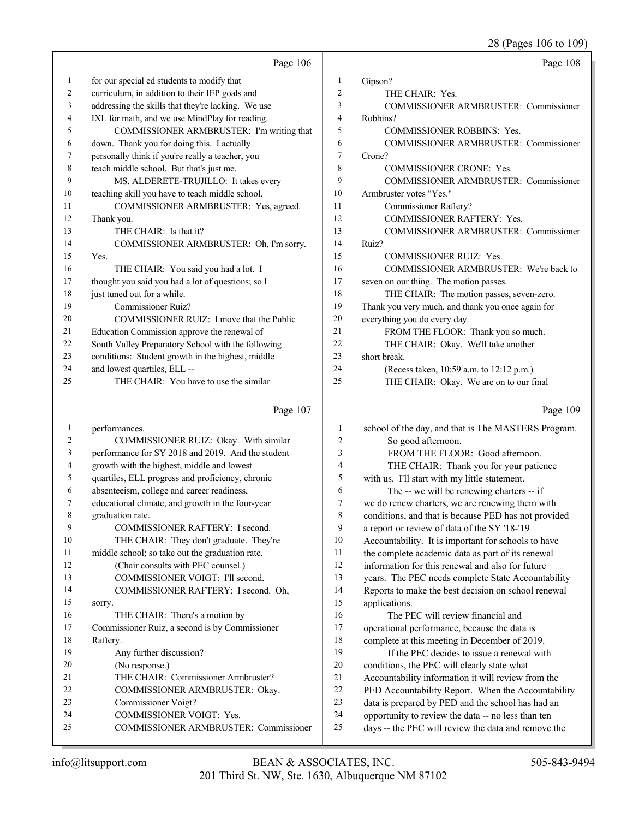28 (Pages 106 to 109)

|    | Page 106                                           |                | Page 108                                            |
|----|----------------------------------------------------|----------------|-----------------------------------------------------|
| 1  | for our special ed students to modify that         | 1              | Gipson?                                             |
| 2  | curriculum, in addition to their IEP goals and     | $\overline{2}$ | THE CHAIR: Yes.                                     |
| 3  | addressing the skills that they're lacking. We use | 3              | <b>COMMISSIONER ARMBRUSTER: Commissioner</b>        |
| 4  | IXL for math, and we use MindPlay for reading.     | $\overline{4}$ | Robbins?                                            |
| 5  | COMMISSIONER ARMBRUSTER: I'm writing that          | 5              | <b>COMMISSIONER ROBBINS: Yes.</b>                   |
| 6  | down. Thank you for doing this. I actually         | 6              | COMMISSIONER ARMBRUSTER: Commissioner               |
| 7  | personally think if you're really a teacher, you   | 7              | Crone?                                              |
| 8  | teach middle school. But that's just me.           | 8              | <b>COMMISSIONER CRONE: Yes.</b>                     |
| 9  | MS. ALDERETE-TRUJILLO: It takes every              | 9              | COMMISSIONER ARMBRUSTER: Commissioner               |
| 10 | teaching skill you have to teach middle school.    | 10             | Armbruster votes "Yes."                             |
| 11 | COMMISSIONER ARMBRUSTER: Yes, agreed.              | 11             | Commissioner Raftery?                               |
| 12 | Thank you.                                         | 12             | COMMISSIONER RAFTERY: Yes.                          |
| 13 | THE CHAIR: Is that it?                             | 13             | <b>COMMISSIONER ARMBRUSTER: Commissioner</b>        |
| 14 | COMMISSIONER ARMBRUSTER: Oh, I'm sorry.            | 14             | Ruiz?                                               |
| 15 | Yes.                                               | 15             | <b>COMMISSIONER RUIZ: Yes.</b>                      |
| 16 | THE CHAIR: You said you had a lot. I               | 16             | COMMISSIONER ARMBRUSTER: We're back to              |
| 17 | thought you said you had a lot of questions; so I  | 17             | seven on our thing. The motion passes.              |
| 18 | just tuned out for a while.                        | 18             | THE CHAIR: The motion passes, seven-zero.           |
| 19 | <b>Commissioner Ruiz?</b>                          | 19             | Thank you very much, and thank you once again for   |
| 20 | COMMISSIONER RUIZ: I move that the Public          | 20             | everything you do every day.                        |
| 21 | Education Commission approve the renewal of        | 21             | FROM THE FLOOR: Thank you so much.                  |
| 22 | South Valley Preparatory School with the following | 22             | THE CHAIR: Okay. We'll take another                 |
| 23 | conditions: Student growth in the highest, middle  | 23             | short break.                                        |
| 24 | and lowest quartiles, ELL --                       | 24             | (Recess taken, 10:59 a.m. to 12:12 p.m.)            |
| 25 | THE CHAIR: You have to use the similar             | 25             | THE CHAIR: Okay. We are on to our final             |
|    | Page 107                                           |                | Page 109                                            |
| 1  | performances.                                      | 1              | school of the day, and that is The MASTERS Program. |
| 2  | COMMISSIONER RUIZ: Okay. With similar              | $\overline{c}$ | So good afternoon.                                  |
| 3  | performance for SY 2018 and 2019. And the student  | 3              | FROM THE FLOOR: Good afternoon.                     |
| 4  | growth with the highest, middle and lowest         | 4              | THE CHAIR: Thank you for your patience              |
| 5  | quartiles, ELL progress and proficiency, chronic   | 5              | with us. I'll start with my little statement.       |
| 6  | absenteeism, college and career readiness,         | 6              | The -- we will be renewing charters -- if           |

7 educational climate, and growth in the four-year

9 COMMISSIONER RAFTERY: I second.

8 graduation rate.

| 10 | THE CHAIR: They don't graduate. They're         |
|----|-------------------------------------------------|
| 11 | middle school; so take out the graduation rate. |
| 12 | (Chair consults with PEC counsel.)              |
| 13 | COMMISSIONER VOIGT: I'll second.                |
| 14 | COMMISSIONER RAFTERY: I second. Oh,             |
| 15 | sorry.                                          |
| 16 | THE CHAIR: There's a motion by                  |
| 17 | Commissioner Ruiz, a second is by Commissioner  |
| 18 | Raftery.                                        |
| 19 | Any further discussion?                         |
| 20 | (No response.)                                  |
| 21 | THE CHAIR: Commissioner Armbruster?             |
| 22 | COMMISSIONER ARMBRUSTER: Okay.                  |
| 23 | Commissioner Voigt?                             |

<sup>24</sup> COMMISSIONER VOIGT: Yes. 25 COMMISSIONER ARMBRUSTER: Commissioner

6 The -- we will be renewing charters -- if<br>  $\frac{7}{7}$  we do renew charters we are renewing them w we do renew charters, we are renewing them with

8 conditions, and that is because PED has not provided

9 a report or review of data of the SY '18-'19

10 Accountability. It is important for schools to have

11 the complete academic data as part of its renewal

12 information for this renewal and also for future

13 years. The PEC needs complete State Accountability 14 Reports to make the best decision on school renewal 15 applications.

16 The PEC will review financial and 17 operational performance, because the data is 18 complete at this meeting in December of 2019.

19 If the PEC decides to issue a renewal with conditions, the PEC will clearly state what Accountability information it will review from the PED Accountability Report. When the Accountability data is prepared by PED and the school has had an opportunity to review the data -- no less than ten days -- the PEC will review the data and remove the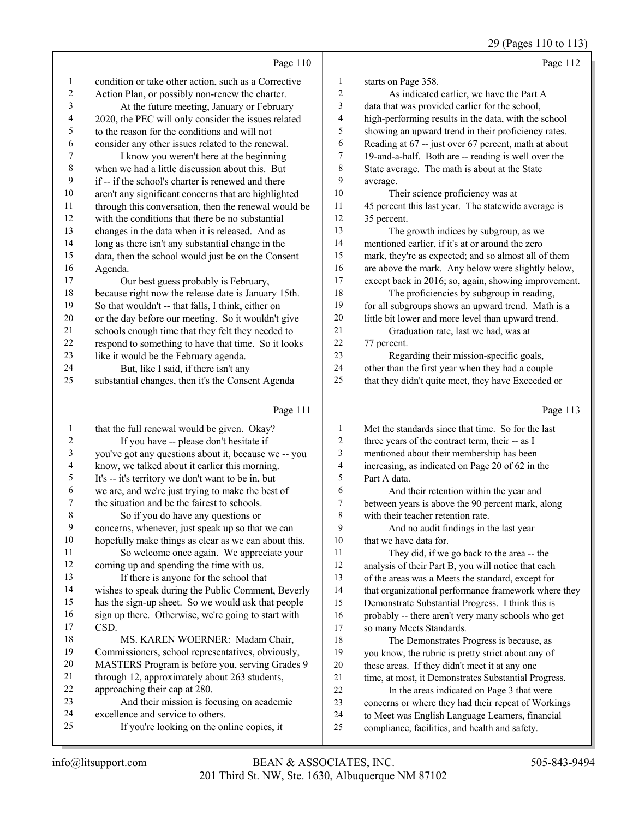|                         | Page 110                                                                                        |                         | Page 112                                                                                                |
|-------------------------|-------------------------------------------------------------------------------------------------|-------------------------|---------------------------------------------------------------------------------------------------------|
| $\mathbf{1}$            | condition or take other action, such as a Corrective                                            | $\mathbf{1}$            | starts on Page 358.                                                                                     |
| $\overline{\mathbf{c}}$ | Action Plan, or possibly non-renew the charter.                                                 | $\overline{\mathbf{c}}$ | As indicated earlier, we have the Part A                                                                |
| 3                       | At the future meeting, January or February                                                      | 3                       | data that was provided earlier for the school,                                                          |
| 4                       | 2020, the PEC will only consider the issues related                                             | 4                       | high-performing results in the data, with the school                                                    |
| 5                       | to the reason for the conditions and will not                                                   | 5                       | showing an upward trend in their proficiency rates.                                                     |
| 6                       | consider any other issues related to the renewal.                                               | 6                       | Reading at 67 -- just over 67 percent, math at about                                                    |
| 7                       | I know you weren't here at the beginning                                                        | 7                       | 19-and-a-half. Both are -- reading is well over the                                                     |
| 8                       | when we had a little discussion about this. But                                                 | 8                       | State average. The math is about at the State                                                           |
| 9                       | if -- if the school's charter is renewed and there                                              | 9                       | average.                                                                                                |
| $10\,$                  | aren't any significant concerns that are highlighted                                            | 10                      | Their science proficiency was at                                                                        |
| 11                      | through this conversation, then the renewal would be                                            | 11                      | 45 percent this last year. The statewide average is                                                     |
| 12                      | with the conditions that there be no substantial                                                | 12                      | 35 percent.                                                                                             |
| 13                      | changes in the data when it is released. And as                                                 | 13                      | The growth indices by subgroup, as we                                                                   |
| 14                      | long as there isn't any substantial change in the                                               | 14                      | mentioned earlier, if it's at or around the zero                                                        |
| 15                      | data, then the school would just be on the Consent                                              | 15                      | mark, they're as expected; and so almost all of them                                                    |
| 16                      | Agenda.                                                                                         | 16                      | are above the mark. Any below were slightly below,                                                      |
| 17                      | Our best guess probably is February,                                                            | 17                      | except back in 2016; so, again, showing improvement.                                                    |
| 18                      | because right now the release date is January 15th.                                             | 18                      | The proficiencies by subgroup in reading,                                                               |
| 19                      | So that wouldn't -- that falls, I think, either on                                              | 19                      | for all subgroups shows an upward trend. Math is a                                                      |
| $20\,$                  | or the day before our meeting. So it wouldn't give                                              | 20                      | little bit lower and more level than upward trend.                                                      |
| 21                      | schools enough time that they felt they needed to                                               | $21\,$                  | Graduation rate, last we had, was at                                                                    |
| 22                      | respond to something to have that time. So it looks                                             | 22                      | 77 percent.                                                                                             |
| 23                      | like it would be the February agenda.                                                           | 23                      | Regarding their mission-specific goals,                                                                 |
| 24                      | But, like I said, if there isn't any                                                            | 24                      | other than the first year when they had a couple                                                        |
| 25                      | substantial changes, then it's the Consent Agenda                                               | 25                      | that they didn't quite meet, they have Exceeded or                                                      |
|                         |                                                                                                 |                         |                                                                                                         |
|                         | Page 111                                                                                        |                         | Page 113                                                                                                |
| $\mathbf{1}$            |                                                                                                 | 1                       | Met the standards since that time. So for the last                                                      |
| $\boldsymbol{2}$        | that the full renewal would be given. Okay?                                                     | 2                       | three years of the contract term, their -- as I                                                         |
| 3                       | If you have -- please don't hesitate if<br>you've got any questions about it, because we -- you | 3                       | mentioned about their membership has been                                                               |
| 4                       | know, we talked about it earlier this morning.                                                  | 4                       | increasing, as indicated on Page 20 of 62 in the                                                        |
| 5                       | It's -- it's territory we don't want to be in, but                                              | 5                       | Part A data.                                                                                            |
| 6                       | we are, and we're just trying to make the best of                                               | 6                       | And their retention within the year and                                                                 |
| 7                       | the situation and be the fairest to schools.                                                    | 7                       | between years is above the 90 percent mark, along                                                       |
| 8                       | So if you do have any questions or                                                              | $\,$ $\,$               | with their teacher retention rate.                                                                      |
| 9                       | concerns, whenever, just speak up so that we can                                                | 9                       | And no audit findings in the last year                                                                  |
| 10                      | hopefully make things as clear as we can about this.                                            | 10                      | that we have data for.                                                                                  |
| 11                      | So welcome once again. We appreciate your                                                       | 11                      | They did, if we go back to the area -- the                                                              |
| 12                      | coming up and spending the time with us.                                                        | 12                      | analysis of their Part B, you will notice that each                                                     |
| 13                      | If there is anyone for the school that                                                          | 13                      | of the areas was a Meets the standard, except for                                                       |
| 14                      | wishes to speak during the Public Comment, Beverly                                              | 14                      | that organizational performance framework where they                                                    |
| 15                      | has the sign-up sheet. So we would ask that people                                              | 15                      | Demonstrate Substantial Progress. I think this is                                                       |
| 16                      | sign up there. Otherwise, we're going to start with                                             | 16                      | probably -- there aren't very many schools who get                                                      |
| 17                      | CSD.                                                                                            | 17                      | so many Meets Standards.                                                                                |
| 18                      | MS. KAREN WOERNER: Madam Chair,                                                                 | 18                      | The Demonstrates Progress is because, as                                                                |
| 19                      | Commissioners, school representatives, obviously,                                               | 19                      | you know, the rubric is pretty strict about any of                                                      |
| 20                      | MASTERS Program is before you, serving Grades 9                                                 | 20                      | these areas. If they didn't meet it at any one                                                          |
| 21                      | through 12, approximately about 263 students,                                                   | $21\,$                  | time, at most, it Demonstrates Substantial Progress.                                                    |
| 22                      | approaching their cap at 280.                                                                   | 22                      | In the areas indicated on Page 3 that were                                                              |
| 23<br>24                | And their mission is focusing on academic<br>excellence and service to others.                  | 23<br>$24\,$            | concerns or where they had their repeat of Workings<br>to Meet was English Language Learners, financial |

- 24 excellence and service to others.<br>25 If you're looking on the only
	- If you're looking on the online copies, it

to Meet was English Language Learners, financial

compliance, facilities, and health and safety.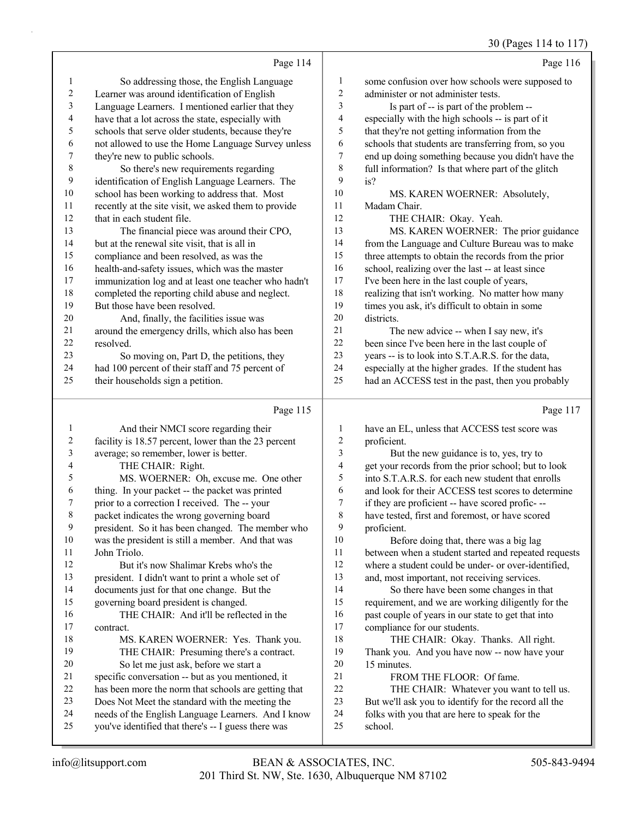## 30 (Pages 114 to 117)

|                          |                                                      |                | $30(1950)$ 11 1 10 11 1                              |
|--------------------------|------------------------------------------------------|----------------|------------------------------------------------------|
|                          | Page 114                                             |                | Page 116                                             |
| $\mathbf{1}$             | So addressing those, the English Language            | $\mathbf{1}$   | some confusion over how schools were supposed to     |
| $\sqrt{2}$               | Learner was around identification of English         | $\overline{c}$ | administer or not administer tests.                  |
| $\mathfrak{Z}$           | Language Learners. I mentioned earlier that they     | 3              | Is part of -- is part of the problem --              |
| $\overline{\mathcal{L}}$ | have that a lot across the state, especially with    | 4              | especially with the high schools -- is part of it    |
| 5                        | schools that serve older students, because they're   | 5              | that they're not getting information from the        |
| 6                        | not allowed to use the Home Language Survey unless   | 6              | schools that students are transferring from, so you  |
| $\boldsymbol{7}$         | they're new to public schools.                       | 7              | end up doing something because you didn't have the   |
| 8                        | So there's new requirements regarding                | 8              | full information? Is that where part of the glitch   |
| 9                        | identification of English Language Learners. The     | 9              | is?                                                  |
| $10\,$                   | school has been working to address that. Most        | 10             | MS. KAREN WOERNER: Absolutely,                       |
| 11                       | recently at the site visit, we asked them to provide | 11             | Madam Chair.                                         |
| 12                       | that in each student file.                           | 12             | THE CHAIR: Okay. Yeah.                               |
| 13                       | The financial piece was around their CPO,            | 13             | MS. KAREN WOERNER: The prior guidance                |
| 14                       | but at the renewal site visit, that is all in        | 14             | from the Language and Culture Bureau was to make     |
| 15                       | compliance and been resolved, as was the             | 15             | three attempts to obtain the records from the prior  |
| 16                       | health-and-safety issues, which was the master       | 16             | school, realizing over the last -- at least since    |
| $17\,$                   | immunization log and at least one teacher who hadn't | 17             | I've been here in the last couple of years,          |
| $18\,$                   | completed the reporting child abuse and neglect.     | 18             | realizing that isn't working. No matter how many     |
| 19                       | But those have been resolved.                        | 19             | times you ask, it's difficult to obtain in some      |
| $20\,$                   | And, finally, the facilities issue was               | 20             | districts.                                           |
| $21\,$                   | around the emergency drills, which also has been     | 21             | The new advice -- when I say new, it's               |
| $22\,$                   | resolved.                                            | $22\,$         | been since I've been here in the last couple of      |
| 23                       | So moving on, Part D, the petitions, they            | 23             | years -- is to look into S.T.A.R.S. for the data,    |
| 24                       | had 100 percent of their staff and 75 percent of     | 24             | especially at the higher grades. If the student has  |
| 25                       | their households sign a petition.                    | 25             | had an ACCESS test in the past, then you probably    |
|                          | Page 115                                             |                | Page 117                                             |
| $\mathbf{1}$             | And their NMCI score regarding their                 | 1              | have an EL, unless that ACCESS test score was        |
| $\overline{2}$           | facility is 18.57 percent, lower than the 23 percent | 2              | proficient.                                          |
| 3                        | average; so remember, lower is better.               | 3              | But the new guidance is to, yes, try to              |
| 4                        | THE CHAIR: Right.                                    | 4              | get your records from the prior school; but to look  |
| 5                        | MS. WOERNER: Oh, excuse me. One other                | 5              | into S.T.A.R.S. for each new student that enrolls    |
| 6                        | thing. In your packet -- the packet was printed      | 6              | and look for their ACCESS test scores to determine   |
| 7                        | prior to a correction I received. The -- your        | 7              | if they are proficient -- have scored profic---      |
| 8                        | packet indicates the wrong governing board           | 8              | have tested, first and foremost, or have scored      |
| 9                        | president. So it has been changed. The member who    | 9              | proficient.                                          |
| $10\,$                   | was the president is still a member. And that was    | 10             | Before doing that, there was a big lag               |
| 11                       | John Triolo.                                         | 11             | between when a student started and repeated requests |
| $12\,$                   | But it's now Shalimar Krebs who's the                | 12             | where a student could be under- or over-identified,  |
| 13                       | president. I didn't want to print a whole set of     | 13             | and, most important, not receiving services.         |
| 14                       | documents just for that one change. But the          | 14             | So there have been some changes in that              |
| 15                       | governing board president is changed.                | 15             | requirement, and we are working diligently for the   |
| 16                       | THE CHAIR: And it'll be reflected in the             | 16             | past couple of years in our state to get that into   |
| $17\,$                   | contract.                                            | 17             | compliance for our students.                         |
| 18                       | MS. KAREN WOERNER: Yes. Thank you.                   | 18             | THE CHAIR: Okay. Thanks. All right.                  |
| 19                       | THE CHAIR: Presuming there's a contract.             | 19             | Thank you. And you have now -- now have your         |
| $20\,$                   | So let me just ask, before we start a                | $20\,$         | 15 minutes.                                          |
| $21\,$                   | specific conversation -- but as you mentioned, it    | 21             | FROM THE FLOOR: Of fame.                             |
|                          |                                                      |                |                                                      |
| $22\,$                   | has been more the norm that schools are getting that | $22\,$         | THE CHAIR: Whatever you want to tell us.             |

- Does Not Meet the standard with the meeting the
- 24 needs of the English Language Learners. And I know<br>25 vou've identified that there's -- I guess there was
- you've identified that there's -- I guess there was

24 folks with you that are here to speak for the school.

school.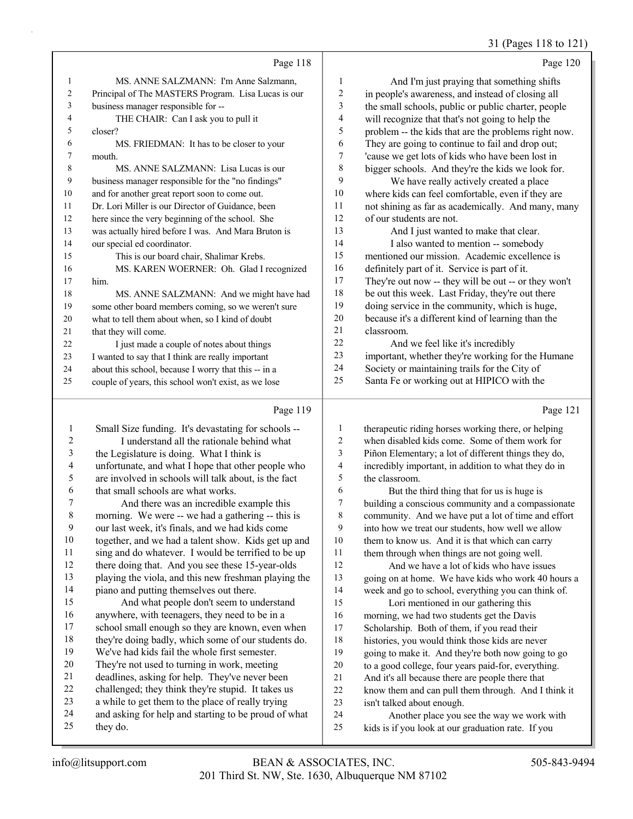#### 31 (Pages 118 to 121)

|    | Page 118                                             |    | Page 120                                             |
|----|------------------------------------------------------|----|------------------------------------------------------|
| 1  | MS. ANNE SALZMANN: I'm Anne Salzmann.                | 1  | And I'm just praying that something shifts           |
| 2  | Principal of The MASTERS Program. Lisa Lucas is our  | 2  | in people's awareness, and instead of closing all    |
| 3  | business manager responsible for --                  | 3  | the small schools, public or public charter, people  |
| 4  | THE CHAIR: Can I ask you to pull it                  | 4  | will recognize that that's not going to help the     |
| 5  | closer?                                              | 5  | problem -- the kids that are the problems right now. |
| 6  | MS. FRIEDMAN: It has to be closer to your            | 6  | They are going to continue to fail and drop out;     |
| 7  | mouth.                                               | 7  | 'cause we get lots of kids who have been lost in     |
| 8  | MS. ANNE SALZMANN: Lisa Lucas is our                 | 8  | bigger schools. And they're the kids we look for.    |
| 9  | business manager responsible for the "no findings"   | 9  | We have really actively created a place              |
| 10 | and for another great report soon to come out.       | 10 | where kids can feel comfortable, even if they are    |
| 11 | Dr. Lori Miller is our Director of Guidance, been    | 11 | not shining as far as academically. And many, many   |
| 12 | here since the very beginning of the school. She     | 12 | of our students are not.                             |
| 13 | was actually hired before I was. And Mara Bruton is  | 13 | And I just wanted to make that clear.                |
| 14 | our special ed coordinator.                          | 14 | I also wanted to mention -- somebody                 |
| 15 | This is our board chair, Shalimar Krebs.             | 15 | mentioned our mission. Academic excellence is        |
| 16 | MS. KAREN WOERNER: Oh. Glad I recognized             | 16 | definitely part of it. Service is part of it.        |
| 17 | him.                                                 | 17 | They're out now -- they will be out -- or they won't |
| 18 | MS. ANNE SALZMANN: And we might have had             | 18 | be out this week. Last Friday, they're out there     |
| 19 | some other board members coming, so we weren't sure  | 19 | doing service in the community, which is huge,       |
| 20 | what to tell them about when, so I kind of doubt     | 20 | because it's a different kind of learning than the   |
| 21 | that they will come.                                 | 21 | classroom.                                           |
| 22 | I just made a couple of notes about things           | 22 | And we feel like it's incredibly                     |
| 23 | I wanted to say that I think are really important    | 23 | important, whether they're working for the Humane    |
| 24 | about this school, because I worry that this -- in a | 24 | Society or maintaining trails for the City of        |
| 25 | couple of years, this school won't exist, as we lose | 25 | Santa Fe or working out at HIPICO with the           |
|    | Page 119                                             |    | Page 121                                             |

#### Page 119 |

| 1                       | Small Size funding. It's devastating for schools --  | 1              | therapeutic riding horses working there, or helping  |
|-------------------------|------------------------------------------------------|----------------|------------------------------------------------------|
| 2                       | I understand all the rationale behind what           | $\overline{c}$ | when disabled kids come. Some of them work for       |
| 3                       | the Legislature is doing. What I think is            | 3              | Piñon Elementary; a lot of different things they do, |
| $\overline{\mathbf{4}}$ | unfortunate, and what I hope that other people who   | 4              | incredibly important, in addition to what they do in |
| 5                       | are involved in schools will talk about, is the fact | 5              | the classroom.                                       |
| 6                       | that small schools are what works.                   | 6              | But the third thing that for us is huge is           |
| 7                       | And there was an incredible example this             | 7              | building a conscious community and a compassionate   |
| $\,$ 8 $\,$             | morning. We were -- we had a gathering -- this is    | 8              | community. And we have put a lot of time and effort  |
| 9                       | our last week, it's finals, and we had kids come     | 9              | into how we treat our students, how well we allow    |
| 10                      | together, and we had a talent show. Kids get up and  | 10             | them to know us. And it is that which can carry      |
| 11                      | sing and do whatever. I would be terrified to be up  | 11             | them through when things are not going well.         |
| 12                      | there doing that. And you see these 15-year-olds     | 12             | And we have a lot of kids who have issues            |
| 13                      | playing the viola, and this new freshman playing the | 13             | going on at home. We have kids who work 40 hours a   |
| 14                      | piano and putting themselves out there.              | 14             | week and go to school, everything you can think of.  |
| 15                      | And what people don't seem to understand             | 15             | Lori mentioned in our gathering this                 |
| 16                      | anywhere, with teenagers, they need to be in a       | 16             | morning, we had two students get the Davis           |
| 17                      | school small enough so they are known, even when     | 17             | Scholarship. Both of them, if you read their         |
| $18\,$                  | they're doing badly, which some of our students do.  | 18             | histories, you would think those kids are never      |
| 19                      | We've had kids fail the whole first semester.        | 19             | going to make it. And they're both now going to go   |
| 20                      | They're not used to turning in work, meeting         | 20             | to a good college, four years paid-for, everything.  |
| 21                      | deadlines, asking for help. They've never been       | 21             | And it's all because there are people there that     |
| 22                      | challenged; they think they're stupid. It takes us   | 22             | know them and can pull them through. And I think it  |
| 23                      | a while to get them to the place of really trying    | 23             | isn't talked about enough.                           |
| 24                      | and asking for help and starting to be proud of what | 24             | Another place you see the way we work with           |
| 25                      | they do.                                             | 25             | kids is if you look at our graduation rate. If you   |
|                         |                                                      |                |                                                      |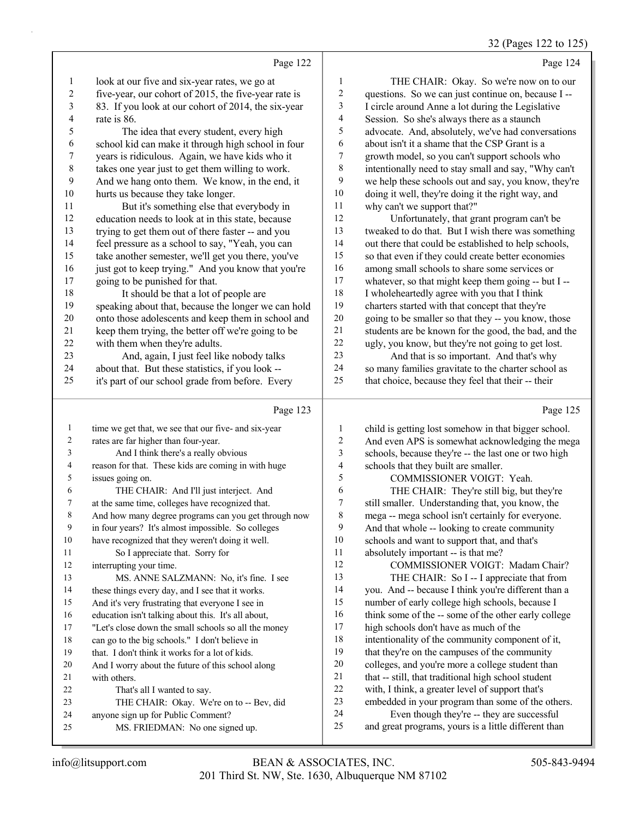(Pages 122 to

|                         |                                                      |                          | 32 (Pages 122 to 123                                 |
|-------------------------|------------------------------------------------------|--------------------------|------------------------------------------------------|
|                         | Page 122                                             |                          | Page 124                                             |
| $\mathbf{1}$            | look at our five and six-year rates, we go at        | $\mathbf{1}$             | THE CHAIR: Okay. So we're now on to our              |
| $\boldsymbol{2}$        | five-year, our cohort of 2015, the five-year rate is | $\overline{c}$           | questions. So we can just continue on, because I --  |
| $\overline{\mathbf{3}}$ | 83. If you look at our cohort of 2014, the six-year  | 3                        | I circle around Anne a lot during the Legislative    |
| 4                       | rate is 86.                                          | $\overline{\mathcal{L}}$ | Session. So she's always there as a staunch          |
| 5                       | The idea that every student, every high              | 5                        | advocate. And, absolutely, we've had conversations   |
| 6                       | school kid can make it through high school in four   | 6                        | about isn't it a shame that the CSP Grant is a       |
| 7                       | years is ridiculous. Again, we have kids who it      | $\boldsymbol{7}$         | growth model, so you can't support schools who       |
| $\,$ $\,$               | takes one year just to get them willing to work.     | 8                        | intentionally need to stay small and say, "Why can't |
| 9                       | And we hang onto them. We know, in the end, it       | 9                        | we help these schools out and say, you know, they're |
| 10                      | hurts us because they take longer.                   | $10\,$                   | doing it well, they're doing it the right way, and   |
| 11                      | But it's something else that everybody in            | 11                       | why can't we support that?"                          |
| 12                      | education needs to look at in this state, because    | 12                       | Unfortunately, that grant program can't be           |
| 13                      | trying to get them out of there faster -- and you    | 13                       | tweaked to do that. But I wish there was something   |
| 14                      | feel pressure as a school to say, "Yeah, you can     | 14                       | out there that could be established to help schools, |
| 15                      | take another semester, we'll get you there, you've   | 15                       | so that even if they could create better economies   |
| 16                      | just got to keep trying." And you know that you're   | 16                       | among small schools to share some services or        |
| 17                      | going to be punished for that.                       | 17                       | whatever, so that might keep them going -- but I --  |
| 18                      | It should be that a lot of people are                | 18                       | I wholeheartedly agree with you that I think         |
| 19                      | speaking about that, because the longer we can hold  | 19                       | charters started with that concept that they're      |
| $20\,$                  | onto those adolescents and keep them in school and   | 20                       | going to be smaller so that they -- you know, those  |
| 21                      | keep them trying, the better off we're going to be   | 21                       | students are be known for the good, the bad, and the |
| 22                      | with them when they're adults.                       | 22                       | ugly, you know, but they're not going to get lost.   |
| 23                      | And, again, I just feel like nobody talks            | 23                       | And that is so important. And that's why             |
| 24                      | about that. But these statistics, if you look --     | 24                       | so many families gravitate to the charter school as  |
| 25                      | it's part of our school grade from before. Every     | 25                       | that choice, because they feel that their -- their   |
|                         | Page 123                                             |                          | Page 125                                             |
| $\mathbf{1}$            | time we get that, we see that our five- and six-year | $\mathbf{1}$             | child is getting lost somehow in that bigger school. |
| 2                       | rates are far higher than four-year.                 | $\overline{c}$           | And even APS is somewhat acknowledging the mega      |
| 3                       | And I think there's a really obvious                 | 3                        | schools, because they're -- the last one or two high |
| 4                       | reason for that. These kids are coming in with huge  | 4                        | schools that they built are smaller.                 |
| 5                       | issues going on.                                     | 5                        | COMMISSIONER VOIGT: Yeah.                            |
| 6                       | THE CHAIR: And I'll just interject. And              | 6                        | THE CHAIR: They're still big, but they're            |
| 7                       | at the same time, colleges have recognized that.     | $\overline{7}$           | still smaller. Understanding that, you know, the     |
| $\,$ 8 $\,$             | And how many degree programs can you get through now | 8                        | mega -- mega school isn't certainly for everyone.    |
| $\boldsymbol{9}$        | in four years? It's almost impossible. So colleges   | 9                        | And that whole -- looking to create community        |
| 10                      | have recognized that they weren't doing it well.     | 10                       | schools and want to support that, and that's         |
| 11                      | So I appreciate that. Sorry for                      | 11                       | absolutely important -- is that me?                  |
| 12                      | interrupting your time.                              | 12                       | COMMISSIONER VOIGT: Madam Chair?                     |
| 13                      | MS. ANNE SALZMANN: No, it's fine. I see              | 13                       | THE CHAIR: So I -- I appreciate that from            |
| 14                      | these things every day, and I see that it works.     | 14                       | you. And -- because I think you're different than a  |
| 15                      | And it's very frustrating that everyone I see in     | 15                       | number of early college high schools, because I      |
| 16                      | education isn't talking about this. It's all about,  | 16                       | think some of the -- some of the other early college |
| 17                      | "Let's close down the small schools so all the money | 17                       | high schools don't have as much of the               |
| 18                      | can go to the big schools." I don't believe in       | 18                       | intentionality of the community component of it,     |
| 19                      | that. I don't think it works for a lot of kids.      | 19                       | that they're on the campuses of the community        |
| 20                      | And I worry about the future of this school along    | 20                       | colleges, and you're more a college student than     |
| 21                      | with others.                                         | $21\,$                   | that -- still, that traditional high school student  |
| 22                      | That's all I wanted to say.                          | $22\,$                   | with, I think, a greater level of support that's     |
| 23                      | THE CHAIR: Okay. We're on to -- Bev, did             | 23                       | embedded in your program than some of the others.    |

23 THE CHAIR: Okay. We're on to -- Bev, did anyone sign up for Public Comment?

25 MS. FRIEDMAN: No one signed up.

24 Even though they're -- they are successful<br>25 and great programs, vours is a little different than and great programs, yours is a little different than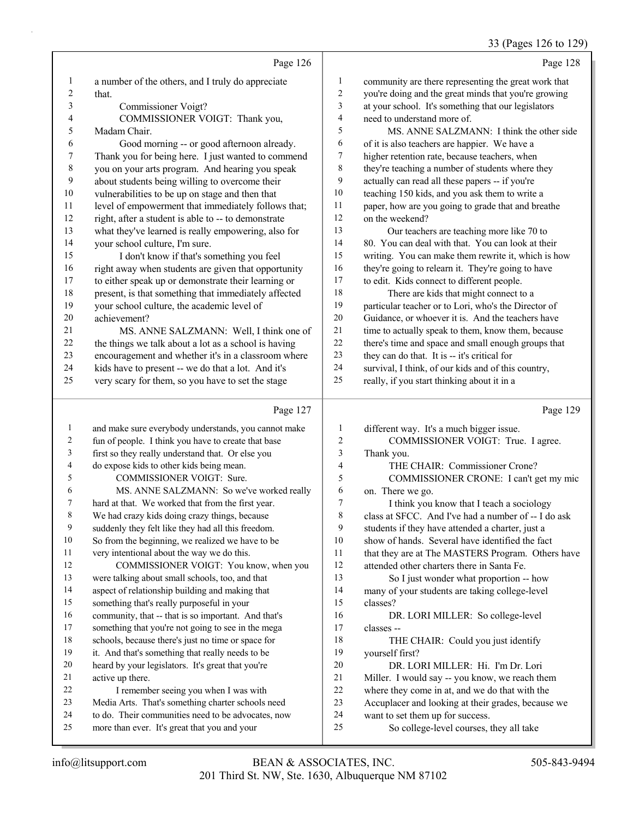## 33 (Pages 126 to 129)

|              | Page 126                                                                                           |                | Page 128                                                                    |
|--------------|----------------------------------------------------------------------------------------------------|----------------|-----------------------------------------------------------------------------|
| $\mathbf{1}$ | a number of the others, and I truly do appreciate                                                  | 1              | community are there representing the great work that                        |
| 2            | that.                                                                                              | $\overline{c}$ | you're doing and the great minds that you're growing                        |
| 3            | Commissioner Voigt?                                                                                | 3              | at your school. It's something that our legislators                         |
| 4            | COMMISSIONER VOIGT: Thank you,                                                                     | 4              | need to understand more of.                                                 |
| 5            | Madam Chair.                                                                                       | 5              | MS. ANNE SALZMANN: I think the other side                                   |
| 6            | Good morning -- or good afternoon already.                                                         | 6              | of it is also teachers are happier. We have a                               |
| 7            | Thank you for being here. I just wanted to commend                                                 | 7              | higher retention rate, because teachers, when                               |
| 8            | you on your arts program. And hearing you speak                                                    | 8              | they're teaching a number of students where they                            |
| 9            | about students being willing to overcome their                                                     | 9              | actually can read all these papers -- if you're                             |
| 10           | vulnerabilities to be up on stage and then that                                                    | 10             | teaching 150 kids, and you ask them to write a                              |
| 11           | level of empowerment that immediately follows that;                                                | 11             | paper, how are you going to grade that and breathe                          |
| 12           | right, after a student is able to -- to demonstrate                                                | 12             | on the weekend?                                                             |
| 13           | what they've learned is really empowering, also for                                                | 13             | Our teachers are teaching more like 70 to                                   |
| 14           | your school culture, I'm sure.                                                                     | 14             | 80. You can deal with that. You can look at their                           |
| 15           | I don't know if that's something you feel                                                          | 15             | writing. You can make them rewrite it, which is how                         |
| 16           | right away when students are given that opportunity                                                | 16             | they're going to relearn it. They're going to have                          |
| 17           | to either speak up or demonstrate their learning or                                                | 17             | to edit. Kids connect to different people.                                  |
| 18           | present, is that something that immediately affected                                               | 18             | There are kids that might connect to a                                      |
| 19           | your school culture, the academic level of                                                         | 19             | particular teacher or to Lori, who's the Director of                        |
| $20\,$       | achievement?                                                                                       | $20\,$         | Guidance, or whoever it is. And the teachers have                           |
| 21           | MS. ANNE SALZMANN: Well, I think one of                                                            | 21             | time to actually speak to them, know them, because                          |
| 22           | the things we talk about a lot as a school is having                                               | $22\,$         | there's time and space and small enough groups that                         |
| 23           | encouragement and whether it's in a classroom where                                                | 23             | they can do that. It is -- it's critical for                                |
| 24           | kids have to present -- we do that a lot. And it's                                                 | 24             | survival, I think, of our kids and of this country,                         |
| 25           | very scary for them, so you have to set the stage                                                  | 25             | really, if you start thinking about it in a                                 |
|              |                                                                                                    |                |                                                                             |
|              | Page 127                                                                                           |                | Page 129                                                                    |
| $\mathbf{1}$ | and make sure everybody understands, you cannot make                                               | 1              | different way. It's a much bigger issue.                                    |
| 2            | fun of people. I think you have to create that base                                                | 2              | COMMISSIONER VOIGT: True. I agree.                                          |
| 3            | first so they really understand that. Or else you                                                  | 3              | Thank you.                                                                  |
| 4            | do expose kids to other kids being mean.                                                           | 4              | THE CHAIR: Commissioner Crone?                                              |
| 5            | COMMISSIONER VOIGT: Sure.                                                                          | 5              | COMMISSIONER CRONE: I can't get my mic                                      |
| 6            | MS. ANNE SALZMANN: So we've worked really                                                          | 6              | on. There we go.                                                            |
| 7            | hard at that. We worked that from the first year.                                                  | 7              | I think you know that I teach a sociology                                   |
|              | We had crazy kids doing crazy things, because                                                      | 8              | class at SFCC. And I've had a number of -- I do ask                         |
| 9            | suddenly they felt like they had all this freedom.                                                 | 9              | students if they have attended a charter, just a                            |
| 10           | So from the beginning, we realized we have to be                                                   | 10             | show of hands. Several have identified the fact                             |
| 11           | very intentional about the way we do this.                                                         | 11             | that they are at The MASTERS Program. Others have                           |
| 12           | COMMISSIONER VOIGT: You know, when you                                                             | 12             | attended other charters there in Santa Fe.                                  |
| 13           | were talking about small schools, too, and that                                                    | 13             | So I just wonder what proportion -- how                                     |
| 14           | aspect of relationship building and making that                                                    | 14             | many of your students are taking college-level                              |
| 15           | something that's really purposeful in your                                                         | 15             | classes?                                                                    |
| 16           | community, that -- that is so important. And that's                                                | 16             | DR. LORI MILLER: So college-level                                           |
| 17           | something that you're not going to see in the mega                                                 | 17             | classes --                                                                  |
| 18           | schools, because there's just no time or space for                                                 | 18             | THE CHAIR: Could you just identify                                          |
| 19           | it. And that's something that really needs to be                                                   | 19             | yourself first?                                                             |
| 20           | heard by your legislators. It's great that you're                                                  | $20\,$         | DR. LORI MILLER: Hi. I'm Dr. Lori                                           |
| 21           | active up there.                                                                                   | 21             | Miller. I would say -- you know, we reach them                              |
| 22           | I remember seeing you when I was with                                                              | $22\,$         | where they come in at, and we do that with the                              |
| 23           | Media Arts. That's something charter schools need                                                  | 23             | Accuplacer and looking at their grades, because we                          |
| 24<br>25     | to do. Their communities need to be advocates, now<br>more than ever. It's great that you and your | 24<br>25       | want to set them up for success.<br>So college-level courses, they all take |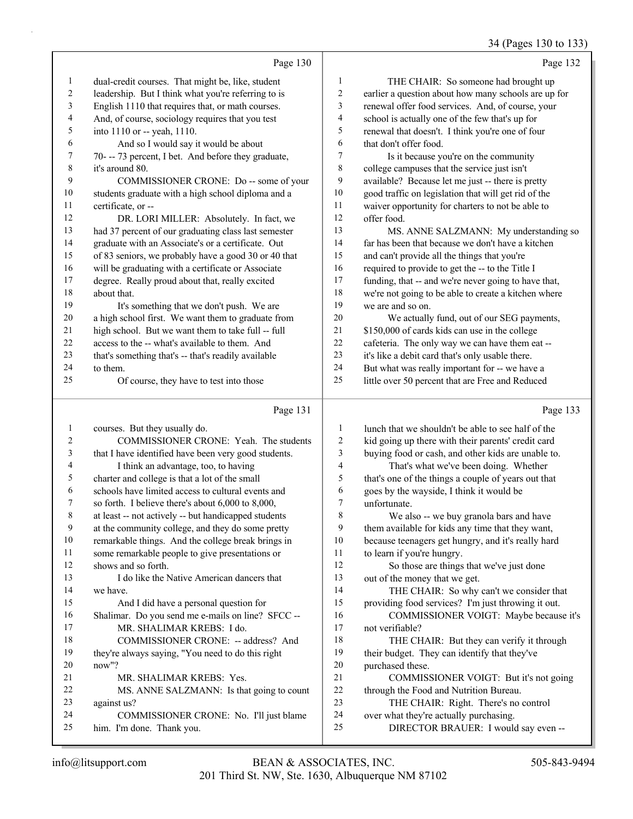#### 34 (Pages 130 to 133)

|                   |                                                                                                         |                     | 5.145<br>. <i>. .</i> .                                                          |
|-------------------|---------------------------------------------------------------------------------------------------------|---------------------|----------------------------------------------------------------------------------|
|                   | Page 130                                                                                                |                     | Page 132                                                                         |
| $\mathbf{1}$      | dual-credit courses. That might be, like, student                                                       | 1                   | THE CHAIR: So someone had brought up                                             |
| $\overline{c}$    | leadership. But I think what you're referring to is                                                     | $\overline{c}$      | earlier a question about how many schools are up for                             |
| 3                 | English 1110 that requires that, or math courses.                                                       | 3                   | renewal offer food services. And, of course, your                                |
| 4                 | And, of course, sociology requires that you test                                                        | 4                   | school is actually one of the few that's up for                                  |
| 5                 | into 1110 or -- yeah, 1110.                                                                             | 5                   | renewal that doesn't. I think you're one of four                                 |
| 6                 | And so I would say it would be about                                                                    | 6                   | that don't offer food.                                                           |
| 7                 | 70--- 73 percent, I bet. And before they graduate,                                                      | 7                   | Is it because you're on the community                                            |
| 8                 | it's around 80.                                                                                         | $\,$ 8 $\,$         | college campuses that the service just isn't                                     |
| 9                 | COMMISSIONER CRONE: Do -- some of your                                                                  | 9                   | available? Because let me just -- there is pretty                                |
| 10                | students graduate with a high school diploma and a                                                      | 10                  | good traffic on legislation that will get rid of the                             |
| 11                | certificate, or --                                                                                      | 11                  | waiver opportunity for charters to not be able to                                |
| 12                | DR. LORI MILLER: Absolutely. In fact, we                                                                | 12                  | offer food.                                                                      |
| 13                | had 37 percent of our graduating class last semester                                                    | 13                  | MS. ANNE SALZMANN: My understanding so                                           |
| 14                | graduate with an Associate's or a certificate. Out                                                      | 14                  | far has been that because we don't have a kitchen                                |
| 15                | of 83 seniors, we probably have a good 30 or 40 that                                                    | 15                  | and can't provide all the things that you're                                     |
| 16                | will be graduating with a certificate or Associate                                                      | 16                  | required to provide to get the -- to the Title I                                 |
| 17                | degree. Really proud about that, really excited                                                         | $17\,$              | funding, that -- and we're never going to have that,                             |
| 18                | about that.                                                                                             | $18\,$              | we're not going to be able to create a kitchen where                             |
| 19                | It's something that we don't push. We are                                                               | 19                  | we are and so on.                                                                |
| $20\,$            | a high school first. We want them to graduate from                                                      | 20                  | We actually fund, out of our SEG payments,                                       |
| $21\,$            | high school. But we want them to take full -- full                                                      | $21\,$              | \$150,000 of cards kids can use in the college                                   |
| 22                | access to the -- what's available to them. And                                                          | 22                  | cafeteria. The only way we can have them eat --                                  |
| 23                | that's something that's -- that's readily available                                                     | 23                  | it's like a debit card that's only usable there.                                 |
| 24                | to them.                                                                                                | 24                  | But what was really important for -- we have a                                   |
| 25                | Of course, they have to test into those                                                                 | 25                  | little over 50 percent that are Free and Reduced                                 |
|                   | Page 131                                                                                                |                     |                                                                                  |
|                   |                                                                                                         |                     | Page 133                                                                         |
|                   |                                                                                                         |                     |                                                                                  |
| $\mathbf{1}$<br>2 | courses. But they usually do.                                                                           | 1                   | lunch that we shouldn't be able to see half of the                               |
|                   | COMMISSIONER CRONE: Yeah. The students                                                                  | $\overline{c}$<br>3 | kid going up there with their parents' credit card                               |
| 3<br>4            | that I have identified have been very good students.                                                    | 4                   | buying food or cash, and other kids are unable to.                               |
| 5                 | I think an advantage, too, to having                                                                    | 5                   | That's what we've been doing. Whether                                            |
| 6                 | charter and college is that a lot of the small<br>schools have limited access to cultural events and    | 6                   | that's one of the things a couple of years out that                              |
| 7                 |                                                                                                         | 7                   | goes by the wayside, I think it would be<br>unfortunate.                         |
| $\,$ 8 $\,$       | so forth. I believe there's about 6,000 to 8,000,                                                       | $\,$ $\,$           | We also -- we buy granola bars and have                                          |
| 9                 | at least -- not actively -- but handicapped students                                                    | 9                   |                                                                                  |
| $10\,$            | at the community college, and they do some pretty<br>remarkable things. And the college break brings in | 10                  | them available for kids any time that they want,                                 |
| 11                | some remarkable people to give presentations or                                                         | 11                  | because teenagers get hungry, and it's really hard<br>to learn if you're hungry. |
| 12                | shows and so forth.                                                                                     | 12                  | So those are things that we've just done                                         |
| 13                | I do like the Native American dancers that                                                              | 13                  | out of the money that we get.                                                    |
| 14                | we have.                                                                                                | 14                  | THE CHAIR: So why can't we consider that                                         |
| 15                | And I did have a personal question for                                                                  | 15                  | providing food services? I'm just throwing it out.                               |
| 16                | Shalimar. Do you send me e-mails on line? SFCC --                                                       | 16                  | COMMISSIONER VOIGT: Maybe because it's                                           |
| 17                | MR. SHALIMAR KREBS: I do.                                                                               | 17                  | not verifiable?                                                                  |
| 18                | COMMISSIONER CRONE: -- address? And                                                                     | 18                  | THE CHAIR: But they can verify it through                                        |
| 19                | they're always saying, "You need to do this right                                                       | 19                  | their budget. They can identify that they've                                     |
| 20                | now"?                                                                                                   | 20                  | purchased these.                                                                 |
| 21                | MR. SHALIMAR KREBS: Yes.                                                                                | 21                  | COMMISSIONER VOIGT: But it's not going                                           |
| 22                | MS. ANNE SALZMANN: Is that going to count                                                               | 22                  | through the Food and Nutrition Bureau.                                           |
| 23                | against us?                                                                                             | 23                  | THE CHAIR: Right. There's no control                                             |
| 24<br>25          | COMMISSIONER CRONE: No. I'll just blame<br>him. I'm done. Thank you.                                    | 24<br>25            | over what they're actually purchasing.<br>DIRECTOR BRAUER: I would say even --   |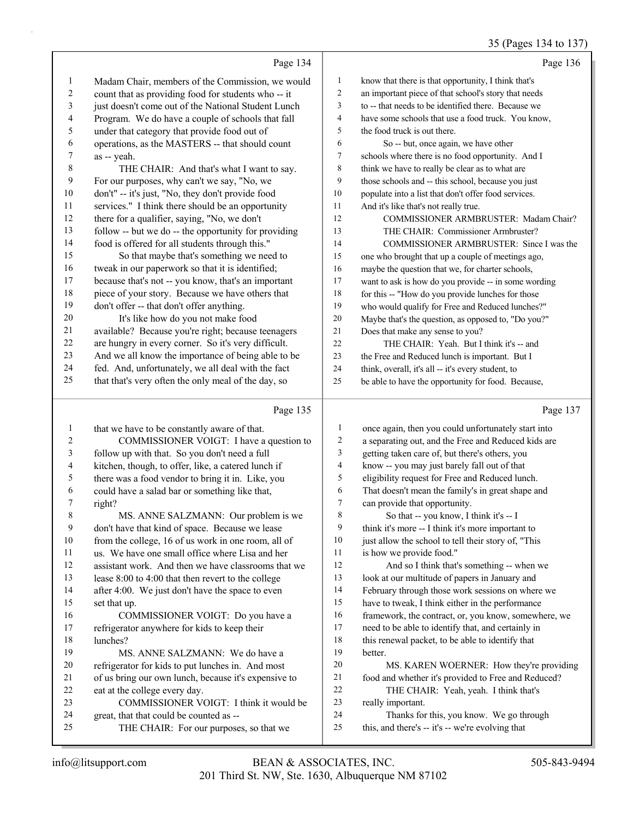#### 35 (Pages 134 to 137)

|                |                                                      |                | 35 (Pages 134 to 137)                                |
|----------------|------------------------------------------------------|----------------|------------------------------------------------------|
|                | Page 134                                             |                | Page 136                                             |
| $\mathbf{1}$   | Madam Chair, members of the Commission, we would     | $\mathbf{1}$   | know that there is that opportunity, I think that's  |
| $\overline{c}$ | count that as providing food for students who -- it  | $\overline{c}$ | an important piece of that school's story that needs |
| 3              | just doesn't come out of the National Student Lunch  | 3              | to -- that needs to be identified there. Because we  |
| 4              | Program. We do have a couple of schools that fall    | 4              | have some schools that use a food truck. You know,   |
| 5              | under that category that provide food out of         | 5              | the food truck is out there.                         |
| 6              | operations, as the MASTERS -- that should count      | 6              | So -- but, once again, we have other                 |
| 7              | as -- yeah.                                          | 7              | schools where there is no food opportunity. And I    |
| 8              | THE CHAIR: And that's what I want to say.            | 8              | think we have to really be clear as to what are      |
| 9              | For our purposes, why can't we say, "No, we          | 9              | those schools and -- this school, because you just   |
| 10             | don't" -- it's just, "No, they don't provide food    | $10\,$         | populate into a list that don't offer food services. |
| 11             | services." I think there should be an opportunity    | 11             | And it's like that's not really true.                |
| 12             | there for a qualifier, saying, "No, we don't         | 12             | COMMISSIONER ARMBRUSTER: Madam Chair?                |
| 13             | follow -- but we do -- the opportunity for providing | 13             | THE CHAIR: Commissioner Armbruster?                  |
| 14             | food is offered for all students through this."      | 14             | COMMISSIONER ARMBRUSTER: Since I was the             |
| 15             | So that maybe that's something we need to            | 15             | one who brought that up a couple of meetings ago,    |
| 16             | tweak in our paperwork so that it is identified;     | 16             | maybe the question that we, for charter schools,     |
| 17             | because that's not -- you know, that's an important  | 17             | want to ask is how do you provide -- in some wording |
| 18             | piece of your story. Because we have others that     | 18             | for this -- "How do you provide lunches for those    |
| 19             | don't offer -- that don't offer anything.            | 19             | who would qualify for Free and Reduced lunches?"     |
| 20             | It's like how do you not make food                   | 20             | Maybe that's the question, as opposed to, "Do you?"  |
| 21             | available? Because you're right; because teenagers   | 21             | Does that make any sense to you?                     |
| $22\,$         | are hungry in every corner. So it's very difficult.  | 22             | THE CHAIR: Yeah. But I think it's -- and             |
| 23             | And we all know the importance of being able to be   | 23             | the Free and Reduced lunch is important. But I       |
| 24             | fed. And, unfortunately, we all deal with the fact   | 24             | think, overall, it's all -- it's every student, to   |
| 25             | that that's very often the only meal of the day, so  | 25             | be able to have the opportunity for food. Because,   |
|                | Page 135                                             |                | Page 137                                             |
| $\mathbf{1}$   | that we have to be constantly aware of that.         | $\mathbf{1}$   | once again, then you could unfortunately start into  |
| 2              | COMMISSIONER VOIGT: I have a question to             | 2              | a separating out, and the Free and Reduced kids are  |
| 3              | follow up with that. So you don't need a full        | 3              | getting taken care of, but there's others, you       |
| 4              | kitchen, though, to offer, like, a catered lunch if  | 4              | know -- you may just barely fall out of that         |
| 5              | there was a food vendor to bring it in. Like, you    | 5              | eligibility request for Free and Reduced lunch.      |
| 6              | could have a salad bar or something like that,       | 6              | That doesn't mean the family's in great shape and    |
| 7              | right?                                               | 7              | can provide that opportunity.                        |
| 8              | MS. ANNE SALZMANN: Our problem is we                 | 8              | So that -- you know, I think it's -- I               |
| 9              | don't have that kind of space. Because we lease      | 9              | think it's more -- I think it's more important to    |
| 10             | from the college, 16 of us work in one room, all of  | 10             | just allow the school to tell their story of, "This  |
| 11             | us. We have one small office where Lisa and her      | 11             | is how we provide food."                             |
| 12             | assistant work. And then we have classrooms that we  | 12             | And so I think that's something -- when we           |
| 13             | lease 8:00 to 4:00 that then revert to the college   | 13             | look at our multitude of papers in January and       |
| 14             | after 4:00. We just don't have the space to even     | 14             | February through those work sessions on where we     |
| 15             | set that up.                                         | 15             | have to tweak, I think either in the performance     |
| 16             | COMMISSIONER VOIGT: Do you have a                    | 16             | framework, the contract, or, you know, somewhere, we |
| 17             | refrigerator anywhere for kids to keep their         | 17             | need to be able to identify that, and certainly in   |
| 18             | lunches?                                             | 18             | this renewal packet, to be able to identify that     |
| 19             | MS. ANNE SALZMANN: We do have a                      | 19             | better.                                              |
| 20             | refrigerator for kids to put lunches in. And most    | 20             | MS. KAREN WOERNER: How they're providing             |
| 21             | of us bring our own lunch, because it's expensive to | 21             | food and whether it's provided to Free and Reduced?  |
| 22             | eat at the college every day.                        | 22             | THE CHAIR: Yeah, yeah. I think that's                |
| 23             | COMMISSIONER VOIGT: I think it would be              | 23             | really important.                                    |
| 24             | great, that that could be counted as --              | 24             | Thanks for this, you know. We go through             |
| 25             | THE CHAIR: For our purposes, so that we              | 25             | this, and there's -- it's -- we're evolving that     |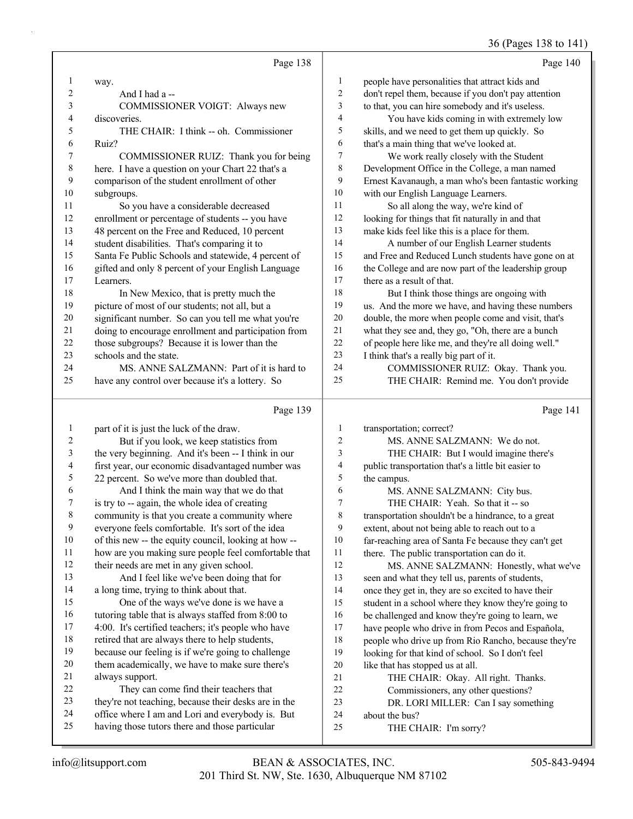## 36 (Pages 138 to 141)

|         |                                                      |                  | $\sim$ $-5$                                          |
|---------|------------------------------------------------------|------------------|------------------------------------------------------|
|         | Page 138                                             |                  | Page 140                                             |
| 1       | way.                                                 | 1                | people have personalities that attract kids and      |
| 2       | And I had a --                                       | $\overline{c}$   | don't repel them, because if you don't pay attention |
| 3       | COMMISSIONER VOIGT: Always new                       | 3                | to that, you can hire somebody and it's useless.     |
| 4       | discoveries.                                         | $\overline{4}$   | You have kids coming in with extremely low           |
| 5       | THE CHAIR: I think -- oh. Commissioner               | 5                | skills, and we need to get them up quickly. So       |
| 6       | Ruiz?                                                | 6                | that's a main thing that we've looked at.            |
| 7       | COMMISSIONER RUIZ: Thank you for being               | $\boldsymbol{7}$ | We work really closely with the Student              |
| 8       | here. I have a question on your Chart 22 that's a    | 8                | Development Office in the College, a man named       |
| 9       | comparison of the student enrollment of other        | 9                | Ernest Kavanaugh, a man who's been fantastic working |
| 10      | subgroups.                                           | 10               | with our English Language Learners.                  |
| 11      | So you have a considerable decreased                 | 11               | So all along the way, we're kind of                  |
| 12      | enrollment or percentage of students -- you have     | 12               | looking for things that fit naturally in and that    |
| 13      | 48 percent on the Free and Reduced, 10 percent       | 13               | make kids feel like this is a place for them.        |
| 14      | student disabilities. That's comparing it to         | 14               | A number of our English Learner students             |
| 15      | Santa Fe Public Schools and statewide, 4 percent of  | 15               | and Free and Reduced Lunch students have gone on at  |
| 16      | gifted and only 8 percent of your English Language   | 16               | the College and are now part of the leadership group |
| 17      | Learners.                                            | 17               | there as a result of that.                           |
| 18      | In New Mexico, that is pretty much the               | 18               | But I think those things are ongoing with            |
| 19      | picture of most of our students; not all, but a      | 19               | us. And the more we have, and having these numbers   |
| 20      | significant number. So can you tell me what you're   | 20               | double, the more when people come and visit, that's  |
| 21      | doing to encourage enrollment and participation from | $21\,$           | what they see and, they go, "Oh, there are a bunch   |
| 22      | those subgroups? Because it is lower than the        | 22               | of people here like me, and they're all doing well." |
| 23      | schools and the state.                               | 23               | I think that's a really big part of it.              |
| 24      | MS. ANNE SALZMANN: Part of it is hard to             | 24               | COMMISSIONER RUIZ: Okay. Thank you.                  |
| 25      | have any control over because it's a lottery. So     | 25               | THE CHAIR: Remind me. You don't provide              |
|         | Page 139                                             |                  | Page 141                                             |
| 1       | part of it is just the luck of the draw.             | 1                | transportation; correct?                             |
| 2       | But if you look, we keep statistics from             | $\overline{c}$   | MS. ANNE SALZMANN: We do not.                        |
| 3       | the very beginning. And it's been -- I think in our  | 3                | THE CHAIR: But I would imagine there's               |
| 4       | first year, our economic disadvantaged number was    | 4                | public transportation that's a little bit easier to  |
| 5       | 22 percent. So we've more than doubled that.         | 5                | the campus.                                          |
| 6       | And I think the main way that we do that             | 6                | MS. ANNE SALZMANN: City bus.                         |
| 7       | is try to -- again, the whole idea of creating       | 7                | THE CHAIR: Yeah. So that it -- so                    |
| $\,8\,$ | community is that you create a community where       | 8                | transportation shouldn't be a hindrance, to a great  |
| 9       | everyone feels comfortable. It's sort of the idea    | 9                | extent, about not being able to reach out to a       |
| 10      | of this new -- the equity council, looking at how -- | 10               | far-reaching area of Santa Fe because they can't get |
| 11      | how are you making sure people feel comfortable that | 11               | there. The public transportation can do it.          |
| 12      | their needs are met in any given school.             | 12               | MS. ANNE SALZMANN: Honestly, what we've              |
| 13      | And I feel like we've been doing that for            | 13               | seen and what they tell us, parents of students,     |
| 14      | a long time, trying to think about that.             | 14               | once they get in, they are so excited to have their  |
| 15      | One of the ways we've done is we have a              | 15               | student in a school where they know they're going to |
| 16      | tutoring table that is always staffed from 8:00 to   | 16               | be challenged and know they're going to learn, we    |
| 17      | 4:00. It's certified teachers; it's people who have  | 17               | have people who drive in from Pecos and Española,    |
| 18      | retired that are always there to help students,      | 18               | people who drive up from Rio Rancho, because they're |
| 19      | because our feeling is if we're going to challenge   | 19               | looking for that kind of school. So I don't feel     |
| 20      | them academically, we have to make sure there's      | 20               | like that has stopped us at all.                     |
| 21      | always support.                                      | $21\,$           | THE CHAIR: Okay. All right. Thanks.                  |
| 22      | They can come find their teachers that               | 22               | Commissioners, any other questions?                  |
| 23      | they're not teaching, because their desks are in the | 23               | DR. LORI MILLER: Can I say something                 |
| 24      | office where I am and Lori and everybody is. But     | 24               | about the bus?                                       |
| 25      | having those tutors there and those particular       | 25               | THE CHAIR: I'm sorry?                                |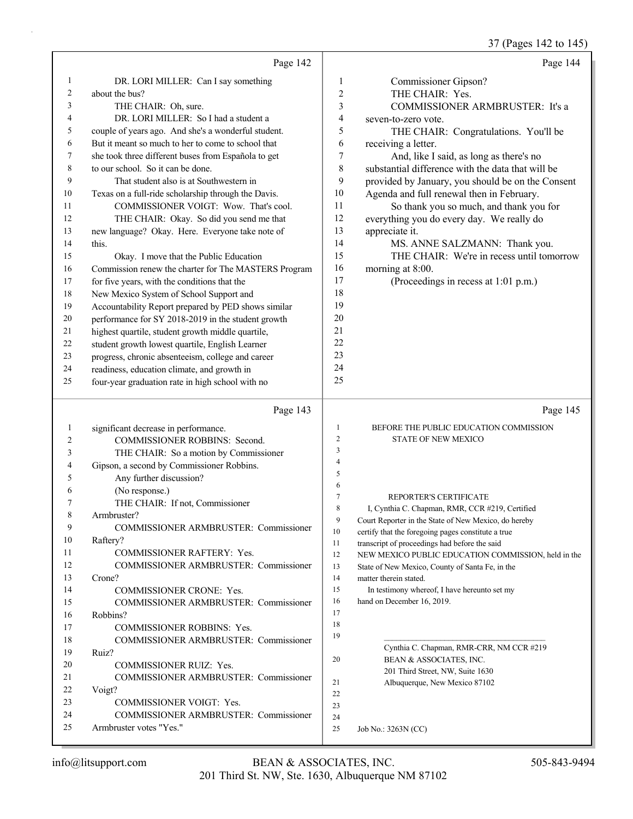37 (Pages 142 to 145)

|          |                                                                         |                | $(1 - 4)$                                                                                            |
|----------|-------------------------------------------------------------------------|----------------|------------------------------------------------------------------------------------------------------|
|          | Page 142                                                                |                | Page 144                                                                                             |
| 1        | DR. LORI MILLER: Can I say something                                    | 1              | Commissioner Gipson?                                                                                 |
| 2        | about the bus?                                                          | 2              | THE CHAIR: Yes.                                                                                      |
| 3        | THE CHAIR: Oh, sure.                                                    | 3              | COMMISSIONER ARMBRUSTER: It's a                                                                      |
| 4        | DR. LORI MILLER: So I had a student a                                   | 4              | seven-to-zero vote.                                                                                  |
| 5        | couple of years ago. And she's a wonderful student.                     | 5              | THE CHAIR: Congratulations. You'll be                                                                |
| 6        | But it meant so much to her to come to school that                      | 6              | receiving a letter.                                                                                  |
| 7        | she took three different buses from Española to get                     | 7              | And, like I said, as long as there's no                                                              |
| 8        | to our school. So it can be done.                                       | 8              | substantial difference with the data that will be                                                    |
| 9        | That student also is at Southwestern in                                 | 9              | provided by January, you should be on the Consent                                                    |
| 10       | Texas on a full-ride scholarship through the Davis.                     | 10             | Agenda and full renewal then in February.                                                            |
| 11       | COMMISSIONER VOIGT: Wow. That's cool.                                   | 11             | So thank you so much, and thank you for                                                              |
| 12       | THE CHAIR: Okay. So did you send me that                                | 12             | everything you do every day. We really do                                                            |
| 13       | new language? Okay. Here. Everyone take note of                         | 13             | appreciate it.                                                                                       |
| 14       | this.                                                                   | 14             | MS. ANNE SALZMANN: Thank you.                                                                        |
| 15       | Okay. I move that the Public Education                                  | 15             | THE CHAIR: We're in recess until tomorrow                                                            |
| 16       | Commission renew the charter for The MASTERS Program                    | 16             | morning at 8:00.                                                                                     |
| 17       | for five years, with the conditions that the                            | 17             | (Proceedings in recess at 1:01 p.m.)                                                                 |
| 18       | New Mexico System of School Support and                                 | 18             |                                                                                                      |
| 19       | Accountability Report prepared by PED shows similar                     | 19             |                                                                                                      |
| 20       | performance for SY 2018-2019 in the student growth                      | 20             |                                                                                                      |
| 21       | highest quartile, student growth middle quartile,                       | 21             |                                                                                                      |
| 22       | student growth lowest quartile, English Learner                         | 22             |                                                                                                      |
| 23       | progress, chronic absenteeism, college and career                       | 23             |                                                                                                      |
| 24       | readiness, education climate, and growth in                             | 24             |                                                                                                      |
| 25       | four-year graduation rate in high school with no                        | 25             |                                                                                                      |
|          | Page 143                                                                |                |                                                                                                      |
|          |                                                                         |                | Page 145                                                                                             |
|          |                                                                         | 1              | BEFORE THE PUBLIC EDUCATION COMMISSION                                                               |
| 1<br>2   | significant decrease in performance.                                    | $\overline{2}$ | <b>STATE OF NEW MEXICO</b>                                                                           |
| 3        | COMMISSIONER ROBBINS: Second.                                           | 3              |                                                                                                      |
| 4        | THE CHAIR: So a motion by Commissioner                                  | $\overline{4}$ |                                                                                                      |
| 5        | Gipson, a second by Commissioner Robbins.                               | 5              |                                                                                                      |
| 6        | Any further discussion?                                                 | 6              |                                                                                                      |
| 7        | (No response.)<br>THE CHAIR: If not, Commissioner                       | $\tau$         | REPORTER'S CERTIFICATE                                                                               |
| 8        | Armbruster?                                                             | 8              | I. Cynthia C. Chapman, RMR, CCR #219, Certified                                                      |
| 9        | COMMISSIONER ARMBRUSTER: Commissioner                                   | 9              | Court Reporter in the State of New Mexico, do hereby                                                 |
| 10       | Raftery?                                                                | 10             | certify that the foregoing pages constitute a true                                                   |
| 11       | COMMISSIONER RAFTERY: Yes.                                              | 11<br>12       | transcript of proceedings had before the said<br>NEW MEXICO PUBLIC EDUCATION COMMISSION, held in the |
| 12       | COMMISSIONER ARMBRUSTER: Commissioner                                   | 13             | State of New Mexico, County of Santa Fe, in the                                                      |
| 13       | Crone?                                                                  | 14             | matter therein stated.                                                                               |
| 14       | COMMISSIONER CRONE: Yes.                                                | 15             | In testimony whereof, I have hereunto set my                                                         |
| 15       | COMMISSIONER ARMBRUSTER: Commissioner                                   | 16             | hand on December 16, 2019.                                                                           |
| 16       | Robbins?                                                                | 17             |                                                                                                      |
| 17       | COMMISSIONER ROBBINS: Yes.                                              | 18             |                                                                                                      |
| 18       | <b>COMMISSIONER ARMBRUSTER: Commissioner</b>                            | 19             |                                                                                                      |
| 19       | Ruiz?                                                                   |                | Cynthia C. Chapman, RMR-CRR, NM CCR #219                                                             |
| 20       | COMMISSIONER RUIZ: Yes.                                                 | 20             | BEAN & ASSOCIATES, INC.                                                                              |
| 21       | <b>COMMISSIONER ARMBRUSTER: Commissioner</b>                            | 21             | 201 Third Street, NW, Suite 1630<br>Albuquerque, New Mexico 87102                                    |
| 22       | Voigt?                                                                  | 22             |                                                                                                      |
| 23       | COMMISSIONER VOIGT: Yes.                                                | 23             |                                                                                                      |
| 24<br>25 | <b>COMMISSIONER ARMBRUSTER: Commissioner</b><br>Armbruster votes "Yes." | 24<br>25       | Job No.: 3263N (CC)                                                                                  |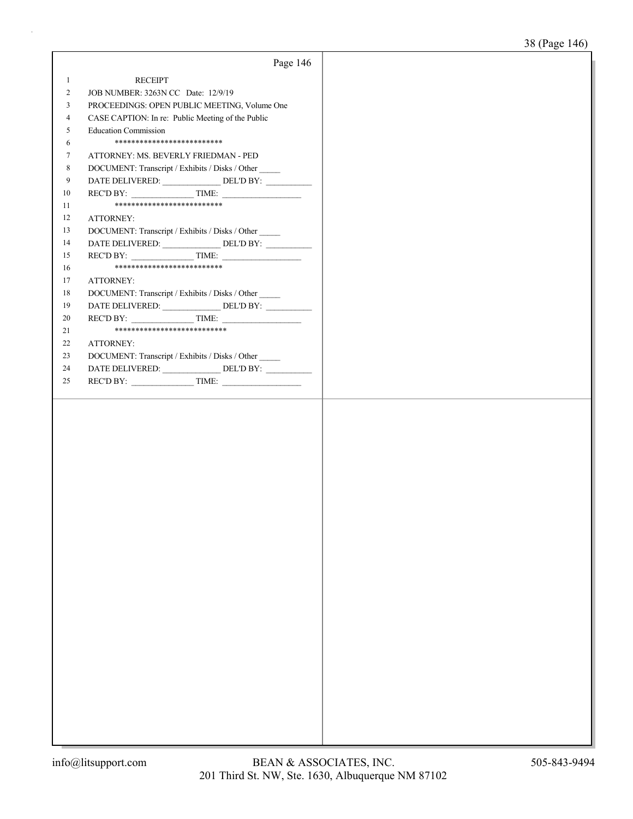|                | Page 146                                                                          |  |
|----------------|-----------------------------------------------------------------------------------|--|
| $\mathbf{1}$   | <b>RECEIPT</b>                                                                    |  |
| $\overline{2}$ | JOB NUMBER: 3263N CC Date: 12/9/19                                                |  |
| 3              | PROCEEDINGS: OPEN PUBLIC MEETING, Volume One                                      |  |
| $\overline{4}$ | CASE CAPTION: In re: Public Meeting of the Public                                 |  |
| 5              | <b>Education Commission</b>                                                       |  |
| 6              | **************************                                                        |  |
| 7              | ATTORNEY: MS. BEVERLY FRIEDMAN - PED                                              |  |
| 8              | DOCUMENT: Transcript / Exhibits / Disks / Other                                   |  |
| 9              | DATE DELIVERED: _______________ DEL'D BY: __________                              |  |
| 10             |                                                                                   |  |
| 11             | ***************************                                                       |  |
| 12             | ATTORNEY:                                                                         |  |
| 13             | DOCUMENT: Transcript / Exhibits / Disks / Other                                   |  |
| 14             | DATE DELIVERED: _____________________DEL'D BY: __________________________________ |  |
| 15             |                                                                                   |  |
| 16             | **************************                                                        |  |
| 17             | ATTORNEY:                                                                         |  |
| 18             | DOCUMENT: Transcript / Exhibits / Disks / Other                                   |  |
| 19             | DATE DELIVERED: _______________ DEL'D BY: __________                              |  |
| 20             | $RECD BY:$ TIME:                                                                  |  |
| 21             | ***************************                                                       |  |
| 22             | ATTORNEY:                                                                         |  |
| 23             | DOCUMENT: Transcript / Exhibits / Disks / Other                                   |  |
| 24             |                                                                                   |  |
| 25             |                                                                                   |  |
|                |                                                                                   |  |
|                |                                                                                   |  |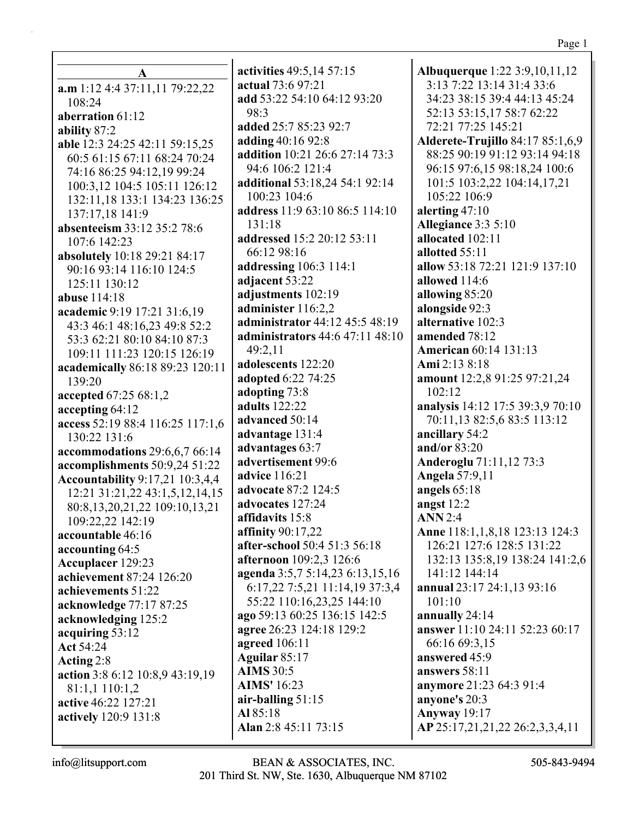**A a.m** 1:12 4:4 37:11,11 79:22,22 108:24 **aberration** 61:12 **ability** 87:2 **able** 12:3 24:25 42:11 59:15,25 60:5 61:15 67:11 68:24 70:24 74:16 86:25 94:12,19 99:24 100:3,12 104:5 105:11 126:12 132:11,18 133:1 134:23 136:25 137:17,18 141:9 **absenteeism** 33:12 35:2 78:6 107:6 142:23 **absolutely** 10:18 29:21 84:17 90:16 93:14 116:10 124:5 125:11 130:12 **abuse** 114:18 **academic** 9:19 17:21 31:6,19 43:3 46:1 48:16,23 49:8 52:2 53:3 62:21 80:10 84:10 87:3 109:11 111:23 120:15 126:19 **academically** 86:18 89:23 120:11 139:20 **accepted** 67:25 68:1,2 **accepting** 64:12 **access** 52:19 88:4 116:25 117:1,6 130:22 131:6 **accommodations** 29:6,6,7 66:14 **accomplishments** 50:9,24 51:22 **Accountability** 9:17,21 10:3,4,4 12:21 31:21,22 43:1,5,12,14,15 80:8,13,20,21,22 109:10,13,21 109:22,22 142:19 **accountable** 46:16 **accounting** 64:5 **Accuplacer** 129:23 **achievement** 87:24 126:20 **achievements** 51:22 **acknowledge** 77:17 87:25 **acknowledging** 125:2 **acquiring** 53:12 **Act** 54:24 **Acting** 2:8 **action** 3:8 6:12 10:8,9 43:19,19 81:1,1 110:1,2 **active** 46:22 127:21 **actively** 120:9 131:8

**activities** 49:5,14 57:15 **actual** 73:6 97:21 **add** 53:22 54:10 64:12 93:20 98:3 **added** 25:7 85:23 92:7 **adding** 40:16 92:8 **addition** 10:21 26:6 27:14 73:3 94:6 106:2 121:4 **additional** 53:18,24 54:1 92:14 100:23 104:6 **address** 11:9 63:10 86:5 114:10 131:18 **addressed** 15:2 20:12 53:11 66:12 98:16 **addressing** 106:3 114:1 **adjacent** 53:22 **adjustments** 102:19 **administer** 116:2,2 **administrator** 44:12 45:5 48:19 **administrators** 44:6 47:11 48:10 49:2,11 **adolescents** 122:20 **adopted** 6:22 74:25 **adopting** 73:8 **adults** 122:22 **advanced** 50:14 **advantage** 131:4 **advantages** 63:7 **advertisement** 99:6 **advice** 116:21 **advocate** 87:2 124:5 **advocates** 127:24 **affidavits** 15:8 **affinity** 90:17,22 **after-school** 50:4 51:3 56:18 **afternoon** 109:2,3 126:6 **agenda** 3:5,7 5:14,23 6:13,15,16 6:17,22 7:5,21 11:14,19 37:3,4 55:22 110:16,23,25 144:10 **ago** 59:13 60:25 136:15 142:5 **agree** 26:23 124:18 129:2 **agreed** 106:11 **Aguilar** 85:17 **AIMS** 30:5 **AIMS'** 16:23 **air-balling** 51:15 **Al** 85:18 **Alan** 2:8 45:11 73:15

**Albuquerque** 1:22 3:9,10,11,12 3:13 7:22 13:14 31:4 33:6 34:23 38:15 39:4 44:13 45:24 52:13 53:15,17 58:7 62:22 72:21 77:25 145:21 **Alderete-Trujillo** 84:17 85:1,6,9 88:25 90:19 91:12 93:14 94:18 96:15 97:6,15 98:18,24 100:6 101:5 103:2,22 104:14,17,21 105:22 106:9 **alerting** 47:10 **Allegiance** 3:3 5:10 **allocated** 102:11 **allotted** 55:11 **allow** 53:18 72:21 121:9 137:10 **allowed** 114:6 **allowing** 85:20 **alongside** 92:3 **alternative** 102:3 **amended** 78:12 **American** 60:14 131:13 **Ami** 2:13 8:18 **amount** 12:2,8 91:25 97:21,24 102:12 **analysis** 14:12 17:5 39:3,9 70:10 70:11,13 82:5,6 83:5 113:12 **ancillary** 54:2 **and/or** 83:20 **Anderoglu** 71:11,12 73:3 **Angela** 57:9,11 **angels** 65:18 **angst** 12:2 **ANN** 2:4 **Anne** 118:1,1,8,18 123:13 124:3 126:21 127:6 128:5 131:22 132:13 135:8,19 138:24 141:2,6 141:12 144:14 **annual** 23:17 24:1,13 93:16 101:10 **annually** 24:14 **answer** 11:10 24:11 52:23 60:17 66:16 69:3,15 **answered** 45:9 **answers** 58:11 **anymore** 21:23 64:3 91:4 **anyone's** 20:3 **Anyway** 19:17 **AP** 25:17,21,21,22 26:2,3,3,4,11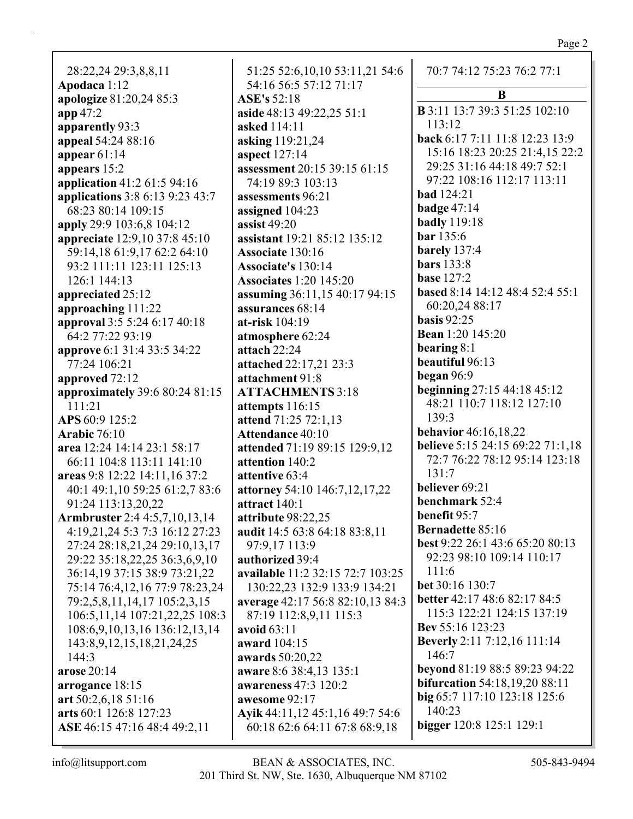Page 2

| 28:22,24 29:3,8,8,11                                           | 51               |
|----------------------------------------------------------------|------------------|
| Apodaca 1:12                                                   | 54               |
| apologize 81:20,24 85:3                                        | <b>AS</b>        |
| app 47:2                                                       | asid             |
| apparently 93:3                                                | ask              |
| appeal 54:24 88:16                                             | ask              |
| appear $61:14$                                                 | asp              |
| appears 15:2                                                   | ass              |
| application 41:2 61:5 94:16                                    | 74               |
| applications 3:8 6:13 9:23 43:7                                | ass              |
| 68:23 80:14 109:15                                             | assi             |
| apply 29:9 103:6,8 104:12                                      | assi             |
| appreciate 12:9,10 37:8 45:10                                  | assi             |
| 59:14,18 61:9,17 62:2 64:10                                    | Ass              |
| 93:2 111:11 123:11 125:13                                      | Ass              |
| 126:1 144:13                                                   | Ass              |
| appreciated 25:12                                              | assı             |
| approaching 111:22                                             | asst             |
| approval 3:5 5:24 6:17 40:18                                   | at-r             |
| 64:2 77:22 93:19                                               | atm              |
| approve 6:1 31:4 33:5 34:22                                    | atta             |
| 77:24 106:21                                                   | atta             |
| approved 72:12                                                 | atta             |
| approximately 39:6 80:24 81:15                                 | AT               |
| 111:21                                                         | atte             |
| APS 60:9 125:2                                                 | atte             |
| <b>Arabic 76:10</b>                                            | Att              |
| area 12:24 14:14 23:1 58:17                                    | atte             |
| 66:11 104:8 113:11 141:10                                      | atte             |
| areas 9:8 12:22 14:11,16 37:2                                  | atte             |
| 40:1 49:1,10 59:25 61:2,7 83:6                                 | atto             |
| 91:24 113:13,20,22                                             | attr             |
| Armbruster 2:4 4:5,7,10,13,14                                  | attr             |
| 4:19,21,24 5:3 7:3 16:12 27:23                                 | aud              |
| 27:24 28:18,21,24 29:10,13,17                                  | $9^{\circ}$      |
| 29:22 35:18,22,25 36:3,6,9,10                                  | aut              |
| 36:14,19 37:15 38:9 73:21,22                                   | ava<br>13        |
| 75:14 76:4,12,16 77:9 78:23,24<br>79:2,5,8,11,14,17 105:2,3,15 |                  |
| 106:5, 11, 14 107: 21, 22, 25 108: 3                           | ave<br>$8^\circ$ |
| 108:6, 9, 10, 13, 16 136: 12, 13, 14                           | avo              |
| 143:8, 9, 12, 15, 18, 21, 24, 25                               | aw?              |
| 144:3                                                          | awz              |
| arose 20:14                                                    | aw?              |
| arrogance 18:15                                                | aw?              |
| art $50:2,6,1851:16$                                           | aw               |
| arts 60:1 126:8 127:23                                         | Ayi              |
| ASE 46:15 47:16 48:4 49:2,11                                   | 60               |
|                                                                |                  |

51:25 52:6,10,10 53:11,21 54:6 54:16 56:5 57:12 71:17  $E's 52:18$ **aside** 48:13 49:22,25 51:1 **asked** 114:11 **asking** 119:21,24 **aspect** 127:14 **assessment** 20:15 39:15 61:15 74:19 89:3 103:13 **assessments** 96:21 **digned** 104:23 **assist** 49:20 **assistant** 19:21 85:12 135:12 **Associate** 130:16 **Associate's** 130:14 **Associates** 1:20 145:20 **assuming** 36:11,15 40:17 94:15 **assurances** 68:14 **at-risk** 104:19 **atmosphere** 62:24 **ach** 22:24 **attached** 22:17,21 23:3 **achment** 91:8 **ATTACHMENTS** 3:18 **attempts** 116:15 **attend** 71:25 72:1,13 **Audioce 40:10 attended** 71:19 89:15 129:9,12 **antion** 140:2 **antive** 63:4 **attorney** 54:10 146:7,12,17,22 **act** 140:1 **attribute** 98:22,25 **audit** 14:5 63:8 64:18 83:8,11 97:9,17 113:9 **horized** 39:4 **available** 11:2 32:15 72:7 103:25 130:22,23 132:9 133:9 134:21 **average** 42:17 56:8 82:10,13 84:3 87:19 112:8,9,11 115:3 **avoid** 63:11 **award** 104:15 **awards** 50:20,22 **aware** 8:6 38:4,13 135:1 **awareness** 47:3 120:2 **assome** 92:17 **Ayik** 44:11,12 45:1,16 49:7 54:6 60:18 62:6 64:11 67:8 68:9,18

| 70:7 74:12 75:23 76:2 77:1                     |
|------------------------------------------------|
| B                                              |
| <b>B</b> 3:11 13:7 39:3 51:25 102:10<br>113:12 |
| back 6:17 7:11 11:8 12:23 13:9                 |
| 15:16 18:23 20:25 21:4,15 22:2                 |
| 29:25 31:16 44:18 49:7 52:1                    |
| 97:22 108:16 112:17 113:11                     |
|                                                |
| <b>bad</b> 124:21                              |
| badge $47:14$                                  |
| <b>badly</b> 119:18                            |
| <b>bar</b> 135:6                               |
| barely 137:4                                   |
| <b>bars</b> 133:8                              |
| <b>base</b> 127:2                              |
| based 8:14 14:12 48:4 52:4 55:1                |
| 60:20,24 88:17                                 |
| <b>basis</b> 92:25                             |
| <b>Bean</b> 1:20 145:20                        |
| bearing 8:1                                    |
| beautiful 96:13                                |
| began 96:9                                     |
| beginning 27:15 44:18 45:12                    |
| 48:21 110:7 118:12 127:10                      |
| 139:3                                          |
| <b>behavior</b> 46:16,18,22                    |
| believe 5:15 24:15 69:22 71:1,18               |
| 72:7 76:22 78:12 95:14 123:18                  |
| 131:7                                          |
| believer 69:21                                 |
| benchmark 52:4                                 |
| benefit 95:7                                   |
| <b>Bernadette 85:16</b>                        |
| best 9:22 26:1 43:6 65:20 80:13                |
| 92:23 98:10 109:14 110:17                      |
| 111:6                                          |
| bet 30:16 130:7                                |
| better 42:17 48:6 82:17 84:5                   |
| 115:3 122:21 124:15 137:19                     |
| Bev 55:16 123:23                               |
| Beverly 2:11 7:12,16 111:14                    |
| 146:7                                          |
| beyond 81:19 88:5 89:23 94:22                  |
| <b>bifurcation</b> 54:18,19,20 88:11           |
| big 65:7 117:10 123:18 125:6                   |
| 140:23                                         |
| <b>bigger</b> 120:8 125:1 129:1                |
|                                                |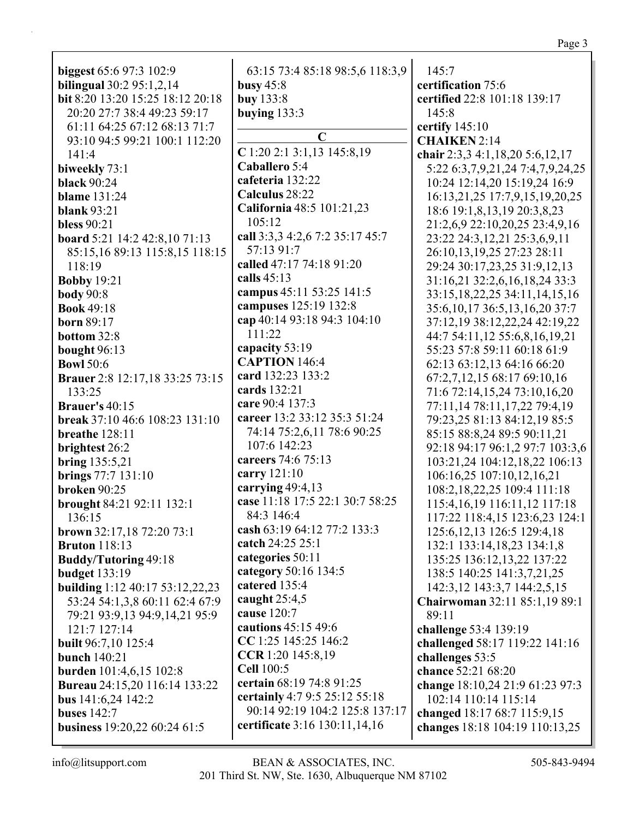| biggest 65:6 97:3 102:9<br><b>bilingual</b> 30:2 95:1,2,14<br>bit 8:20 13:20 15:25 18:12 20:18<br>20:20 27:7 38:4 49:23 59:17<br>61:11 64:25 67:12 68:13 71:7 | 63:15 73:4 85:18 98:5,6 118:3,9<br>busy $45:8$<br>buy 133:8<br>buying $133:3$ | 145:7<br>certification 75:6<br>certified 22:8 101:18 139:17<br>145:8<br>certify 145:10 |
|---------------------------------------------------------------------------------------------------------------------------------------------------------------|-------------------------------------------------------------------------------|----------------------------------------------------------------------------------------|
| 93:10 94:5 99:21 100:1 112:20<br>141:4                                                                                                                        | $\mathbf C$<br>$C$ 1:20 2:1 3:1,13 145:8,19                                   | <b>CHAIKEN 2:14</b><br>chair 2:3,3 4:1,18,20 5:6,12,17                                 |
| biweekly 73:1                                                                                                                                                 | Caballero 5:4                                                                 | 5:22 6:3,7,9,21,24 7:4,7,9,24,25                                                       |
| <b>black 90:24</b>                                                                                                                                            | cafeteria 132:22                                                              | 10:24 12:14,20 15:19,24 16:9                                                           |
| <b>blame</b> 131:24                                                                                                                                           | Calculus 28:22                                                                | 16:13,21,25 17:7,9,15,19,20,25                                                         |
| <b>blank</b> 93:21                                                                                                                                            | California 48:5 101:21,23                                                     | 18:6 19:1,8,13,19 20:3,8,23                                                            |
| <b>bless</b> 90:21                                                                                                                                            | 105:12                                                                        | 21:2,6,9 22:10,20,25 23:4,9,16                                                         |
| board 5:21 14:2 42:8,10 71:13                                                                                                                                 | call 3:3,3 4:2,6 7:2 35:17 45:7                                               | 23:22 24:3,12,21 25:3,6,9,11                                                           |
| 85:15,16 89:13 115:8,15 118:15                                                                                                                                | 57:13 91:7                                                                    | 26:10,13,19,25 27:23 28:11                                                             |
| 118:19                                                                                                                                                        | called 47:17 74:18 91:20                                                      | 29:24 30:17,23,25 31:9,12,13                                                           |
| <b>Bobby 19:21</b>                                                                                                                                            | calls $45:13$                                                                 | 31:16,21 32:2,6,16,18,24 33:3                                                          |
| <b>body</b> 90:8                                                                                                                                              | campus 45:11 53:25 141:5                                                      | 33:15,18,22,25 34:11,14,15,16                                                          |
| <b>Book 49:18</b>                                                                                                                                             | campuses 125:19 132:8                                                         | 35:6, 10, 17 36:5, 13, 16, 20 37:7                                                     |
| <b>born</b> 89:17                                                                                                                                             | cap 40:14 93:18 94:3 104:10                                                   | 37:12,19 38:12,22,24 42:19,22                                                          |
| bottom 32:8                                                                                                                                                   | 111:22                                                                        | 44:7 54:11,12 55:6,8,16,19,21                                                          |
| bought 96:13                                                                                                                                                  | capacity 53:19                                                                | 55:23 57:8 59:11 60:18 61:9                                                            |
| <b>Bowl 50:6</b>                                                                                                                                              | <b>CAPTION 146:4</b>                                                          | 62:13 63:12,13 64:16 66:20                                                             |
| <b>Brauer</b> 2:8 12:17,18 33:25 73:15                                                                                                                        | card 132:23 133:2                                                             | 67:2,7,12,15 68:17 69:10,16                                                            |
| 133:25                                                                                                                                                        | cards 132:21                                                                  | 71:6 72:14,15,24 73:10,16,20                                                           |
| <b>Brauer's 40:15</b>                                                                                                                                         | care 90:4 137:3                                                               | 77:11,14 78:11,17,22 79:4,19                                                           |
| break 37:10 46:6 108:23 131:10                                                                                                                                | career 13:2 33:12 35:3 51:24                                                  | 79:23,25 81:13 84:12,19 85:5                                                           |
| breathe 128:11                                                                                                                                                | 74:14 75:2,6,11 78:6 90:25<br>107:6 142:23                                    | 85:15 88:8,24 89:5 90:11,21                                                            |
| brightest 26:2                                                                                                                                                | careers 74:6 75:13                                                            | 92:18 94:17 96:1,2 97:7 103:3,6                                                        |
| <b>bring</b> 135:5,21                                                                                                                                         | carry 121:10                                                                  | 103:21,24 104:12,18,22 106:13                                                          |
| brings 77:7 131:10                                                                                                                                            | carrying $49:4,13$                                                            | 106:16,25 107:10,12,16,21                                                              |
| <b>broken</b> 90:25                                                                                                                                           | case 11:18 17:5 22:1 30:7 58:25                                               | 108:2,18,22,25 109:4 111:18                                                            |
| brought 84:21 92:11 132:1                                                                                                                                     | 84:3 146:4                                                                    | 115:4, 16, 19 116: 11, 12 117: 18                                                      |
| 136:15                                                                                                                                                        | cash 63:19 64:12 77:2 133:3                                                   | 117:22 118:4,15 123:6,23 124:1<br>125:6, 12, 13 126:5 129:4, 18                        |
| brown 32:17,18 72:20 73:1<br><b>Bruton</b> 118:13                                                                                                             | catch 24:25 25:1                                                              | 132:1 133:14,18,23 134:1,8                                                             |
| <b>Buddy/Tutoring 49:18</b>                                                                                                                                   | categories 50:11                                                              | 135:25 136:12,13,22 137:22                                                             |
| <b>budget</b> 133:19                                                                                                                                          | category 50:16 134:5                                                          | 138:5 140:25 141:3,7,21,25                                                             |
| building 1:12 40:17 53:12,22,23                                                                                                                               | catered 135:4                                                                 | 142:3, 12 143:3, 7 144:2, 5, 15                                                        |
| 53:24 54:1,3,8 60:11 62:4 67:9                                                                                                                                | caught 25:4,5                                                                 | Chairwoman 32:11 85:1,19 89:1                                                          |
| 79:21 93:9,13 94:9,14,21 95:9                                                                                                                                 | cause 120:7                                                                   | 89:11                                                                                  |
| 121:7 127:14                                                                                                                                                  | cautions 45:15 49:6                                                           | challenge 53:4 139:19                                                                  |
| <b>built</b> 96:7,10 125:4                                                                                                                                    | CC 1:25 145:25 146:2                                                          | challenged 58:17 119:22 141:16                                                         |
| bunch $140:21$                                                                                                                                                | CCR 1:20 145:8,19                                                             | challenges 53:5                                                                        |
| <b>burden</b> 101:4,6,15 102:8                                                                                                                                | <b>Cell 100:5</b>                                                             | chance 52:21 68:20                                                                     |
| <b>Bureau</b> 24:15,20 116:14 133:22                                                                                                                          | certain 68:19 74:8 91:25                                                      | change 18:10,24 21:9 61:23 97:3                                                        |
| bus $141:6,24$ $142:2$                                                                                                                                        | certainly 4:7 9:5 25:12 55:18                                                 | 102:14 110:14 115:14                                                                   |
| <b>buses</b> 142:7                                                                                                                                            | 90:14 92:19 104:2 125:8 137:17                                                | changed 18:17 68:7 115:9,15                                                            |
| business 19:20,22 60:24 61:5                                                                                                                                  | certificate 3:16 130:11,14,16                                                 | changes 18:18 104:19 110:13,25                                                         |
|                                                                                                                                                               |                                                                               |                                                                                        |

Page 3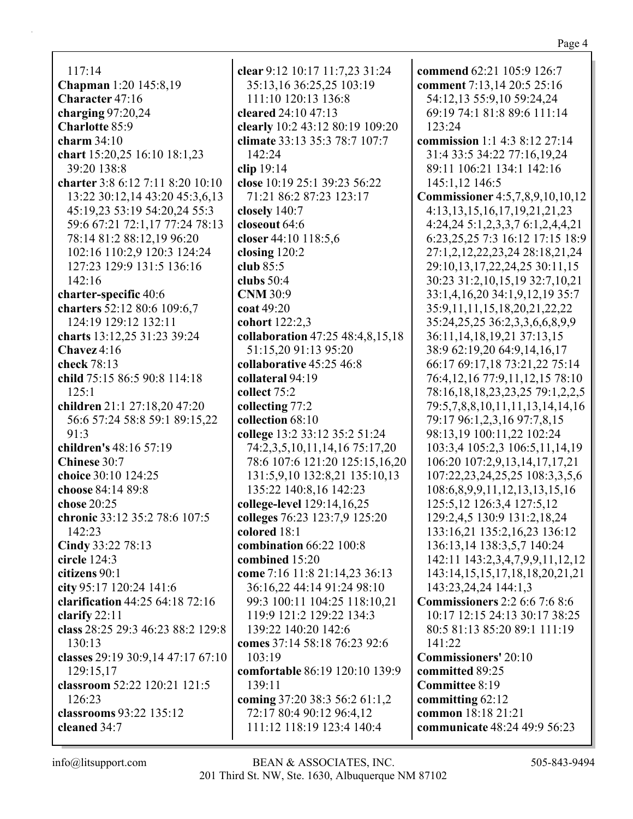| 35:13,16 36:25,25 103:19         | comment 7:13,14 20:5 25:16           |
|----------------------------------|--------------------------------------|
| 111:10 120:13 136:8              | 54:12,13 55:9,10 59:24,24            |
| cleared 24:10 47:13              | 69:19 74:1 81:8 89:6 111:14          |
| clearly 10:2 43:12 80:19 109:20  | 123:24                               |
| climate 33:13 35:3 78:7 107:7    | commission 1:1 4:3 8:12 27:14        |
| 142:24                           | 31:4 33:5 34:22 77:16,19,24          |
| clip $19:14$                     | 89:11 106:21 134:1 142:16            |
| close 10:19 25:1 39:23 56:22     | 145:1,12 146:5                       |
| 71:21 86:2 87:23 123:17          | Commissioner 4:5,7,8,9,10,10,12      |
| closely 140:7                    | 4:13, 13, 15, 16, 17, 19, 21, 21, 23 |
| closeout 64:6                    | 4:24,24 5:1,2,3,3,7 6:1,2,4,4,21     |
| closer 44:10 118:5,6             | 6:23, 25, 25 7:3 16:12 17:15 18:9    |
| closing 120:2                    | 27:1,2,12,22,23,24 28:18,21,24       |
| club $85:5$                      | 29:10,13,17,22,24,25 30:11,15        |
| clubs $50:4$                     | 30:23 31:2,10,15,19 32:7,10,21       |
| <b>CNM</b> 30:9                  | 33:1,4,16,20 34:1,9,12,19 35:7       |
| coat 49:20                       | 35:9,11,11,15,18,20,21,22,22         |
| cohort 122:2,3                   | 35:24,25,25 36:2,3,3,6,6,8,9,9       |
| collaboration 47:25 48:4,8,15,18 | 36:11, 14, 18, 19, 21 37:13, 15      |
| 51:15,20 91:13 95:20             | 38:9 62:19,20 64:9,14,16,17          |
| collaborative 45:25 46:8         | 66:17 69:17,18 73:21,22 75:14        |
| collateral 94:19                 | 76:4, 12, 16 77:9, 11, 12, 15 78:10  |
| collect 75:2                     | 78:16,18,18,23,23,25 79:1,2,2,5      |
| collecting 77:2                  | 79:5,7,8,8,10,11,11,13,14,14,16      |
| collection 68:10                 | 79:17 96:1,2,3,16 97:7,8,15          |
| college 13:2 33:12 35:2 51:24    | 98:13,19 100:11,22 102:24            |
| 74:2,3,5,10,11,14,16 75:17,20    | 103:3,4 105:2,3 106:5,11,14,19       |
| 78:6 107:6 121:20 125:15,16,20   | 106:20 107:2,9,13,14,17,17,21        |
| 131:5,9,10 132:8,21 135:10,13    | 107:22,23,24,25,25 108:3,3,5,6       |
| 135:22 140:8,16 142:23           | 108:6,8,9,9,11,12,13,13,15,16        |
| college-level 129:14,16,25       | 125:5, 12 126:3, 4 127:5, 12         |
| colleges 76:23 123:7,9 125:20    | 129:2,4,5 130:9 131:2,18,24          |
| colored 18:1                     | 133:16,21 135:2,16,23 136:12         |
| combination 66:22 100:8          | 136:13,14 138:3,5,7 140:24           |
| combined 15:20                   | 142:11 143:2,3,4,7,9,9,11,12,12      |
| come 7:16 11:8 21:14,23 36:13    | 143:14,15,15,17,18,18,20,21,21       |
| 36:16,22 44:14 91:24 98:10       | 143:23,24,24 144:1,3                 |
| 99:3 100:11 104:25 118:10,21     | <b>Commissioners</b> 2:2 6:6 7:6 8:6 |
| 119:9 121:2 129:22 134:3         | 10:17 12:15 24:13 30:17 38:25        |
| 139:22 140:20 142:6              | 80:5 81:13 85:20 89:1 111:19         |
| comes 37:14 58:18 76:23 92:6     | 141:22                               |
| 103:19                           | <b>Commissioners' 20:10</b>          |

**committed** 89:25 **Committee** 8:19 **committing** 62:12 **common** 18:18 21:21

**communicate** 48:24 49:9 56:23

103:19 **comfortable** 86:19 120:10 139:9 139:11 **coming** 37:20 38:3 56:2 61:1,2 72:17 80:4 90:12 96:4,12 111:12 118:19 123:4 140:4

**clear** 9:12 10:17 11:7,23 31:24

117:14

**Character** 47:16 **charging** 97:20,24 **Charlotte** 85:9 **charm** 34:10

39:20 138:8

142:16

**Chavez** 4:16 **check** 78:13

125:1

91:3

**Chinese** 30:7

**chose** 20:25

142:23

**circle** 124:3 **citizens** 90:1

**clarify** 22:11

130:13

126:23

**cleaned** 34:7

129:15,17

**charter-specific** 40:6

**charters** 52:12 80:6 109:6,7 124:19 129:12 132:11 **charts** 13:12,25 31:23 39:24

**child** 75:15 86:5 90:8 114:18

**children** 21:1 27:18,20 47:20 56:6 57:24 58:8 59:1 89:15,22

**chronic** 33:12 35:2 78:6 107:5

**clarification** 44:25 64:18 72:16

**class** 28:25 29:3 46:23 88:2 129:8

**classes** 29:19 30:9,14 47:17 67:10

**classroom** 52:22 120:21 121:5

**classrooms** 93:22 135:12

**children's** 48:16 57:19

**choice** 30:10 124:25 **choose** 84:14 89:8

**Cindy** 33:22 78:13

**city** 95:17 120:24 141:6

**Chapman** 1:20 145:8,19

**chart** 15:20,25 16:10 18:1,23

**charter** 3:8 6:12 7:11 8:20 10:10 13:22 30:12,14 43:20 45:3,6,13 45:19,23 53:19 54:20,24 55:3 59:6 67:21 72:1,17 77:24 78:13 78:14 81:2 88:12,19 96:20 102:16 110:2,9 120:3 124:24 127:23 129:9 131:5 136:16

Page 4

**commend** 62:21 105:9 126:7 **comment** 7:13,14 20:5 25:16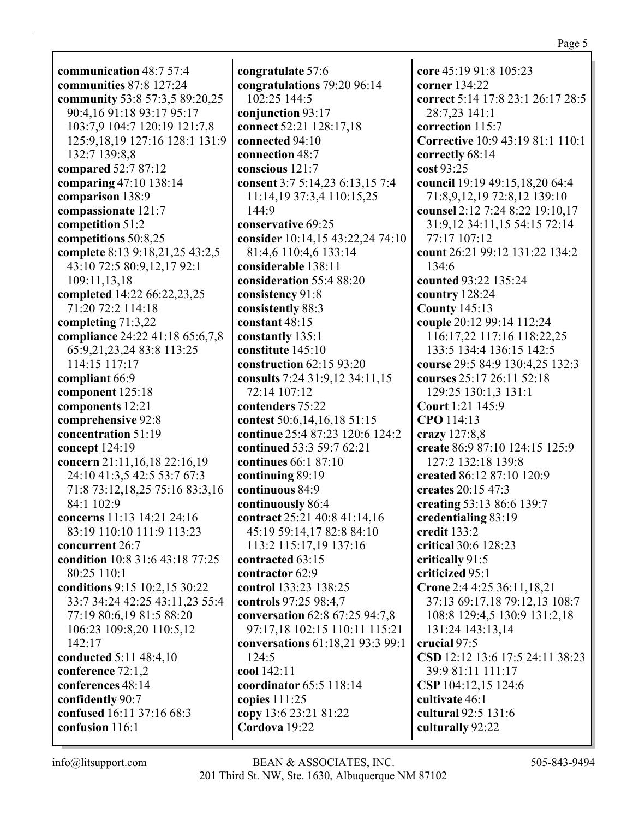**communication** 48:7 57:4 **communities** 87:8 127:24 **community** 53:8 57:3,5 89:20,25 90:4,16 91:18 93:17 95:17 103:7,9 104:7 120:19 121:7,8 125:9,18,19 127:16 128:1 131:9 132:7 139:8,8 **compared** 52:7 87:12 **comparing** 47:10 138:14 **comparison** 138:9 **compassionate** 121:7 **competition** 51:2 **competitions** 50:8,25 **complete** 8:13 9:18,21,25 43:2,5 43:10 72:5 80:9,12,17 92:1 109:11,13,18 **completed** 14:22 66:22,23,25 71:20 72:2 114:18 **completing** 71:3,22 **compliance** 24:22 41:18 65:6,7,8 65:9,21,23,24 83:8 113:25 114:15 117:17 **compliant** 66:9 **component** 125:18 **components** 12:21 **comprehensive** 92:8 **concentration** 51:19 **concept** 124:19 **concern** 21:11,16,18 22:16,19 24:10 41:3,5 42:5 53:7 67:3 71:8 73:12,18,25 75:16 83:3,16 84:1 102:9 **concerns** 11:13 14:21 24:16 83:19 110:10 111:9 113:23 **concurrent** 26:7 **condition** 10:8 31:6 43:18 77:25 80:25 110:1 **conditions** 9:15 10:2,15 30:22 33:7 34:24 42:25 43:11,23 55:4 77:19 80:6,19 81:5 88:20 106:23 109:8,20 110:5,12 142:17 **conducted** 5:11 48:4,10 **conference** 72:1,2 **conferences** 48:14 **confidently** 90:7 **confused** 16:11 37:16 68:3 **confusion** 116:1

**congratulate** 57:6 **congratulations** 79:20 96:14 102:25 144:5 **conjunction** 93:17 **connect** 52:21 128:17,18 **connected** 94:10 **connection** 48:7 **conscious** 121:7 **consent** 3:7 5:14,23 6:13,15 7:4 11:14,19 37:3,4 110:15,25 144:9 **conservative** 69:25 **consider** 10:14,15 43:22,24 74:10 81:4,6 110:4,6 133:14 **considerable** 138:11 **consideration** 55:4 88:20 **consistency** 91:8 **consistently** 88:3 **constant** 48:15 **constantly** 135:1 **constitute** 145:10 **construction** 62:15 93:20 **consults** 7:24 31:9,12 34:11,15 72:14 107:12 **contenders** 75:22 **contest** 50:6,14,16,18 51:15 **continue** 25:4 87:23 120:6 124:2 **continued** 53:3 59:7 62:21 **continues** 66:1 87:10 **continuing** 89:19 **continuous** 84:9 **continuously** 86:4 **contract** 25:21 40:8 41:14,16 45:19 59:14,17 82:8 84:10 113:2 115:17,19 137:16 **contracted** 63:15 **contractor** 62:9 **control** 133:23 138:25 **controls** 97:25 98:4,7 **conversation** 62:8 67:25 94:7,8 97:17,18 102:15 110:11 115:21 **conversations** 61:18,21 93:3 99:1 124:5 **cool** 142:11 **coordinator** 65:5 118:14 **copies** 111:25 **copy** 13:6 23:21 81:22 **Cordova** 19:22

**core** 45:19 91:8 105:23 **corner** 134:22 **correct** 5:14 17:8 23:1 26:17 28:5 28:7,23 141:1 **correction** 115:7 **Corrective** 10:9 43:19 81:1 110:1 **correctly** 68:14 **cost** 93:25 **council** 19:19 49:15,18,20 64:4 71:8,9,12,19 72:8,12 139:10 **counsel** 2:12 7:24 8:22 19:10,17 31:9,12 34:11,15 54:15 72:14 77:17 107:12 **count** 26:21 99:12 131:22 134:2 134:6 **counted** 93:22 135:24 **country** 128:24 **County** 145:13 **couple** 20:12 99:14 112:24 116:17,22 117:16 118:22,25 133:5 134:4 136:15 142:5 **course** 29:5 84:9 130:4,25 132:3 **courses** 25:17 26:11 52:18 129:25 130:1,3 131:1 **Court** 1:21 145:9 **CPO** 114:13 **crazy** 127:8,8 **create** 86:9 87:10 124:15 125:9 127:2 132:18 139:8 **created** 86:12 87:10 120:9 **creates** 20:15 47:3 **creating** 53:13 86:6 139:7 **credentialing** 83:19 **credit** 133:2 **critical** 30:6 128:23 **critically** 91:5 **criticized** 95:1 **Crone** 2:4 4:25 36:11,18,21 37:13 69:17,18 79:12,13 108:7 108:8 129:4,5 130:9 131:2,18 131:24 143:13,14 **crucial** 97:5 **CSD** 12:12 13:6 17:5 24:11 38:23 39:9 81:11 111:17 **CSP** 104:12,15 124:6 **cultivate** 46:1 **cultural** 92:5 131:6 **culturally** 92:22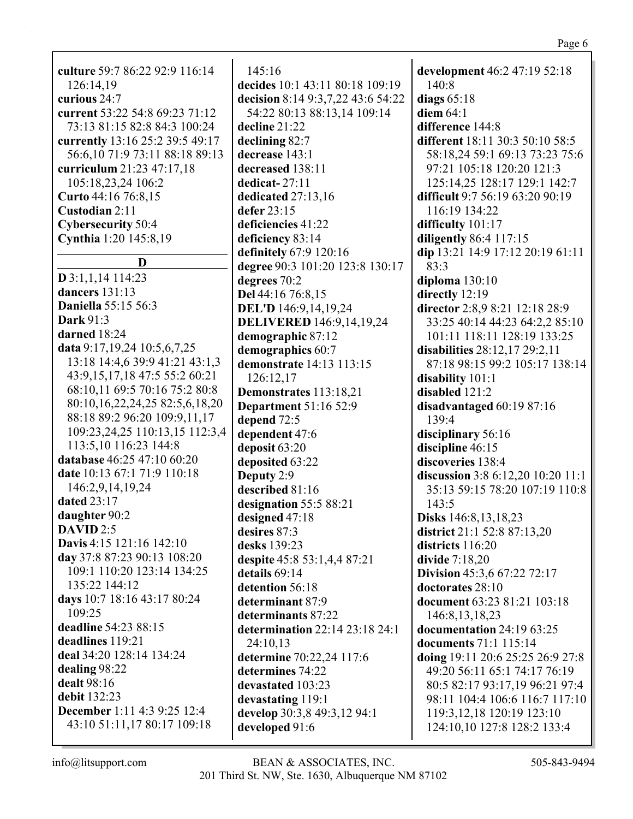**culture** 59:7 86:22 92:9 116:14 126:14,19 **curious** 24:7 **current** 53:22 54:8 69:23 71:12 73:13 81:15 82:8 84:3 100:24 **currently** 13:16 25:2 39:5 49:17 56:6,10 71:9 73:11 88:18 89:13 **curriculum** 21:23 47:17,18 105:18,23,24 106:2 **Curto** 44:16 76:8,15 **Custodian** 2:11 **Cybersecurity** 50:4 **Cynthia** 1:20 145:8,19 **D D** 3:1,1,14 114:23 **dancers** 131:13 **Daniella** 55:15 56:3 **Dark** 91:3 **darned** 18:24 **data** 9:17,19,24 10:5,6,7,25 13:18 14:4,6 39:9 41:21 43:1,3 43:9,15,17,18 47:5 55:2 60:21 68:10,11 69:5 70:16 75:2 80:8 80:10,16,22,24,25 82:5,6,18,20 88:18 89:2 96:20 109:9,11,17 109:23,24,25 110:13,15 112:3,4 113:5,10 116:23 144:8 **database** 46:25 47:10 60:20 **date** 10:13 67:1 71:9 110:18 146:2,9,14,19,24 **dated** 23:17 **daughter** 90:2 **DAVID** 2:5 **Davis** 4:15 121:16 142:10 **day** 37:8 87:23 90:13 108:20 109:1 110:20 123:14 134:25 135:22 144:12 **days** 10:7 18:16 43:17 80:24 109:25 **deadline** 54:23 88:15 **deadlines** 119:21 **deal** 34:20 128:14 134:24 **dealing** 98:22 **dealt** 98:16 **debit** 132:23 **December** 1:11 4:3 9:25 12:4 43:10 51:11,17 80:17 109:18

145:16 **decides** 10:1 43:11 80:18 109:19 **decision** 8:14 9:3,7,22 43:6 54:22 54:22 80:13 88:13,14 109:14 **decline** 21:22 **declining** 82:7 **decrease** 143:1 **decreased** 138:11 **dedicat-** 27:11 **dedicated** 27:13,16 **defer** 23:15 **deficiencies** 41:22 **deficiency** 83:14 **definitely** 67:9 120:16 **degree** 90:3 101:20 123:8 130:17 **degrees** 70:2 **Del** 44:16 76:8,15 **DEL'D** 146:9,14,19,24 **DELIVERED** 146:9,14,19,24 **demographic** 87:12 **demographics** 60:7 **demonstrate** 14:13 113:15 126:12,17 **Demonstrates** 113:18,21 **Department** 51:16 52:9 **depend** 72:5 **dependent** 47:6 **deposit** 63:20 **deposited** 63:22 **Deputy** 2:9 **described** 81:16 **designation** 55:5 88:21 **designed** 47:18 **desires** 87:3 **desks** 139:23 **despite** 45:8 53:1,4,4 87:21 **details** 69:14 **detention** 56:18 **determinant** 87:9 **determinants** 87:22 **determination** 22:14 23:18 24:1 24:10,13 **determine** 70:22,24 117:6 **determines** 74:22 **devastated** 103:23 **devastating** 119:1 **develop** 30:3,8 49:3,12 94:1 **developed** 91:6

**development** 46:2 47:19 52:18 140:8 **diags** 65:18 **diem** 64:1 **difference** 144:8 **different** 18:11 30:3 50:10 58:5 58:18,24 59:1 69:13 73:23 75:6 97:21 105:18 120:20 121:3 125:14,25 128:17 129:1 142:7 **difficult** 9:7 56:19 63:20 90:19 116:19 134:22 **difficulty** 101:17 **diligently** 86:4 117:15 **dip** 13:21 14:9 17:12 20:19 61:11 83:3 **diploma** 130:10 **directly** 12:19 **director** 2:8,9 8:21 12:18 28:9 33:25 40:14 44:23 64:2,2 85:10 101:11 118:11 128:19 133:25 **disabilities** 28:12,17 29:2,11 87:18 98:15 99:2 105:17 138:14 **disability** 101:1 **disabled** 121:2 **disadvantaged** 60:19 87:16 139:4 **disciplinary** 56:16 **discipline** 46:15 **discoveries** 138:4 **discussion** 3:8 6:12,20 10:20 11:1 35:13 59:15 78:20 107:19 110:8 143:5 **Disks** 146:8,13,18,23 **district** 21:1 52:8 87:13,20 **districts** 116:20 **divide** 7:18,20 **Division** 45:3,6 67:22 72:17 **doctorates** 28:10 **document** 63:23 81:21 103:18 146:8,13,18,23 **documentation** 24:19 63:25 **documents** 71:1 115:14 **doing** 19:11 20:6 25:25 26:9 27:8 49:20 56:11 65:1 74:17 76:19 80:5 82:17 93:17,19 96:21 97:4 98:11 104:4 106:6 116:7 117:10 119:3,12,18 120:19 123:10 124:10,10 127:8 128:2 133:4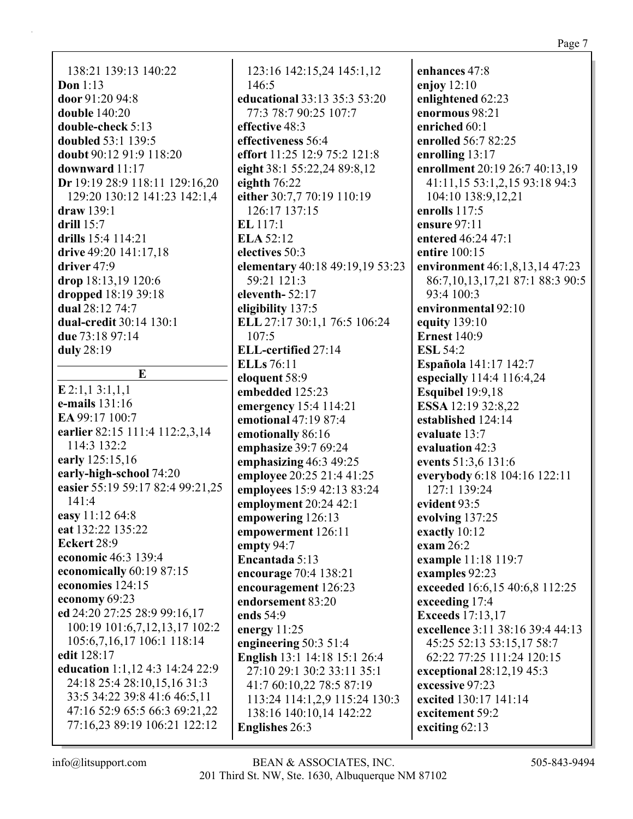138:21 139:13 140:22 **Don** 1:13 **door** 91:20 94:8 **double** 140:20 **double-check** 5:13 **doubled** 53:1 139:5 **doubt** 90:12 91:9 118:20 **downward** 11:17 **Dr** 19:19 28:9 118:11 129:16,20 129:20 130:12 141:23 142:1,4 **draw** 139:1 **drill** 15:7 **drills** 15:4 114:21 **drive** 49:20 141:17,18 **driver** 47:9 **drop** 18:13,19 120:6 **dropped** 18:19 39:18 **dual** 28:12 74:7 **dual-credit** 30:14 130:1 **due** 73:18 97:14 **duly** 28:19

**E E** 2:1,1 3:1,1,1 **e-mails** 131:16 **EA** 99:17 100:7 **earlier** 82:15 111:4 112:2,3,14 114:3 132:2 **early** 125:15,16 **early-high-school** 74:20 **easier** 55:19 59:17 82:4 99:21,25 141:4 **easy** 11:12 64:8 **eat** 132:22 135:22 **Eckert** 28:9 **economic** 46:3 139:4 **economically** 60:19 87:15 **economies** 124:15 **economy** 69:23 **ed** 24:20 27:25 28:9 99:16,17 100:19 101:6,7,12,13,17 102:2 105:6,7,16,17 106:1 118:14 **edit** 128:17 **education** 1:1,12 4:3 14:24 22:9 24:18 25:4 28:10,15,16 31:3 33:5 34:22 39:8 41:6 46:5,11 47:16 52:9 65:5 66:3 69:21,22 77:16,23 89:19 106:21 122:12

123:16 142:15,24 145:1,12 146:5 **educational** 33:13 35:3 53:20 77:3 78:7 90:25 107:7 **effective** 48:3 **effectiveness** 56:4 **effort** 11:25 12:9 75:2 121:8 **eight** 38:1 55:22,24 89:8,12 **eighth** 76:22 **either** 30:7,7 70:19 110:19 126:17 137:15 **EL** 117:1 **ELA** 52:12 **electives** 50:3 **elementary** 40:18 49:19,19 53:23 59:21 121:3 **eleventh-** 52:17 **eligibility** 137:5 **ELL** 27:17 30:1,1 76:5 106:24 107:5 **ELL-certified** 27:14 **ELLs** 76:11 **eloquent** 58:9 **embedded** 125:23 **emergency** 15:4 114:21 **emotional** 47:19 87:4 **emotionally** 86:16 **emphasize** 39:7 69:24 **emphasizing** 46:3 49:25 **employee** 20:25 21:4 41:25 **employees** 15:9 42:13 83:24 **employment** 20:24 42:1 **empowering** 126:13 **empowerment** 126:11 **empty** 94:7 **Encantada** 5:13 **encourage** 70:4 138:21 **encouragement** 126:23 **endorsement** 83:20 **ends** 54:9 **energy** 11:25 **engineering** 50:3 51:4 **English** 13:1 14:18 15:1 26:4 27:10 29:1 30:2 33:11 35:1 41:7 60:10,22 78:5 87:19 113:24 114:1,2,9 115:24 130:3 138:16 140:10,14 142:22 **Englishes** 26:3

**enhances** 47:8 **enjoy** 12:10 **enlightened** 62:23 **enormous** 98:21 **enriched** 60:1 **enrolled** 56:7 82:25 **enrolling** 13:17 **enrollment** 20:19 26:7 40:13,19 41:11,15 53:1,2,15 93:18 94:3 104:10 138:9,12,21 **enrolls** 117:5 **ensure** 97:11 **entered** 46:24 47:1 **entire** 100:15 **environment** 46:1,8,13,14 47:23 86:7,10,13,17,21 87:1 88:3 90:5 93:4 100:3 **environmental** 92:10 **equity** 139:10 **Ernest** 140:9 **ESL** 54:2 **Española** 141:17 142:7 **especially** 114:4 116:4,24 **Esquibel** 19:9,18 **ESSA** 12:19 32:8,22 **established** 124:14 **evaluate** 13:7 **evaluation** 42:3 **events** 51:3,6 131:6 **everybody** 6:18 104:16 122:11 127:1 139:24 **evident** 93:5 **evolving** 137:25 **exactly** 10:12 **exam** 26:2 **example** 11:18 119:7 **examples** 92:23 **exceeded** 16:6,15 40:6,8 112:25 **exceeding** 17:4 **Exceeds** 17:13,17 **excellence** 3:11 38:16 39:4 44:13 45:25 52:13 53:15,17 58:7 62:22 77:25 111:24 120:15 **exceptional** 28:12,19 45:3 **excessive** 97:23 **excited** 130:17 141:14 **excitement** 59:2 **exciting** 62:13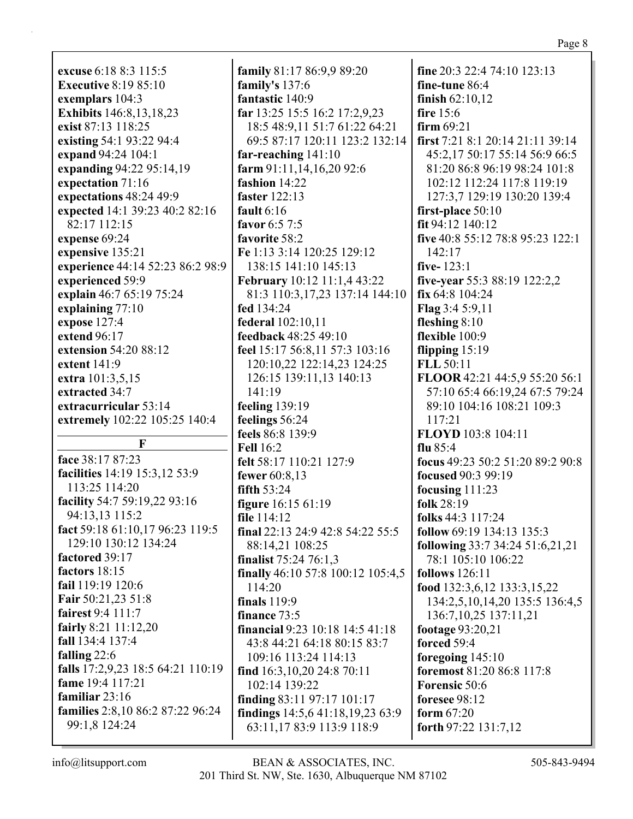|                                   |                                        | r age                            |
|-----------------------------------|----------------------------------------|----------------------------------|
|                                   |                                        |                                  |
| excuse 6:18 8:3 115:5             | family 81:17 86:9,9 89:20              | fine 20:3 22:4 74:10 123:13      |
| <b>Executive 8:19 85:10</b>       | family's 137:6                         | fine-tune 86:4                   |
| exemplars 104:3                   | fantastic 140:9                        | finish $62:10,12$                |
| <b>Exhibits</b> 146:8, 13, 18, 23 | far 13:25 15:5 16:2 17:2,9,23          | fire 15:6                        |
| exist 87:13 118:25                | 18:5 48:9,11 51:7 61:22 64:21          | firm $69:21$                     |
| existing 54:1 93:22 94:4          | 69:5 87:17 120:11 123:2 132:14         | first 7:21 8:1 20:14 21:11 39:14 |
| expand 94:24 104:1                | far-reaching $141:10$                  | 45:2,17 50:17 55:14 56:9 66:5    |
| expanding 94:22 95:14,19          | farm 91:11,14,16,20 92:6               | 81:20 86:8 96:19 98:24 101:8     |
| expectation 71:16                 | fashion 14:22                          | 102:12 112:24 117:8 119:19       |
| expectations 48:24 49:9           | faster 122:13                          | 127:3,7 129:19 130:20 139:4      |
| expected 14:1 39:23 40:2 82:16    | fault $6:16$                           | first-place 50:10                |
| 82:17 112:15                      | favor 6:5 7:5                          | fit 94:12 140:12                 |
| expense 69:24                     | favorite 58:2                          | five 40:8 55:12 78:8 95:23 122:1 |
| expensive 135:21                  | Fe 1:13 3:14 120:25 129:12             | 142:17                           |
| experience 44:14 52:23 86:2 98:9  | 138:15 141:10 145:13                   | five- $123:1$                    |
| experienced 59:9                  | <b>February</b> 10:12 11:1,4 43:22     | five-year 55:3 88:19 122:2,2     |
| explain 46:7 65:19 75:24          | 81:3 110:3,17,23 137:14 144:10         | fix 64:8 104:24                  |
| explaining 77:10                  | fed 134:24                             | Flag 3:4 5:9,11                  |
| expose 127:4                      | federal 102:10,11                      | fleshing $8:10$                  |
| extend 96:17                      | feedback 48:25 49:10                   | flexible 100:9                   |
| extension 54:20 88:12             | feel 15:17 56:8,11 57:3 103:16         | flipping $15:19$                 |
| extent 141:9                      | 120:10,22 122:14,23 124:25             | <b>FLL 50:11</b>                 |
| extra 101:3,5,15                  | 126:15 139:11,13 140:13                | FLOOR 42:21 44:5,9 55:20 56:1    |
| extracted 34:7                    | 141:19                                 | 57:10 65:4 66:19,24 67:5 79:24   |
| extracurricular 53:14             | feeling 139:19                         | 89:10 104:16 108:21 109:3        |
| extremely 102:22 105:25 140:4     | feelings 56:24                         | 117:21                           |
|                                   | feels 86:8 139:9                       | FLOYD 103:8 104:11               |
| F                                 | <b>Fell 16:2</b>                       | flu $85:4$                       |
| face 38:17 87:23                  | felt 58:17 110:21 127:9                | focus 49:23 50:2 51:20 89:2 90:8 |
| facilities 14:19 15:3,12 53:9     | fewer 60:8,13                          | focused 90:3 99:19               |
| 113:25 114:20                     | fifth 53:24                            | focusing $111:23$                |
| facility 54:7 59:19,22 93:16      | <b>figure</b> 16:15 61:19              | folk 28:19                       |
| 94:13,13 115:2                    | file 114:12                            | folks 44:3 117:24                |
| fact 59:18 61:10,17 96:23 119:5   | final 22:13 24:9 42:8 54:22 55:5       | follow 69:19 134:13 135:3        |
| 129:10 130:12 134:24              | 88:14,21 108:25                        | following 33:7 34:24 51:6,21,21  |
| factored 39:17                    | finalist 75:24 76:1,3                  | 78:1 105:10 106:22               |
| factors 18:15                     | finally 46:10 57:8 100:12 105:4,5      | follows $126:11$                 |
| fail 119:19 120:6                 | 114:20                                 | food 132:3,6,12 133:3,15,22      |
| Fair 50:21,23 51:8                | <b>finals</b> 119:9                    | 134:2,5,10,14,20 135:5 136:4,5   |
| fairest 9:4 111:7                 | finance 73:5                           | 136:7, 10, 25 137: 11, 21        |
| fairly 8:21 11:12,20              | <b>financial</b> 9:23 10:18 14:5 41:18 | footage 93:20,21                 |
| fall 134:4 137:4                  | 43:8 44:21 64:18 80:15 83:7            | forced 59:4                      |
| falling 22:6                      | 109:16 113:24 114:13                   | foregoing 145:10                 |
| falls 17:2,9,23 18:5 64:21 110:19 | find $16:3,10,20$ 24:8 70:11           | foremost 81:20 86:8 117:8        |
| fame 19:4 117:21                  | 102:14 139:22                          | <b>Forensic 50:6</b>             |
| familiar 23:16                    | finding $83:11\,97:17\,101:17$         | foresee 98:12                    |
| families 2:8,10 86:2 87:22 96:24  | findings 14:5,6 41:18,19,23 63:9       | form $67:20$                     |
| 99:1,8 124:24                     | 63:11,17 83:9 113:9 118:9              | forth $97:22$ 131:7,12           |
|                                   |                                        |                                  |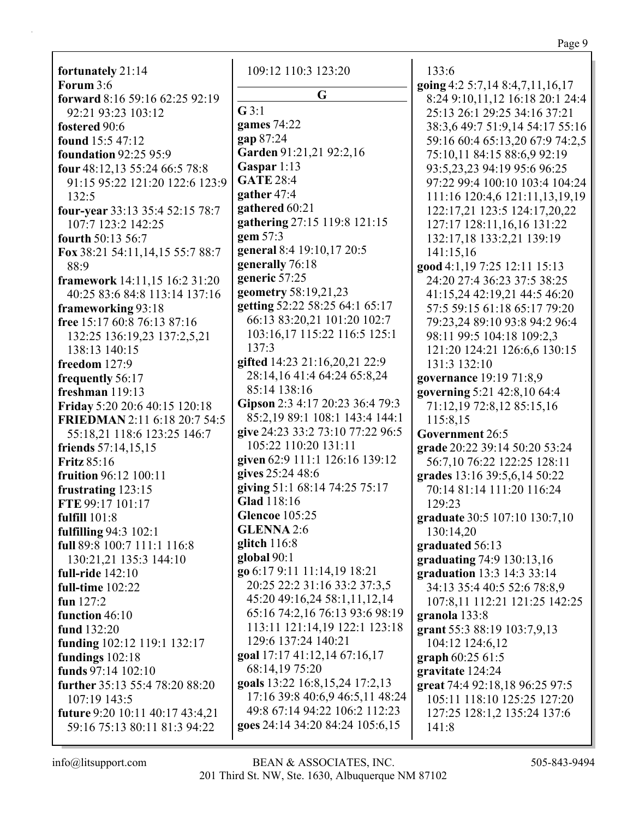Page 9

**fortunately** 21:14 **Forum** 3:6 **forward** 8:16 59:16 62:25 92:19 92:21 93:23 103:12 **fostered** 90:6 **found** 15:5 47:12 **foundation** 92:25 95:9 **four** 48:12,13 55:24 66:5 78:8 91:15 95:22 121:20 122:6 123:9 132:5 **four-year** 33:13 35:4 52:15 78:7 107:7 123:2 142:25 **fourth** 50:13 56:7 **Fox** 38:21 54:11,14,15 55:7 88:7 88:9 **framework** 14:11,15 16:2 31:20 40:25 83:6 84:8 113:14 137:16 **frameworking** 93:18 **free** 15:17 60:8 76:13 87:16 132:25 136:19,23 137:2,5,21 138:13 140:15 **freedom** 127:9 **frequently** 56:17 **freshman** 119:13 **Friday** 5:20 20:6 40:15 120:18 **FRIEDMAN** 2:11 6:18 20:7 54:5 55:18,21 118:6 123:25 146:7 **friends** 57:14,15,15 **Fritz** 85:16 **fruition** 96:12 100:11 **frustrating** 123:15 **FTE** 99:17 101:17 **fulfill** 101:8 **fulfilling** 94:3 102:1 **full** 89:8 100:7 111:1 116:8 130:21,21 135:3 144:10 **full-ride** 142:10 **full-time** 102:22 **fun** 127:2 **function** 46:10 **fund** 132:20 **funding** 102:12 119:1 132:17 **fundings** 102:18 **funds** 97:14 102:10 **further** 35:13 55:4 78:20 88:20 107:19 143:5 **future** 9:20 10:11 40:17 43:4,21 59:16 75:13 80:11 81:3 94:22

109:12 110:3 123:20 **G G** 3:1 **games** 74:22 **gap** 87:24 **Garden** 91:21,21 92:2,16 **Gaspar** 1:13 **GATE** 28:4 **gather** 47:4 **gathered** 60:21 **gathering** 27:15 119:8 121:15 **gem** 57:3 **general** 8:4 19:10,17 20:5 **generally** 76:18 **generic** 57:25 **geometry** 58:19,21,23 **getting** 52:22 58:25 64:1 65:17 66:13 83:20,21 101:20 102:7 103:16,17 115:22 116:5 125:1 137:3 **gifted** 14:23 21:16,20,21 22:9 28:14,16 41:4 64:24 65:8,24 85:14 138:16 **Gipson** 2:3 4:17 20:23 36:4 79:3 85:2,19 89:1 108:1 143:4 144:1 **give** 24:23 33:2 73:10 77:22 96:5 105:22 110:20 131:11 **given** 62:9 111:1 126:16 139:12 **gives** 25:24 48:6 **giving** 51:1 68:14 74:25 75:17 **Glad** 118:16 **Glencoe** 105:25 **GLENNA** 2:6 **glitch** 116:8 **global** 90:1 **go** 6:17 9:11 11:14,19 18:21 20:25 22:2 31:16 33:2 37:3,5 45:20 49:16,24 58:1,11,12,14 65:16 74:2,16 76:13 93:6 98:19 113:11 121:14,19 122:1 123:18 129:6 137:24 140:21 **goal** 17:17 41:12,14 67:16,17 68:14,19 75:20 **goals** 13:22 16:8,15,24 17:2,13 17:16 39:8 40:6,9 46:5,11 48:24 49:8 67:14 94:22 106:2 112:23 **goes** 24:14 34:20 84:24 105:6,15

133:6 **going** 4:2 5:7,14 8:4,7,11,16,17 8:24 9:10,11,12 16:18 20:1 24:4 25:13 26:1 29:25 34:16 37:21 38:3,6 49:7 51:9,14 54:17 55:16 59:16 60:4 65:13,20 67:9 74:2,5 75:10,11 84:15 88:6,9 92:19 93:5,23,23 94:19 95:6 96:25 97:22 99:4 100:10 103:4 104:24 111:16 120:4,6 121:11,13,19,19 122:17,21 123:5 124:17,20,22 127:17 128:11,16,16 131:22 132:17,18 133:2,21 139:19 141:15,16 **good** 4:1,19 7:25 12:11 15:13 24:20 27:4 36:23 37:5 38:25 41:15,24 42:19,21 44:5 46:20 57:5 59:15 61:18 65:17 79:20 79:23,24 89:10 93:8 94:2 96:4 98:11 99:5 104:18 109:2,3 121:20 124:21 126:6,6 130:15 131:3 132:10 **governance** 19:19 71:8,9 **governing** 5:21 42:8,10 64:4 71:12,19 72:8,12 85:15,16 115:8,15 **Government** 26:5 **grade** 20:22 39:14 50:20 53:24 56:7,10 76:22 122:25 128:11 **grades** 13:16 39:5,6,14 50:22 70:14 81:14 111:20 116:24 129:23 **graduate** 30:5 107:10 130:7,10 130:14,20 **graduated** 56:13 **graduating** 74:9 130:13,16 **graduation** 13:3 14:3 33:14 34:13 35:4 40:5 52:6 78:8,9 107:8,11 112:21 121:25 142:25 **granola** 133:8 **grant** 55:3 88:19 103:7,9,13 104:12 124:6,12 **graph** 60:25 61:5 **gravitate** 124:24 **great** 74:4 92:18,18 96:25 97:5 105:11 118:10 125:25 127:20 127:25 128:1,2 135:24 137:6 141:8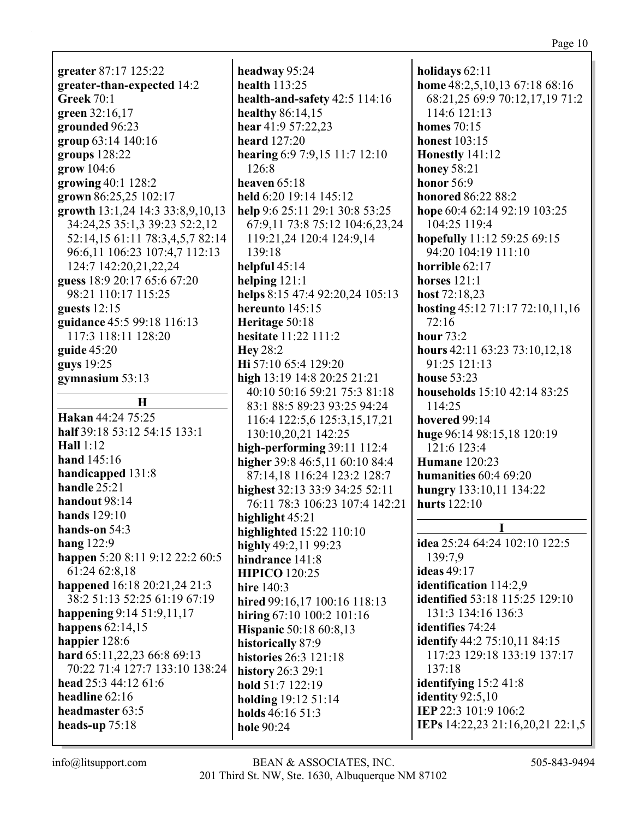**greater** 87:17 125:22 **greater-than-expected** 14:2 **Greek** 70:1 **green** 32:16,17 **grounded** 96:23 **group** 63:14 140:16 **groups** 128:22 **grow** 104:6 **growing** 40:1 128:2 **grown** 86:25,25 102:17 **growth** 13:1,24 14:3 33:8,9,10,13 34:24,25 35:1,3 39:23 52:2,12 52:14,15 61:11 78:3,4,5,7 82:14 96:6,11 106:23 107:4,7 112:13 124:7 142:20,21,22,24 **guess** 18:9 20:17 65:6 67:20 98:21 110:17 115:25 **guests** 12:15 **guidance** 45:5 99:18 116:13 117:3 118:11 128:20 **guide** 45:20 **guys** 19:25 **gymnasium** 53:13 **H Hakan** 44:24 75:25 **half** 39:18 53:12 54:15 133:1 **Hall** 1:12 **hand** 145:16 **handicapped** 131:8 **handle** 25:21 **handout** 98:14 **hands** 129:10 **hands-on** 54:3 **hang** 122:9 **happen** 5:20 8:11 9:12 22:2 60:5 61:24 62:8,18 **happened** 16:18 20:21,24 21:3 38:2 51:13 52:25 61:19 67:19 **happening** 9:14 51:9,11,17 **happens** 62:14,15 **happier** 128:6 **hard** 65:11,22,23 66:8 69:13 70:22 71:4 127:7 133:10 138:24 **head** 25:3 44:12 61:6 **headline** 62:16 **headmaster** 63:5 **heads-up** 75:18

**headway** 95:24 **health** 113:25 **health-and-safety** 42:5 114:16 **healthy** 86:14,15 **hear** 41:9 57:22,23 **heard** 127:20 **hearing** 6:9 7:9,15 11:7 12:10 126:8 **heaven** 65:18 **held** 6:20 19:14 145:12 **help** 9:6 25:11 29:1 30:8 53:25 67:9,11 73:8 75:12 104:6,23,24 119:21,24 120:4 124:9,14 139:18 **helpful** 45:14 **helping** 121:1 **helps** 8:15 47:4 92:20,24 105:13 **hereunto** 145:15 **Heritage** 50:18 **hesitate** 11:22 111:2 **Hey** 28:2 **Hi** 57:10 65:4 129:20 **high** 13:19 14:8 20:25 21:21 40:10 50:16 59:21 75:3 81:18 83:1 88:5 89:23 93:25 94:24 116:4 122:5,6 125:3,15,17,21 130:10,20,21 142:25 **high-performing** 39:11 112:4 **higher** 39:8 46:5,11 60:10 84:4 87:14,18 116:24 123:2 128:7 **highest** 32:13 33:9 34:25 52:11 76:11 78:3 106:23 107:4 142:21 **highlight** 45:21 **highlighted** 15:22 110:10 **highly** 49:2,11 99:23 **hindrance** 141:8 **HIPICO** 120:25 **hire** 140:3 **hired** 99:16,17 100:16 118:13 **hiring** 67:10 100:2 101:16 **Hispanic** 50:18 60:8,13 **historically** 87:9 **histories** 26:3 121:18 **history** 26:3 29:1 **hold** 51:7 122:19 **holding** 19:12 51:14 **holds** 46:16 51:3 **hole** 90:24

**holidays** 62:11 **home** 48:2,5,10,13 67:18 68:16 68:21,25 69:9 70:12,17,19 71:2 114:6 121:13 **homes** 70:15 **honest** 103:15 **Honestly** 141:12 **honey** 58:21 **honor** 56:9 **honored** 86:22 88:2 **hope** 60:4 62:14 92:19 103:25 104:25 119:4 **hopefully** 11:12 59:25 69:15 94:20 104:19 111:10 **horrible** 62:17 **horses** 121:1 **host** 72:18,23 **hosting** 45:12 71:17 72:10,11,16 72:16 **hour** 73:2 **hours** 42:11 63:23 73:10,12,18 91:25 121:13 **house** 53:23 **households** 15:10 42:14 83:25 114:25 **hovered** 99:14 **huge** 96:14 98:15,18 120:19 121:6 123:4 **Humane** 120:23 **humanities** 60:4 69:20 **hungry** 133:10,11 134:22 **hurts** 122:10 **I idea** 25:24 64:24 102:10 122:5 139:7,9 **ideas** 49:17 **identification** 114:2,9 **identified** 53:18 115:25 129:10 131:3 134:16 136:3 **identifies** 74:24 **identify** 44:2 75:10,11 84:15 117:23 129:18 133:19 137:17 137:18 **identifying** 15:2 41:8 **identity** 92:5,10 **IEP** 22:3 101:9 106:2 **IEPs** 14:22,23 21:16,20,21 22:1,5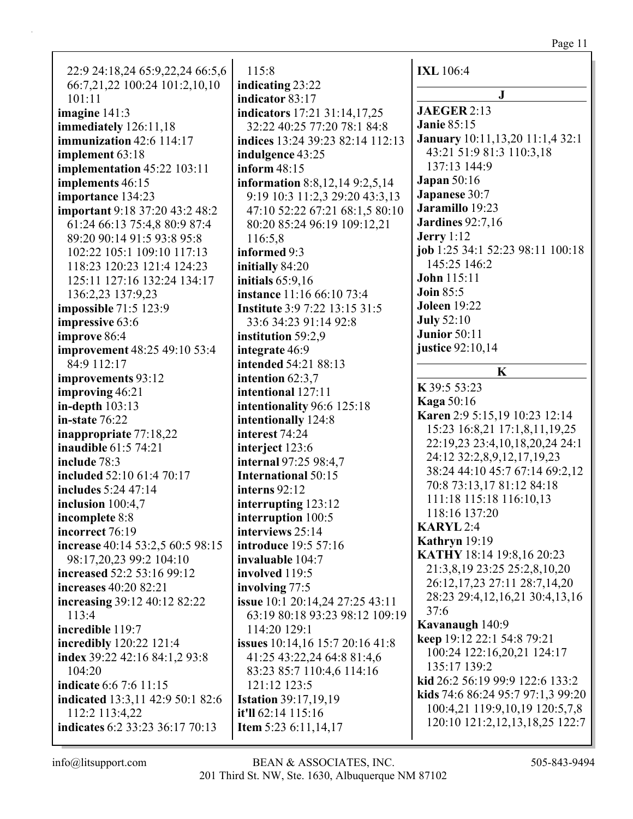# Page 11

| 22:9 24:18,24 65:9,22,24 66:5,6<br>66:7,21,22 100:24 101:2,10,10 | 115:8                                             | <b>IXL</b> 106:4                                               |
|------------------------------------------------------------------|---------------------------------------------------|----------------------------------------------------------------|
| 101:11                                                           | indicating 23:22<br>indicator 83:17               | $\mathbf{J}$                                                   |
| imagine $141:3$                                                  | indicators 17:21 31:14,17,25                      | <b>JAEGER 2:13</b>                                             |
| immediately 126:11,18                                            | 32:22 40:25 77:20 78:1 84:8                       | <b>Janie 85:15</b>                                             |
| immunization 42:6 114:17                                         | indices 13:24 39:23 82:14 112:13                  | <b>January</b> 10:11,13,20 11:1,4 32:1                         |
| implement 63:18                                                  | indulgence 43:25                                  | 43:21 51:9 81:3 110:3,18                                       |
| <b>implementation</b> 45:22 103:11                               | inform 48:15                                      | 137:13 144:9                                                   |
| implements 46:15                                                 | information 8:8,12,14 9:2,5,14                    | <b>Japan</b> 50:16                                             |
| importance 134:23                                                | 9:19 10:3 11:2,3 29:20 43:3,13                    | Japanese 30:7                                                  |
| important 9:18 37:20 43:2 48:2                                   | 47:10 52:22 67:21 68:1,5 80:10                    | Jaramillo 19:23                                                |
| 61:24 66:13 75:4,8 80:9 87:4                                     | 80:20 85:24 96:19 109:12,21                       | <b>Jardines</b> 92:7,16                                        |
| 89:20 90:14 91:5 93:8 95:8                                       | 116:5,8                                           | Jerry $1:12$                                                   |
| 102:22 105:1 109:10 117:13                                       | informed 9:3                                      | job 1:25 34:1 52:23 98:11 100:18                               |
| 118:23 120:23 121:4 124:23                                       | initially 84:20                                   | 145:25 146:2                                                   |
| 125:11 127:16 132:24 134:17                                      | initials $65:9,16$                                | <b>John</b> 115:11                                             |
| 136:2,23 137:9,23                                                | instance 11:16 66:10 73:4                         | <b>Join 85:5</b>                                               |
| <b>impossible</b> 71:5 123:9                                     | <b>Institute</b> 3:9 7:22 13:15 31:5              | <b>Joleen</b> 19:22                                            |
| impressive 63:6                                                  | 33:6 34:23 91:14 92:8                             | <b>July 52:10</b>                                              |
| improve 86:4                                                     | institution 59:2,9                                | Junior 50:11                                                   |
| <b>improvement</b> 48:25 49:10 53:4                              | integrate 46:9                                    | justice 92:10,14                                               |
| 84:9 112:17                                                      | intended 54:21 88:13                              | K                                                              |
| improvements 93:12                                               | intention 62:3,7                                  |                                                                |
| improving 46:21                                                  | intentional 127:11                                | K 39:5 53:23                                                   |
| in-depth $103:13$                                                | intentionality 96:6 125:18                        | <b>Kaga 50:16</b>                                              |
| in-state $76:22$                                                 | intentionally 124:8                               | Karen 2:9 5:15,19 10:23 12:14<br>15:23 16:8,21 17:1,8,11,19,25 |
| inappropriate 77:18,22                                           | interest 74:24                                    | 22:19,23 23:4,10,18,20,24 24:1                                 |
| <b>inaudible</b> 61:5 74:21                                      | interject 123:6                                   | 24:12 32:2,8,9,12,17,19,23                                     |
| include 78:3                                                     | internal 97:25 98:4,7                             | 38:24 44:10 45:7 67:14 69:2,12                                 |
| included 52:10 61:4 70:17                                        | <b>International 50:15</b>                        | 70:8 73:13,17 81:12 84:18                                      |
| includes 5:24 47:14                                              | interns 92:12                                     | 111:18 115:18 116:10,13                                        |
| inclusion $100:4,7$                                              | interrupting 123:12                               | 118:16 137:20                                                  |
| incomplete 8:8                                                   | interruption 100:5                                | <b>KARYL2:4</b>                                                |
| incorrect 76:19                                                  | interviews 25:14                                  | Kathryn 19:19                                                  |
| increase 40:14 53:2,5 60:5 98:15                                 | introduce 19:5 57:16                              | <b>KATHY</b> 18:14 19:8,16 20:23                               |
| 98:17,20,23 99:2 104:10                                          | invaluable 104:7                                  | 21:3,8,19 23:25 25:2,8,10,20                                   |
| increased 52:2 53:16 99:12                                       | involved 119:5                                    | 26:12,17,23 27:11 28:7,14,20                                   |
| <b>increases</b> 40:20 82:21                                     | involving 77:5<br>issue 10:1 20:14,24 27:25 43:11 | 28:23 29:4,12,16,21 30:4,13,16                                 |
| <b>increasing 39:12 40:12 82:22</b><br>113:4                     | 63:19 80:18 93:23 98:12 109:19                    | 37:6                                                           |
| <b>incredible</b> 119:7                                          | 114:20 129:1                                      | Kavanaugh 140:9                                                |
| <b>incredibly</b> 120:22 121:4                                   | <b>issues</b> 10:14,16 15:7 20:16 41:8            | keep 19:12 22:1 54:8 79:21                                     |
| index 39:22 42:16 84:1,2 93:8                                    | 41:25 43:22,24 64:8 81:4,6                        | 100:24 122:16,20,21 124:17                                     |
| 104:20                                                           | 83:23 85:7 110:4,6 114:16                         | 135:17 139:2                                                   |
| <b>indicate</b> 6:6 7:6 11:15                                    | 121:12 123:5                                      | kid 26:2 56:19 99:9 122:6 133:2                                |
| <b>indicated</b> 13:3,11 42:9 50:1 82:6                          | <b>Istation 39:17,19,19</b>                       | kids 74:6 86:24 95:7 97:1,3 99:20                              |
| 112:2 113:4,22                                                   | it'll 62:14 115:16                                | 100:4,21 119:9,10,19 120:5,7,8                                 |
| <b>indicates</b> 6:2 33:23 36:17 70:13                           | Item 5:23 6:11,14,17                              | 120:10 121:2,12,13,18,25 122:7                                 |
|                                                                  |                                                   |                                                                |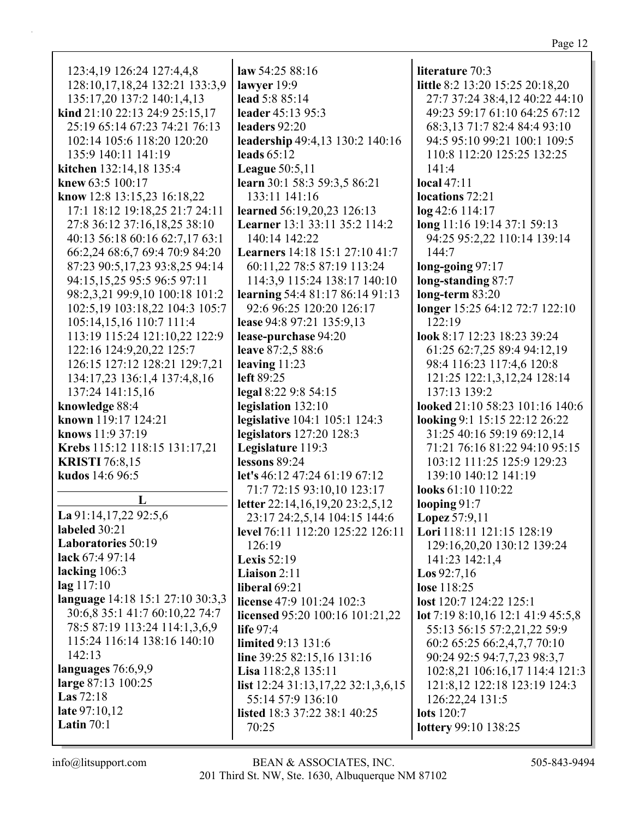Page 12

| 123:4,19 126:24 127:4,4,8        | law $54:2588:16$                        | literature 70:3                   |
|----------------------------------|-----------------------------------------|-----------------------------------|
| 128:10,17,18,24 132:21 133:3,9   | lawyer 19:9                             | little 8:2 13:20 15:25 20:18,20   |
| 135:17,20 137:2 140:1,4,13       | lead 5:8 85:14                          | 27:7 37:24 38:4,12 40:22 44:10    |
| kind 21:10 22:13 24:9 25:15,17   | leader 45:13 95:3                       | 49:23 59:17 61:10 64:25 67:12     |
| 25:19 65:14 67:23 74:21 76:13    | leaders 92:20                           | 68:3,13 71:7 82:4 84:4 93:10      |
| 102:14 105:6 118:20 120:20       | leadership 49:4,13 130:2 140:16         | 94:5 95:10 99:21 100:1 109:5      |
| 135:9 140:11 141:19              | leads $65:12$                           | 110:8 112:20 125:25 132:25        |
| kitchen 132:14,18 135:4          | <b>League</b> 50:5,11                   | 141:4                             |
| knew 63:5 100:17                 | learn 30:1 58:3 59:3,5 86:21            | local $47:11$                     |
| know 12:8 13:15,23 16:18,22      | 133:11 141:16                           | locations 72:21                   |
| 17:1 18:12 19:18,25 21:7 24:11   | learned 56:19,20,23 126:13              | log 42:6 114:17                   |
| 27:8 36:12 37:16,18,25 38:10     | Learner 13:1 33:11 35:2 114:2           | long 11:16 19:14 37:1 59:13       |
| 40:13 56:18 60:16 62:7,17 63:1   | 140:14 142:22                           | 94:25 95:2,22 110:14 139:14       |
| 66:2,24 68:6,7 69:4 70:9 84:20   | <b>Learners</b> 14:18 15:1 27:10 41:7   | 144:7                             |
| 87:23 90:5,17,23 93:8,25 94:14   | 60:11,22 78:5 87:19 113:24              | long-going 97:17                  |
| 94:15,15,25 95:5 96:5 97:11      | 114:3,9 115:24 138:17 140:10            | long-standing 87:7                |
| 98:2,3,21 99:9,10 100:18 101:2   | learning 54:4 81:17 86:14 91:13         | long-term $83:20$                 |
| 102:5,19 103:18,22 104:3 105:7   | 92:6 96:25 120:20 126:17                | longer 15:25 64:12 72:7 122:10    |
| 105:14,15,16 110:7 111:4         | lease 94:8 97:21 135:9,13               | 122:19                            |
| 113:19 115:24 121:10,22 122:9    | lease-purchase 94:20                    | look 8:17 12:23 18:23 39:24       |
| 122:16 124:9,20,22 125:7         | leave 87:2,5 88:6                       | 61:25 62:7,25 89:4 94:12,19       |
| 126:15 127:12 128:21 129:7,21    | leaving $11:23$                         | 98:4 116:23 117:4,6 120:8         |
| 134:17,23 136:1,4 137:4,8,16     | left 89:25                              | 121:25 122:1,3,12,24 128:14       |
| 137:24 141:15,16                 | legal 8:22 9:8 54:15                    | 137:13 139:2                      |
| knowledge 88:4                   | legislation 132:10                      | looked 21:10 58:23 101:16 140:6   |
| known 119:17 124:21              | legislative 104:1 105:1 124:3           | looking 9:1 15:15 22:12 26:22     |
| knows 11:9 37:19                 | legislators 127:20 128:3                | 31:25 40:16 59:19 69:12,14        |
| Krebs 115:12 118:15 131:17,21    | Legislature 119:3                       | 71:21 76:16 81:22 94:10 95:15     |
| <b>KRISTI</b> 76:8,15            | lessons 89:24                           | 103:12 111:25 125:9 129:23        |
| kudos 14:6 96:5                  | let's 46:12 47:24 61:19 67:12           | 139:10 140:12 141:19              |
|                                  | 71:7 72:15 93:10,10 123:17              | looks 61:10 110:22                |
| L                                | letter 22:14,16,19,20 23:2,5,12         | looping $91:7$                    |
| La 91:14,17,22 92:5,6            | 23:17 24:2,5,14 104:15 144:6            | Lopez 57:9,11                     |
| labeled 30:21                    | level 76:11 112:20 125:22 126:11        | Lori 118:11 121:15 128:19         |
| Laboratories 50:19               | 126:19                                  | 129:16,20,20 130:12 139:24        |
| lack 67:4 97:14                  | <b>Lexis</b> 52:19                      | 141:23 142:1,4                    |
| lacking 106:3                    | Liaison 2:11                            | <b>Los</b> $92:7,16$              |
| $\log 117:10$                    | liberal 69:21                           | lose 118:25                       |
| language 14:18 15:1 27:10 30:3,3 | license 47:9 101:24 102:3               | lost 120:7 124:22 125:1           |
| 30:6,8 35:1 41:7 60:10,22 74:7   | licensed 95:20 100:16 101:21,22         | lot 7:19 8:10,16 12:1 41:9 45:5,8 |
| 78:5 87:19 113:24 114:1,3,6,9    | life 97:4                               | 55:13 56:15 57:2,21,22 59:9       |
| 115:24 116:14 138:16 140:10      | <b>limited</b> 9:13 131:6               | 60:2 65:25 66:2,4,7,7 70:10       |
| 142:13                           | line 39:25 82:15,16 131:16              | 90:24 92:5 94:7,7,23 98:3,7       |
| languages 76:6,9,9               | Lisa 118:2,8 135:11                     | 102:8,21 106:16,17 114:4 121:3    |
| large 87:13 100:25               | list 12:24 31:13, 17, 22 32:1, 3, 6, 15 | 121:8, 12 122: 18 123: 19 124: 3  |
| Las $72:18$                      | 55:14 57:9 136:10                       | 126:22,24 131:5                   |
| late 97:10,12                    | listed 18:3 37:22 38:1 40:25            | lots 120:7                        |
| Latin $70:1$                     | 70:25                                   | lottery 99:10 138:25              |
|                                  |                                         |                                   |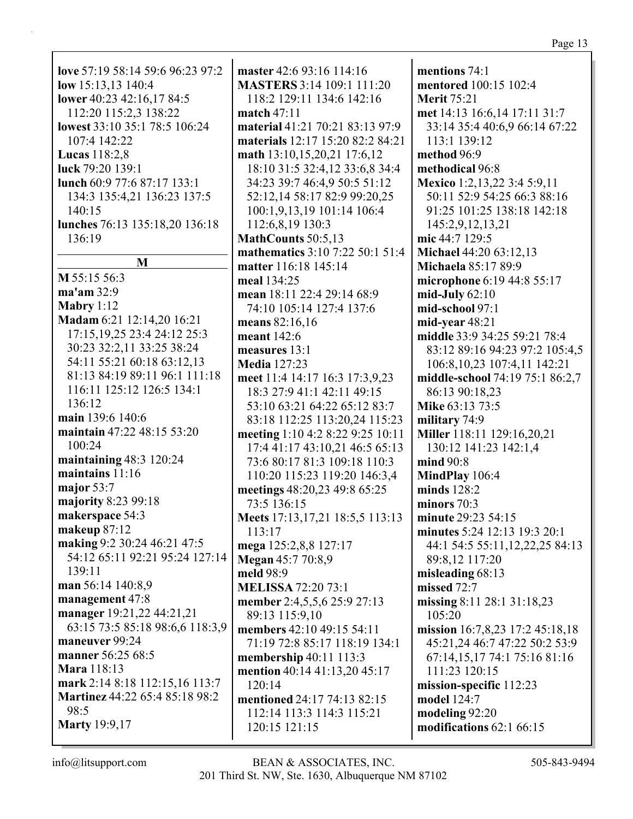**love** 57:19 58:14 59:6 96:23 97:2 **low** 15:13,13 140:4 **lower** 40:23 42:16,17 84:5 112:20 115:2,3 138:22 **lowest** 33:10 35:1 78:5 106:24 107:4 142:22 **Lucas** 118:2,8 **luck** 79:20 139:1 **lunch** 60:9 77:6 87:17 133:1 134:3 135:4,21 136:23 137:5 140:15 **lunches** 76:13 135:18,20 136:18 136:19 **M M** 55:15 56:3 **ma'am** 32:9 **Mabry** 1:12 **Madam** 6:21 12:14,20 16:21 17:15,19,25 23:4 24:12 25:3 30:23 32:2,11 33:25 38:24 54:11 55:21 60:18 63:12,13 81:13 84:19 89:11 96:1 111:18 116:11 125:12 126:5 134:1 136:12 **main** 139:6 140:6 **maintain** 47:22 48:15 53:20 100:24 **maintaining** 48:3 120:24 **maintains** 11:16 **major** 53:7 **majority** 8:23 99:18 **makerspace** 54:3 **makeup** 87:12 **making** 9:2 30:24 46:21 47:5 54:12 65:11 92:21 95:24 127:14  $139.11$ **man** 56:14 140:8,9 **management** 47:8 **manager** 19:21,22 44:21,21 63:15 73:5 85:18 98:6,6 118:3,9 **maneuver** 99:24 **manner** 56:25 68:5 **Mara** 118:13 **mark** 2:14 8:18 112:15,16 113:7 **Martinez** 44:22 65:4 85:18 98:2 98:5 **Marty** 19:9,17

**master** 42:6 93:16 114:16 **MASTERS** 3:14 109:1 111:20 118:2 129:11 134:6 142:16 **match** 47:11 **material** 41:21 70:21 83:13 97:9 **materials** 12:17 15:20 82:2 84:21 **math** 13:10,15,20,21 17:6,12 18:10 31:5 32:4,12 33:6,8 34:4 34:23 39:7 46:4,9 50:5 51:12 52:12,14 58:17 82:9 99:20,25 100:1,9,13,19 101:14 106:4 112:6,8,19 130:3 **MathCounts** 50:5,13 **mathematics** 3:10 7:22 50:1 51:4 **matter** 116:18 145:14 **meal** 134:25 **mean** 18:11 22:4 29:14 68:9 74:10 105:14 127:4 137:6 **means** 82:16,16 **meant** 142:6 **measures** 13:1 **Media** 127:23 **meet** 11:4 14:17 16:3 17:3,9,23 18:3 27:9 41:1 42:11 49:15 53:10 63:21 64:22 65:12 83:7 83:18 112:25 113:20,24 115:23 **meeting** 1:10 4:2 8:22 9:25 10:11 17:4 41:17 43:10,21 46:5 65:13 73:6 80:17 81:3 109:18 110:3 110:20 115:23 119:20 146:3,4 **meetings** 48:20,23 49:8 65:25 73:5 136:15 **Meets** 17:13,17,21 18:5,5 113:13 113:17 **mega** 125:2,8,8 127:17 **Megan** 45:7 70:8,9 **meld** 98:9 **MELISSA** 72:20 73:1 **member** 2:4,5,5,6 25:9 27:13 89:13 115:9,10 **members** 42:10 49:15 54:11 71:19 72:8 85:17 118:19 134:1 **membership** 40:11 113:3 **mention** 40:14 41:13,20 45:17 120:14 **mentioned** 24:17 74:13 82:15 112:14 113:3 114:3 115:21 120:15 121:15

**mentions** 74:1 **mentored** 100:15 102:4 **Merit** 75:21 **met** 14:13 16:6,14 17:11 31:7 33:14 35:4 40:6,9 66:14 67:22 113:1 139:12 **method** 96:9 **methodical** 96:8 **Mexico** 1:2,13,22 3:4 5:9,11 50:11 52:9 54:25 66:3 88:16 91:25 101:25 138:18 142:18 145:2,9,12,13,21 **mic** 44:7 129:5 **Michael** 44:20 63:12,13 **Michaela** 85:17 89:9 **microphone** 6:19 44:8 55:17 **mid-July** 62:10 **mid-school** 97:1 **mid-year** 48:21 **middle** 33:9 34:25 59:21 78:4 83:12 89:16 94:23 97:2 105:4,5 106:8,10,23 107:4,11 142:21 **middle-school** 74:19 75:1 86:2,7 86:13 90:18,23 **Mike** 63:13 73:5 **military** 74:9 **Miller** 118:11 129:16,20,21 130:12 141:23 142:1,4 **mind** 90:8 **MindPlay** 106:4 **minds** 128:2 **minors** 70:3 **minute** 29:23 54:15 **minutes** 5:24 12:13 19:3 20:1 44:1 54:5 55:11,12,22,25 84:13 89:8,12 117:20 **misleading** 68:13 **missed** 72:7 **missing** 8:11 28:1 31:18,23 105:20 **mission** 16:7,8,23 17:2 45:18,18 45:21,24 46:7 47:22 50:2 53:9 67:14,15,17 74:1 75:16 81:16 111:23 120:15 **mission-specific** 112:23 **model** 124:7 **modeling** 92:20 **modifications** 62:1 66:15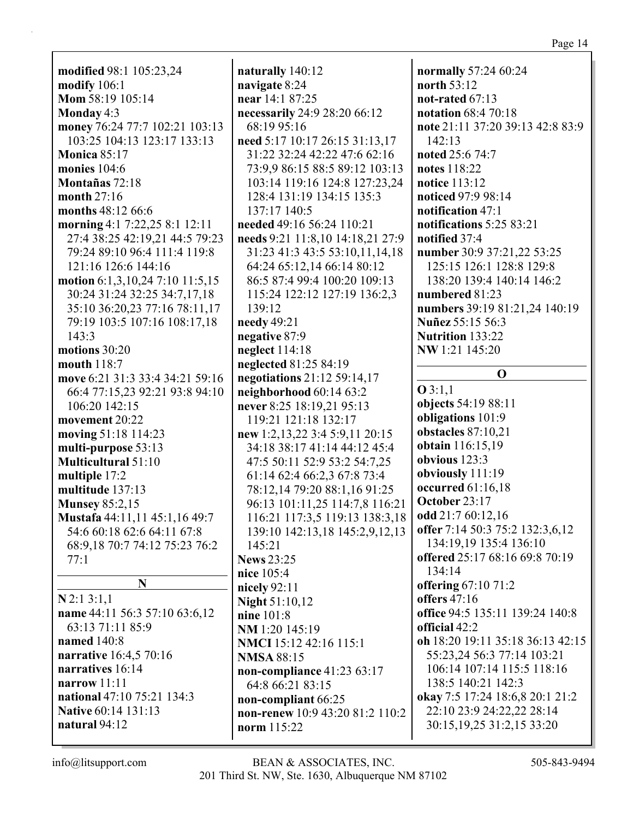**modified** 98:1 105:23,24 **modify** 106:1 **Mom** 58:19 105:14 **Monday** 4:3 **money** 76:24 77:7 102:21 103:13 103:25 104:13 123:17 133:13 **Monica** 85:17 **monies** 104:6 **Montañas** 72:18 **month** 27:16 **months** 48:12 66:6 **morning** 4:1 7:22,25 8:1 12:11 27:4 38:25 42:19,21 44:5 79:23 79:24 89:10 96:4 111:4 119:8 121:16 126:6 144:16 **motion** 6:1,3,10,24 7:10 11:5,15 30:24 31:24 32:25 34:7,17,18 35:10 36:20,23 77:16 78:11,17 79:19 103:5 107:16 108:17,18 143:3 **motions** 30:20 **mouth** 118:7 **move** 6:21 31:3 33:4 34:21 59:16 66:4 77:15,23 92:21 93:8 94:10 106:20 142:15 **movement** 20:22 **moving** 51:18 114:23 **multi-purpose** 53:13 **Multicultural** 51:10 **multiple** 17:2 **multitude** 137:13 **Munsey** 85:2,15 **Mustafa** 44:11,11 45:1,16 49:7 54:6 60:18 62:6 64:11 67:8 68:9,18 70:7 74:12 75:23 76:2 77:1 **N N** 2:1 3:1,1 **name** 44:11 56:3 57:10 63:6,12

63:13 71:11 85:9 **named** 140:8 **narrative** 16:4,5 70:16 **narratives** 16:14 **narrow** 11:11 **national** 47:10 75:21 134:3 **Native** 60:14 131:13 **natural** 94:12

**naturally** 140:12 **navigate** 8:24 **near** 14:1 87:25 **necessarily** 24:9 28:20 66:12 68:19 95:16 **need** 5:17 10:17 26:15 31:13,17 31:22 32:24 42:22 47:6 62:16 73:9,9 86:15 88:5 89:12 103:13 103:14 119:16 124:8 127:23,24 128:4 131:19 134:15 135:3 137:17 140:5 **needed** 49:16 56:24 110:21 **needs** 9:21 11:8,10 14:18,21 27:9 31:23 41:3 43:5 53:10,11,14,18 64:24 65:12,14 66:14 80:12 86:5 87:4 99:4 100:20 109:13 115:24 122:12 127:19 136:2,3 139:12 **needy** 49:21 **negative** 87:9 **neglect** 114:18 **neglected** 81:25 84:19 **negotiations** 21:12 59:14,17 **neighborhood** 60:14 63:2 **never** 8:25 18:19,21 95:13 119:21 121:18 132:17 **new** 1:2,13,22 3:4 5:9,11 20:15 34:18 38:17 41:14 44:12 45:4 47:5 50:11 52:9 53:2 54:7,25 61:14 62:4 66:2,3 67:8 73:4 78:12,14 79:20 88:1,16 91:25 96:13 101:11,25 114:7,8 116:21 116:21 117:3,5 119:13 138:3,18 139:10 142:13,18 145:2,9,12,13 145:21 **News** 23:25 **nice** 105:4 **nicely** 92:11 **Night** 51:10,12 **nine** 101:8 **NM** 1:20 145:19 **NMCI** 15:12 42:16 115:1 **NMSA** 88:15 **non-compliance** 41:23 63:17 64:8 66:21 83:15 **non-compliant** 66:25 **non-renew** 10:9 43:20 81:2 110:2 **norm** 115:22

**normally** 57:24 60:24 **north** 53:12 **not-rated** 67:13 **notation** 68:4 70:18 **note** 21:11 37:20 39:13 42:8 83:9 142:13 **noted** 25:6 74:7 **notes** 118:22 **notice** 113:12 **noticed** 97:9 98:14 **notification** 47:1 **notifications** 5:25 83:21 **notified** 37:4 **number** 30:9 37:21,22 53:25 125:15 126:1 128:8 129:8 138:20 139:4 140:14 146:2 **numbered** 81:23 **numbers** 39:19 81:21,24 140:19 **Nuñez** 55:15 56:3 **Nutrition** 133:22 **NW** 1:21 145:20 **O O** 3:1,1 **objects** 54:19 88:11 **obligations** 101:9 **obstacles** 87:10,21 **obtain** 116:15,19 **obvious** 123:3 **obviously** 111:19 **occurred** 61:16,18 **October** 23:17 **odd** 21:7 60:12,16 **offer** 7:14 50:3 75:2 132:3,6,12 134:19,19 135:4 136:10 **offered** 25:17 68:16 69:8 70:19 134:14 **offering** 67:10 71:2 **offers** 47:16 **office** 94:5 135:11 139:24 140:8 **official** 42:2 **oh** 18:20 19:11 35:18 36:13 42:15 55:23,24 56:3 77:14 103:21 106:14 107:14 115:5 118:16 138:5 140:21 142:3 **okay** 7:5 17:24 18:6,8 20:1 21:2 22:10 23:9 24:22,22 28:14 30:15,19,25 31:2,15 33:20

Page 14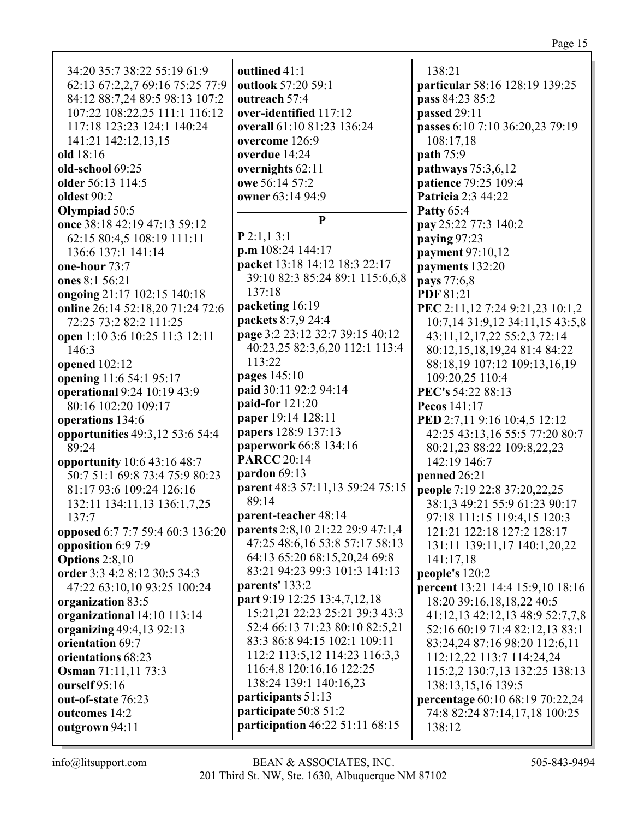34:20 35:7 38:22 55:19 61:9 62:13 67:2,2,7 69:16 75:25 77:9 84:12 88:7,24 89:5 98:13 107:2 107:22 108:22,25 111:1 116:12 117:18 123:23 124:1 140:24 141:21 142:12,13,15 **old** 18:16 **old-school** 69:25 **older** 56:13 114:5 **oldest** 90:2 **Olympiad** 50:5 **once** 38:18 42:19 47:13 59:12 62:15 80:4,5 108:19 111:11 136:6 137:1 141:14 **one-hour** 73:7 **ones** 8:1 56:21 **ongoing** 21:17 102:15 140:18 **online** 26:14 52:18,20 71:24 72:6 72:25 73:2 82:2 111:25 **open** 1:10 3:6 10:25 11:3 12:11 146:3 **opened** 102:12 **opening** 11:6 54:1 95:17 **operational** 9:24 10:19 43:9 80:16 102:20 109:17 **operations** 134:6 **opportunities** 49:3,12 53:6 54:4 89:24 **opportunity** 10:6 43:16 48:7 50:7 51:1 69:8 73:4 75:9 80:23 81:17 93:6 109:24 126:16 132:11 134:11,13 136:1,7,25 137:7 **opposed** 6:7 7:7 59:4 60:3 136:20 **opposition** 6:9 7:9 **Options** 2:8,10 **order** 3:3 4:2 8:12 30:5 34:3 47:22 63:10,10 93:25 100:24 **organization** 83:5 **organizational** 14:10 113:14 **organizing** 49:4,13 92:13 **orientation** 69:7 **orientations** 68:23 **Osman** 71:11,11 73:3 **ourself** 95:16 **out-of-state** 76:23 **outcomes** 14:2 **outgrown** 94:11

**outlined** 41:1 **outlook** 57:20 59:1 **outreach** 57:4 **over-identified** 117:12 **overall** 61:10 81:23 136:24 **overcome** 126:9 **overdue** 14:24 **overnights** 62:11 **owe** 56:14 57:2 **owner** 63:14 94:9 **P P** 2:1,1 3:1 **p.m** 108:24 144:17 **packet** 13:18 14:12 18:3 22:17 39:10 82:3 85:24 89:1 115:6,6,8 137:18 **packeting** 16:19 **packets** 8:7,9 24:4 **page** 3:2 23:12 32:7 39:15 40:12 40:23,25 82:3,6,20 112:1 113:4 113:22 **pages** 145:10 **paid** 30:11 92:2 94:14 **paid-for** 121:20 **paper** 19:14 128:11 **papers** 128:9 137:13 **paperwork** 66:8 134:16 **PARCC** 20:14 **pardon** 69:13 **parent** 48:3 57:11,13 59:24 75:15 89:14 **parent-teacher** 48:14 **parents** 2:8,10 21:22 29:9 47:1,4 47:25 48:6,16 53:8 57:17 58:13 64:13 65:20 68:15,20,24 69:8 83:21 94:23 99:3 101:3 141:13 **parents'** 133:2 **part** 9:19 12:25 13:4,7,12,18 15:21,21 22:23 25:21 39:3 43:3 52:4 66:13 71:23 80:10 82:5,21 83:3 86:8 94:15 102:1 109:11 112:2 113:5,12 114:23 116:3,3 116:4,8 120:16,16 122:25 138:24 139:1 140:16,23 **participants** 51:13 **participate** 50:8 51:2 **participation** 46:22 51:11 68:15

138:21 **particular** 58:16 128:19 139:25 **pass** 84:23 85:2 **passed** 29:11 **passes** 6:10 7:10 36:20,23 79:19 108:17,18 **path** 75:9 **pathways** 75:3,6,12 **patience** 79:25 109:4 **Patricia** 2:3 44:22 **Patty** 65:4 **pay** 25:22 77:3 140:2 **paying** 97:23 **payment** 97:10,12 **payments** 132:20 **pays** 77:6,8 **PDF** 81:21 **PEC** 2:11,12 7:24 9:21,23 10:1,2 10:7,14 31:9,12 34:11,15 43:5,8 43:11,12,17,22 55:2,3 72:14 80:12,15,18,19,24 81:4 84:22 88:18,19 107:12 109:13,16,19 109:20,25 110:4 **PEC's** 54:22 88:13 **Pecos** 141:17 **PED** 2:7,11 9:16 10:4,5 12:12 42:25 43:13,16 55:5 77:20 80:7 80:21,23 88:22 109:8,22,23 142:19 146:7 **penned** 26:21 **people** 7:19 22:8 37:20,22,25 38:1,3 49:21 55:9 61:23 90:17 97:18 111:15 119:4,15 120:3 121:21 122:18 127:2 128:17 131:11 139:11,17 140:1,20,22 141:17,18 **people's** 120:2 **percent** 13:21 14:4 15:9,10 18:16 18:20 39:16,18,18,22 40:5 41:12,13 42:12,13 48:9 52:7,7,8 52:16 60:19 71:4 82:12,13 83:1 83:24,24 87:16 98:20 112:6,11 112:12,22 113:7 114:24,24 115:2,2 130:7,13 132:25 138:13 138:13,15,16 139:5 **percentage** 60:10 68:19 70:22,24 74:8 82:24 87:14,17,18 100:25 138:12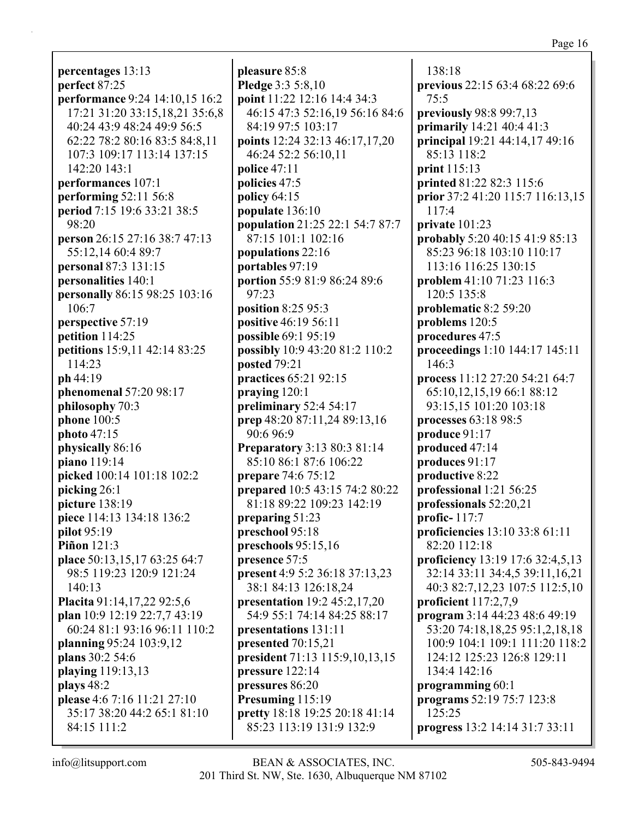**percentages** 13:13 **perfect** 87:25 **performance** 9:24 14:10,15 16:2 17:21 31:20 33:15,18,21 35:6,8 40:24 43:9 48:24 49:9 56:5 62:22 78:2 80:16 83:5 84:8,11 107:3 109:17 113:14 137:15 142:20 143:1 **performances** 107:1 **performing** 52:11 56:8 **period** 7:15 19:6 33:21 38:5 98:20 **person** 26:15 27:16 38:7 47:13 55:12,14 60:4 89:7 **personal** 87:3 131:15 **personalities** 140:1 **personally** 86:15 98:25 103:16 106:7 **perspective** 57:19 **petition** 114:25 **petitions** 15:9,11 42:14 83:25 114:23 **ph** 44:19 **phenomenal** 57:20 98:17 **philosophy** 70:3 **phone** 100:5 **photo** 47:15 **physically** 86:16 **piano** 119:14 **picked** 100:14 101:18 102:2 **picking** 26:1 **picture** 138:19 **piece** 114:13 134:18 136:2 **pilot** 95:19 **Piñon** 121:3 **place** 50:13,15,17 63:25 64:7 98:5 119:23 120:9 121:24 140:13 **Placita** 91:14,17,22 92:5,6 **plan** 10:9 12:19 22:7,7 43:19 60:24 81:1 93:16 96:11 110:2 **planning** 95:24 103:9,12 **plans** 30:2 54:6 **playing** 119:13,13 **plays** 48:2 **please** 4:6 7:16 11:21 27:10 35:17 38:20 44:2 65:1 81:10 84:15 111:2

**pleasure** 85:8 **Pledge** 3:3 5:8,10 **point** 11:22 12:16 14:4 34:3 46:15 47:3 52:16,19 56:16 84:6 84:19 97:5 103:17 **points** 12:24 32:13 46:17,17,20 46:24 52:2 56:10,11 **police** 47:11 **policies** 47:5 **policy** 64:15 **populate** 136:10 **population** 21:25 22:1 54:7 87:7 87:15 101:1 102:16 **populations** 22:16 **portables** 97:19 **portion** 55:9 81:9 86:24 89:6 97:23 **position** 8:25 95:3 **positive** 46:19 56:11 **possible** 69:1 95:19 **possibly** 10:9 43:20 81:2 110:2 **posted** 79:21 **practices** 65:21 92:15 **praying** 120:1 **preliminary** 52:4 54:17 **prep** 48:20 87:11,24 89:13,16 90:6 96:9 **Preparatory** 3:13 80:3 81:14 85:10 86:1 87:6 106:22 **prepare** 74:6 75:12 **prepared** 10:5 43:15 74:2 80:22 81:18 89:22 109:23 142:19 **preparing** 51:23 **preschool** 95:18 **preschools** 95:15,16 **presence** 57:5 **present** 4:9 5:2 36:18 37:13,23 38:1 84:13 126:18,24 **presentation** 19:2 45:2,17,20 54:9 55:1 74:14 84:25 88:17 **presentations** 131:11 **presented** 70:15,21 **president** 71:13 115:9,10,13,15 **pressure** 122:14 **pressures** 86:20 **Presuming** 115:19 **pretty** 18:18 19:25 20:18 41:14 85:23 113:19 131:9 132:9

138:18 **previous** 22:15 63:4 68:22 69:6 75:5 **previously** 98:8 99:7,13 **primarily** 14:21 40:4 41:3 **principal** 19:21 44:14,17 49:16 85:13 118:2 **print** 115:13 **printed** 81:22 82:3 115:6 **prior** 37:2 41:20 115:7 116:13,15 117:4 **private** 101:23 **probably** 5:20 40:15 41:9 85:13 85:23 96:18 103:10 110:17 113:16 116:25 130:15 **problem** 41:10 71:23 116:3 120:5 135:8 **problematic** 8:2 59:20 **problems** 120:5 **procedures** 47:5 **proceedings** 1:10 144:17 145:11 146:3 **process** 11:12 27:20 54:21 64:7 65:10,12,15,19 66:1 88:12 93:15,15 101:20 103:18 **processes** 63:18 98:5 **produce** 91:17 **produced** 47:14 **produces** 91:17 **productive** 8:22 **professional** 1:21 56:25 **professionals** 52:20,21 **profic-** 117:7 **proficiencies** 13:10 33:8 61:11 82:20 112:18 **proficiency** 13:19 17:6 32:4,5,13 32:14 33:11 34:4,5 39:11,16,21 40:3 82:7,12,23 107:5 112:5,10 **proficient** 117:2,7,9 **program** 3:14 44:23 48:6 49:19 53:20 74:18,18,25 95:1,2,18,18 100:9 104:1 109:1 111:20 118:2 124:12 125:23 126:8 129:11 134:4 142:16 **programming** 60:1 **programs** 52:19 75:7 123:8 125:25 **progress** 13:2 14:14 31:7 33:11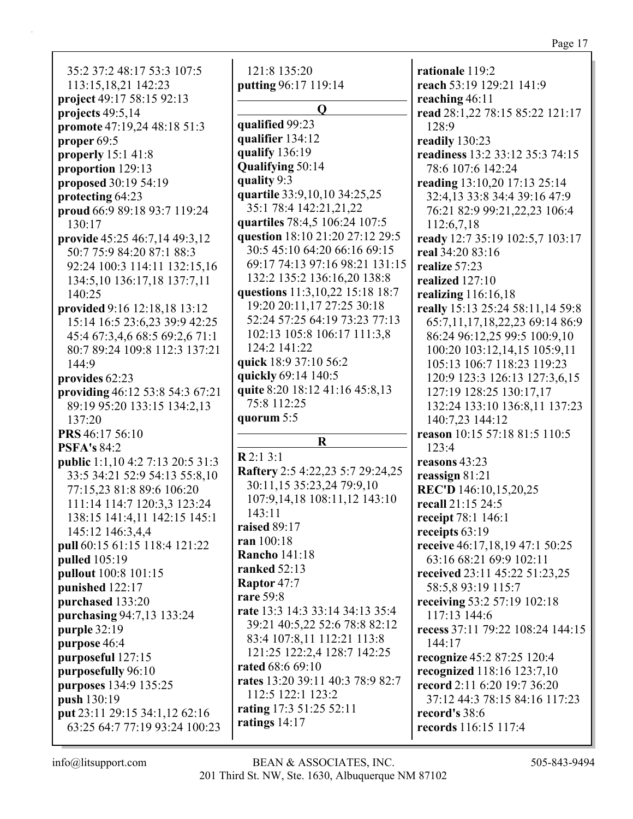35:2 37:2 48:17 53:3 107:5 113:15,18,21 142:23 **project** 49:17 58:15 92:13 **projects** 49:5,14 **promote** 47:19,24 48:18 51:3 **proper** 69:5 **properly** 15:1 41:8 **proportion** 129:13 **proposed** 30:19 54:19 **protecting** 64:23 **proud** 66:9 89:18 93:7 119:24 130:17 **provide** 45:25 46:7,14 49:3,12 50:7 75:9 84:20 87:1 88:3 92:24 100:3 114:11 132:15,16 134:5,10 136:17,18 137:7,11 140:25 **provided** 9:16 12:18,18 13:12 15:14 16:5 23:6,23 39:9 42:25 45:4 67:3,4,6 68:5 69:2,6 71:1 80:7 89:24 109:8 112:3 137:21 144:9 **provides** 62:23 **providing** 46:12 53:8 54:3 67:21 89:19 95:20 133:15 134:2,13 137:20 **PRS** 46:17 56:10 **PSFA's** 84:2 **public** 1:1,10 4:2 7:13 20:5 31:3 33:5 34:21 52:9 54:13 55:8,10 77:15,23 81:8 89:6 106:20 111:14 114:7 120:3,3 123:24 138:15 141:4,11 142:15 145:1 145:12 146:3,4,4 **pull** 60:15 61:15 118:4 121:22 **pulled** 105:19 **pullout** 100:8 101:15 **punished** 122:17 **purchased** 133:20 **purchasing** 94:7,13 133:24 **purple** 32:19 **purpose** 46:4 **purposeful** 127:15 **purposefully** 96:10 **purposes** 134:9 135:25

**putting** 96:17 119:14 **Q qualified** 99:23 **qualifier** 134:12 **qualify** 136:19 **Qualifying** 50:14 **quality** 9:3 **quartile** 33:9,10,10 34:25,25 35:1 78:4 142:21,21,22 **quartiles** 78:4,5 106:24 107:5 **question** 18:10 21:20 27:12 29:5 30:5 45:10 64:20 66:16 69:15 69:17 74:13 97:16 98:21 131:15 132:2 135:2 136:16,20 138:8 **questions** 11:3,10,22 15:18 18:7 19:20 20:11,17 27:25 30:18 52:24 57:25 64:19 73:23 77:13 102:13 105:8 106:17 111:3,8 124:2 141:22 **quick** 18:9 37:10 56:2 **quickly** 69:14 140:5 **quite** 8:20 18:12 41:16 45:8,13 75:8 112:25 **quorum** 5:5 **R R** 2:1 3:1 **Raftery** 2:5 4:22,23 5:7 29:24,25 30:11,15 35:23,24 79:9,10 107:9,14,18 108:11,12 143:10 143:11 **raised** 89:17 **ran** 100:18 **Rancho** 141:18 **ranked** 52:13 **Raptor** 47:7 **rare** 59:8 **rate** 13:3 14:3 33:14 34:13 35:4 39:21 40:5,22 52:6 78:8 82:12 83:4 107:8,11 112:21 113:8 121:25 122:2,4 128:7 142:25 **rated** 68:6 69:10 **rates** 13:20 39:11 40:3 78:9 82:7 112:5 122:1 123:2 **rating** 17:3 51:25 52:11 **ratings** 14:17

121:8 135:20

**rationale** 119:2 **reach** 53:19 129:21 141:9 **reaching** 46:11 **read** 28:1,22 78:15 85:22 121:17 128:9 **readily** 130:23 **readiness** 13:2 33:12 35:3 74:15 78:6 107:6 142:24 **reading** 13:10,20 17:13 25:14 32:4,13 33:8 34:4 39:16 47:9 76:21 82:9 99:21,22,23 106:4 112:6,7,18 **ready** 12:7 35:19 102:5,7 103:17 **real** 34:20 83:16 **realize** 57:23 **realized** 127:10 **realizing** 116:16,18 **really** 15:13 25:24 58:11,14 59:8 65:7,11,17,18,22,23 69:14 86:9 86:24 96:12,25 99:5 100:9,10 100:20 103:12,14,15 105:9,11 105:13 106:7 118:23 119:23 120:9 123:3 126:13 127:3,6,15 127:19 128:25 130:17,17 132:24 133:10 136:8,11 137:23 140:7,23 144:12 **reason** 10:15 57:18 81:5 110:5 123:4 **reasons** 43:23 **reassign** 81:21 **REC'D** 146:10,15,20,25 **recall** 21:15 24:5 **receipt** 78:1 146:1 **receipts** 63:19 **receive** 46:17,18,19 47:1 50:25 63:16 68:21 69:9 102:11 **received** 23:11 45:22 51:23,25 58:5,8 93:19 115:7 **receiving** 53:2 57:19 102:18 117:13 144:6 **recess** 37:11 79:22 108:24 144:15 144:17 **recognize** 45:2 87:25 120:4 **recognized** 118:16 123:7,10 **record** 2:11 6:20 19:7 36:20 37:12 44:3 78:15 84:16 117:23 **record's** 38:6 **records** 116:15 117:4

**put** 23:11 29:15 34:1,12 62:16 63:25 64:7 77:19 93:24 100:23

**push** 130:19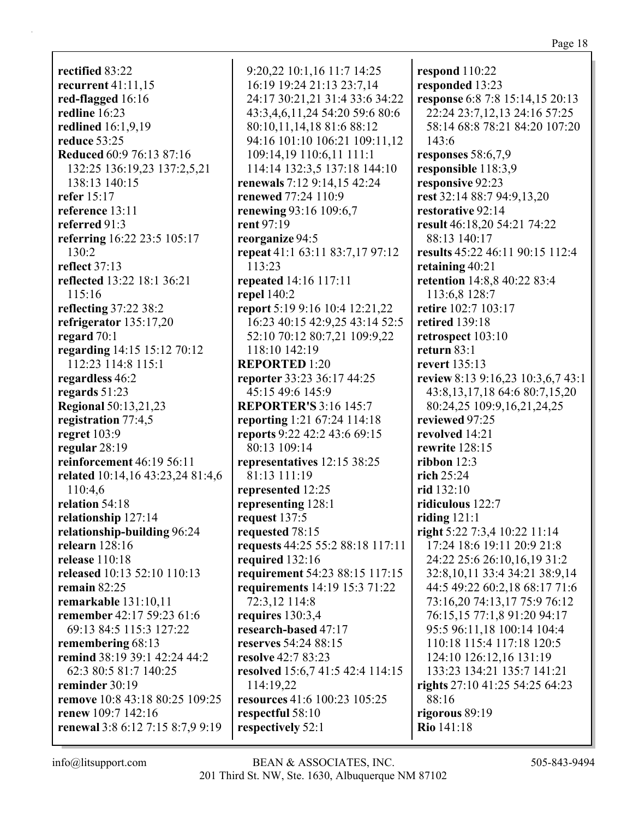**rectified** 83:22 **recurrent** 41:11,15 **red-flagged** 16:16 **redline** 16:23 **redlined** 16:1,9,19 **reduce** 53:25 **Reduced** 60:9 76:13 87:16 132:25 136:19,23 137:2,5,21 138:13 140:15 **refer** 15:17 **reference** 13:11 **referred** 91:3 **referring** 16:22 23:5 105:17 130:2 **reflect** 37:13 **reflected** 13:22 18:1 36:21 115:16 **reflecting** 37:22 38:2 **refrigerator** 135:17,20 **regard** 70:1 **regarding** 14:15 15:12 70:12 112:23 114:8 115:1 **regardless** 46:2 **regards** 51:23 **Regional** 50:13,21,23 **registration** 77:4,5 **regret** 103:9 **regular** 28:19 **reinforcement** 46:19 56:11 **related** 10:14,16 43:23,24 81:4,6 110:4,6 **relation** 54:18 **relationship** 127:14 **relationship-building** 96:24 **relearn** 128:16 **release** 110:18 **released** 10:13 52:10 110:13 **remain** 82:25 **remarkable** 131:10,11 **remember** 42:17 59:23 61:6 69:13 84:5 115:3 127:22 **remembering** 68:13 **remind** 38:19 39:1 42:24 44:2 62:3 80:5 81:7 140:25 **reminder** 30:19 **remove** 10:8 43:18 80:25 109:25 **renew** 109:7 142:16 **renewal** 3:8 6:12 7:15 8:7,9 9:19

9:20,22 10:1,16 11:7 14:25 16:19 19:24 21:13 23:7,14 24:17 30:21,21 31:4 33:6 34:22 43:3,4,6,11,24 54:20 59:6 80:6 80:10,11,14,18 81:6 88:12 94:16 101:10 106:21 109:11,12 109:14,19 110:6,11 111:1 114:14 132:3,5 137:18 144:10 **renewals** 7:12 9:14,15 42:24 **renewed** 77:24 110:9 **renewing** 93:16 109:6,7 **rent** 97:19 **reorganize** 94:5 **repeat** 41:1 63:11 83:7,17 97:12 113:23 **repeated** 14:16 117:11 **repel** 140:2 **report** 5:19 9:16 10:4 12:21,22 16:23 40:15 42:9,25 43:14 52:5 52:10 70:12 80:7,21 109:9,22 118:10 142:19 **REPORTED** 1:20 **reporter** 33:23 36:17 44:25 45:15 49:6 145:9 **REPORTER'S** 3:16 145:7 **reporting** 1:21 67:24 114:18 **reports** 9:22 42:2 43:6 69:15 80:13 109:14 **representatives** 12:15 38:25 81:13 111:19 **represented** 12:25 **representing** 128:1 **request** 137:5 **requested** 78:15 **requests** 44:25 55:2 88:18 117:11 **required** 132:16 **requirement** 54:23 88:15 117:15 **requirements** 14:19 15:3 71:22 72:3,12 114:8 **requires** 130:3,4 **research-based** 47:17 **reserves** 54:24 88:15 **resolve** 42:7 83:23 **resolved** 15:6,7 41:5 42:4 114:15 114:19,22 **resources** 41:6 100:23 105:25 **respectful** 58:10 **respectively** 52:1

**respond** 110:22 **responded** 13:23 **response** 6:8 7:8 15:14,15 20:13 22:24 23:7,12,13 24:16 57:25 58:14 68:8 78:21 84:20 107:20 143:6 **responses** 58:6,7,9 **responsible** 118:3,9 **responsive** 92:23 **rest** 32:14 88:7 94:9,13,20 **restorative** 92:14 **result** 46:18,20 54:21 74:22 88:13 140:17 **results** 45:22 46:11 90:15 112:4 **retaining** 40:21 **retention** 14:8,8 40:22 83:4 113:6,8 128:7 **retire** 102:7 103:17 **retired** 139:18 **retrospect** 103:10 **return** 83:1 **revert** 135:13 **review** 8:13 9:16,23 10:3,6,7 43:1 43:8,13,17,18 64:6 80:7,15,20 80:24,25 109:9,16,21,24,25 **reviewed** 97:25 **revolved** 14:21 **rewrite** 128:15 **ribbon** 12:3 **rich** 25:24 **rid** 132:10 **ridiculous** 122:7 **riding** 121:1 **right** 5:22 7:3,4 10:22 11:14 17:24 18:6 19:11 20:9 21:8 24:22 25:6 26:10,16,19 31:2 32:8,10,11 33:4 34:21 38:9,14 44:5 49:22 60:2,18 68:17 71:6 73:16,20 74:13,17 75:9 76:12 76:15,15 77:1,8 91:20 94:17 95:5 96:11,18 100:14 104:4 110:18 115:4 117:18 120:5 124:10 126:12,16 131:19 133:23 134:21 135:7 141:21 **rights** 27:10 41:25 54:25 64:23 88:16 **rigorous** 89:19 **Rio** 141:18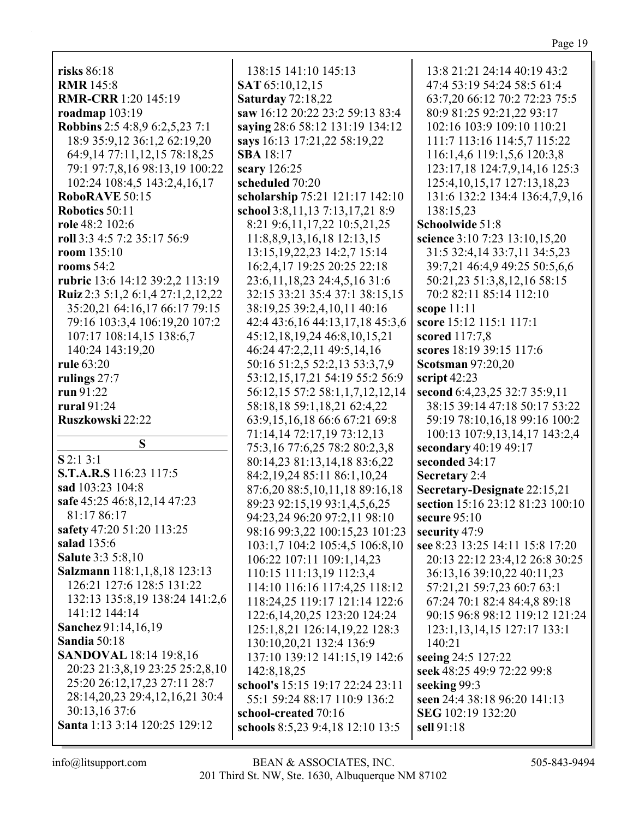## Page 19

| risks 86:18                           | 138:15 141:10 145:13                | 13:8 21:21 24:14 40:19 43:2       |
|---------------------------------------|-------------------------------------|-----------------------------------|
|                                       | SAT 65:10,12,15                     |                                   |
| <b>RMR</b> 145:8                      |                                     | 47:4 53:19 54:24 58:5 61:4        |
| <b>RMR-CRR</b> 1:20 145:19            | <b>Saturday 72:18,22</b>            | 63:7,20 66:12 70:2 72:23 75:5     |
| roadmap $103:19$                      | saw 16:12 20:22 23:2 59:13 83:4     | 80:9 81:25 92:21,22 93:17         |
| <b>Robbins</b> 2:5 4:8,9 6:2,5,23 7:1 | saying 28:6 58:12 131:19 134:12     | 102:16 103:9 109:10 110:21        |
| 18:9 35:9,12 36:1,2 62:19,20          | says 16:13 17:21,22 58:19,22        | 111:7 113:16 114:5,7 115:22       |
| 64:9,14 77:11,12,15 78:18,25          | <b>SBA</b> 18:17                    | 116:1,4,6 119:1,5,6 120:3,8       |
| 79:1 97:7,8,16 98:13,19 100:22        | scary 126:25                        | 123:17,18 124:7,9,14,16 125:3     |
| 102:24 108:4,5 143:2,4,16,17          | scheduled 70:20                     | 125:4, 10, 15, 17 127: 13, 18, 23 |
| RoboRAVE 50:15                        | scholarship 75:21 121:17 142:10     | 131:6 132:2 134:4 136:4,7,9,16    |
| Robotics 50:11                        | school 3:8,11,13 7:13,17,21 8:9     | 138:15,23                         |
| role 48:2 102:6                       | 8:21 9:6, 11, 17, 22 10:5, 21, 25   | Schoolwide 51:8                   |
| roll 3:3 4:5 7:2 35:17 56:9           | 11:8,8,9,13,16,18 12:13,15          | science 3:10 7:23 13:10,15,20     |
| room 135:10                           | 13:15, 19, 22, 23 14: 2, 7 15: 14   | 31:5 32:4,14 33:7,11 34:5,23      |
| rooms $54:2$                          | 16:2,4,17 19:25 20:25 22:18         | 39:7,21 46:4,9 49:25 50:5,6,6     |
| rubric 13:6 14:12 39:2,2 113:19       | 23:6, 11, 18, 23 24:4, 5, 16 31:6   | 50:21,23 51:3,8,12,16 58:15       |
| Ruiz 2:3 5:1,2 6:1,4 27:1,2,12,22     | 32:15 33:21 35:4 37:1 38:15,15      | 70:2 82:11 85:14 112:10           |
| 35:20,21 64:16,17 66:17 79:15         | 38:19,25 39:2,4,10,11 40:16         | scope $11:11$                     |
| 79:16 103:3,4 106:19,20 107:2         | 42:4 43:6, 16 44:13, 17, 18 45:3, 6 | score 15:12 115:1 117:1           |
| 107:17 108:14,15 138:6,7              | 45:12,18,19,24 46:8,10,15,21        | scored 117:7,8                    |
| 140:24 143:19,20                      | 46:24 47:2,2,11 49:5,14,16          | scores 18:19 39:15 117:6          |
| rule 63:20                            | 50:16 51:2,5 52:2,13 53:3,7,9       | <b>Scotsman 97:20,20</b>          |
| rulings 27:7                          | 53:12,15,17,21 54:19 55:2 56:9      | script $42:23$                    |
| run 91:22                             | 56:12,15 57:2 58:1,1,7,12,12,14     | second 6:4,23,25 32:7 35:9,11     |
| rural 91:24                           | 58:18,18 59:1,18,21 62:4,22         | 38:15 39:14 47:18 50:17 53:22     |
| Ruszkowski 22:22                      | 63:9,15,16,18 66:6 67:21 69:8       | 59:19 78:10,16,18 99:16 100:2     |
|                                       | 71:14,14 72:17,19 73:12,13          | 100:13 107:9,13,14,17 143:2,4     |
| S                                     | 75:3,16 77:6,25 78:2 80:2,3,8       | secondary 40:19 49:17             |
| $S$ 2:1 3:1                           | 80:14,23 81:13,14,18 83:6,22        | seconded 34:17                    |
| S.T.A.R.S 116:23 117:5                | 84:2,19,24 85:11 86:1,10,24         | Secretary 2:4                     |
| sad 103:23 104:8                      | 87:6,20 88:5,10,11,18 89:16,18      | Secretary-Designate 22:15,21      |
| safe 45:25 46:8,12,14 47:23           | 89:23 92:15,19 93:1,4,5,6,25        | section 15:16 23:12 81:23 100:10  |
| 81:17 86:17                           | 94:23,24 96:20 97:2,11 98:10        | secure 95:10                      |
| safety 47:20 51:20 113:25             | 98:16 99:3,22 100:15,23 101:23      | security 47:9                     |
| <b>salad</b> 135:6                    | 103:1,7 104:2 105:4,5 106:8,10      | see 8:23 13:25 14:11 15:8 17:20   |
| <b>Salute 3:3 5:8,10</b>              | 106:22 107:11 109:1,14,23           | 20:13 22:12 23:4,12 26:8 30:25    |
| Salzmann 118:1,1,8,18 123:13          | 110:15 111:13,19 112:3,4            | 36:13,16 39:10,22 40:11,23        |
| 126:21 127:6 128:5 131:22             | 114:10 116:16 117:4,25 118:12       | 57:21,21 59:7,23 60:7 63:1        |
| 132:13 135:8,19 138:24 141:2,6        | 118:24,25 119:17 121:14 122:6       | 67:24 70:1 82:4 84:4,8 89:18      |
| 141:12 144:14                         | 122:6, 14, 20, 25 123: 20 124: 24   | 90:15 96:8 98:12 119:12 121:24    |
| Sanchez 91:14,16,19                   | 125:1,8,21 126:14,19,22 128:3       | 123:1, 13, 14, 15 127: 17 133: 1  |
| <b>Sandia 50:18</b>                   | 130:10,20,21 132:4 136:9            | 140:21                            |
| <b>SANDOVAL</b> 18:14 19:8,16         | 137:10 139:12 141:15,19 142:6       | seeing 24:5 127:22                |
| 20:23 21:3,8,19 23:25 25:2,8,10       | 142:8, 18, 25                       | seek 48:25 49:9 72:22 99:8        |
| 25:20 26:12,17,23 27:11 28:7          | school's 15:15 19:17 22:24 23:11    | seeking 99:3                      |
| 28:14,20,23 29:4,12,16,21 30:4        | 55:1 59:24 88:17 110:9 136:2        | seen 24:4 38:18 96:20 141:13      |
| 30:13,16 37:6                         | school-created 70:16                | SEG 102:19 132:20                 |
| Santa 1:13 3:14 120:25 129:12         | schools 8:5,23 9:4,18 12:10 13:5    | sell 91:18                        |
|                                       |                                     |                                   |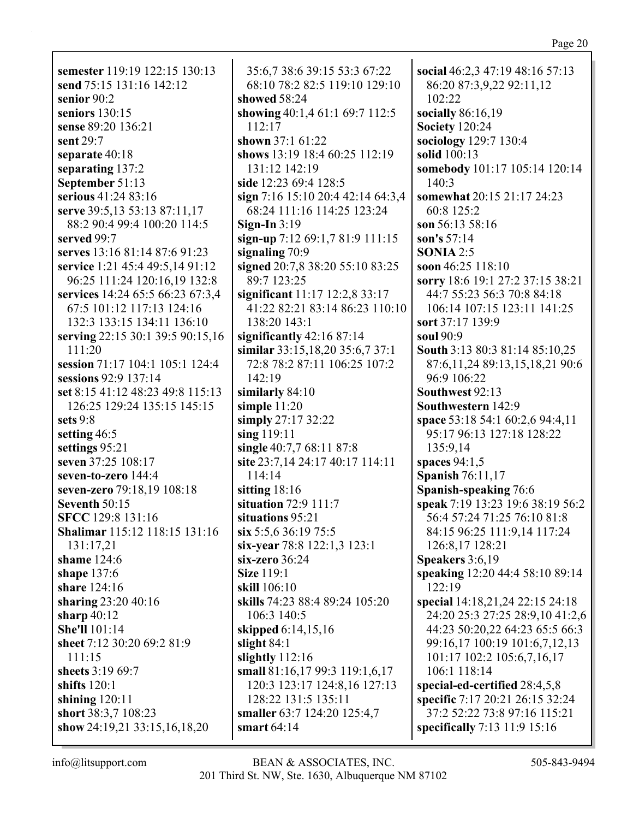**semester** 119:19 122:15 130:13 **send** 75:15 131:16 142:12 **senior** 90:2 **seniors** 130:15 **sense** 89:20 136:21 **sent** 29:7 **separate** 40:18 **separating** 137:2 **September** 51:13 **serious** 41:24 83:16 **serve** 39:5,13 53:13 87:11,17 88:2 90:4 99:4 100:20 114:5 **served** 99:7 **serves** 13:16 81:14 87:6 91:23 **service** 1:21 45:4 49:5,14 91:12 96:25 111:24 120:16,19 132:8 **services** 14:24 65:5 66:23 67:3,4 67:5 101:12 117:13 124:16 132:3 133:15 134:11 136:10 **serving** 22:15 30:1 39:5 90:15,16 111:20 **session** 71:17 104:1 105:1 124:4 **sessions** 92:9 137:14 **set** 8:15 41:12 48:23 49:8 115:13 126:25 129:24 135:15 145:15 **sets** 9:8 **setting** 46:5 **settings** 95:21 **seven** 37:25 108:17 **seven-to-zero** 144:4 **seven-zero** 79:18,19 108:18 **Seventh** 50:15 **SFCC** 129:8 131:16 **Shalimar** 115:12 118:15 131:16 131:17,21 **shame** 124:6 **shape** 137:6 **share** 124:16 **sharing** 23:20 40:16 **sharp** 40:12 **She'll** 101:14 **sheet** 7:12 30:20 69:2 81:9 111:15 **sheets** 3:19 69:7 **shifts** 120:1 **shining** 120:11 **short** 38:3,7 108:23 **show** 24:19,21 33:15,16,18,20

35:6,7 38:6 39:15 53:3 67:22 68:10 78:2 82:5 119:10 129:10 **showed** 58:24 **showing** 40:1,4 61:1 69:7 112:5 112:17 **shown** 37:1 61:22 **shows** 13:19 18:4 60:25 112:19 131:12 142:19 **side** 12:23 69:4 128:5 **sign** 7:16 15:10 20:4 42:14 64:3,4 68:24 111:16 114:25 123:24 **Sign-In** 3:19 **sign-up** 7:12 69:1,7 81:9 111:15 **signaling** 70:9 **signed** 20:7,8 38:20 55:10 83:25 89:7 123:25 **significant** 11:17 12:2,8 33:17 41:22 82:21 83:14 86:23 110:10 138:20 143:1 **significantly** 42:16 87:14 **similar** 33:15,18,20 35:6,7 37:1 72:8 78:2 87:11 106:25 107:2 142:19 **similarly** 84:10 **simple** 11:20 **simply** 27:17 32:22 **sing** 119:11 **single** 40:7,7 68:11 87:8 **site** 23:7,14 24:17 40:17 114:11 114:14 **sitting** 18:16 **situation** 72:9 111:7 **situations** 95:21 **six** 5:5,6 36:19 75:5 **six-year** 78:8 122:1,3 123:1 **six-zero** 36:24 **Size** 119:1 **skill** 106:10 **skills** 74:23 88:4 89:24 105:20 106:3 140:5 **skipped** 6:14,15,16 **slight** 84:1 **slightly** 112:16 **small** 81:16,17 99:3 119:1,6,17 120:3 123:17 124:8,16 127:13 128:22 131:5 135:11 **smaller** 63:7 124:20 125:4,7 **smart** 64:14

**social** 46:2,3 47:19 48:16 57:13 86:20 87:3,9,22 92:11,12 102:22 **socially** 86:16,19 **Society** 120:24 **sociology** 129:7 130:4 **solid** 100:13 **somebody** 101:17 105:14 120:14 140:3 **somewhat** 20:15 21:17 24:23 60:8 125:2 **son** 56:13 58:16 **son's** 57:14 **SONIA** 2:5 **soon** 46:25 118:10 **sorry** 18:6 19:1 27:2 37:15 38:21 44:7 55:23 56:3 70:8 84:18 106:14 107:15 123:11 141:25 **sort** 37:17 139:9 **soul** 90:9 **South** 3:13 80:3 81:14 85:10,25 87:6,11,24 89:13,15,18,21 90:6 96:9 106:22 **Southwest** 92:13 **Southwestern** 142:9 **space** 53:18 54:1 60:2,6 94:4,11 95:17 96:13 127:18 128:22 135:9,14 **spaces** 94:1,5 **Spanish** 76:11,17 **Spanish-speaking** 76:6 **speak** 7:19 13:23 19:6 38:19 56:2 56:4 57:24 71:25 76:10 81:8 84:15 96:25 111:9,14 117:24 126:8,17 128:21 **Speakers** 3:6,19 **speaking** 12:20 44:4 58:10 89:14 122:19 **special** 14:18,21,24 22:15 24:18 24:20 25:3 27:25 28:9,10 41:2,6 44:23 50:20,22 64:23 65:5 66:3 99:16,17 100:19 101:6,7,12,13 101:17 102:2 105:6,7,16,17 106:1 118:14 **special-ed-certified** 28:4,5,8 **specific** 7:17 20:21 26:15 32:24 37:2 52:22 73:8 97:16 115:21 **specifically** 7:13 11:9 15:16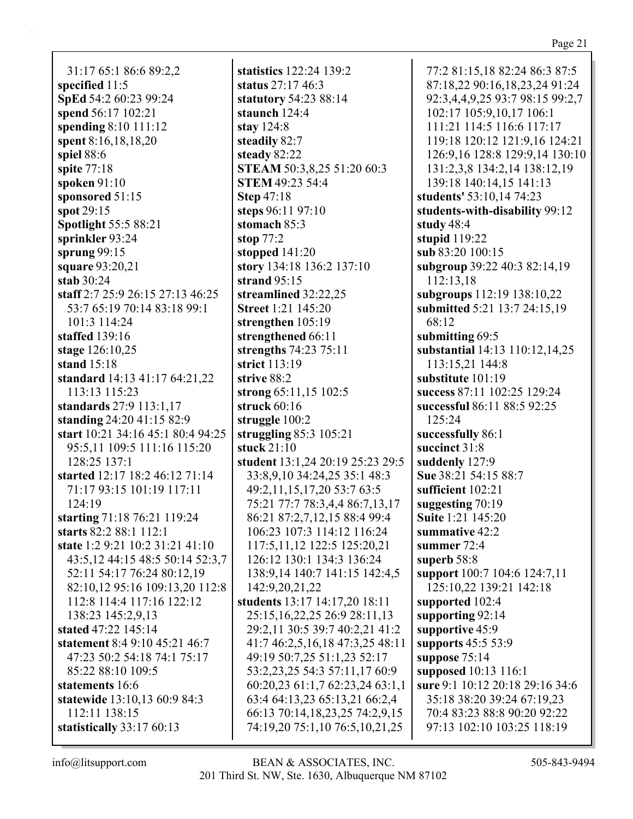31:17 65:1 86:6 89:2,2 **specified** 11:5 **SpEd** 54:2 60:23 99:24 **spend** 56:17 102:21 **spending** 8:10 111:12 **spent** 8:16,18,18,20 **spiel** 88:6 **spite** 77:18 **spoken** 91:10 **sponsored** 51:15 **spot** 29:15 **Spotlight** 55:5 88:21 **sprinkler** 93:24 **sprung** 99:15 **square** 93:20,21 **stab** 30:24 **staff** 2:7 25:9 26:15 27:13 46:25 53:7 65:19 70:14 83:18 99:1 101:3 114:24 **staffed** 139:16 **stage** 126:10,25 **stand** 15:18 **standard** 14:13 41:17 64:21,22 113:13 115:23 **standards** 27:9 113:1,17 **standing** 24:20 41:15 82:9 **start** 10:21 34:16 45:1 80:4 94:25 95:5,11 109:5 111:16 115:20 128:25 137:1 **started** 12:17 18:2 46:12 71:14 71:17 93:15 101:19 117:11 124:19 **starting** 71:18 76:21 119:24 **starts** 82:2 88:1 112:1 **state** 1:2 9:21 10:2 31:21 41:10 43:5,12 44:15 48:5 50:14 52:3,7 52:11 54:17 76:24 80:12,19 82:10,12 95:16 109:13,20 112:8 112:8 114:4 117:16 122:12 138:23 145:2,9,13 **stated** 47:22 145:14 **statement** 8:4 9:10 45:21 46:7 47:23 50:2 54:18 74:1 75:17 85:22 88:10 109:5 **statements** 16:6 **statewide** 13:10,13 60:9 84:3 112:11 138:15 **statistically** 33:17 60:13

**statistics** 122:24 139:2 **status** 27:17 46:3 **statutory** 54:23 88:14 **staunch** 124:4 **stay** 124:8 **steadily** 82:7 **steady** 82:22 **STEAM** 50:3,8,25 51:20 60:3 **STEM** 49:23 54:4 **Step** 47:18 **steps** 96:11 97:10 **stomach** 85:3 **stop** 77:2 **stopped** 141:20 **story** 134:18 136:2 137:10 **strand** 95:15 **streamlined** 32:22,25 **Street** 1:21 145:20 **strengthen** 105:19 **strengthened** 66:11 **strengths** 74:23 75:11 **strict** 113:19 **strive** 88:2 **strong** 65:11,15 102:5 **struck** 60:16 **struggle** 100:2 **struggling** 85:3 105:21 **stuck** 21:10 **student** 13:1,24 20:19 25:23 29:5 33:8,9,10 34:24,25 35:1 48:3 49:2,11,15,17,20 53:7 63:5 75:21 77:7 78:3,4,4 86:7,13,17 86:21 87:2,7,12,15 88:4 99:4 106:23 107:3 114:12 116:24 117:5,11,12 122:5 125:20,21 126:12 130:1 134:3 136:24 138:9,14 140:7 141:15 142:4,5 142:9,20,21,22 **students** 13:17 14:17,20 18:11 25:15,16,22,25 26:9 28:11,13 29:2,11 30:5 39:7 40:2,21 41:2 41:7 46:2,5,16,18 47:3,25 48:11 49:19 50:7,25 51:1,23 52:17 53:2,23,25 54:3 57:11,17 60:9 60:20,23 61:1,7 62:23,24 63:1,1 63:4 64:13,23 65:13,21 66:2,4 66:13 70:14,18,23,25 74:2,9,15 74:19,20 75:1,10 76:5,10,21,25

77:2 81:15,18 82:24 86:3 87:5 87:18,22 90:16,18,23,24 91:24 92:3,4,4,9,25 93:7 98:15 99:2,7 102:17 105:9,10,17 106:1 111:21 114:5 116:6 117:17 119:18 120:12 121:9,16 124:21 126:9,16 128:8 129:9,14 130:10 131:2,3,8 134:2,14 138:12,19 139:18 140:14,15 141:13 **students'** 53:10,14 74:23 **students-with-disability** 99:12 **study** 48:4 **stupid** 119:22 **sub** 83:20 100:15 **subgroup** 39:22 40:3 82:14,19 112:13,18 **subgroups** 112:19 138:10,22 **submitted** 5:21 13:7 24:15,19 68:12 **submitting** 69:5 **substantial** 14:13 110:12,14,25 113:15,21 144:8 **substitute** 101:19 **success** 87:11 102:25 129:24 **successful** 86:11 88:5 92:25 125:24 **successfully** 86:1 **succinct** 31:8 **suddenly** 127:9 **Sue** 38:21 54:15 88:7 **sufficient** 102:21 **suggesting** 70:19 **Suite** 1:21 145:20 **summative** 42:2 **summer** 72:4 **superb** 58:8 **support** 100:7 104:6 124:7,11 125:10,22 139:21 142:18 **supported** 102:4 **supporting** 92:14 **supportive** 45:9 **supports** 45:5 53:9 **suppose** 75:14 **supposed** 10:13 116:1 **sure** 9:1 10:12 20:18 29:16 34:6 35:18 38:20 39:24 67:19,23 70:4 83:23 88:8 90:20 92:22 97:13 102:10 103:25 118:19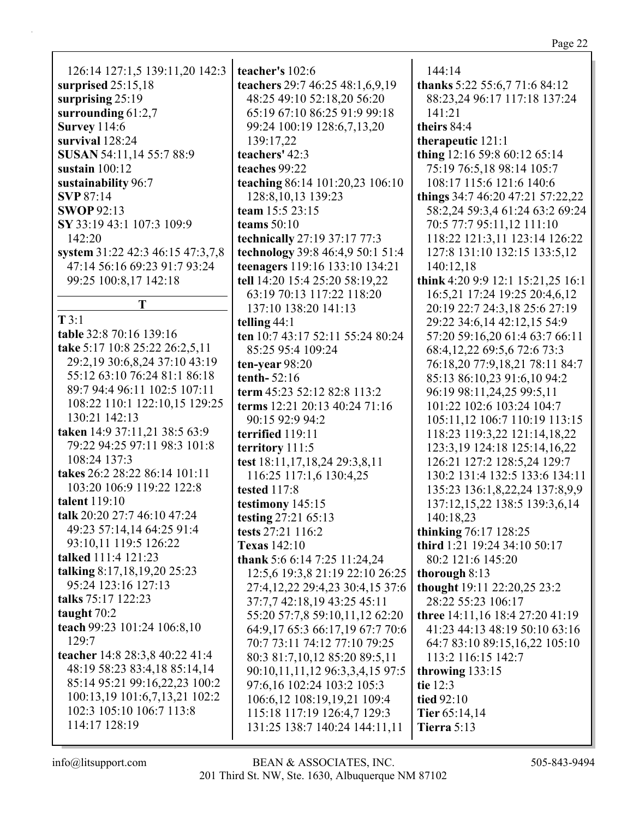| 126:14 127:1,5 139:11,20 142:3   | t  |
|----------------------------------|----|
| surprised $25:15,18$             | t  |
| surprising 25:19                 |    |
| surrounding 61:2,7               |    |
| <b>Survey</b> 114:6              |    |
| survival 128:24                  |    |
| SUSAN 54:11,14 55:7 88:9         | t  |
| sustain $100:12$                 | t  |
| sustainability 96:7              | t  |
| <b>SVP</b> 87:14                 |    |
| <b>SWOP 92:13</b>                | t  |
| SY 33:19 43:1 107:3 109:9        | t  |
| 142:20                           | t  |
| system 31:22 42:3 46:15 47:3,7,8 | t  |
| 47:14 56:16 69:23 91:7 93:24     | t  |
| 99:25 100:8,17 142:18            | t  |
| T                                |    |
|                                  |    |
| T3:1                             | t  |
| table 32:8 70:16 139:16          | t  |
| take 5:17 10:8 25:22 26:2,5,11   |    |
| 29:2,19 30:6,8,24 37:10 43:19    | t  |
| 55:12 63:10 76:24 81:1 86:18     | t  |
| 89:7 94:4 96:11 102:5 107:11     | t  |
| 108:22 110:1 122:10,15 129:25    | t  |
| 130:21 142:13                    |    |
| taken 14:9 37:11,21 38:5 63:9    | t  |
| 79:22 94:25 97:11 98:3 101:8     | t, |

79:22 94:25 97:11 98:3 101:8 108:24 137:3 **takes** 26:2 28:22 86:14 101:11 103:20 106:9 119:22 122:8 **talent** 119:10 **talk** 20:20 27:7 46:10 47:24 49:23 57:14,14 64:25 91:4 93:10,11 119:5 126:22 **talked** 111:4 121:23 **talking** 8:17,18,19,20 25:23 95:24 123:16 127:13 **talks** 75:17 122:23 **taught** 70:2 **teach** 99:23 101:24 106:8,10 129:7 **teacher** 14:8 28:3,8 40:22 41:4 48:19 58:23 83:4,18 85:14,14 85:14 95:21 99:16,22,23 100:2 100:13,19 101:6,7,13,21 102:2 102:3 105:10 106:7 113:8 114:17 128:19

**teacher's** 102:6 **teachers** 29:7 46:25 48:1,6,9,19 48:25 49:10 52:18,20 56:20 65:19 67:10 86:25 91:9 99:18 99:24 100:19 128:6,7,13,20 139:17,22 **teachers'** 42:3 **teaches** 99:22 **teaching** 86:14 101:20,23 106:10 128:8,10,13 139:23 **team** 15:5 23:15 **teams** 50:10 **technically** 27:19 37:17 77:3 **technology** 39:8 46:4,9 50:1 51:4 **teenagers** 119:16 133:10 134:21 **tell** 14:20 15:4 25:20 58:19,22 63:19 70:13 117:22 118:20 137:10 138:20 141:13 **telling** 44:1 **ten** 10:7 43:17 52:11 55:24 80:24 85:25 95:4 109:24 **ten-year** 98:20 **tenth-** 52:16 **term** 45:23 52:12 82:8 113:2 **terms** 12:21 20:13 40:24 71:16 90:15 92:9 94:2 **terrified** 119:11 **territory** 111:5 **test** 18:11,17,18,24 29:3,8,11 116:25 117:1,6 130:4,25 **tested** 117:8 **testimony** 145:15 **testing** 27:21 65:13 **tests** 27:21 116:2 **Texas** 142:10 **thank** 5:6 6:14 7:25 11:24,24 12:5,6 19:3,8 21:19 22:10 26:25 27:4,12,22 29:4,23 30:4,15 37:6 37:7,7 42:18,19 43:25 45:11 55:20 57:7,8 59:10,11,12 62:20 64:9,17 65:3 66:17,19 67:7 70:6 70:7 73:11 74:12 77:10 79:25 80:3 81:7,10,12 85:20 89:5,11 90:10,11,11,12 96:3,3,4,15 97:5 97:6,16 102:24 103:2 105:3 106:6,12 108:19,19,21 109:4 115:18 117:19 126:4,7 129:3 131:25 138:7 140:24 144:11,11

144:14 **thanks** 5:22 55:6,7 71:6 84:12 88:23,24 96:17 117:18 137:24 141:21 **theirs** 84:4 **therapeutic** 121:1 **thing** 12:16 59:8 60:12 65:14 75:19 76:5,18 98:14 105:7 108:17 115:6 121:6 140:6 **things** 34:7 46:20 47:21 57:22,22 58:2,24 59:3,4 61:24 63:2 69:24 70:5 77:7 95:11,12 111:10 118:22 121:3,11 123:14 126:22 127:8 131:10 132:15 133:5,12 140:12,18 **think** 4:20 9:9 12:1 15:21,25 16:1 16:5,21 17:24 19:25 20:4,6,12 20:19 22:7 24:3,18 25:6 27:19 29:22 34:6,14 42:12,15 54:9 57:20 59:16,20 61:4 63:7 66:11 68:4,12,22 69:5,6 72:6 73:3 76:18,20 77:9,18,21 78:11 84:7 85:13 86:10,23 91:6,10 94:2 96:19 98:11,24,25 99:5,11 101:22 102:6 103:24 104:7 105:11,12 106:7 110:19 113:15 118:23 119:3,22 121:14,18,22 123:3,19 124:18 125:14,16,22 126:21 127:2 128:5,24 129:7 130:2 131:4 132:5 133:6 134:11 135:23 136:1,8,22,24 137:8,9,9 137:12,15,22 138:5 139:3,6,14 140:18,23 **thinking** 76:17 128:25 **third** 1:21 19:24 34:10 50:17 80:2 121:6 145:20 **thorough** 8:13 **thought** 19:11 22:20,25 23:2 28:22 55:23 106:17 **three** 14:11,16 18:4 27:20 41:19 41:23 44:13 48:19 50:10 63:16 64:7 83:10 89:15,16,22 105:10 113:2 116:15 142:7 **throwing** 133:15 **tie** 12:3 **tied** 92:10 **Tier** 65:14,14 **Tierra** 5:13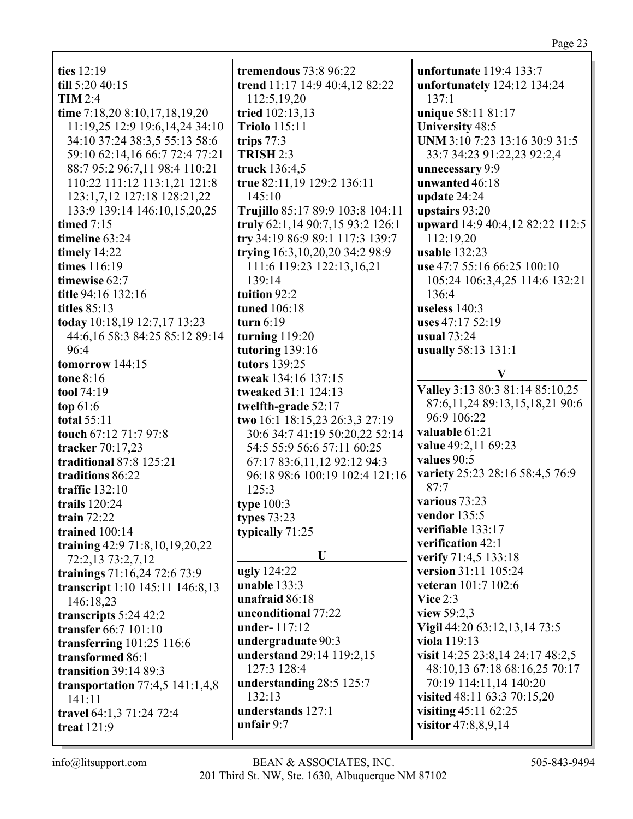| unfortunate 119:4 133:7<br>ties $12:19$<br>tremendous 73:8 96:22<br>till 5:20 40:15<br>trend 11:17 14:9 40:4,12 82:22<br>unfortunately 124:12 134:24<br>TIM 2:4<br>112:5,19,20<br>137:1<br>time 7:18,20 8:10,17,18,19,20<br>unique 58:11 81:17<br>tried 102:13,13 |  |
|-------------------------------------------------------------------------------------------------------------------------------------------------------------------------------------------------------------------------------------------------------------------|--|
|                                                                                                                                                                                                                                                                   |  |
|                                                                                                                                                                                                                                                                   |  |
|                                                                                                                                                                                                                                                                   |  |
|                                                                                                                                                                                                                                                                   |  |
| 11:19,25 12:9 19:6,14,24 34:10<br><b>Triolo 115:11</b><br><b>University 48:5</b>                                                                                                                                                                                  |  |
| UNM 3:10 7:23 13:16 30:9 31:5<br>34:10 37:24 38:3,5 55:13 58:6<br>trips $77:3$                                                                                                                                                                                    |  |
| 59:10 62:14,16 66:7 72:4 77:21<br><b>TRISH 2:3</b><br>33:7 34:23 91:22,23 92:2,4                                                                                                                                                                                  |  |
| 88:7 95:2 96:7,11 98:4 110:21<br>truck 136:4,5<br>unnecessary 9:9                                                                                                                                                                                                 |  |
| 110:22 111:12 113:1,21 121:8<br>true 82:11,19 129:2 136:11<br>unwanted 46:18                                                                                                                                                                                      |  |
| 123:1,7,12 127:18 128:21,22<br>145:10<br>update $24:24$                                                                                                                                                                                                           |  |
| 133:9 139:14 146:10,15,20,25<br>Trujillo 85:17 89:9 103:8 104:11<br>upstairs 93:20                                                                                                                                                                                |  |
| upward 14:9 40:4,12 82:22 112:5<br>timed $7:15$<br>truly 62:1,14 90:7,15 93:2 126:1                                                                                                                                                                               |  |
| try 34:19 86:9 89:1 117:3 139:7<br>112:19,20<br>timeline 63:24                                                                                                                                                                                                    |  |
| timely 14:22<br>trying 16:3, 10, 20, 20 34: 2 98: 9<br>usable 132:23                                                                                                                                                                                              |  |
| times 116:19<br>111:6 119:23 122:13,16,21<br>use 47:7 55:16 66:25 100:10                                                                                                                                                                                          |  |
| 139:14<br>timewise 62:7<br>105:24 106:3,4,25 114:6 132:21                                                                                                                                                                                                         |  |
| 136:4<br>tuition 92:2<br>title 94:16 132:16                                                                                                                                                                                                                       |  |
| titles $85:13$<br>tuned 106:18<br>useless 140:3                                                                                                                                                                                                                   |  |
| today 10:18,19 12:7,17 13:23<br>turn $6:19$<br>uses 47:17 52:19                                                                                                                                                                                                   |  |
| 44:6,16 58:3 84:25 85:12 89:14<br>turning 119:20<br><b>usual</b> 73:24                                                                                                                                                                                            |  |
| tutoring 139:16<br>96:4<br>usually 58:13 131:1                                                                                                                                                                                                                    |  |
| tutors 139:25<br>tomorrow 144:15<br>V                                                                                                                                                                                                                             |  |
| tone 8:16<br>tweak 134:16 137:15                                                                                                                                                                                                                                  |  |
| Valley 3:13 80:3 81:14 85:10,25<br>tweaked 31:1 124:13<br>tool 74:19                                                                                                                                                                                              |  |
| 87:6,11,24 89:13,15,18,21 90:6<br>top $61:6$<br>twelfth-grade 52:17                                                                                                                                                                                               |  |
| 96:9 106:22<br>two 16:1 18:15,23 26:3,3 27:19<br><b>total 55:11</b>                                                                                                                                                                                               |  |
| valuable 61:21<br>touch 67:12 71:7 97:8<br>30:6 34:7 41:19 50:20,22 52:14                                                                                                                                                                                         |  |
| value 49:2,11 69:23<br>tracker 70:17,23<br>54:5 55:9 56:6 57:11 60:25                                                                                                                                                                                             |  |
| values 90:5<br>traditional 87:8 125:21<br>67:17 83:6,11,12 92:12 94:3                                                                                                                                                                                             |  |
| variety 25:23 28:16 58:4,5 76:9<br>traditions 86:22<br>96:18 98:6 100:19 102:4 121:16                                                                                                                                                                             |  |
| 87:7<br>125:3<br>traffic $132:10$                                                                                                                                                                                                                                 |  |
| various 73:23<br>trails 120:24<br>type $100:3$                                                                                                                                                                                                                    |  |
| vendor $135:5$<br>types 73:23<br>train $72:22$                                                                                                                                                                                                                    |  |
| verifiable 133:17<br>trained 100:14<br>typically 71:25                                                                                                                                                                                                            |  |
| verification 42:1<br>training 42:9 71:8,10,19,20,22                                                                                                                                                                                                               |  |
| U<br>verify 71:4,5 133:18<br>72:2,13 73:2,7,12                                                                                                                                                                                                                    |  |
| <b>ugly</b> 124:22<br>version 31:11 105:24<br>trainings 71:16,24 72:6 73:9                                                                                                                                                                                        |  |
| unable 133:3<br>veteran 101:7 102:6<br>transcript 1:10 145:11 146:8,13                                                                                                                                                                                            |  |
| unafraid 86:18<br>Vice $2:3$<br>146:18,23                                                                                                                                                                                                                         |  |
| unconditional 77:22<br>view 59:2,3<br>transcripts 5:24 42:2                                                                                                                                                                                                       |  |
| Vigil 44:20 63:12,13,14 73:5<br>under-117:12<br>transfer 66:7 101:10                                                                                                                                                                                              |  |
| viola 119:13<br>undergraduate 90:3<br>transferring $101:25$ 116:6                                                                                                                                                                                                 |  |
| visit 14:25 23:8,14 24:17 48:2,5<br>understand 29:14 119:2,15<br>transformed 86:1                                                                                                                                                                                 |  |
| 127:3 128:4<br>48:10,13 67:18 68:16,25 70:17<br><b>transition 39:14 89:3</b>                                                                                                                                                                                      |  |
| 70:19 114:11,14 140:20<br>understanding 28:5 125:7<br>transportation $77:4,5$ 141:1,4,8                                                                                                                                                                           |  |
| 132:13<br>visited 48:11 63:3 70:15,20<br>141:11                                                                                                                                                                                                                   |  |
| visiting $45:11\,62:25$<br>understands 127:1<br>travel 64:1,3 71:24 72:4                                                                                                                                                                                          |  |
| visitor 47:8,8,9,14<br>unfair $9:7$<br>treat $121:9$                                                                                                                                                                                                              |  |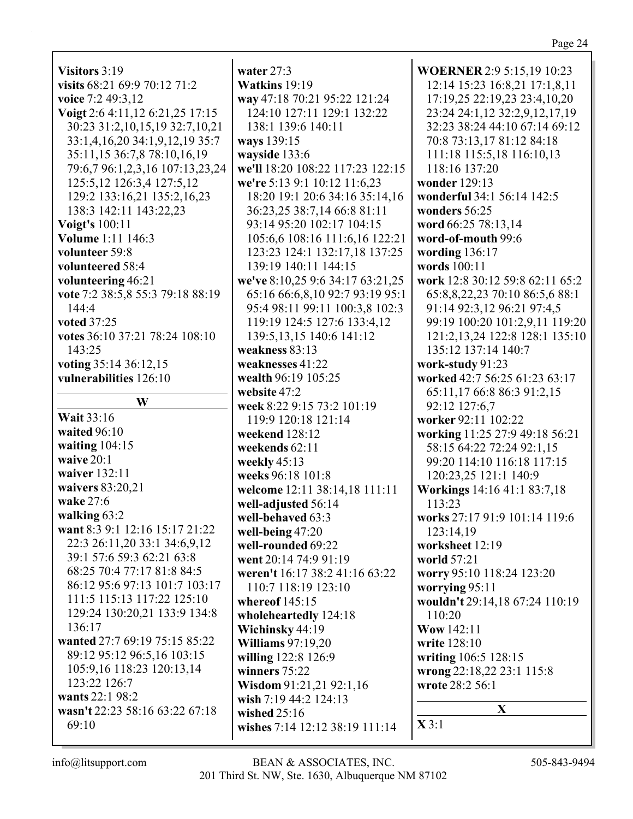Page 24

**W Wait** 33:16 **waited** 96:10 **waiting** 104:15 **waive** 20:1 **waiver** 132:11 **waivers** 83:20,21 **wake** 27:6 **walking** 63:2 **want** 8:3 9:1 12:16 15:17 21:22 22:3 26:11,20 33:1 34:6,9,12 39:1 57:6 59:3 62:21 63:8 68:25 70:4 77:17 81:8 84:5 86:12 95:6 97:13 101:7 103:17 111:5 115:13 117:22 125:10 129:24 130:20,21 133:9 134:8 136:17 **wanted** 27:7 69:19 75:15 85:22 89:12 95:12 96:5,16 103:15 105:9,16 118:23 120:13,14 123:22 126:7 **wants** 22:1 98:2 **wasn't** 22:23 58:16 63:22 67:18 69:10

**water** 27:3 **Watkins** 19:19 **way** 47:18 70:21 95:22 121:24 124:10 127:11 129:1 132:22 138:1 139:6 140:11 **ways** 139:15 **wayside** 133:6 **we'll** 18:20 108:22 117:23 122:15 **we're** 5:13 9:1 10:12 11:6,23 18:20 19:1 20:6 34:16 35:14,16 36:23,25 38:7,14 66:8 81:11 93:14 95:20 102:17 104:15 105:6,6 108:16 111:6,16 122:21 123:23 124:1 132:17,18 137:25 139:19 140:11 144:15 **we've** 8:10,25 9:6 34:17 63:21,25 65:16 66:6,8,10 92:7 93:19 95:1 95:4 98:11 99:11 100:3,8 102:3 119:19 124:5 127:6 133:4,12 139:5,13,15 140:6 141:12 **weakness** 83:13 **weaknesses** 41:22 **wealth** 96:19 105:25 **website** 47:2 **week** 8:22 9:15 73:2 101:19 119:9 120:18 121:14 **weekend** 128:12 **weekends** 62:11 **weekly** 45:13 **weeks** 96:18 101:8 **welcome** 12:11 38:14,18 111:11 **well-adjusted** 56:14 **well-behaved** 63:3 **well-being** 47:20 **well-rounded** 69:22 **went** 20:14 74:9 91:19 **weren't** 16:17 38:2 41:16 63:22 110:7 118:19 123:10 **whereof** 145:15 **wholeheartedly** 124:18 **Wichinsky** 44:19 **Williams** 97:19,20 **willing** 122:8 126:9 **winners** 75:22 **Wisdom** 91:21,21 92:1,16 **wish** 7:19 44:2 124:13 **wished** 25:16 **wishes** 7:14 12:12 38:19 111:14

**WOERNER** 2:9 5:15,19 10:23 12:14 15:23 16:8,21 17:1,8,11 17:19,25 22:19,23 23:4,10,20 23:24 24:1,12 32:2,9,12,17,19 32:23 38:24 44:10 67:14 69:12 70:8 73:13,17 81:12 84:18 111:18 115:5,18 116:10,13 118:16 137:20 **wonder** 129:13 **wonderful** 34:1 56:14 142:5 **wonders** 56:25 **word** 66:25 78:13,14 **word-of-mouth** 99:6 **wording** 136:17 **words** 100:11 **work** 12:8 30:12 59:8 62:11 65:2 65:8,8,22,23 70:10 86:5,6 88:1 91:14 92:3,12 96:21 97:4,5 99:19 100:20 101:2,9,11 119:20 121:2,13,24 122:8 128:1 135:10 135:12 137:14 140:7 **work-study** 91:23 **worked** 42:7 56:25 61:23 63:17 65:11,17 66:8 86:3 91:2,15 92:12 127:6,7 **worker** 92:11 102:22 **working** 11:25 27:9 49:18 56:21 58:15 64:22 72:24 92:1,15 99:20 114:10 116:18 117:15 120:23,25 121:1 140:9 **Workings** 14:16 41:1 83:7,18 113:23 **works** 27:17 91:9 101:14 119:6 123:14,19 **worksheet** 12:19 **world** 57:21 **worry** 95:10 118:24 123:20 **worrying** 95:11 **wouldn't** 29:14,18 67:24 110:19 110:20 **Wow** 142:11 **write** 128:10 **writing** 106:5 128:15 **wrong** 22:18,22 23:1 115:8 **wrote** 28:2 56:1 **X X** 3:1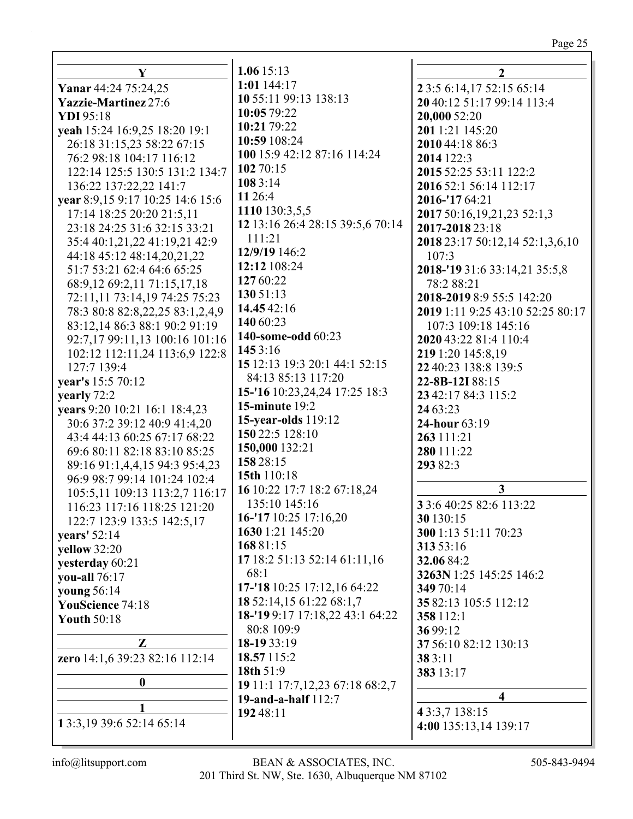# Page 25

| Y                                    | 1.0615:13                                 | $\mathbf{2}$                         |
|--------------------------------------|-------------------------------------------|--------------------------------------|
| Yanar 44:24 75:24,25                 | $1:01$ 144:17                             | 2 3:5 6:14,17 52:15 65:14            |
| <b>Yazzie-Martinez</b> 27:6          | 10 55:11 99:13 138:13                     | 20 40:12 51:17 99:14 113:4           |
| YDI 95:18                            | 10:05 79:22                               | 20,000 52:20                         |
| yeah 15:24 16:9,25 18:20 19:1        | 10:21 79:22                               | 201 1:21 145:20                      |
| 26:18 31:15,23 58:22 67:15           | 10:59 108:24                              | 2010 44:18 86:3                      |
| 76:2 98:18 104:17 116:12             | 100 15:9 42:12 87:16 114:24               | 2014 122:3                           |
| 122:14 125:5 130:5 131:2 134:7       | 102 70:15                                 | 2015 52:25 53:11 122:2               |
| 136:22 137:22,22 141:7               | 108 3:14                                  | 2016 52:1 56:14 112:17               |
| vear 8:9,15 9:17 10:25 14:6 15:6     | 11 26:4                                   | 2016-'17 64:21                       |
| 17:14 18:25 20:20 21:5,11            | 1110 130:3,5,5                            | 2017 50:16,19,21,23 52:1,3           |
| 23:18 24:25 31:6 32:15 33:21         | 12 13:16 26:4 28:15 39:5,6 70:14          | 2017-2018 23:18                      |
| 35:4 40:1,21,22 41:19,21 42:9        | 111:21                                    | 2018 23:17 50:12,14 52:1,3,6,10      |
| 44:18 45:12 48:14,20,21,22           | 12/9/19 146:2                             | 107:3                                |
| 51:7 53:21 62:4 64:6 65:25           | 12:12 108:24                              | 2018-'19 31:6 33:14,21 35:5,8        |
| 68:9,12 69:2,11 71:15,17,18          | 127 60:22                                 | 78:2 88:21                           |
| 72:11,11 73:14,19 74:25 75:23        | 130 51:13                                 | 2018-2019 8:9 55:5 142:20            |
| 78:3 80:8 82:8, 22, 25 83:1, 2, 4, 9 | 14.45 42:16                               | 2019 1:11 9:25 43:10 52:25 80:17     |
| 83:12,14 86:3 88:1 90:2 91:19        | 140 60:23                                 | 107:3 109:18 145:16                  |
| 92:7,17 99:11,13 100:16 101:16       | 140-some-odd 60:23                        | 2020 43:22 81:4 110:4                |
| 102:12 112:11,24 113:6,9 122:8       | 145 3:16                                  | 219 1:20 145:8,19                    |
| 127:7 139:4                          | 15 12:13 19:3 20:1 44:1 52:15             | 22 40:23 138:8 139:5                 |
| year's 15:5 70:12                    | 84:13 85:13 117:20                        | 22-8B-12I 88:15                      |
| yearly 72:2                          | 15-'16 10:23, 24, 24 17:25 18:3           | 23 42:17 84:3 115:2                  |
| years 9:20 10:21 16:1 18:4,23        | <b>15-minute 19:2</b>                     | 24 63:23                             |
| 30:6 37:2 39:12 40:9 41:4,20         | <b>15-year-olds</b> 119:12                | 24-hour 63:19                        |
| 43:4 44:13 60:25 67:17 68:22         | 150 22:5 128:10                           | 263 111:21                           |
| 69:6 80:11 82:18 83:10 85:25         | 150,000 132:21                            | 280 111:22                           |
| 89:16 91:1,4,4,15 94:3 95:4,23       | 158 28:15                                 | 293 82:3                             |
| 96:9 98:7 99:14 101:24 102:4         | 15th 110:18                               |                                      |
| 105:5,11 109:13 113:2,7 116:17       | 16 10:22 17:7 18:2 67:18,24               | $\mathbf{3}$                         |
| 116:23 117:16 118:25 121:20          | 135:10 145:16                             | 3 3:6 40:25 82:6 113:22              |
| 122:7 123:9 133:5 142:5,17           | 16-'17 10:25 17:16,20<br>1630 1:21 145:20 | 30 130:15                            |
| years' 52:14                         | 16881:15                                  | 300 1:13 51:11 70:23                 |
| yellow 32:20                         | 17 18:2 51:13 52:14 61:11,16              | 313 53:16                            |
| yesterday 60:21                      | 68:1                                      | 32.06 84:2                           |
| you-all 76:17                        | 17-'18 10:25 17:12,16 64:22               | 3263N 1:25 145:25 146:2<br>349 70:14 |
| young 56:14                          | 18 52:14,15 61:22 68:1,7                  | 35 82:13 105:5 112:12                |
| YouScience 74:18                     | 18-'19 9:17 17:18,22 43:1 64:22           | 358 112:1                            |
| <b>Youth 50:18</b>                   | 80:8 109:9                                | 36 99:12                             |
| $\mathbf{Z}$                         | 18-19 33:19                               | 37 56:10 82:12 130:13                |
| zero 14:1,6 39:23 82:16 112:14       | 18.57 115:2                               | 38 3:11                              |
|                                      | 18th 51:9                                 | 383 13:17                            |
| $\boldsymbol{0}$                     | 19 11:1 17:7, 12, 23 67:18 68:2, 7        |                                      |
|                                      | 19-and-a-half 112:7                       | $\overline{\mathbf{4}}$              |
| 1                                    | 192 48:11                                 | 43:3,7 138:15                        |
| 1 3:3, 19 39: 6 52: 14 65: 14        |                                           | 4:00 135:13,14 139:17                |
|                                      |                                           |                                      |